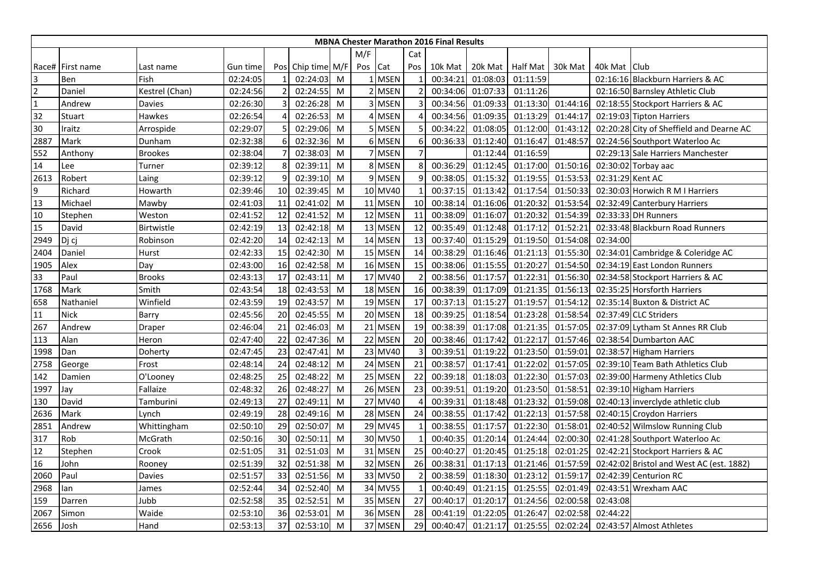|                |                  |                   |          |    |                   |   |         |         |                | <b>MBNA Chester Marathon 2016 Final Results</b> |          |                    |          |                  |                                          |
|----------------|------------------|-------------------|----------|----|-------------------|---|---------|---------|----------------|-------------------------------------------------|----------|--------------------|----------|------------------|------------------------------------------|
|                |                  |                   |          |    |                   |   | M/F     |         | Cat            |                                                 |          |                    |          |                  |                                          |
|                | Race# First name | Last name         | Gun time |    | Pos Chip time M/F |   | Pos Cat |         | Pos            | 10k Mat                                         |          | 20k Mat   Half Mat | 30k Mat  | 40k Mat   Club   |                                          |
| 3              | Ben              | Fish              | 02:24:05 |    | 02:24:03          | M |         | 1 MSEN  |                | 00:34:21                                        | 01:08:03 | 01:11:59           |          |                  | 02:16:16 Blackburn Harriers & AC         |
| $\overline{2}$ | Daniel           | Kestrel (Chan)    | 02:24:56 |    | 02:24:55          | M |         | 2 MSEN  |                | 00:34:06                                        | 01:07:33 | 01:11:26           |          |                  | 02:16:50 Barnsley Athletic Club          |
| $\overline{1}$ | Andrew           | <b>Davies</b>     | 02:26:30 |    | 02:26:28          | M |         | 3 MSEN  | 3              | 00:34:56                                        | 01:09:33 | 01:13:30           | 01:44:16 |                  | 02:18:55 Stockport Harriers & AC         |
| 32             | Stuart           | Hawkes            | 02:26:54 |    | 02:26:53          | M |         | 4 MSEN  |                | 00:34:56                                        | 01:09:35 | 01:13:29           | 01:44:17 |                  | 02:19:03 Tipton Harriers                 |
| 30             | Iraitz           | Arrospide         | 02:29:07 |    | 02:29:06          | M |         | 5 MSEN  | $\overline{5}$ | 00:34:22                                        | 01:08:05 | 01:12:00           | 01:43:12 |                  | 02:20:28 City of Sheffield and Dearne AC |
| 2887           | Mark             | Dunham            | 02:32:38 |    | 02:32:36          | M |         | 6 MSEN  | 6              | 00:36:33                                        | 01:12:40 | 01:16:47           | 01:48:57 |                  | 02:24:56 Southport Waterloo Ac           |
| 552            | Anthony          | <b>Brookes</b>    | 02:38:04 |    | 02:38:03          | M |         | 7 MSEN  | $\overline{7}$ |                                                 | 01:12:44 | 01:16:59           |          |                  | 02:29:13 Sale Harriers Manchester        |
| 14             | Lee              | Turner            | 02:39:12 | 8  | 02:39:11          | M |         | 8 MSEN  | 8              | 00:36:29                                        | 01:12:45 | 01:17:00           | 01:50:16 |                  | 02:30:02 Torbay aac                      |
| 2613           | Robert           | Laing             | 02:39:12 | 9  | 02:39:10          | M |         | 9 MSEN  | 9              | 00:38:05                                        | 01:15:32 | 01:19:55           | 01:53:53 | 02:31:29 Kent AC |                                          |
| $\overline{9}$ | Richard          | Howarth           | 02:39:46 | 10 | 02:39:45          | M |         | 10 MV40 |                | 00:37:15                                        | 01:13:42 | 01:17:54           | 01:50:33 |                  | 02:30:03 Horwich R M I Harriers          |
| 13             | Michael          | Mawby             | 02:41:03 | 11 | 02:41:02          | M |         | 11 MSEN | 10             | 00:38:14                                        | 01:16:06 | 01:20:32           | 01:53:54 |                  | 02:32:49 Canterbury Harriers             |
| 10             | Stephen          | Weston            | 02:41:52 | 12 | 02:41:52          | M |         | 12 MSEN | 11             | 00:38:09                                        | 01:16:07 | 01:20:32           | 01:54:39 |                  | 02:33:33 DH Runners                      |
| 15             | David            | <b>Birtwistle</b> | 02:42:19 | 13 | 02:42:18          | M |         | 13 MSEN | 12             | 00:35:49                                        | 01:12:48 | 01:17:12           | 01:52:21 |                  | 02:33:48 Blackburn Road Runners          |
| 2949           | Dj cj            | Robinson          | 02:42:20 | 14 | 02:42:13          | M |         | 14 MSEN | 13             | 00:37:40                                        | 01:15:29 | 01:19:50           | 01:54:08 | 02:34:00         |                                          |
| 2404           | Daniel           | Hurst             | 02:42:33 | 15 | 02:42:30          | M |         | 15 MSEN | 14             | 00:38:29                                        | 01:16:46 | 01:21:13           | 01:55:30 |                  | 02:34:01 Cambridge & Coleridge AC        |
| 1905           | Alex             | Day               | 02:43:00 | 16 | 02:42:58          | M |         | 16 MSEN | 15             | 00:38:06                                        | 01:15:55 | 01:20:27           | 01:54:50 |                  | 02:34:19 East London Runners             |
| 33             | Paul             | <b>Brooks</b>     | 02:43:13 | 17 | 02:43:11          | M |         | 17 MV40 | $\overline{2}$ | 00:38:56                                        | 01:17:57 | 01:22:31           | 01:56:30 |                  | 02:34:58 Stockport Harriers & AC         |
| 1768           | Mark             | Smith             | 02:43:54 | 18 | 02:43:53          | M |         | 18 MSEN | 16             | 00:38:39                                        | 01:17:09 | 01:21:35           | 01:56:13 |                  | 02:35:25 Horsforth Harriers              |
| 658            | Nathaniel        | Winfield          | 02:43:59 | 19 | 02:43:57          | M |         | 19 MSEN | 17             | 00:37:13                                        | 01:15:27 | 01:19:57           | 01:54:12 |                  | 02:35:14 Buxton & District AC            |
| 11             | <b>Nick</b>      | Barry             | 02:45:56 | 20 | 02:45:55          | M |         | 20 MSEN | 18             | 00:39:25                                        | 01:18:54 | 01:23:28           | 01:58:54 |                  | 02:37:49 CLC Striders                    |
| 267            | Andrew           | Draper            | 02:46:04 | 21 | 02:46:03          | M |         | 21 MSEN | 19             | 00:38:39                                        | 01:17:08 | 01:21:35           | 01:57:05 |                  | 02:37:09 Lytham St Annes RR Club         |
| 113            | Alan             | Heron             | 02:47:40 | 22 | 02:47:36          | M |         | 22 MSEN | 20             | 00:38:46                                        | 01:17:42 | 01:22:17           | 01:57:46 |                  | 02:38:54 Dumbarton AAC                   |
| 1998           | Dan              | Doherty           | 02:47:45 | 23 | 02:47:41          | M |         | 23 MV40 | 3              | 00:39:51                                        | 01:19:22 | 01:23:50           | 01:59:01 |                  | 02:38:57 Higham Harriers                 |
| 2758           | George           | Frost             | 02:48:14 | 24 | 02:48:12          | M |         | 24 MSEN | 21             | 00:38:57                                        | 01:17:41 | 01:22:02           | 01:57:05 |                  | 02:39:10 Team Bath Athletics Club        |
| 142            | Damien           | O'Looney          | 02:48:25 | 25 | 02:48:22          | M |         | 25 MSEN | 22             | 00:39:18                                        | 01:18:03 | 01:22:30           | 01:57:03 |                  | 02:39:00 Harmeny Athletics Club          |
| 1997           | Jay              | Fallaize          | 02:48:32 | 26 | 02:48:27          | M |         | 26 MSEN | 23             | 00:39:51                                        | 01:19:20 | 01:23:50           | 01:58:51 |                  | 02:39:10 Higham Harriers                 |
| 130            | David            | Tamburini         | 02:49:13 | 27 | 02:49:11          | M |         | 27 MV40 | 4              | 00:39:31                                        | 01:18:48 | 01:23:32           | 01:59:08 |                  | 02:40:13 inverclyde athletic club        |
| 2636           | Mark             | Lynch             | 02:49:19 | 28 | 02:49:16          | M |         | 28 MSEN | 24             | 00:38:55                                        | 01:17:42 | 01:22:13           | 01:57:58 |                  | 02:40:15 Croydon Harriers                |
| 2851           | Andrew           | Whittingham       | 02:50:10 | 29 | 02:50:07          | M |         | 29 MV45 |                | 00:38:55                                        | 01:17:57 | 01:22:30           | 01:58:01 |                  | 02:40:52 Wilmslow Running Club           |
| 317            | Rob              | McGrath           | 02:50:16 | 30 | 02:50:11          | M |         | 30 MV50 | $\mathbf 1$    | 00:40:35                                        | 01:20:14 | 01:24:44           | 02:00:30 |                  | 02:41:28 Southport Waterloo Ac           |
| 12             | Stephen          | Crook             | 02:51:05 | 31 | 02:51:03          | M |         | 31 MSEN | 25             | 00:40:27                                        | 01:20:45 | 01:25:18           | 02:01:25 |                  | 02:42:21 Stockport Harriers & AC         |
| 16             | John             | Rooney            | 02:51:39 | 32 | 02:51:38          | M |         | 32 MSEN | 26             | 00:38:31                                        | 01:17:13 | 01:21:46           | 01:57:59 |                  | 02:42:02 Bristol and West AC (est. 1882) |
| 2060           | Paul             | Davies            | 02:51:57 | 33 | 02:51:56          | M |         | 33 MV50 |                | 00:38:59                                        | 01:18:30 | 01:23:12           | 01:59:17 |                  | 02:42:39 Centurion RC                    |
| 2968           | lan              | James             | 02:52:44 | 34 | 02:52:40          | M |         | 34 MV55 |                | 00:40:49                                        | 01:21:15 | 01:25:55           | 02:01:49 |                  | 02:43:51 Wrexham AAC                     |
| 159            | Darren           | Jubb              | 02:52:58 | 35 | 02:52:51          | M |         | 35 MSEN | 27             | 00:40:17                                        | 01:20:17 | 01:24:56           | 02:00:58 | 02:43:08         |                                          |
| 2067           | Simon            | Waide             | 02:53:10 | 36 | 02:53:01          | M |         | 36 MSEN | 28             | 00:41:19                                        | 01:22:05 | 01:26:47           | 02:02:58 | 02:44:22         |                                          |
| 2656           | <b>Josh</b>      | Hand              | 02:53:13 | 37 | 02:53:10          | M |         | 37 MSEN | 29             | 00:40:47                                        | 01:21:17 | 01:25:55           | 02:02:24 |                  | 02:43:57 Almost Athletes                 |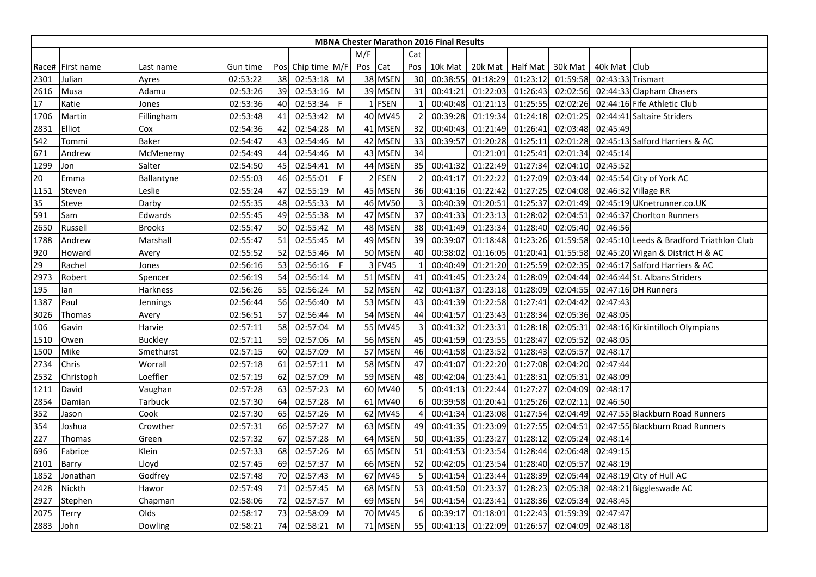|      |                  |                |          |    |                   |              |              |             |                       | <b>MBNA Chester Marathon 2016 Final Results</b> |                   |                  |          |                   |                                          |
|------|------------------|----------------|----------|----|-------------------|--------------|--------------|-------------|-----------------------|-------------------------------------------------|-------------------|------------------|----------|-------------------|------------------------------------------|
|      |                  |                |          |    |                   |              |              | Cat         |                       |                                                 |                   |                  |          |                   |                                          |
|      | Race# First name | Last name      | Gun time |    | Pos Chip time M/F |              | Pos Cat      |             | Pos                   | 10k Mat                                         |                   | 20k Mat Half Mat | 30k Mat  | 40k Mat Club      |                                          |
| 2301 | Julian           | Ayres          | 02:53:22 | 38 | 02:53:18          | M            |              | 38 MSEN     | 30                    | 00:38:55                                        | 01:18:29          | 01:23:12         | 01:59:58 | 02:43:33 Trismart |                                          |
| 2616 | Musa             | Adamu          | 02:53:26 | 39 | 02:53:16          | M            |              | 39 MSEN     | 31                    | 00:41:21                                        | 01:22:03          | 01:26:43         | 02:02:56 |                   | 02:44:33 Clapham Chasers                 |
| 17   | Katie            | Jones          | 02:53:36 | 40 | 02:53:34          | $\mathsf{F}$ | $\mathbf{1}$ | <b>FSEN</b> |                       | 00:40:48                                        | 01:21:13          | 01:25:55         | 02:02:26 |                   | 02:44:16 Fife Athletic Club              |
| 1706 | Martin           | Fillingham     | 02:53:48 | 41 | 02:53:42          | M            |              | 40 MV45     | $\overline{2}$        | 00:39:28                                        | 01:19:34          | 01:24:18         | 02:01:25 |                   | 02:44:41 Saltaire Striders               |
| 2831 | Elliot           | Cox            | 02:54:36 | 42 | 02:54:28          | M            |              | 41 MSEN     | 32                    | 00:40:43                                        | 01:21:49          | 01:26:41         | 02:03:48 | 02:45:49          |                                          |
| 542  | Tommi            | <b>Baker</b>   | 02:54:47 | 43 | 02:54:46          | M            |              | 42 MSEN     | 33                    | 00:39:57                                        | 01:20:28          | 01:25:11         | 02:01:28 |                   | 02:45:13 Salford Harriers & AC           |
| 671  | Andrew           | McMenemy       | 02:54:49 | 44 | 02:54:46          | M            |              | 43 MSEN     | 34                    |                                                 | 01:21:01          | 01:25:41         | 02:01:34 | 02:45:14          |                                          |
| 1299 | Jon              | Salter         | 02:54:50 | 45 | 02:54:41          | M            |              | 44 MSEN     | 35                    | 00:41:32                                        | 01:22:49          | 01:27:34         | 02:04:10 | 02:45:52          |                                          |
| 20   | Emma             | Ballantyne     | 02:55:03 | 46 | 02:55:01          | $\mathsf{F}$ |              | 2 FSEN      | $\overline{2}$        | 00:41:17                                        | 01:22:22          | 01:27:09         | 02:03:44 |                   | 02:45:54 City of York AC                 |
| 1151 | Steven           | Leslie         | 02:55:24 | 47 | 02:55:19          | M            |              | 45 MSEN     | 36                    | 00:41:16                                        | 01:22:42          | 01:27:25         | 02:04:08 |                   | 02:46:32 Village RR                      |
| 35   | Steve            | Darby          | 02:55:35 | 48 | 02:55:33          | M            |              | 46 MV50     |                       | 00:40:39                                        | 01:20:51          | 01:25:37         | 02:01:49 |                   | 02:45:19 UKnetrunner.co.UK               |
| 591  | Sam              | Edwards        | 02:55:45 | 49 | 02:55:38          | M            |              | 47 MSEN     | 37                    | 00:41:33                                        | 01:23:13          | 01:28:02         | 02:04:51 |                   | 02:46:37 Chorlton Runners                |
| 2650 | Russell          | <b>Brooks</b>  | 02:55:47 | 50 | 02:55:42          | M            |              | 48 MSEN     | 38                    | 00:41:49                                        | 01:23:34          | 01:28:40         | 02:05:40 | 02:46:56          |                                          |
| 1788 | Andrew           | Marshall       | 02:55:47 | 51 | 02:55:45          | M            |              | 49 MSEN     | 39                    | 00:39:07                                        | 01:18:48          | 01:23:26         | 01:59:58 |                   | 02:45:10 Leeds & Bradford Triathlon Club |
| 920  | Howard           | Avery          | 02:55:52 | 52 | 02:55:46          | M            |              | 50 MSEN     | 40                    | 00:38:02                                        | 01:16:05          | 01:20:41         | 01:55:58 |                   | 02:45:20 Wigan & District H & AC         |
| 29   | Rachel           | Jones          | 02:56:16 | 53 | 02:56:16          | $\mathsf{F}$ |              | 3 FV45      |                       | 00:40:49                                        | 01:21:20          | 01:25:59         | 02:02:35 |                   | 02:46:17 Salford Harriers & AC           |
| 2973 | Robert           | Spencer        | 02:56:19 | 54 | 02:56:14          | M            |              | 51 MSEN     | 41                    | 00:41:45                                        | 01:23:24          | 01:28:09         | 02:04:44 |                   | 02:46:44 St. Albans Striders             |
| 195  | lan              | Harkness       | 02:56:26 | 55 | 02:56:24          | M            |              | 52 MSEN     | 42                    | 00:41:37                                        | 01:23:18          | 01:28:09         | 02:04:55 |                   | 02:47:16 DH Runners                      |
| 1387 | Paul             | Jennings       | 02:56:44 | 56 | 02:56:40          | M            |              | 53 MSEN     | 43                    | 00:41:39                                        | 01:22:58          | 01:27:41         | 02:04:42 | 02:47:43          |                                          |
| 3026 | Thomas           | Avery          | 02:56:51 | 57 | 02:56:44          | M            |              | 54 MSEN     | 44                    | 00:41:57                                        | 01:23:43          | 01:28:34         | 02:05:36 | 02:48:05          |                                          |
| 106  | Gavin            | Harvie         | 02:57:11 | 58 | 02:57:04          | M            |              | 55 MV45     | $\overline{3}$        | 00:41:32                                        | 01:23:31          | 01:28:18         | 02:05:31 |                   | 02:48:16 Kirkintilloch Olympians         |
| 1510 | Owen             | <b>Buckley</b> | 02:57:11 | 59 | 02:57:06          | M            |              | 56 MSEN     | 45                    | 00:41:59                                        | 01:23:55          | 01:28:47         | 02:05:52 | 02:48:05          |                                          |
| 1500 | Mike             | Smethurst      | 02:57:15 | 60 | 02:57:09          | M            |              | 57 MSEN     | 46                    | 00:41:58                                        | 01:23:52          | 01:28:43         | 02:05:57 | 02:48:17          |                                          |
| 2734 | Chris            | Worrall        | 02:57:18 | 61 | 02:57:11          | M            |              | 58 MSEN     | 47                    | 00:41:07                                        | 01:22:20          | 01:27:08         | 02:04:20 | 02:47:44          |                                          |
| 2532 | Christoph        | Loeffler       | 02:57:19 | 62 | 02:57:09          | M            |              | 59 MSEN     | 48                    | 00:42:04                                        | 01:23:41          | 01:28:31         | 02:05:31 | 02:48:09          |                                          |
| 1211 | David            | Vaughan        | 02:57:28 | 63 | 02:57:23          | M            |              | 60 MV40     |                       | 00:41:13                                        | 01:22:44          | 01:27:27         | 02:04:09 | 02:48:17          |                                          |
| 2854 | Damian           | Tarbuck        | 02:57:30 | 64 | 02:57:28          | M            |              | 61 MV40     | 6                     | 00:39:58                                        | 01:20:41          | 01:25:26         | 02:02:11 | 02:46:50          |                                          |
| 352  | Jason            | Cook           | 02:57:30 | 65 | 02:57:26          | M            |              | 62 MV45     | $\boldsymbol{\Delta}$ | 00:41:34                                        | 01:23:08          | 01:27:54         | 02:04:49 |                   | 02:47:55 Blackburn Road Runners          |
| 354  | Joshua           | Crowther       | 02:57:31 | 66 | 02:57:27          | M            |              | 63 MSEN     | 49                    | 00:41:35                                        | 01:23:09          | 01:27:55         | 02:04:51 |                   | 02:47:55 Blackburn Road Runners          |
| 227  | Thomas           | Green          | 02:57:32 | 67 | 02:57:28          | M            |              | 64 MSEN     | 50                    | 00:41:35                                        | 01:23:27          | 01:28:12         | 02:05:24 | 02:48:14          |                                          |
| 696  | Fabrice          | Klein          | 02:57:33 | 68 | 02:57:26          | M            |              | 65 MSEN     | 51                    | 00:41:53                                        | 01:23:54          | 01:28:44         | 02:06:48 | 02:49:15          |                                          |
| 2101 | Barry            | Lloyd          | 02:57:45 | 69 | 02:57:37          | M            |              | 66 MSEN     | 52                    | 00:42:05                                        | 01:23:54          | 01:28:40         | 02:05:57 | 02:48:19          |                                          |
| 1852 | Jonathan         | Godfrey        | 02:57:48 | 70 | 02:57:43          | M            |              | 67 MV45     |                       | 00:41:54                                        | 01:23:44          | 01:28:39         | 02:05:44 |                   | 02:48:19 City of Hull AC                 |
| 2428 | Nickth           | Hawor          | 02:57:49 | 71 | 02:57:45          | M            |              | 68 MSEN     | 53                    | 00:41:50                                        | 01:23:37          | 01:28:23         | 02:05:38 |                   | 02:48:21 Biggleswade AC                  |
| 2927 | Stephen          | Chapman        | 02:58:06 | 72 | 02:57:57          | M            |              | 69 MSEN     | 54                    | 00:41:54                                        | 01:23:41          | 01:28:36         | 02:05:34 | 02:48:45          |                                          |
| 2075 | Terry            | Olds           | 02:58:17 | 73 | 02:58:09          | M            |              | 70 MV45     | 6                     | 00:39:17                                        | 01:18:01          | 01:22:43         | 01:59:39 | 02:47:47          |                                          |
| 2883 | John             | Dowling        | 02:58:21 | 74 | 02:58:21          | M            |              | 71 MSEN     | 55                    |                                                 | 00:41:13 01:22:09 | 01:26:57         | 02:04:09 | 02:48:18          |                                          |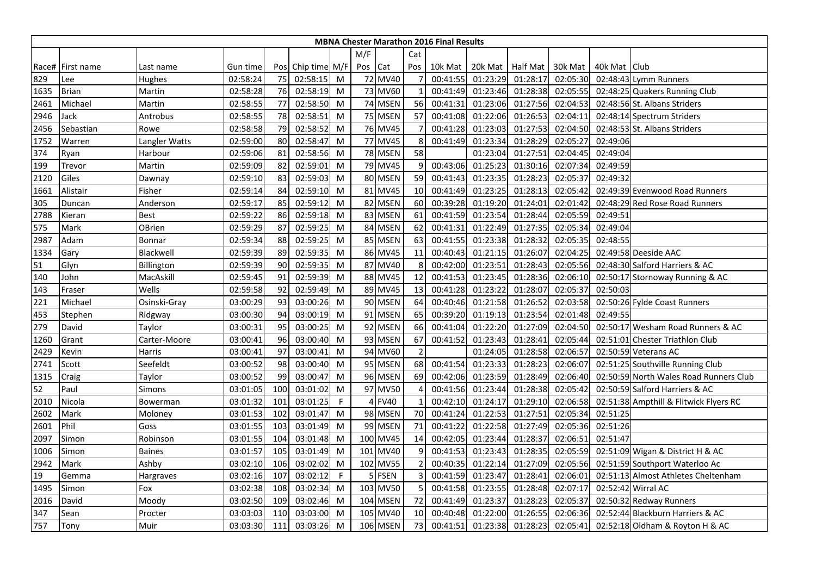|      | <b>MBNA Chester Marathon 2016 Final Results</b> |               |          |     |                   |             |     |                 |                |          |          |                    |          |                |                                        |
|------|-------------------------------------------------|---------------|----------|-----|-------------------|-------------|-----|-----------------|----------------|----------|----------|--------------------|----------|----------------|----------------------------------------|
|      |                                                 |               |          |     |                   |             | M/F |                 | Cat            |          |          |                    |          |                |                                        |
|      | Race# First name                                | Last name     | Gun time |     | Pos Chip time M/F |             | Pos | Cat             | Pos            | 10k Mat  |          | 20k Mat   Half Mat | 30k Mat  | 40k Mat   Club |                                        |
| 829  | Lee                                             | Hughes        | 02:58:24 | 75  | 02:58:15          | M           |     | 72 MV40         |                | 00:41:55 | 01:23:29 | 01:28:17           | 02:05:30 |                | 02:48:43 Lymm Runners                  |
| 1635 | <b>Brian</b>                                    | Martin        | 02:58:28 | 76  | 02:58:19          | M           |     | 73 MV60         |                | 00:41:49 | 01:23:46 | 01:28:38           | 02:05:55 |                | 02:48:25 Quakers Running Club          |
| 2461 | Michael                                         | Martin        | 02:58:55 | 77  | 02:58:50          | M           |     | 74 MSEN         | 56             | 00:41:31 | 01:23:06 | 01:27:56           | 02:04:53 |                | 02:48:56 St. Albans Striders           |
| 2946 | Jack                                            | Antrobus      | 02:58:55 | 78  | 02:58:51          | M           |     | 75 MSEN         | 57             | 00:41:08 | 01:22:06 | 01:26:53           | 02:04:11 |                | 02:48:14 Spectrum Striders             |
| 2456 | Sebastian                                       | Rowe          | 02:58:58 | 79  | 02:58:52          | M           |     | 76 MV45         |                | 00:41:28 | 01:23:03 | 01:27:53           | 02:04:50 |                | 02:48:53 St. Albans Striders           |
| 1752 | Warren                                          | Langler Watts | 02:59:00 | 80  | 02:58:47          | M           |     | 77 MV45         | 8              | 00:41:49 | 01:23:34 | 01:28:29           | 02:05:27 | 02:49:06       |                                        |
| 374  | Ryan                                            | Harbour       | 02:59:06 | 81  | 02:58:56          | M           |     | 78 MSEN         | 58             |          | 01:23:04 | 01:27:51           | 02:04:45 | 02:49:04       |                                        |
| 199  | Trevor                                          | Martin        | 02:59:09 | 82  | 02:59:01          | M           |     | 79 MV45         | 9              | 00:43:06 | 01:25:23 | 01:30:16           | 02:07:34 | 02:49:59       |                                        |
| 2120 | Giles                                           | Dawnay        | 02:59:10 | 83  | 02:59:03          | M           |     | 80 MSEN         | 59             | 00:41:43 | 01:23:35 | 01:28:23           | 02:05:37 | 02:49:32       |                                        |
| 1661 | Alistair                                        | Fisher        | 02:59:14 | 84  | 02:59:10          | M           | 81  | <b>MV45</b>     | 10             | 00:41:49 | 01:23:25 | 01:28:13           | 02:05:42 |                | 02:49:39 Evenwood Road Runners         |
| 305  | Duncan                                          | Anderson      | 02:59:17 | 85  | 02:59:12          | M           | 82  | <b>MSEN</b>     | 60             | 00:39:28 | 01:19:20 | 01:24:01           | 02:01:42 |                | 02:48:29 Red Rose Road Runners         |
| 2788 | Kieran                                          | <b>Best</b>   | 02:59:22 | 86  | 02:59:18          | M           |     | 83 MSEN         | 61             | 00:41:59 | 01:23:54 | 01:28:44           | 02:05:59 | 02:49:51       |                                        |
| 575  | Mark                                            | <b>OBrien</b> | 02:59:29 | 87  | 02:59:25          | M           |     | 84 MSEN         | 62             | 00:41:31 | 01:22:49 | 01:27:35           | 02:05:34 | 02:49:04       |                                        |
| 2987 | Adam                                            | Bonnar        | 02:59:34 | 88  | 02:59:25          | M           |     | 85 MSEN         | 63             | 00:41:55 | 01:23:38 | 01:28:32           | 02:05:35 | 02:48:55       |                                        |
| 1334 | Gary                                            | Blackwell     | 02:59:39 | 89  | 02:59:35          | M           |     | 86 MV45         | 11             | 00:40:43 | 01:21:15 | 01:26:07           | 02:04:25 |                | 02:49:58 Deeside AAC                   |
| 51   | Glyn                                            | Billington    | 02:59:39 | 90  | 02:59:35          | M           |     | 87 MV40         | 8              | 00:42:00 | 01:23:51 | 01:28:43           | 02:05:56 |                | 02:48:30 Salford Harriers & AC         |
| 140  | John                                            | MacAskill     | 02:59:45 | 91  | 02:59:39          | M           |     | 88 MV45         | 12             | 00:41:53 | 01:23:45 | 01:28:36           | 02:06:10 |                | 02:50:17 Stornoway Running & AC        |
| 143  | Fraser                                          | Wells         | 02:59:58 | 92  | 02:59:49          | M           | 89  | <b>MV45</b>     | 13             | 00:41:28 | 01:23:22 | 01:28:07           | 02:05:37 | 02:50:03       |                                        |
| 221  | Michael                                         | Osinski-Gray  | 03:00:29 | 93  | 03:00:26          | M           |     | 90 MSEN         | 64             | 00:40:46 | 01:21:58 | 01:26:52           | 02:03:58 |                | 02:50:26 Fylde Coast Runners           |
| 453  | Stephen                                         | Ridgway       | 03:00:30 | 94  | 03:00:19          | M           |     | 91 MSEN         | 65             | 00:39:20 | 01:19:13 | 01:23:54           | 02:01:48 | 02:49:55       |                                        |
| 279  | David                                           | Taylor        | 03:00:31 | 95  | 03:00:25          | M           |     | 92 MSEN         | 66             | 00:41:04 | 01:22:20 | 01:27:09           | 02:04:50 |                | 02:50:17 Wesham Road Runners & AC      |
| 1260 | Grant                                           | Carter-Moore  | 03:00:41 | 96  | 03:00:40          | M           |     | 93 MSEN         | 67             | 00:41:52 | 01:23:43 | 01:28:41           | 02:05:44 |                | 02:51:01 Chester Triathlon Club        |
| 2429 | Kevin                                           | Harris        | 03:00:41 | 97  | 03:00:41          | M           |     | 94 MV60         | $\overline{2}$ |          | 01:24:05 | 01:28:58           | 02:06:57 |                | 02:50:59 Veterans AC                   |
| 2741 | Scott                                           | Seefeldt      | 03:00:52 | 98  | 03:00:40          | M           |     | 95 MSEN         | 68             | 00:41:54 | 01:23:33 | 01:28:23           | 02:06:07 |                | 02:51:25 Southville Running Club       |
| 1315 | Craig                                           | Taylor        | 03:00:52 | 99  | 03:00:47          | M           |     | 96 MSEN         | 69             | 00:42:06 | 01:23:59 | 01:28:49           | 02:06:40 |                | 02:50:59 North Wales Road Runners Club |
| 52   | Paul                                            | Simons        | 03:01:05 | 100 | 03:01:02          | M           |     | 97 MV50         |                | 00:41:56 | 01:23:44 | 01:28:38           | 02:05:42 |                | 02:50:59 Salford Harriers & AC         |
| 2010 | Nicola                                          | Bowerman      | 03:01:32 | 101 | 03:01:25          | F           | 4   | <b>FV40</b>     |                | 00:42:10 | 01:24:17 | 01:29:10           | 02:06:58 |                | 02:51:38 Ampthill & Flitwick Flyers RC |
| 2602 | Mark                                            | Moloney       | 03:01:53 | 102 | 03:01:47          | M           |     | 98 MSEN         | 70             | 00:41:24 | 01:22:53 | 01:27:51           | 02:05:34 | 02:51:25       |                                        |
| 2601 | Phil                                            | Goss          | 03:01:55 | 103 | 03:01:49          | M           |     | 99 MSEN         | 71             | 00:41:22 | 01:22:58 | 01:27:49           | 02:05:36 | 02:51:26       |                                        |
| 2097 | Simon                                           | Robinson      | 03:01:55 | 104 | 03:01:48          | M           |     | 100 MV45        | 14             | 00:42:05 | 01:23:44 | 01:28:37           | 02:06:51 | 02:51:47       |                                        |
| 1006 | Simon                                           | <b>Baines</b> | 03:01:57 | 105 | 03:01:49          | M           |     | 101 MV40        | $\mathbf{c}$   | 00:41:53 | 01:23:43 | 01:28:35           | 02:05:59 |                | 02:51:09 Wigan & District H & AC       |
| 2942 | Mark                                            | Ashby         | 03:02:10 | 106 | 03:02:02          | M           |     | 102 MV55        | 2              | 00:40:35 | 01:22:14 | 01:27:09           | 02:05:56 |                | 02:51:59 Southport Waterloo Ac         |
| 19   | Gemma                                           | Hargraves     | 03:02:16 | 107 | 03:02:12          | $\mathsf F$ |     | <b>FSEN</b>     | В              | 00:41:59 | 01:23:47 | 01:28:41           | 02:06:01 |                | 02:51:13 Almost Athletes Cheltenham    |
| 1495 | Simon                                           | Fox           | 03:02:38 | 108 | 03:02:34          | M           |     | 103 MV50        | 5              | 00:41:58 | 01:23:55 | 01:28:48           | 02:07:17 |                | 02:52:42 Wirral AC                     |
| 2016 | David                                           | Moody         | 03:02:50 | 109 | 03:02:46          | M           |     | 104 MSEN        | 72             | 00:41:49 | 01:23:37 | 01:28:23           | 02:05:37 |                | 02:50:32 Redway Runners                |
| 347  | Sean                                            | Procter       | 03:03:03 | 110 | 03:03:00          | M           |     | 105 MV40        | 10             | 00:40:48 | 01:22:00 | 01:26:55           | 02:06:36 |                | 02:52:44 Blackburn Harriers & AC       |
| 757  | Tony                                            | Muir          | 03:03:30 | 111 | 03:03:26          | M           |     | <b>106 MSEN</b> | 73             | 00:41:51 | 01:23:38 | 01:28:23           | 02:05:41 |                | 02:52:18 Oldham & Royton H & AC        |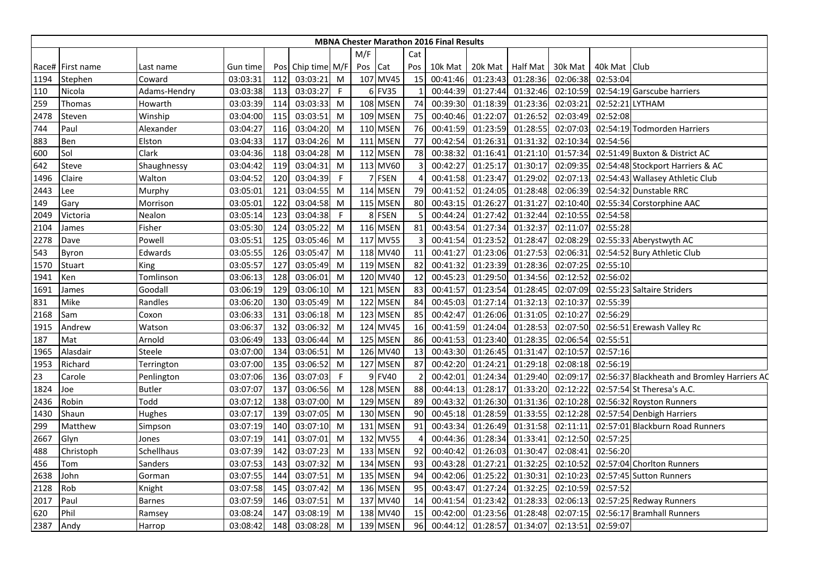|      |                  |               |          |     |               |              |         |          |     | <b>MBNA Chester Marathon 2016 Final Results</b> |          |                  |          |                 |                                             |
|------|------------------|---------------|----------|-----|---------------|--------------|---------|----------|-----|-------------------------------------------------|----------|------------------|----------|-----------------|---------------------------------------------|
|      |                  |               |          |     |               |              | M/F     |          | Cat |                                                 |          |                  |          |                 |                                             |
|      | Race# First name | Last name     | Gun time | Pos | Chip time M/F |              | Pos Cat |          | Pos | 10k Mat                                         |          | 20k Mat Half Mat | 30k Mat  | 40k Mat Club    |                                             |
| 1194 | Stephen          | Coward        | 03:03:31 | 112 | 03:03:21      | M            |         | 107 MV45 | 15  | 00:41:46                                        | 01:23:43 | 01:28:36         | 02:06:38 | 02:53:04        |                                             |
| 110  | Nicola           | Adams-Hendry  | 03:03:38 | 113 | 03:03:27      | $\mathsf{F}$ |         | 6 FV35   |     | 00:44:39                                        | 01:27:44 | 01:32:46         | 02:10:59 |                 | 02:54:19 Garscube harriers                  |
| 259  | Thomas           | Howarth       | 03:03:39 | 114 | 03:03:33      | M            |         | 108 MSEN | 74  | 00:39:30                                        | 01:18:39 | 01:23:36         | 02:03:21 | 02:52:21 LYTHAM |                                             |
| 2478 | Steven           | Winship       | 03:04:00 | 115 | 03:03:51      | M            |         | 109 MSEN | 75  | 00:40:46                                        | 01:22:07 | 01:26:52         | 02:03:49 | 02:52:08        |                                             |
| 744  | Paul             | Alexander     | 03:04:27 | 116 | 03:04:20      | M            |         | 110 MSEN | 76  | 00:41:59                                        | 01:23:59 | 01:28:55         | 02:07:03 |                 | 02:54:19 Todmorden Harriers                 |
| 883  | Ben              | Elston        | 03:04:33 | 117 | 03:04:26      | M            |         | 111 MSEN | 77  | 00:42:54                                        | 01:26:31 | 01:31:32         | 02:10:34 | 02:54:56        |                                             |
| 600  | Sol              | Clark         | 03:04:36 | 118 | 03:04:28      | M            |         | 112 MSEN | 78  | 00:38:32                                        | 01:16:41 | 01:21:10         | 01:57:34 |                 | 02:51:49 Buxton & District AC               |
| 642  | Steve            | Shaughnessy   | 03:04:42 | 119 | 03:04:31      | M            |         | 113 MV60 | 3   | 00:42:27                                        | 01:25:17 | 01:30:17         | 02:09:35 |                 | 02:54:48 Stockport Harriers & AC            |
| 1496 | Claire           | Walton        | 03:04:52 | 120 | 03:04:39      | $\mathsf F$  |         | 7 FSEN   | 4   | 00:41:58                                        | 01:23:47 | 01:29:02         | 02:07:13 |                 | 02:54:43 Wallasey Athletic Club             |
| 2443 | Lee              | Murphy        | 03:05:01 | 121 | 03:04:55      | M            |         | 114 MSEN | 79  | 00:41:52                                        | 01:24:05 | 01:28:48         | 02:06:39 |                 | 02:54:32 Dunstable RRC                      |
| 149  | Gary             | Morrison      | 03:05:01 | 122 | 03:04:58      | M            |         | 115 MSEN | 80  | 00:43:15                                        | 01:26:27 | 01:31:27         | 02:10:40 |                 | 02:55:34 Corstorphine AAC                   |
| 2049 | Victoria         | Nealon        | 03:05:14 | 123 | 03:04:38      | F            |         | 8 FSEN   |     | 00:44:24                                        | 01:27:42 | 01:32:44         | 02:10:55 | 02:54:58        |                                             |
| 2104 | James            | Fisher        | 03:05:30 | 124 | 03:05:22      | M            |         | 116 MSEN | 81  | 00:43:54                                        | 01:27:34 | 01:32:37         | 02:11:07 | 02:55:28        |                                             |
| 2278 | Dave             | Powell        | 03:05:51 | 125 | 03:05:46      | M            |         | 117 MV55 |     | 00:41:54                                        | 01:23:52 | 01:28:47         | 02:08:29 |                 | 02:55:33 Aberystwyth AC                     |
| 543  | Byron            | Edwards       | 03:05:55 | 126 | 03:05:47      | M            |         | 118 MV40 | 11  | 00:41:27                                        | 01:23:06 | 01:27:53         | 02:06:31 |                 | 02:54:52 Bury Athletic Club                 |
| 1570 | <b>Stuart</b>    | King          | 03:05:57 | 127 | 03:05:49      | M            |         | 119 MSEN | 82  | 00:41:32                                        | 01:23:39 | 01:28:36         | 02:07:25 | 02:55:10        |                                             |
| 1941 | Ken              | Tomlinson     | 03:06:13 | 128 | 03:06:01      | M            |         | 120 MV40 | 12  | 00:45:23                                        | 01:29:50 | 01:34:56         | 02:12:52 | 02:56:02        |                                             |
| 1691 | James            | Goodall       | 03:06:19 | 129 | 03:06:10      | M            |         | 121 MSEN | 83  | 00:41:57                                        | 01:23:54 | 01:28:45         | 02:07:09 |                 | 02:55:23 Saltaire Striders                  |
| 831  | Mike             | Randles       | 03:06:20 | 130 | 03:05:49      | M            |         | 122 MSEN | 84  | 00:45:03                                        | 01:27:14 | 01:32:13         | 02:10:37 | 02:55:39        |                                             |
| 2168 | Sam              | Coxon         | 03:06:33 | 131 | 03:06:18      | M            |         | 123 MSEN | 85  | 00:42:47                                        | 01:26:06 | 01:31:05         | 02:10:27 | 02:56:29        |                                             |
| 1915 | Andrew           | Watson        | 03:06:37 | 132 | 03:06:32      | M            |         | 124 MV45 | 16  | 00:41:59                                        | 01:24:04 | 01:28:53         | 02:07:50 |                 | 02:56:51 Erewash Valley Rc                  |
| 187  | Mat              | Arnold        | 03:06:49 | 133 | 03:06:44      | M            |         | 125 MSEN | 86  | 00:41:53                                        | 01:23:40 | 01:28:35         | 02:06:54 | 02:55:51        |                                             |
| 1965 | Alasdair         | Steele        | 03:07:00 | 134 | 03:06:51      | M            |         | 126 MV40 | 13  | 00:43:30                                        | 01:26:45 | 01:31:47         | 02:10:57 | 02:57:16        |                                             |
| 1953 | Richard          | Terrington    | 03:07:00 | 135 | 03:06:52      | M            |         | 127 MSEN | 87  | 00:42:20                                        | 01:24:21 | 01:29:18         | 02:08:18 | 02:56:19        |                                             |
| 23   | Carole           | Penlington    | 03:07:06 | 136 | 03:07:03      | $\mathsf{F}$ |         | 9 FV40   |     | 00:42:01                                        | 01:24:34 | 01:29:40         | 02:09:17 |                 | 02:56:37 Blackheath and Bromley Harriers AC |
| 1824 | Joe              | <b>Butler</b> | 03:07:07 | 137 | 03:06:56      | M            |         | 128 MSEN | 88  | 00:44:13                                        | 01:28:17 | 01:33:20         | 02:12:22 |                 | 02:57:54 St Theresa's A.C.                  |
| 2436 | Robin            | Todd          | 03:07:12 | 138 | 03:07:00      | M            |         | 129 MSEN | 89  | 00:43:32                                        | 01:26:30 | 01:31:36         | 02:10:28 |                 | 02:56:32 Royston Runners                    |
| 1430 | Shaun            | Hughes        | 03:07:17 | 139 | 03:07:05      | M            |         | 130 MSEN | 90  | 00:45:18                                        | 01:28:59 | 01:33:55         | 02:12:28 |                 | 02:57:54 Denbigh Harriers                   |
| 299  | Matthew          | Simpson       | 03:07:19 | 140 | 03:07:10      | M            |         | 131 MSEN | 91  | 00:43:34                                        | 01:26:49 | 01:31:58         | 02:11:11 |                 | 02:57:01 Blackburn Road Runners             |
| 2667 | Glyn             | Jones         | 03:07:19 | 141 | 03:07:01      | M            |         | 132 MV55 | 4   | 00:44:36                                        | 01:28:34 | 01:33:41         | 02:12:50 | 02:57:25        |                                             |
| 488  | Christoph        | Schellhaus    | 03:07:39 | 142 | 03:07:23      | M            |         | 133 MSEN | 92  | 00:40:42                                        | 01:26:03 | 01:30:47         | 02:08:41 | 02:56:20        |                                             |
| 456  | Tom              | Sanders       | 03:07:53 | 143 | 03:07:32      | M            |         | 134 MSEN | 93  | 00:43:28                                        | 01:27:21 | 01:32:25         | 02:10:52 |                 | 02:57:04 Chorlton Runners                   |
| 2638 | John             | Gorman        | 03:07:55 | 144 | 03:07:51      | M            |         | 135 MSEN | 94  | 00:42:06                                        | 01:25:22 | 01:30:31         | 02:10:23 |                 | 02:57:45 Sutton Runners                     |
| 2128 | Rob              | Knight        | 03:07:58 | 145 | 03:07:42      | M            |         | 136 MSEN | 95  | 00:43:47                                        | 01:27:24 | 01:32:25         | 02:10:59 | 02:57:52        |                                             |
| 2017 | Paul             | <b>Barnes</b> | 03:07:59 | 146 | 03:07:51      | M            |         | 137 MV40 | 14  | 00:41:54                                        | 01:23:42 | 01:28:33         | 02:06:13 |                 | 02:57:25 Redway Runners                     |
| 620  | Phil             | Ramsey        | 03:08:24 | 147 | 03:08:19      | M            |         | 138 MV40 | 15  | 00:42:00                                        | 01:23:56 | 01:28:48         | 02:07:15 |                 | 02:56:17 Bramhall Runners                   |
| 2387 | Andy             | Harrop        | 03:08:42 | 148 | 03:08:28 M    |              |         | 139 MSEN | 96  | 00:44:12                                        | 01:28:57 | 01:34:07         | 02:13:51 | 02:59:07        |                                             |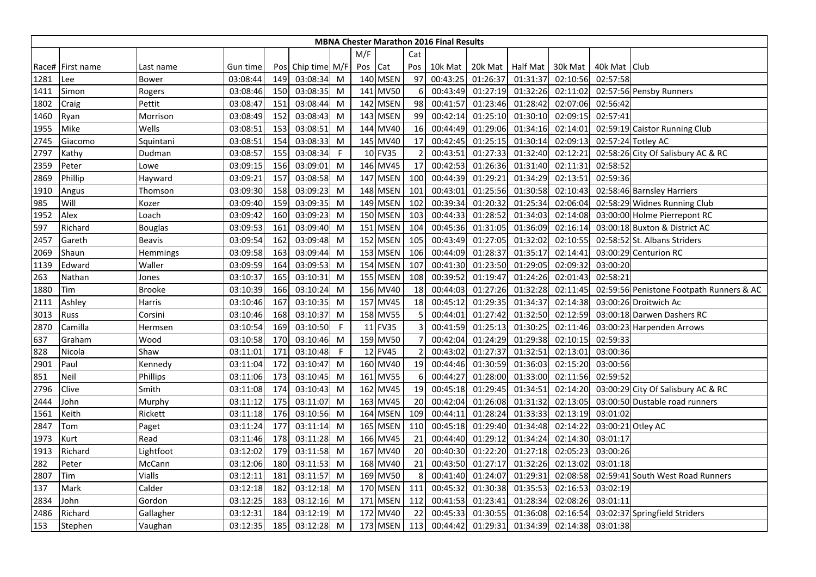|      |                  |                |          |     |                   |              |         |                 |                | <b>MBNA Chester Marathon 2016 Final Results</b> |          |                 |          |                |                                          |
|------|------------------|----------------|----------|-----|-------------------|--------------|---------|-----------------|----------------|-------------------------------------------------|----------|-----------------|----------|----------------|------------------------------------------|
|      |                  |                |          |     |                   |              | M/F     |                 | Cat            |                                                 |          |                 |          |                |                                          |
|      | Race# First name | Last name      | Gun time |     | Pos Chip time M/F |              | Pos Cat |                 | Pos            | 10k Mat                                         | 20k Mat  | <b>Half Mat</b> | 30k Mat  | 40k Mat   Club |                                          |
| 1281 | Lee              | Bower          | 03:08:44 | 149 | 03:08:34          | M            |         | <b>140 MSEN</b> | 97             | 00:43:25                                        | 01:26:37 | 01:31:37        | 02:10:56 | 02:57:58       |                                          |
| 1411 | Simon            | Rogers         | 03:08:46 | 150 | 03:08:35          | M            |         | 141 MV50        | 6              | 00:43:49                                        | 01:27:19 | 01:32:26        | 02:11:02 |                | 02:57:56 Pensby Runners                  |
| 1802 | Craig            | Pettit         | 03:08:47 | 151 | 03:08:44          | M            |         | 142 MSEN        | 98             | 00:41:57                                        | 01:23:46 | 01:28:42        | 02:07:06 | 02:56:42       |                                          |
| 1460 | Ryan             | Morrison       | 03:08:49 | 152 | 03:08:43          | M            |         | 143 MSEN        | 99             | 00:42:14                                        | 01:25:10 | 01:30:10        | 02:09:15 | 02:57:41       |                                          |
| 1955 | Mike             | Wells          | 03:08:51 | 153 | 03:08:51          | M            |         | 144 MV40        | 16             | 00:44:49                                        | 01:29:06 | 01:34:16        | 02:14:01 |                | 02:59:19 Caistor Running Club            |
| 2745 | Giacomo          | Squintani      | 03:08:51 | 154 | 03:08:33          | M            |         | 145 MV40        | 17             | 00:42:45                                        | 01:25:15 | 01:30:14        | 02:09:13 |                | 02:57:24 Totley AC                       |
| 2797 | Kathy            | Dudman         | 03:08:57 | 155 | 03:08:34          | F            |         | 10 FV35         |                | 00:43:51                                        | 01:27:33 | 01:32:40        | 02:12:21 |                | 02:58:26 City Of Salisbury AC & RC       |
| 2359 | Peter            | Lowe           | 03:09:15 | 156 | 03:09:01          | M            |         | 146 MV45        | 17             | 00:42:53                                        | 01:26:36 | 01:31:40        | 02:11:31 | 02:58:52       |                                          |
| 2869 | Phillip          | Hayward        | 03:09:21 | 157 | 03:08:58          | M            |         | <b>147 MSEN</b> | 100            | 00:44:39                                        | 01:29:21 | 01:34:29        | 02:13:51 | 02:59:36       |                                          |
| 1910 | Angus            | Thomson        | 03:09:30 | 158 | 03:09:23          | M            |         | 148 MSEN        | 101            | 00:43:01                                        | 01:25:56 | 01:30:58        | 02:10:43 |                | 02:58:46 Barnsley Harriers               |
| 985  | Will             | Kozer          | 03:09:40 | 159 | 03:09:35          | M            |         | 149 MSEN        | 102            | 00:39:34                                        | 01:20:32 | 01:25:34        | 02:06:04 |                | 02:58:29 Widnes Running Club             |
| 1952 | Alex             | Loach          | 03:09:42 | 160 | 03:09:23          | M            |         | 150 MSEN        | 103            | 00:44:33                                        | 01:28:52 | 01:34:03        | 02:14:08 |                | 03:00:00 Holme Pierrepont RC             |
| 597  | Richard          | <b>Bouglas</b> | 03:09:53 | 161 | 03:09:40          | M            |         | 151 MSEN        | 104            | 00:45:36                                        | 01:31:05 | 01:36:09        | 02:16:14 |                | 03:00:18 Buxton & District AC            |
| 2457 | Gareth           | Beavis         | 03:09:54 | 162 | 03:09:48          | M            |         | 152 MSEN        | 105            | 00:43:49                                        | 01:27:05 | 01:32:02        | 02:10:55 |                | 02:58:52 St. Albans Striders             |
| 2069 | Shaun            | Hemmings       | 03:09:58 | 163 | 03:09:44          | M            |         | 153 MSEN        | 106            | 00:44:09                                        | 01:28:37 | 01:35:17        | 02:14:41 |                | 03:00:29 Centurion RC                    |
| 1139 | Edward           | Waller         | 03:09:59 | 164 | 03:09:53          | M            |         | 154 MSEN        | 107            | 00:41:30                                        | 01:23:50 | 01:29:05        | 02:09:32 | 03:00:20       |                                          |
| 263  | Nathan           | Jones          | 03:10:37 | 165 | 03:10:31          | M            |         | 155 MSEN        | 108            | 00:39:52                                        | 01:19:47 | 01:24:26        | 02:01:43 | 02:58:21       |                                          |
| 1880 | Tim              | Brooke         | 03:10:39 | 166 | 03:10:24          | M            |         | 156 MV40        | 18             | 00:44:03                                        | 01:27:26 | 01:32:28        | 02:11:45 |                | 02:59:56 Penistone Footpath Runners & AC |
| 2111 | Ashley           | Harris         | 03:10:46 | 167 | 03:10:35          | M            |         | 157 MV45        | 18             | 00:45:12                                        | 01:29:35 | 01:34:37        | 02:14:38 |                | 03:00:26 Droitwich Ac                    |
| 3013 | <b>Russ</b>      | Corsini        | 03:10:46 | 168 | 03:10:37          | M            |         | 158 MV55        | $\overline{5}$ | 00:44:01                                        | 01:27:42 | 01:32:50        | 02:12:59 |                | 03:00:18 Darwen Dashers RC               |
| 2870 | Camilla          | Hermsen        | 03:10:54 | 169 | 03:10:50          | F            |         | 11 FV35         | 3              | 00:41:59                                        | 01:25:13 | 01:30:25        | 02:11:46 |                | 03:00:23 Harpenden Arrows                |
| 637  | Graham           | Wood           | 03:10:58 | 170 | 03:10:46          | M            |         | 159 MV50        |                | 00:42:04                                        | 01:24:29 | 01:29:38        | 02:10:15 | 02:59:33       |                                          |
| 828  | Nicola           | Shaw           | 03:11:01 | 171 | 03:10:48          | $\mathsf{F}$ |         | 12 FV45         | $\overline{2}$ | 00:43:02                                        | 01:27:37 | 01:32:51        | 02:13:01 | 03:00:36       |                                          |
| 2901 | Paul             | Kennedy        | 03:11:04 | 172 | 03:10:47          | M            |         | 160 MV40        | 19             | 00:44:46                                        | 01:30:59 | 01:36:03        | 02:15:20 | 03:00:56       |                                          |
| 851  | Neil             | Phillips       | 03:11:06 | 173 | 03:10:45          | M            |         | 161 MV55        | 6              | 00:44:27                                        | 01:28:00 | 01:33:00        | 02:11:56 | 02:59:52       |                                          |
| 2796 | Clive            | Smith          | 03:11:08 | 174 | 03:10:43          | M            |         | 162 MV45        | 19             | 00:45:18                                        | 01:29:45 | 01:34:51        | 02:14:20 |                | 03:00:29 City Of Salisbury AC & RC       |
| 2444 | John             | Murphy         | 03:11:12 | 175 | 03:11:07          | M            |         | 163 MV45        | 20             | 00:42:04                                        | 01:26:08 | 01:31:32        | 02:13:05 |                | 03:00:50 Dustable road runners           |
| 1561 | Keith            | Rickett        | 03:11:18 | 176 | 03:10:56          | M            |         | 164 MSEN        | 109            | 00:44:11                                        | 01:28:24 | 01:33:33        | 02:13:19 | 03:01:02       |                                          |
| 2847 | Tom              | Paget          | 03:11:24 | 177 | 03:11:14          | M            |         | 165 MSEN        | 110            | 00:45:18                                        | 01:29:40 | 01:34:48        | 02:14:22 |                | 03:00:21 Otley AC                        |
| 1973 | Kurt             | Read           | 03:11:46 | 178 | 03:11:28          | M            |         | 166 MV45        | 21             | 00:44:40                                        | 01:29:12 | 01:34:24        | 02:14:30 | 03:01:17       |                                          |
| 1913 | Richard          | Lightfoot      | 03:12:02 | 179 | 03:11:58          | M            |         | 167 MV40        | 20             | 00:40:30                                        | 01:22:20 | 01:27:18        | 02:05:23 | 03:00:26       |                                          |
| 282  | Peter            | McCann         | 03:12:06 | 180 | 03:11:53          | M            |         | 168 MV40        | 21             | 00:43:50                                        | 01:27:17 | 01:32:26        | 02:13:02 | 03:01:18       |                                          |
| 2807 | Tim              | Vialls         | 03:12:11 | 181 | 03:11:57          | M            |         | 169 MV50        | 8              | 00:41:40                                        | 01:24:07 | 01:29:31        | 02:08:58 |                | 02:59:41 South West Road Runners         |
| 137  | Mark             | Calder         | 03:12:18 | 182 | 03:12:18          | M            |         | 170 MSEN        | 111            | 00:45:32                                        | 01:30:38 | 01:35:53        | 02:16:53 | 03:02:19       |                                          |
| 2834 | John             | Gordon         | 03:12:25 | 183 | 03:12:16          | M            |         | 171 MSEN        | 112            | 00:41:53                                        | 01:23:41 | 01:28:34        | 02:08:26 | 03:01:11       |                                          |
| 2486 | Richard          | Gallagher      | 03:12:31 | 184 | 03:12:19          | M            |         | 172 MV40        | 22             | 00:45:33                                        | 01:30:55 | 01:36:08        | 02:16:54 |                | 03:02:37 Springfield Striders            |
| 153  | Stephen          | Vaughan        | 03:12:35 | 185 | 03:12:28          | M            |         | 173 MSEN        | 113            | 00:44:42                                        | 01:29:31 | 01:34:39        | 02:14:38 | 03:01:38       |                                          |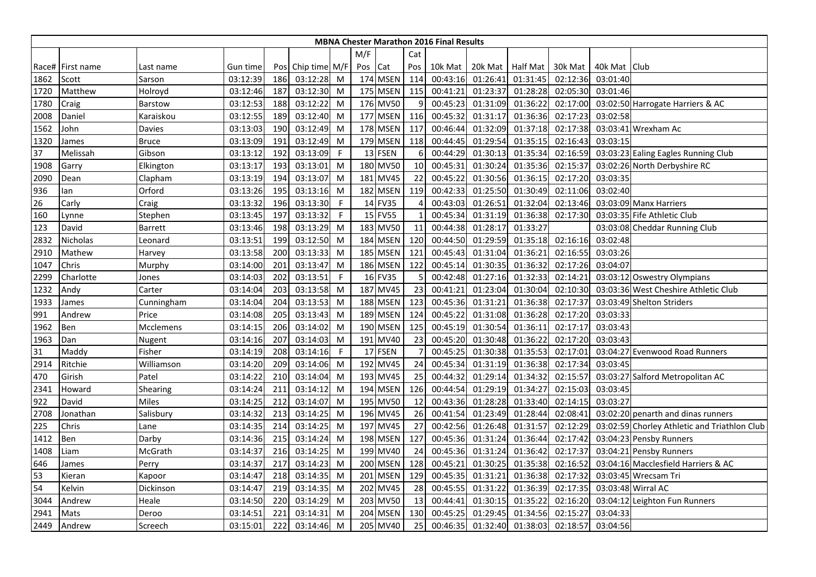|      | <b>MBNA Chester Marathon 2016 Final Results</b> |              |          |     |                   |              |         |                 |                |          |          |                    |          |                |                                              |
|------|-------------------------------------------------|--------------|----------|-----|-------------------|--------------|---------|-----------------|----------------|----------|----------|--------------------|----------|----------------|----------------------------------------------|
|      |                                                 |              |          |     |                   |              | M/F     |                 | Cat            |          |          |                    |          |                |                                              |
|      | Race# First name                                | Last name    | Gun time |     | Pos Chip time M/F |              | Pos Cat |                 | Pos            | 10k Mat  |          | 20k Mat   Half Mat | 30k Mat  | 40k Mat   Club |                                              |
| 1862 | Scott                                           | Sarson       | 03:12:39 | 186 | 03:12:28          | M            |         | 174 MSEN        | 114            | 00:43:16 | 01:26:41 | 01:31:45           | 02:12:36 | 03:01:40       |                                              |
| 1720 | Matthew                                         | Holroyd      | 03:12:46 | 187 | 03:12:30          | M            |         | 175 MSEN        | 115            | 00:41:21 | 01:23:37 | 01:28:28           | 02:05:30 | 03:01:46       |                                              |
| 1780 | Craig                                           | Barstow      | 03:12:53 | 188 | 03:12:22          | M            |         | 176 MV50        | 9              | 00:45:23 | 01:31:09 | 01:36:22           | 02:17:00 |                | 03:02:50 Harrogate Harriers & AC             |
| 2008 | Daniel                                          | Karaiskou    | 03:12:55 | 189 | 03:12:40          | M            |         | 177 MSEN        | 116            | 00:45:32 | 01:31:17 | 01:36:36           | 02:17:23 | 03:02:58       |                                              |
| 1562 | John                                            | Davies       | 03:13:03 | 190 | 03:12:49          | M            |         | 178 MSEN        | 117            | 00:46:44 | 01:32:09 | 01:37:18           | 02:17:38 |                | 03:03:41 Wrexham Ac                          |
| 1320 | James                                           | Bruce        | 03:13:09 | 191 | 03:12:49          | M            |         | 179 MSEN        | 118            | 00:44:45 | 01:29:54 | 01:35:15           | 02:16:43 | 03:03:15       |                                              |
| 37   | Melissah                                        | Gibson       | 03:13:12 | 192 | 03:13:09          | $\mathsf{F}$ |         | 13 FSEN         | 6              | 00:44:29 | 01:30:13 | 01:35:34           | 02:16:59 |                | 03:03:23 Ealing Eagles Running Club          |
| 1908 | Garry                                           | Elkington    | 03:13:17 | 193 | 03:13:01          | M            |         | 180 MV50        | 10             | 00:45:31 | 01:30:24 | 01:35:36           | 02:15:37 |                | 03:02:26 North Derbyshire RC                 |
| 2090 | Dean                                            | Clapham      | 03:13:19 | 194 | 03:13:07          | M            |         | 181 MV45        | 22             | 00:45:22 | 01:30:56 | 01:36:15           | 02:17:20 | 03:03:35       |                                              |
| 936  | lan                                             | Orford       | 03:13:26 | 195 | 03:13:16          | M            |         | 182 MSEN        | 119            | 00:42:33 | 01:25:50 | 01:30:49           | 02:11:06 | 03:02:40       |                                              |
| 26   | Carly                                           | Craig        | 03:13:32 | 196 | 03:13:30          | F            |         | 14 FV35         |                | 00:43:03 | 01:26:51 | 01:32:04           | 02:13:46 |                | 03:03:09 Manx Harriers                       |
| 160  | Lynne                                           | Stephen      | 03:13:45 | 197 | 03:13:32          | F            |         | 15 FV55         |                | 00:45:34 | 01:31:19 | 01:36:38           | 02:17:30 |                | 03:03:35 Fife Athletic Club                  |
| 123  | David                                           | Barrett      | 03:13:46 | 198 | 03:13:29          | M            |         | 183 MV50        | 11             | 00:44:38 | 01:28:17 | 01:33:27           |          |                | 03:03:08 Cheddar Running Club                |
| 2832 | Nicholas                                        | Leonard      | 03:13:51 | 199 | 03:12:50          | M            |         | 184 MSEN        | 120            | 00:44:50 | 01:29:59 | 01:35:18           | 02:16:16 | 03:02:48       |                                              |
| 2910 | Mathew                                          | Harvey       | 03:13:58 | 200 | 03:13:33          | M            |         | 185 MSEN        | 121            | 00:45:43 | 01:31:04 | 01:36:21           | 02:16:55 | 03:03:26       |                                              |
| 1047 | Chris                                           | Murphy       | 03:14:00 | 201 | 03:13:47          | M            |         | 186 MSEN        | 122            | 00:45:14 | 01:30:35 | 01:36:32           | 02:17:26 | 03:04:07       |                                              |
| 2299 | Charlotte                                       | Jones        | 03:14:03 | 202 | 03:13:51          | $\mathsf{F}$ |         | 16 FV35         | $\overline{5}$ | 00:42:48 | 01:27:16 | 01:32:33           | 02:14:21 |                | 03:03:12 Oswestry Olympians                  |
| 1232 | Andy                                            | Carter       | 03:14:04 | 203 | 03:13:58          | M            |         | 187 MV45        | 23             | 00:41:21 | 01:23:04 | 01:30:04           | 02:10:30 |                | 03:03:36 West Cheshire Athletic Club         |
| 1933 | James                                           | Cunningham   | 03:14:04 | 204 | 03:13:53          | M            |         | 188 MSEN        | 123            | 00:45:36 | 01:31:21 | 01:36:38           | 02:17:37 |                | 03:03:49 Shelton Striders                    |
| 991  | Andrew                                          | Price        | 03:14:08 | 205 | 03:13:43          | M            |         | 189 MSEN        | 124            | 00:45:22 | 01:31:08 | 01:36:28           | 02:17:20 | 03:03:33       |                                              |
| 1962 | Ben                                             | Mcclemens    | 03:14:15 | 206 | 03:14:02          | M            |         | 190 MSEN        | 125            | 00:45:19 | 01:30:54 | 01:36:11           | 02:17:17 | 03:03:43       |                                              |
| 1963 | Dan                                             | Nugent       | 03:14:16 | 207 | 03:14:03          | M            |         | 191 MV40        | 23             | 00:45:20 | 01:30:48 | 01:36:22           | 02:17:20 | 03:03:43       |                                              |
| 31   | Maddy                                           | Fisher       | 03:14:19 | 208 | 03:14:16          | $\mathsf{F}$ |         | 17 FSEN         | $\overline{7}$ | 00:45:25 | 01:30:38 | 01:35:53           | 02:17:01 |                | 03:04:27 Evenwood Road Runners               |
| 2914 | Ritchie                                         | Williamson   | 03:14:20 | 209 | 03:14:06          | M            |         | 192 MV45        | 24             | 00:45:34 | 01:31:19 | 01:36:38           | 02:17:34 | 03:03:45       |                                              |
| 470  | Girish                                          | Patel        | 03:14:22 | 210 | 03:14:04          | M            |         | 193 MV45        | 25             | 00:44:32 | 01:29:14 | 01:34:32           | 02:15:57 |                | 03:03:27 Salford Metropolitan AC             |
| 2341 | Howard                                          | Shearing     | 03:14:24 | 211 | 03:14:12          | M            |         | 194 MSEN        | 126            | 00:44:54 | 01:29:19 | 01:34:27           | 02:15:03 | 03:03:45       |                                              |
| 922  | David                                           | <b>Miles</b> | 03:14:25 | 212 | 03:14:07          | M            |         | 195 MV50        | 12             | 00:43:36 | 01:28:28 | 01:33:40           | 02:14:15 | 03:03:27       |                                              |
| 2708 | Jonathan                                        | Salisbury    | 03:14:32 | 213 | 03:14:25          | M            |         | 196 MV45        | 26             | 00:41:54 | 01:23:49 | 01:28:44           | 02:08:41 |                | 03:02:20 penarth and dinas runners           |
| 225  | Chris                                           | Lane         | 03:14:35 | 214 | 03:14:25          | M            |         | 197 MV45        | 27             | 00:42:56 | 01:26:48 | 01:31:57           | 02:12:29 |                | 03:02:59 Chorley Athletic and Triathlon Club |
| 1412 | Ben                                             | Darby        | 03:14:36 | 215 | 03:14:24          | M            |         | <b>198 MSEN</b> | 127            | 00:45:36 | 01:31:24 | 01:36:44           | 02:17:42 |                | 03:04:23 Pensby Runners                      |
| 1408 | Liam                                            | McGrath      | 03:14:37 | 216 | 03:14:25          | M            |         | 199 MV40        | 24             | 00:45:36 | 01:31:24 | 01:36:42           | 02:17:37 |                | 03:04:21 Pensby Runners                      |
| 646  | James                                           | Perry        | 03:14:37 | 217 | 03:14:23          | M            |         | <b>200 MSEN</b> | 128            | 00:45:21 | 01:30:25 | 01:35:38           | 02:16:52 |                | 03:04:16 Macclesfield Harriers & AC          |
| 53   | Kieran                                          | Kapoor       | 03:14:47 | 218 | 03:14:35          | M            | 201     | <b>MSEN</b>     | 129            | 00:45:35 | 01:31:21 | 01:36:38           | 02:17:32 |                | 03:03:45 Wrecsam Tri                         |
| 54   | Kelvin                                          | Dickinson    | 03:14:47 | 219 | 03:14:35          | M            |         | 202 MV45        | 28             | 00:45:55 | 01:31:22 | 01:36:39           | 02:17:35 |                | 03:03:48 Wirral AC                           |
| 3044 | Andrew                                          | Heale        | 03:14:50 | 220 | 03:14:29          | M            |         | 203 MV50        | 13             | 00:44:41 | 01:30:15 | 01:35:22           | 02:16:20 |                | 03:04:12 Leighton Fun Runners                |
| 2941 | Mats                                            | Deroo        | 03:14:51 | 221 | 03:14:31          | M            |         | 204 MSEN        | 130            | 00:45:25 | 01:29:45 | 01:34:56           | 02:15:27 | 03:04:33       |                                              |
| 2449 | Andrew                                          | Screech      | 03:15:01 | 222 | 03:14:46          | M            |         | 205 MV40        | 25             | 00:46:35 | 01:32:40 | 01:38:03           | 02:18:57 | 03:04:56       |                                              |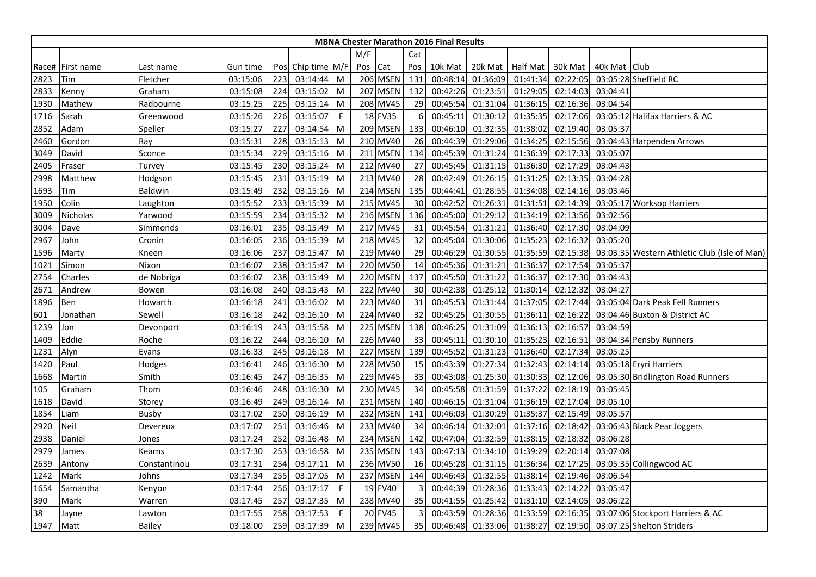|      | <b>MBNA Chester Marathon 2016 Final Results</b> |              |          |     |                   |              |         |                 |     |          |          |                  |          |              |                                              |
|------|-------------------------------------------------|--------------|----------|-----|-------------------|--------------|---------|-----------------|-----|----------|----------|------------------|----------|--------------|----------------------------------------------|
|      |                                                 |              |          |     |                   |              | M/F     |                 | Cat |          |          |                  |          |              |                                              |
|      | Race# First name                                | Last name    | Gun time |     | Pos Chip time M/F |              | Pos Cat |                 | Pos | 10k Mat  |          | 20k Mat Half Mat | 30k Mat  | 40k Mat Club |                                              |
| 2823 | Tim                                             | Fletcher     | 03:15:06 | 223 | 03:14:44          | M            |         | <b>206 MSEN</b> | 131 | 00:48:14 | 01:36:09 | 01:41:34         | 02:22:05 |              | 03:05:28 Sheffield RC                        |
| 2833 | Kenny                                           | Graham       | 03:15:08 | 224 | 03:15:02          | M            |         | 207 MSEN        | 132 | 00:42:26 | 01:23:51 | 01:29:05         | 02:14:03 | 03:04:41     |                                              |
| 1930 | Mathew                                          | Radbourne    | 03:15:25 | 225 | 03:15:14          | M            |         | 208 MV45        | 29  | 00:45:54 | 01:31:04 | 01:36:15         | 02:16:36 | 03:04:54     |                                              |
| 1716 | Sarah                                           | Greenwood    | 03:15:26 | 226 | 03:15:07          | $\mathsf{F}$ |         | 18 FV35         | 6   | 00:45:11 | 01:30:12 | 01:35:35         | 02:17:06 |              | 03:05:12 Halifax Harriers & AC               |
| 2852 | Adam                                            | Speller      | 03:15:27 | 227 | 03:14:54          | M            |         | <b>209 MSEN</b> | 133 | 00:46:10 | 01:32:35 | 01:38:02         | 02:19:40 | 03:05:37     |                                              |
| 2460 | Gordon                                          | Ray          | 03:15:31 | 228 | 03:15:13          | M            |         | 210 MV40        | 26  | 00:44:39 | 01:29:06 | 01:34:25         | 02:15:56 |              | 03:04:43 Harpenden Arrows                    |
| 3049 | David                                           | Sconce       | 03:15:34 | 229 | 03:15:16          | M            |         | 211 MSEN        | 134 | 00:45:39 | 01:31:24 | 01:36:39         | 02:17:33 | 03:05:07     |                                              |
| 2405 | Fraser                                          | Turvey       | 03:15:45 | 230 | 03:15:24          | M            |         | 212 MV40        | 27  | 00:45:45 | 01:31:15 | 01:36:30         | 02:17:29 | 03:04:43     |                                              |
| 2998 | Matthew                                         | Hodgson      | 03:15:45 | 231 | 03:15:19          | M            |         | 213 MV40        | 28  | 00:42:49 | 01:26:15 | 01:31:25         | 02:13:35 | 03:04:28     |                                              |
| 1693 | Tim                                             | Baldwin      | 03:15:49 | 232 | 03:15:16          | M            |         | 214 MSEN        | 135 | 00:44:41 | 01:28:55 | 01:34:08         | 02:14:16 | 03:03:46     |                                              |
| 1950 | Colin                                           | Laughton     | 03:15:52 | 233 | 03:15:39          | M            |         | 215 MV45        | 30  | 00:42:52 | 01:26:31 | 01:31:51         | 02:14:39 |              | 03:05:17 Worksop Harriers                    |
| 3009 | Nicholas                                        | Yarwood      | 03:15:59 | 234 | 03:15:32          | M            |         | <b>216 MSEN</b> | 136 | 00:45:00 | 01:29:12 | 01:34:19         | 02:13:56 | 03:02:56     |                                              |
| 3004 | Dave                                            | Simmonds     | 03:16:01 | 235 | 03:15:49          | M            |         | 217 MV45        | 31  | 00:45:54 | 01:31:21 | 01:36:40         | 02:17:30 | 03:04:09     |                                              |
| 2967 | John                                            | Cronin       | 03:16:05 | 236 | 03:15:39          | M            |         | 218 MV45        | 32  | 00:45:04 | 01:30:06 | 01:35:23         | 02:16:32 | 03:05:20     |                                              |
| 1596 | Marty                                           | Kneen        | 03:16:06 | 237 | 03:15:47          | M            |         | 219 MV40        | 29  | 00:46:29 | 01:30:55 | 01:35:59         | 02:15:38 |              | 03:03:35 Western Athletic Club (Isle of Man) |
| 1021 | Simon                                           | Nixon        | 03:16:07 | 238 | 03:15:47          | M            |         | 220 MV50        | 14  | 00:45:36 | 01:31:21 | 01:36:37         | 02:17:54 | 03:05:37     |                                              |
| 2754 | Charles                                         | de Nobriga   | 03:16:07 | 238 | 03:15:49          | M            |         | 220 MSEN        | 137 | 00:45:50 | 01:31:22 | 01:36:37         | 02:17:30 | 03:04:43     |                                              |
| 2671 | Andrew                                          | Bowen        | 03:16:08 | 240 | 03:15:43          | M            |         | 222 MV40        | 30  | 00:42:38 | 01:25:12 | 01:30:14         | 02:12:32 | 03:04:27     |                                              |
| 1896 | Ben                                             | Howarth      | 03:16:18 | 241 | 03:16:02          | M            |         | 223 MV40        | 31  | 00:45:53 | 01:31:44 | 01:37:05         | 02:17:44 |              | 03:05:04 Dark Peak Fell Runners              |
| 601  | Jonathan                                        | Sewell       | 03:16:18 | 242 | 03:16:10          | M            |         | 224 MV40        | 32  | 00:45:25 | 01:30:55 | 01:36:11         | 02:16:22 |              | 03:04:46 Buxton & District AC                |
| 1239 | Jon                                             | Devonport    | 03:16:19 | 243 | 03:15:58          | M            |         | 225 MSEN        | 138 | 00:46:25 | 01:31:09 | 01:36:13         | 02:16:57 | 03:04:59     |                                              |
| 1409 | Eddie                                           | Roche        | 03:16:22 | 244 | 03:16:10          | M            |         | 226 MV40        | 33  | 00:45:11 | 01:30:10 | 01:35:23         | 02:16:51 |              | 03:04:34 Pensby Runners                      |
| 1231 | Alyn                                            | Evans        | 03:16:33 | 245 | 03:16:18          | M            |         | 227 MSEN        | 139 | 00:45:52 | 01:31:23 | 01:36:40         | 02:17:34 | 03:05:25     |                                              |
| 1420 | Paul                                            | Hodges       | 03:16:41 | 246 | 03:16:30          | M            |         | 228 MV50        | 15  | 00:43:39 | 01:27:34 | 01:32:43         | 02:14:14 |              | 03:05:18 Eryri Harriers                      |
| 1668 | Martin                                          | Smith        | 03:16:45 | 247 | 03:16:35          | M            |         | 229 MV45        | 33  | 00:43:08 | 01:25:30 | 01:30:33         | 02:12:06 |              | 03:05:30 Bridlington Road Runners            |
| 105  | Graham                                          | Thom         | 03:16:46 | 248 | 03:16:30          | M            |         | 230 MV45        | 34  | 00:45:58 | 01:31:59 | 01:37:22         | 02:18:19 | 03:05:45     |                                              |
| 1618 | David                                           | Storey       | 03:16:49 | 249 | 03:16:14          | M            |         | 231 MSEN        | 140 | 00:46:15 | 01:31:04 | 01:36:19         | 02:17:04 | 03:05:10     |                                              |
| 1854 | Liam                                            | <b>Busby</b> | 03:17:02 | 250 | 03:16:19          | M            |         | 232 MSEN        | 141 | 00:46:03 | 01:30:29 | 01:35:37         | 02:15:49 | 03:05:57     |                                              |
| 2920 | Neil                                            | Devereux     | 03:17:07 | 251 | 03:16:46          | M            |         | 233 MV40        | 34  | 00:46:14 | 01:32:01 | 01:37:16         | 02:18:42 |              | 03:06:43 Black Pear Joggers                  |
| 2938 | Daniel                                          | Jones        | 03:17:24 | 252 | 03:16:48          | M            |         | 234 MSEN        | 142 | 00:47:04 | 01:32:59 | 01:38:15         | 02:18:32 | 03:06:28     |                                              |
| 2979 | James                                           | Kearns       | 03:17:30 | 253 | 03:16:58          | M            |         | 235 MSEN        | 143 | 00:47:13 | 01:34:10 | 01:39:29         | 02:20:14 | 03:07:08     |                                              |
| 2639 | Antony                                          | Constantinou | 03:17:31 | 254 | 03:17:11          | M            |         | 236 MV50        | 16  | 00:45:28 | 01:31:15 | 01:36:34         | 02:17:25 |              | 03:05:35 Collingwood AC                      |
| 1242 | Mark                                            | Johns        | 03:17:34 | 255 | 03:17:05          | M            |         | 237 MSEN        | 144 | 00:46:43 | 01:32:55 | 01:38:14         | 02:19:46 | 03:06:54     |                                              |
| 1654 | Samantha                                        | Kenyon       | 03:17:44 | 256 | 03:17:17          | -F           |         | 19 FV40         | 3   | 00:44:39 | 01:28:36 | 01:33:43         | 02:14:22 | 03:05:47     |                                              |
| 390  | Mark                                            | Warren       | 03:17:45 | 257 | 03:17:35          | M            |         | 238 MV40        | 35  | 00:41:55 | 01:25:42 | 01:31:10         | 02:14:05 | 03:06:22     |                                              |
| 38   | Jayne                                           | Lawton       | 03:17:55 | 258 | 03:17:53          | $\mathsf F$  |         | 20 FV45         |     | 00:43:59 | 01:28:36 | 01:33:59         | 02:16:35 |              | 03:07:06 Stockport Harriers & AC             |
| 1947 | Matt                                            | Bailey       | 03:18:00 | 259 | 03:17:39          | M            |         | 239 MV45        | 35  | 00:46:48 | 01:33:06 | 01:38:27         | 02:19:50 |              | 03:07:25 Shelton Striders                    |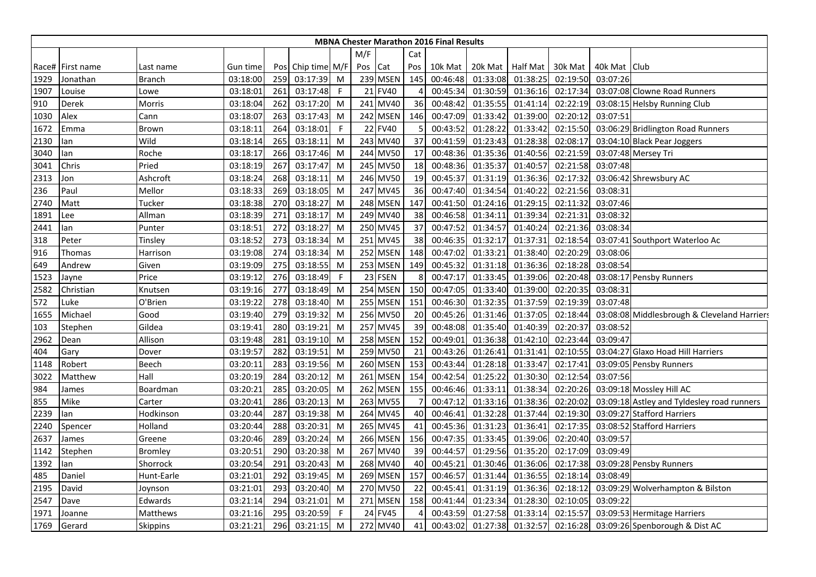|      |                  |                |          |     |               |              |     |             |           | <b>MBNA Chester Marathon 2016 Final Results</b> |          |                    |          |              |                                             |
|------|------------------|----------------|----------|-----|---------------|--------------|-----|-------------|-----------|-------------------------------------------------|----------|--------------------|----------|--------------|---------------------------------------------|
|      |                  |                |          |     |               |              | M/F |             | Cat       |                                                 |          |                    |          |              |                                             |
|      | Race# First name | Last name      | Gun time | Pos | Chip time M/F |              | Pos | Cat         | Pos       | 10k Mat                                         |          | 20k Mat   Half Mat | 30k Mat  | 40k Mat Club |                                             |
| 1929 | Jonathan         | <b>Branch</b>  | 03:18:00 | 259 | 03:17:39      | M            |     | 239 MSEN    | 145       | 00:46:48                                        | 01:33:08 | 01:38:25           | 02:19:50 | 03:07:26     |                                             |
| 1907 | Louise           | Lowe           | 03:18:01 | 261 | 03:17:48      | $\mathsf{F}$ |     | 21 FV40     | 4         | 00:45:34                                        | 01:30:59 | 01:36:16           | 02:17:34 |              | 03:07:08 Clowne Road Runners                |
| 910  | Derek            | Morris         | 03:18:04 | 262 | 03:17:20      | M            |     | 241 MV40    | 36        | 00:48:42                                        | 01:35:55 | 01:41:14           | 02:22:19 |              | 03:08:15 Helsby Running Club                |
| 1030 | Alex             | Cann           | 03:18:07 | 263 | 03:17:43      | M            |     | 242 MSEN    | 146       | 00:47:09                                        | 01:33:42 | 01:39:00           | 02:20:12 | 03:07:51     |                                             |
| 1672 | Emma             | <b>Brown</b>   | 03:18:11 | 264 | 03:18:01      | -F           |     | 22 FV40     | 5         | 00:43:52                                        | 01:28:22 | 01:33:42           | 02:15:50 |              | 03:06:29 Bridlington Road Runners           |
| 2130 | lan              | Wild           | 03:18:14 | 265 | 03:18:11      | M            |     | 243 MV40    | 37        | 00:41:59                                        | 01:23:43 | 01:28:38           | 02:08:17 |              | 03:04:10 Black Pear Joggers                 |
| 3040 | lan              | Roche          | 03:18:17 | 266 | 03:17:46      | M            |     | 244 MV50    | 17        | 00:48:36                                        | 01:35:36 | 01:40:56           | 02:21:59 |              | 03:07:48 Mersey Tri                         |
| 3041 | Chris            | Pried          | 03:18:19 | 267 | 03:17:47      | M            |     | 245 MV50    | <b>18</b> | 00:48:36                                        | 01:35:37 | 01:40:57           | 02:21:58 | 03:07:48     |                                             |
| 2313 | Jon              | Ashcroft       | 03:18:24 | 268 | 03:18:11      | M            |     | 246 MV50    | 19        | 00:45:37                                        | 01:31:19 | 01:36:36           | 02:17:32 |              | 03:06:42 Shrewsbury AC                      |
| 236  | Paul             | Mellor         | 03:18:33 | 269 | 03:18:05      | M            |     | 247 MV45    | 36        | 00:47:40                                        | 01:34:54 | 01:40:22           | 02:21:56 | 03:08:31     |                                             |
| 2740 | Matt             | Tucker         | 03:18:38 | 270 | 03:18:27      | M            |     | 248 MSEN    | 147       | 00:41:50                                        | 01:24:16 | 01:29:15           | 02:11:32 | 03:07:46     |                                             |
| 1891 | Lee              | Allman         | 03:18:39 | 271 | 03:18:17      | M            |     | 249 MV40    | 38        | 00:46:58                                        | 01:34:11 | 01:39:34           | 02:21:31 | 03:08:32     |                                             |
| 2441 | lan              | Punter         | 03:18:51 | 272 | 03:18:27      | M            |     | 250 MV45    | 37        | 00:47:52                                        | 01:34:57 | 01:40:24           | 02:21:36 | 03:08:34     |                                             |
| 318  | Peter            | Tinsley        | 03:18:52 | 273 | 03:18:34      | M            |     | 251 MV45    | 38        | 00:46:35                                        | 01:32:17 | 01:37:31           | 02:18:54 |              | 03:07:41 Southport Waterloo Ac              |
| 916  | Thomas           | Harrison       | 03:19:08 | 274 | 03:18:34      | M            |     | 252 MSEN    | 148       | 00:47:02                                        | 01:33:21 | 01:38:40           | 02:20:29 | 03:08:06     |                                             |
| 649  | Andrew           | Given          | 03:19:09 | 275 | 03:18:55      | M            |     | 253 MSEN    | 149       | 00:45:32                                        | 01:31:18 | 01:36:36           | 02:18:28 | 03:08:54     |                                             |
| 1523 | Jayne            | Price          | 03:19:12 | 276 | 03:18:49      | F            |     | 23 FSEN     | 8         | 00:47:17                                        | 01:33:45 | 01:39:06           | 02:20:48 |              | 03:08:17 Pensby Runners                     |
| 2582 | Christian        | Knutsen        | 03:19:16 | 277 | 03:18:49      | M            | 254 | <b>MSEN</b> | 150       | 00:47:05                                        | 01:33:40 | 01:39:00           | 02:20:35 | 03:08:31     |                                             |
| 572  | Luke             | O'Brien        | 03:19:22 | 278 | 03:18:40      | M            |     | 255 MSEN    | 151       | 00:46:30                                        | 01:32:35 | 01:37:59           | 02:19:39 | 03:07:48     |                                             |
| 1655 | Michael          | Good           | 03:19:40 | 279 | 03:19:32      | M            |     | 256 MV50    | <b>20</b> | 00:45:26                                        | 01:31:46 | 01:37:05           | 02:18:44 |              | 03:08:08 Middlesbrough & Cleveland Harriers |
| 103  | Stephen          | Gildea         | 03:19:41 | 280 | 03:19:21      | M            |     | 257 MV45    | 39        | 00:48:08                                        | 01:35:40 | 01:40:39           | 02:20:37 | 03:08:52     |                                             |
| 2962 | Dean             | Allison        | 03:19:48 | 281 | 03:19:10      | M            |     | 258 MSEN    | 152       | 00:49:01                                        | 01:36:38 | 01:42:10           | 02:23:44 | 03:09:47     |                                             |
| 404  | Gary             | Dover          | 03:19:57 | 282 | 03:19:51      | M            |     | 259 MV50    | 21        | 00:43:26                                        | 01:26:41 | 01:31:41           | 02:10:55 |              | 03:04:27 Glaxo Hoad Hill Harriers           |
| 1148 | Robert           | Beech          | 03:20:11 | 283 | 03:19:56      | M            |     | 260 MSEN    | 153       | 00:43:44                                        | 01:28:18 | 01:33:47           | 02:17:41 |              | 03:09:05 Pensby Runners                     |
| 3022 | Matthew          | Hall           | 03:20:19 | 284 | 03:20:12      | M            |     | 261 MSEN    | 154       | 00:42:54                                        | 01:25:22 | 01:30:30           | 02:12:54 | 03:07:56     |                                             |
| 984  | James            | Boardman       | 03:20:21 | 285 | 03:20:05      | M            |     | 262 MSEN    | 155       | 00:46:46                                        | 01:33:11 | 01:38:34           | 02:20:26 |              | 03:09:18 Mossley Hill AC                    |
| 855  | Mike             | Carter         | 03:20:41 | 286 | 03:20:13      | M            |     | 263 MV55    | 7         | 00:47:12                                        | 01:33:16 | 01:38:36           | 02:20:02 |              | 03:09:18 Astley and Tyldesley road runners  |
| 2239 | lan              | Hodkinson      | 03:20:44 | 287 | 03:19:38      | M            |     | 264 MV45    | 40        | 00:46:41                                        | 01:32:28 | 01:37:44           | 02:19:30 |              | 03:09:27 Stafford Harriers                  |
| 2240 | Spencer          | Holland        | 03:20:44 | 288 | 03:20:31      | M            |     | 265 MV45    | 41        | 00:45:36                                        | 01:31:23 | 01:36:41           | 02:17:35 |              | 03:08:52 Stafford Harriers                  |
| 2637 | James            | Greene         | 03:20:46 | 289 | 03:20:24      | M            |     | 266 MSEN    | 156       | 00:47:35                                        | 01:33:45 | 01:39:06           | 02:20:40 | 03:09:57     |                                             |
| 1142 | Stephen          | <b>Bromley</b> | 03:20:51 | 290 | 03:20:38      | M            |     | 267 MV40    | 39        | 00:44:57                                        | 01:29:56 | 01:35:20           | 02:17:09 | 03:09:49     |                                             |
| 1392 | lan              | Shorrock       | 03:20:54 | 291 | 03:20:43      | M            |     | 268 MV40    | 40        | 00:45:21                                        | 01:30:46 | 01:36:06           | 02:17:38 |              | 03:09:28 Pensby Runners                     |
| 485  | Daniel           | Hunt-Earle     | 03:21:01 | 292 | 03:19:45      | M            |     | 269 MSEN    | 157       | 00:46:57                                        | 01:31:44 | 01:36:55           | 02:18:14 | 03:08:49     |                                             |
| 2195 | David            | Joynson        | 03:21:01 | 293 | 03:20:40      | M            |     | 270 MV50    | 22        | 00:45:41                                        | 01:31:19 | 01:36:36           | 02:18:12 |              | 03:09:29 Wolverhampton & Bilston            |
| 2547 | Dave             | Edwards        | 03:21:14 | 294 | 03:21:01      | M            |     | 271 MSEN    | 158       | 00:41:44                                        | 01:23:34 | 01:28:30           | 02:10:05 | 03:09:22     |                                             |
| 1971 | Joanne           | Matthews       | 03:21:16 | 295 | 03:20:59      | F            |     | 24 FV45     |           | 00:43:59                                        | 01:27:58 | 01:33:14           | 02:15:57 |              | 03:09:53 Hermitage Harriers                 |
| 1769 | Gerard           | Skippins       | 03:21:21 | 296 | 03:21:15      | M            |     | 272 MV40    | 41        | 00:43:02                                        | 01:27:38 | 01:32:57           | 02:16:28 |              | 03:09:26 Spenborough & Dist AC              |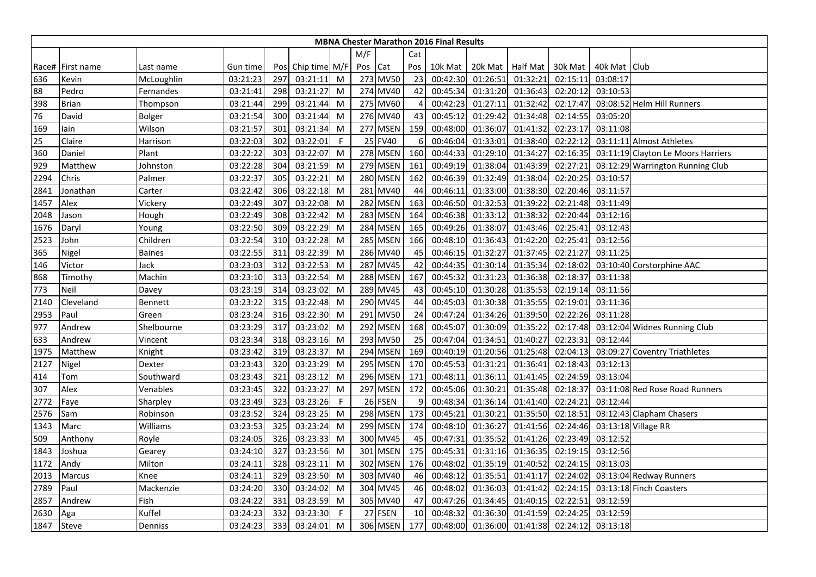|      | <b>MBNA Chester Marathon 2016 Final Results</b> |                |          |     |                   |     |       |                 |                |          |          |                  |          |              |                                    |
|------|-------------------------------------------------|----------------|----------|-----|-------------------|-----|-------|-----------------|----------------|----------|----------|------------------|----------|--------------|------------------------------------|
|      |                                                 |                |          |     |                   |     | M/F   |                 | Cat            |          |          |                  |          |              |                                    |
|      | Race# First name                                | Last name      | Gun time |     | Pos Chip time M/F |     | Pos   | Cat             | Pos            | 10k Mat  |          | 20k Mat Half Mat | 30k Mat  | 40k Mat Club |                                    |
| 636  | Kevin                                           | McLoughlin     | 03:21:23 | 297 | 03:21:11          | M   |       | 273 MV50        | 23             | 00:42:30 | 01:26:51 | 01:32:21         | 02:15:11 | 03:08:17     |                                    |
| 88   | Pedro                                           | Fernandes      | 03:21:41 | 298 | 03:21:27          | M   |       | 274 MV40        | 42             | 00:45:34 | 01:31:20 | 01:36:43         | 02:20:12 | 03:10:53     |                                    |
| 398  | <b>Brian</b>                                    | Thompson       | 03:21:44 | 299 | 03:21:44          | M   |       | 275 MV60        | $\overline{4}$ | 00:42:23 | 01:27:11 | 01:32:42         | 02:17:47 |              | 03:08:52 Helm Hill Runners         |
| 76   | David                                           | Bolger         | 03:21:54 | 300 | 03:21:44          | M   |       | 276 MV40        | 43             | 00:45:12 | 01:29:42 | 01:34:48         | 02:14:55 | 03:05:20     |                                    |
| 169  | lain                                            | Wilson         | 03:21:57 | 301 | 03:21:34          | M   |       | 277 MSEN        | 159            | 00:48:00 | 01:36:07 | 01:41:32         | 02:23:17 | 03:11:08     |                                    |
| 25   | Claire                                          | Harrison       | 03:22:03 | 302 | 03:22:01          | -F  |       | 25 FV40         | 6              | 00:46:04 | 01:33:01 | 01:38:40         | 02:22:12 |              | 03:11:11 Almost Athletes           |
| 360  | Daniel                                          | Plant          | 03:22:22 | 303 | 03:22:07          | M   |       | 278 MSEN        | 160            | 00:44:33 | 01:29:10 | 01:34:27         | 02:16:35 |              | 03:11:19 Clayton Le Moors Harriers |
| 929  | Matthew                                         | Johnston       | 03:22:28 | 304 | 03:21:59          | M   |       | 279 MSEN        | 161            | 00:49:19 | 01:38:04 | 01:43:39         | 02:27:21 |              | 03:12:29 Warrington Running Club   |
| 2294 | Chris                                           | Palmer         | 03:22:37 | 305 | 03:22:21          | M   |       | <b>280 MSEN</b> | 162            | 00:46:39 | 01:32:49 | 01:38:04         | 02:20:25 | 03:10:57     |                                    |
| 2841 | Jonathan                                        | Carter         | 03:22:42 | 306 | 03:22:18          | M   | 281   | MV40            | 44             | 00:46:11 | 01:33:00 | 01:38:30         | 02:20:46 | 03:11:57     |                                    |
| 1457 | Alex                                            | Vickery        | 03:22:49 | 307 | 03:22:08          | M   | 282   | <b>MSEN</b>     | 163            | 00:46:50 | 01:32:53 | 01:39:22         | 02:21:48 | 03:11:49     |                                    |
| 2048 | Jason                                           | Hough          | 03:22:49 | 308 | 03:22:42          | M   |       | 283 MSEN        | 164            | 00:46:38 | 01:33:12 | 01:38:32         | 02:20:44 | 03:12:16     |                                    |
| 1676 | Daryl                                           | Young          | 03:22:50 | 309 | 03:22:29          | M   |       | 284 MSEN        | 165            | 00:49:26 | 01:38:07 | 01:43:46         | 02:25:41 | 03:12:43     |                                    |
| 2523 | John                                            | Children       | 03:22:54 | 310 | 03:22:28          | M   |       | <b>285 MSEN</b> | 166            | 00:48:10 | 01:36:43 | 01:42:20         | 02:25:41 | 03:12:56     |                                    |
| 365  | Nigel                                           | <b>Baines</b>  | 03:22:55 | 311 | 03:22:39          | M   |       | 286 MV40        | 45             | 00:46:15 | 01:32:27 | 01:37:45         | 02:21:27 | 03:11:25     |                                    |
| 146  | Victor                                          | Jack           | 03:23:03 | 312 | 03:22:53          | M   |       | 287 MV45        | 42             | 00:44:35 | 01:30:14 | 01:35:34         | 02:18:02 |              | 03:10:40 Corstorphine AAC          |
| 868  | Timothy                                         | Machin         | 03:23:10 | 313 | 03:22:54          | M   | 288   | <b>MSEN</b>     | 167            | 00:45:32 | 01:31:23 | 01:36:38         | 02:18:37 | 03:11:38     |                                    |
| 773  | Neil                                            | Davey          | 03:23:19 | 314 | 03:23:02          | M   | 289   | <b>MV45</b>     | 43             | 00:45:10 | 01:30:28 | 01:35:53         | 02:19:14 | 03:11:56     |                                    |
| 2140 | Cleveland                                       | <b>Bennett</b> | 03:23:22 | 315 | 03:22:48          | M   |       | 290 MV45        | 44             | 00:45:03 | 01:30:38 | 01:35:55         | 02:19:01 | 03:11:36     |                                    |
| 2953 | Paul                                            | Green          | 03:23:24 | 316 | 03:22:30          | M   |       | 291 MV50        | 24             | 00:47:24 | 01:34:26 | 01:39:50         | 02:22:26 | 03:11:28     |                                    |
| 977  | Andrew                                          | Shelbourne     | 03:23:29 | 317 | 03:23:02          | M   |       | 292 MSEN        | 168            | 00:45:07 | 01:30:09 | 01:35:22         | 02:17:48 |              | 03:12:04 Widnes Running Club       |
| 633  | Andrew                                          | Vincent        | 03:23:34 | 318 | 03:23:16          | M   |       | 293 MV50        | 25             | 00:47:04 | 01:34:51 | 01:40:27         | 02:23:31 | 03:12:44     |                                    |
| 1975 | Matthew                                         | Knight         | 03:23:42 | 319 | 03:23:37          | M   |       | 294 MSEN        | 169            | 00:40:19 | 01:20:56 | 01:25:48         | 02:04:13 |              | 03:09:27 Coventry Triathletes      |
| 2127 | Nigel                                           | Dexter         | 03:23:43 | 320 | 03:23:29          | M   |       | 295 MSEN        | 170            | 00:45:53 | 01:31:21 | 01:36:41         | 02:18:43 | 03:12:13     |                                    |
| 414  | Tom                                             | Southward      | 03:23:43 | 321 | 03:23:12          | M   | 296I  | <b>MSEN</b>     | 171            | 00:48:11 | 01:36:11 | 01:41:45         | 02:24:59 | 03:13:04     |                                    |
| 307  | Alex                                            | Venables       | 03:23:45 | 322 | 03:23:27          | M   |       | 297 MSEN        | 172            | 00:45:06 | 01:30:21 | 01:35:48         | 02:18:37 |              | 03:11:08 Red Rose Road Runners     |
| 2772 | Faye                                            | Sharpley       | 03:23:49 | 323 | 03:23:26          | - F |       | 26 FSEN         | <sub>c</sub>   | 00:48:34 | 01:36:14 | 01:41:40         | 02:24:21 | 03:12:44     |                                    |
| 2576 | Sam                                             | Robinson       | 03:23:52 | 324 | 03:23:25          | M   |       | 298 MSEN        | 173            | 00:45:21 | 01:30:21 | 01:35:50         | 02:18:51 |              | 03:12:43 Clapham Chasers           |
| 1343 | Marc                                            | Williams       | 03:23:53 | 325 | 03:23:24          | M   |       | 299 MSEN        | 174            | 00:48:10 | 01:36:27 | 01:41:56         | 02:24:46 |              | 03:13:18 Village RR                |
| 509  | Anthony                                         | Royle          | 03:24:05 | 326 | 03:23:33          | M   |       | 300 MV45        | 45             | 00:47:31 | 01:35:52 | 01:41:26         | 02:23:49 | 03:12:52     |                                    |
| 1843 | Joshua                                          | Gearey         | 03:24:10 | 327 | 03:23:56          | M   |       | 301 MSEN        | 175            | 00:45:31 | 01:31:16 | 01:36:35         | 02:19:15 | 03:12:56     |                                    |
| 1172 | Andy                                            | Milton         | 03:24:11 | 328 | 03:23:11          | M   | 302 l | <b>MSEN</b>     | 176            | 00:48:02 | 01:35:19 | 01:40:52         | 02:24:15 | 03:13:03     |                                    |
| 2013 | Marcus                                          | Knee           | 03:24:11 | 329 | 03:23:50          | M   |       | 303 MV40        | 46             | 00:48:12 | 01:35:51 | 01:41:17         | 02:24:02 |              | 03:13:04 Redway Runners            |
| 2789 | Paul                                            | Mackenzie      | 03:24:20 | 330 | 03:24:02          | M   |       | 304 MV45        | 46             | 00:48:02 | 01:36:03 | 01:41:42         | 02:24:15 |              | 03:13:18 Finch Coasters            |
| 2857 | Andrew                                          | Fish           | 03:24:22 | 331 | 03:23:59          | M   |       | 305 MV40        | 47             | 00:47:26 | 01:34:45 | 01:40:15         | 02:22:51 | 03:12:59     |                                    |
| 2630 | Aga                                             | Kuffel         | 03:24:23 | 332 | 03:23:30          | -F  |       | 27 FSEN         | 10             | 00:48:32 | 01:36:30 | 01:41:59         | 02:24:25 | 03:12:59     |                                    |
| 1847 | Steve                                           | Denniss        | 03:24:23 | 333 | 03:24:01          | M   |       | 306 MSEN        | 177            | 00:48:00 | 01:36:00 | 01:41:38         | 02:24:12 | 03:13:18     |                                    |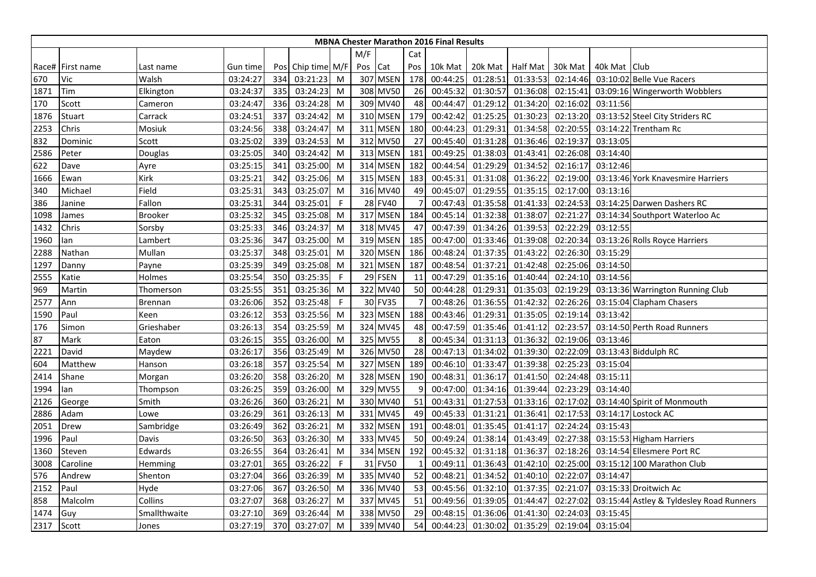|      | <b>MBNA Chester Marathon 2016 Final Results</b> |                |          |     |                   |             |     |          |     |          |          |                  |          |              |                                          |
|------|-------------------------------------------------|----------------|----------|-----|-------------------|-------------|-----|----------|-----|----------|----------|------------------|----------|--------------|------------------------------------------|
|      |                                                 |                |          |     |                   |             | M/F |          | Cat |          |          |                  |          |              |                                          |
|      | Race# First name                                | Last name      | Gun time |     | Pos Chip time M/F |             | Pos | Cat      | Pos | 10k Mat  |          | 20k Mat Half Mat | 30k Mat  | 40k Mat Club |                                          |
| 670  | Vic                                             | Walsh          | 03:24:27 | 334 | 03:21:23          | M           |     | 307 MSEN | 178 | 00:44:25 | 01:28:51 | 01:33:53         | 02:14:46 |              | 03:10:02 Belle Vue Racers                |
| 1871 | Tim                                             | Elkington      | 03:24:37 | 335 | 03:24:23          | M           |     | 308 MV50 | 26  | 00:45:32 | 01:30:57 | 01:36:08         | 02:15:41 |              | 03:09:16 Wingerworth Wobblers            |
| 170  | Scott                                           | Cameron        | 03:24:47 | 336 | 03:24:28          | M           |     | 309 MV40 | 48  | 00:44:47 | 01:29:12 | 01:34:20         | 02:16:02 | 03:11:56     |                                          |
| 1876 | Stuart                                          | Carrack        | 03:24:51 | 337 | 03:24:42          | M           |     | 310 MSEN | 179 | 00:42:42 | 01:25:25 | 01:30:23         | 02:13:20 |              | 03:13:52 Steel City Striders RC          |
| 2253 | Chris                                           | Mosiuk         | 03:24:56 | 338 | 03:24:47          | M           |     | 311 MSEN | 180 | 00:44:23 | 01:29:31 | 01:34:58         | 02:20:55 |              | 03:14:22 Trentham Rc                     |
| 832  | Dominic                                         | Scott          | 03:25:02 | 339 | 03:24:53          | M           |     | 312 MV50 | 27  | 00:45:40 | 01:31:28 | 01:36:46         | 02:19:37 | 03:13:05     |                                          |
| 2586 | Peter                                           | Douglas        | 03:25:05 | 340 | 03:24:42          | M           |     | 313 MSEN | 181 | 00:49:25 | 01:38:03 | 01:43:41         | 02:26:08 | 03:14:40     |                                          |
| 622  | Dave                                            | Ayre           | 03:25:15 | 341 | 03:25:00          | M           |     | 314 MSEN | 182 | 00:44:54 | 01:29:29 | 01:34:52         | 02:16:17 | 03:12:46     |                                          |
| 1666 | Ewan                                            | Kirk           | 03:25:21 | 342 | 03:25:06          | M           |     | 315 MSEN | 183 | 00:45:31 | 01:31:08 | 01:36:22         | 02:19:00 |              | 03:13:46 York Knavesmire Harriers        |
| 340  | Michael                                         | Field          | 03:25:31 | 343 | 03:25:07          | M           |     | 316 MV40 | 49  | 00:45:07 | 01:29:55 | 01:35:15         | 02:17:00 | 03:13:16     |                                          |
| 386  | Janine                                          | Fallon         | 03:25:31 | 344 | 03:25:01          | F           |     | 28 FV40  |     | 00:47:43 | 01:35:58 | 01:41:33         | 02:24:53 |              | 03:14:25 Darwen Dashers RC               |
| 1098 | James                                           | <b>Brooker</b> | 03:25:32 | 345 | 03:25:08          | M           |     | 317 MSEN | 184 | 00:45:14 | 01:32:38 | 01:38:07         | 02:21:27 |              | 03:14:34 Southport Waterloo Ac           |
| 1432 | Chris                                           | Sorsby         | 03:25:33 | 346 | 03:24:37          | M           |     | 318 MV45 | 47  | 00:47:39 | 01:34:26 | 01:39:53         | 02:22:29 | 03:12:55     |                                          |
| 1960 | lan                                             | Lambert        | 03:25:36 | 347 | 03:25:00          | M           |     | 319 MSEN | 185 | 00:47:00 | 01:33:46 | 01:39:08         | 02:20:34 |              | 03:13:26 Rolls Royce Harriers            |
| 2288 | Nathan                                          | Mullan         | 03:25:37 | 348 | 03:25:01          | M           |     | 320 MSEN | 186 | 00:48:24 | 01:37:35 | 01:43:22         | 02:26:30 | 03:15:29     |                                          |
| 1297 | Danny                                           | Payne          | 03:25:39 | 349 | 03:25:08          | M           |     | 321 MSEN | 187 | 00:48:54 | 01:37:21 | 01:42:48         | 02:25:06 | 03:14:50     |                                          |
| 2555 | Katie                                           | Holmes         | 03:25:54 | 350 | 03:25:35          | $\mathsf F$ |     | 29 FSEN  | 11  | 00:47:29 | 01:35:16 | 01:40:44         | 02:24:10 | 03:14:56     |                                          |
| 969  | Martin                                          | Thomerson      | 03:25:55 | 351 | 03:25:36          | M           |     | 322 MV40 | 50  | 00:44:28 | 01:29:31 | 01:35:03         | 02:19:29 |              | 03:13:36 Warrington Running Club         |
| 2577 | Ann                                             | <b>Brennan</b> | 03:26:06 | 352 | 03:25:48          | F           |     | 30 FV35  |     | 00:48:26 | 01:36:55 | 01:42:32         | 02:26:26 |              | 03:15:04 Clapham Chasers                 |
| 1590 | Paul                                            | Keen           | 03:26:12 | 353 | 03:25:56          | M           |     | 323 MSEN | 188 | 00:43:46 | 01:29:31 | 01:35:05         | 02:19:14 | 03:13:42     |                                          |
| 176  | Simon                                           | Grieshaber     | 03:26:13 | 354 | 03:25:59          | M           |     | 324 MV45 | 48  | 00:47:59 | 01:35:46 | 01:41:12         | 02:23:57 |              | 03:14:50 Perth Road Runners              |
| 87   | Mark                                            | Eaton          | 03:26:15 | 355 | 03:26:00          | M           |     | 325 MV55 | 8   | 00:45:34 | 01:31:13 | 01:36:32         | 02:19:06 | 03:13:46     |                                          |
| 2221 | David                                           | Maydew         | 03:26:17 | 356 | 03:25:49          | M           |     | 326 MV50 | 28  | 00:47:13 | 01:34:02 | 01:39:30         | 02:22:09 |              | 03:13:43 Biddulph RC                     |
| 604  | Matthew                                         | Hanson         | 03:26:18 | 357 | 03:25:54          | M           |     | 327 MSEN | 189 | 00:46:10 | 01:33:47 | 01:39:38         | 02:25:23 | 03:15:04     |                                          |
| 2414 | Shane                                           | Morgan         | 03:26:20 | 358 | 03:26:20          | M           |     | 328 MSEN | 190 | 00:48:31 | 01:36:17 | 01:41:50         | 02:24:48 | 03:15:11     |                                          |
| 1994 | lan                                             | Thompson       | 03:26:25 | 359 | 03:26:00          | M           |     | 329 MV55 | q   | 00:47:00 | 01:34:16 | 01:39:44         | 02:23:29 | 03:14:40     |                                          |
| 2126 | George                                          | Smith          | 03:26:26 | 360 | 03:26:21          | M           |     | 330 MV40 | 51  | 00:43:31 | 01:27:53 | 01:33:16         | 02:17:02 |              | 03:14:40 Spirit of Monmouth              |
| 2886 | Adam                                            | Lowe           | 03:26:29 | 361 | 03:26:13          | M           |     | 331 MV45 | 49  | 00:45:33 | 01:31:21 | 01:36:41         | 02:17:53 |              | 03:14:17 Lostock AC                      |
| 2051 | Drew                                            | Sambridge      | 03:26:49 | 362 | 03:26:21          | M           |     | 332 MSEN | 191 | 00:48:01 | 01:35:45 | 01:41:17         | 02:24:24 | 03:15:43     |                                          |
| 1996 | Paul                                            | Davis          | 03:26:50 | 363 | 03:26:30          | M           |     | 333 MV45 | 50  | 00:49:24 | 01:38:14 | 01:43:49         | 02:27:38 |              | 03:15:53 Higham Harriers                 |
| 1360 | Steven                                          | Edwards        | 03:26:55 | 364 | 03:26:41          | M           |     | 334 MSEN | 192 | 00:45:32 | 01:31:18 | 01:36:37         | 02:18:26 |              | 03:14:54 Ellesmere Port RC               |
| 3008 | Caroline                                        | Hemming        | 03:27:01 | 365 | 03:26:22          | $\mathsf F$ |     | 31 FV50  |     | 00:49:11 | 01:36:43 | 01:42:10         | 02:25:00 |              | 03:15:12 100 Marathon Club               |
| 576  | Andrew                                          | Shenton        | 03:27:04 | 366 | 03:26:39          | M           |     | 335 MV40 | 52  | 00:48:21 | 01:34:52 | 01:40:10         | 02:22:07 | 03:14:47     |                                          |
| 2152 | Paul                                            | Hyde           | 03:27:06 | 367 | 03:26:50          | M           |     | 336 MV40 | 53  | 00:45:56 | 01:32:10 | 01:37:35         | 02:21:07 |              | 03:15:33 Droitwich Ac                    |
| 858  | Malcolm                                         | Collins        | 03:27:07 | 368 | 03:26:27          | M           |     | 337 MV45 | 51  | 00:49:56 | 01:39:05 | 01:44:47         | 02:27:02 |              | 03:15:44 Astley & Tyldesley Road Runners |
| 1474 | Guy                                             | Smallthwaite   | 03:27:10 | 369 | 03:26:44          | M           |     | 338 MV50 | 29  | 00:48:15 | 01:36:06 | 01:41:30         | 02:24:03 | 03:15:45     |                                          |
| 2317 | Scott                                           | Jones          | 03:27:19 | 370 | 03:27:07          | M           |     | 339 MV40 | 54  | 00:44:23 | 01:30:02 | 01:35:29         | 02:19:04 | 03:15:04     |                                          |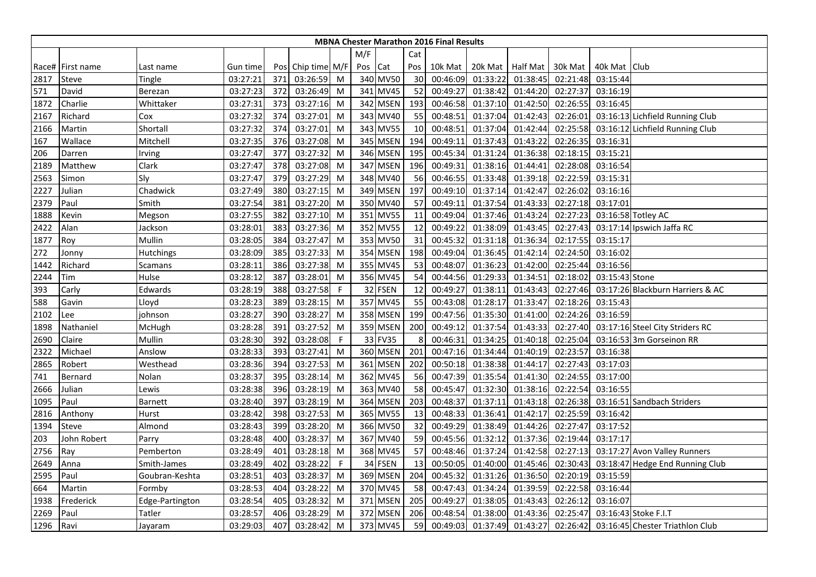|      |                  |                 |          |     |                   |             |     |          |     | <b>MBNA Chester Marathon 2016 Final Results</b> |          |                 |          |                |                                  |
|------|------------------|-----------------|----------|-----|-------------------|-------------|-----|----------|-----|-------------------------------------------------|----------|-----------------|----------|----------------|----------------------------------|
|      |                  |                 |          |     |                   |             | M/F |          | Cat |                                                 |          |                 |          |                |                                  |
|      | Race# First name | Last name       | Gun time |     | Pos Chip time M/F |             | Pos | Cat      | Pos | 10k Mat                                         | 20k Mat  | <b>Half Mat</b> | 30k Mat  | 40k Mat   Club |                                  |
| 2817 | <b>Steve</b>     | Tingle          | 03:27:21 | 371 | 03:26:59          | M           |     | 340 MV50 | 30  | 00:46:09                                        | 01:33:22 | 01:38:45        | 02:21:48 | 03:15:44       |                                  |
| 571  | David            | Berezan         | 03:27:23 | 372 | 03:26:49          | M           |     | 341 MV45 | 52  | 00:49:27                                        | 01:38:42 | 01:44:20        | 02:27:37 | 03:16:19       |                                  |
| 1872 | Charlie          | Whittaker       | 03:27:31 | 373 | 03:27:16          | M           |     | 342 MSEN | 193 | 00:46:58                                        | 01:37:10 | 01:42:50        | 02:26:55 | 03:16:45       |                                  |
| 2167 | Richard          | Сох             | 03:27:32 | 374 | 03:27:01          | M           |     | 343 MV40 | 55  | 00:48:51                                        | 01:37:04 | 01:42:43        | 02:26:01 |                | 03:16:13 Lichfield Running Club  |
| 2166 | Martin           | Shortall        | 03:27:32 | 374 | 03:27:01          | M           |     | 343 MV55 | 10  | 00:48:51                                        | 01:37:04 | 01:42:44        | 02:25:58 |                | 03:16:12 Lichfield Running Club  |
| 167  | Wallace          | Mitchell        | 03:27:35 | 376 | 03:27:08          | M           |     | 345 MSEN | 194 | 00:49:11                                        | 01:37:43 | 01:43:22        | 02:26:35 | 03:16:31       |                                  |
| 206  | Darren           | Irving          | 03:27:47 | 377 | 03:27:32          | M           |     | 346 MSEN | 195 | 00:45:34                                        | 01:31:24 | 01:36:38        | 02:18:15 | 03:15:21       |                                  |
| 2189 | Matthew          | Clark           | 03:27:47 | 378 | 03:27:08          | M           |     | 347 MSEN | 196 | 00:49:31                                        | 01:38:16 | 01:44:41        | 02:28:08 | 03:16:54       |                                  |
| 2563 | Simon            | Sly             | 03:27:47 | 379 | 03:27:29          | M           |     | 348 MV40 | 56  | 00:46:55                                        | 01:33:48 | 01:39:18        | 02:22:59 | 03:15:31       |                                  |
| 2227 | Julian           | Chadwick        | 03:27:49 | 380 | 03:27:15          | M           |     | 349 MSEN | 197 | 00:49:10                                        | 01:37:14 | 01:42:47        | 02:26:02 | 03:16:16       |                                  |
| 2379 | Paul             | Smith           | 03:27:54 | 381 | 03:27:20          | M           |     | 350 MV40 | 57  | 00:49:11                                        | 01:37:54 | 01:43:33        | 02:27:18 | 03:17:01       |                                  |
| 1888 | Kevin            | Megson          | 03:27:55 | 382 | 03:27:10          | M           |     | 351 MV55 | 11  | 00:49:04                                        | 01:37:46 | 01:43:24        | 02:27:23 |                | 03:16:58 Totley AC               |
| 2422 | Alan             | Jackson         | 03:28:01 | 383 | 03:27:36          | M           |     | 352 MV55 | 12  | 00:49:22                                        | 01:38:09 | 01:43:45        | 02:27:43 |                | 03:17:14 Ipswich Jaffa RC        |
| 1877 | Roy              | Mullin          | 03:28:05 | 384 | 03:27:47          | M           |     | 353 MV50 | 31  | 00:45:32                                        | 01:31:18 | 01:36:34        | 02:17:55 | 03:15:17       |                                  |
| 272  | Jonny            | Hutchings       | 03:28:09 | 385 | 03:27:33          | M           |     | 354 MSEN | 198 | 00:49:04                                        | 01:36:45 | 01:42:14        | 02:24:50 | 03:16:02       |                                  |
| 1442 | Richard          | Scamans         | 03:28:11 | 386 | 03:27:38          | M           |     | 355 MV45 | 53  | 00:48:07                                        | 01:36:23 | 01:42:00        | 02:25:44 | 03:16:56       |                                  |
| 2244 | Tim              | Hulse           | 03:28:12 | 387 | 03:28:01          | M           |     | 356 MV45 | 54  | 00:44:56                                        | 01:29:33 | 01:34:51        | 02:18:02 | 03:15:43 Stone |                                  |
| 393  | Carly            | Edwards         | 03:28:19 | 388 | 03:27:58          | $\mathsf F$ |     | 32 FSEN  | 12  | 00:49:27                                        | 01:38:11 | 01:43:43        | 02:27:46 |                | 03:17:26 Blackburn Harriers & AC |
| 588  | Gavin            | Lloyd           | 03:28:23 | 389 | 03:28:15          | M           |     | 357 MV45 | 55  | 00:43:08                                        | 01:28:17 | 01:33:47        | 02:18:26 | 03:15:43       |                                  |
| 2102 | Lee              | johnson         | 03:28:27 | 390 | 03:28:27          | M           |     | 358 MSEN | 199 | 00:47:56                                        | 01:35:30 | 01:41:00        | 02:24:26 | 03:16:59       |                                  |
| 1898 | Nathaniel        | McHugh          | 03:28:28 | 391 | 03:27:52          | M           |     | 359 MSEN | 200 | 00:49:12                                        | 01:37:54 | 01:43:33        | 02:27:40 |                | 03:17:16 Steel City Striders RC  |
| 2690 | Claire           | Mullin          | 03:28:30 | 392 | 03:28:08          | F           |     | 33 FV35  | 8   | 00:46:31                                        | 01:34:25 | 01:40:18        | 02:25:04 |                | 03:16:53 3m Gorseinon RR         |
| 2322 | Michael          | Anslow          | 03:28:33 | 393 | 03:27:41          | M           |     | 360 MSEN | 201 | 00:47:16                                        | 01:34:44 | 01:40:19        | 02:23:57 | 03:16:38       |                                  |
| 2865 | Robert           | Westhead        | 03:28:36 | 394 | 03:27:53          | M           |     | 361 MSEN | 202 | 00:50:18                                        | 01:38:38 | 01:44:17        | 02:27:43 | 03:17:03       |                                  |
| 741  | Bernard          | Nolan           | 03:28:37 | 395 | 03:28:14          | M           |     | 362 MV45 | 56  | 00:47:39                                        | 01:35:54 | 01:41:30        | 02:24:55 | 03:17:00       |                                  |
| 2666 | Julian           | Lewis           | 03:28:38 | 396 | 03:28:19          | M           |     | 363 MV40 | 58  | 00:45:47                                        | 01:32:30 | 01:38:16        | 02:22:54 | 03:16:55       |                                  |
| 1095 | Paul             | Barnett         | 03:28:40 | 397 | 03:28:19          | M           |     | 364 MSEN | 203 | 00:48:37                                        | 01:37:11 | 01:43:18        | 02:26:38 |                | 03:16:51 Sandbach Striders       |
| 2816 | Anthony          | Hurst           | 03:28:42 | 398 | 03:27:53          | M           |     | 365 MV55 | 13  | 00:48:33                                        | 01:36:41 | 01:42:17        | 02:25:59 | 03:16:42       |                                  |
| 1394 | Steve            | Almond          | 03:28:43 | 399 | 03:28:20          | M           |     | 366 MV50 | 32  | 00:49:29                                        | 01:38:49 | 01:44:26        | 02:27:47 | 03:17:52       |                                  |
| 203  | John Robert      | Parry           | 03:28:48 | 400 | 03:28:37          | M           |     | 367 MV40 | 59  | 00:45:56                                        | 01:32:12 | 01:37:36        | 02:19:44 | 03:17:17       |                                  |
| 2756 | Ray              | Pemberton       | 03:28:49 | 401 | 03:28:18          | M           |     | 368 MV45 | 57  | 00:48:46                                        | 01:37:24 | 01:42:58        | 02:27:13 |                | 03:17:27 Avon Valley Runners     |
| 2649 | Anna             | Smith-James     | 03:28:49 | 402 | 03:28:22          | F           |     | 34 FSEN  | 13  | 00:50:05                                        | 01:40:00 | 01:45:46        | 02:30:43 |                | 03:18:47 Hedge End Running Club  |
| 2595 | Paul             | Goubran-Keshta  | 03:28:51 | 403 | 03:28:37          | M           |     | 369 MSEN | 204 | 00:45:32                                        | 01:31:26 | 01:36:50        | 02:20:19 | 03:15:59       |                                  |
| 664  | Martin           | Formby          | 03:28:53 | 404 | 03:28:22          | M           |     | 370 MV45 | 58  | 00:47:43                                        | 01:34:24 | 01:39:59        | 02:22:58 | 03:16:44       |                                  |
| 1938 | Frederick        | Edge-Partington | 03:28:54 | 405 | 03:28:32          | M           |     | 371 MSEN | 205 | 00:49:27                                        | 01:38:05 | 01:43:43        | 02:26:12 | 03:16:07       |                                  |
| 2269 | Paul             | Tatler          | 03:28:57 | 406 | 03:28:29          | M           |     | 372 MSEN | 206 | 00:48:54                                        | 01:38:00 | 01:43:36        | 02:25:47 |                | 03:16:43 Stoke F.I.T             |
| 1296 | Ravi             | Jayaram         | 03:29:03 | 407 | 03:28:42          | M           |     | 373 MV45 | 59  | 00:49:03                                        | 01:37:49 | 01:43:27        | 02:26:42 |                | 03:16:45 Chester Triathlon Club  |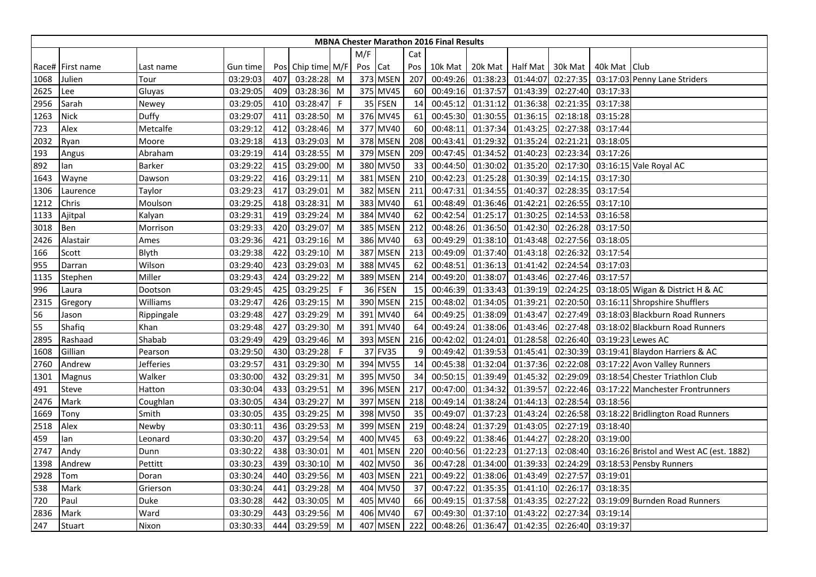|      | <b>MBNA Chester Marathon 2016 Final Results</b> |               |          |     |                   |              |         |             |     |          |          |                    |          |                |                                          |
|------|-------------------------------------------------|---------------|----------|-----|-------------------|--------------|---------|-------------|-----|----------|----------|--------------------|----------|----------------|------------------------------------------|
|      |                                                 |               |          |     |                   |              | M/F     |             | Cat |          |          |                    |          |                |                                          |
|      | Race# First name                                | Last name     | Gun time |     | Pos Chip time M/F |              | Pos Cat |             | Pos | 10k Mat  |          | 20k Mat   Half Mat | 30k Mat  | 40k Mat   Club |                                          |
| 1068 | Julien                                          | Tour          | 03:29:03 | 407 | 03:28:28          | M            |         | 373 MSEN    | 207 | 00:49:26 | 01:38:23 | 01:44:07           | 02:27:35 |                | 03:17:03 Penny Lane Striders             |
| 2625 | Lee                                             | Gluyas        | 03:29:05 | 409 | 03:28:36          | M            |         | 375 MV45    | 60  | 00:49:16 | 01:37:57 | 01:43:39           | 02:27:40 | 03:17:33       |                                          |
| 2956 | Sarah                                           | Newey         | 03:29:05 | 410 | 03:28:47          | F            |         | 35 FSEN     | 14  | 00:45:12 | 01:31:12 | 01:36:38           | 02:21:35 | 03:17:38       |                                          |
| 1263 | <b>Nick</b>                                     | Duffy         | 03:29:07 | 411 | 03:28:50          | M            |         | 376 MV45    | 61  | 00:45:30 | 01:30:55 | 01:36:15           | 02:18:18 | 03:15:28       |                                          |
| 723  | Alex                                            | Metcalfe      | 03:29:12 | 412 | 03:28:46          | M            |         | 377 MV40    | 60  | 00:48:11 | 01:37:34 | 01:43:25           | 02:27:38 | 03:17:44       |                                          |
| 2032 | Ryan                                            | Moore         | 03:29:18 | 413 | 03:29:03          | M            |         | 378 MSEN    | 208 | 00:43:41 | 01:29:32 | 01:35:24           | 02:21:21 | 03:18:05       |                                          |
| 193  | Angus                                           | Abraham       | 03:29:19 | 414 | 03:28:55          | M            |         | 379 MSEN    | 209 | 00:47:45 | 01:34:52 | 01:40:23           | 02:23:34 | 03:17:26       |                                          |
| 892  | lan                                             | <b>Barker</b> | 03:29:22 | 415 | 03:29:00          | M            |         | 380 MV50    | 33  | 00:44:50 | 01:30:02 | 01:35:20           | 02:17:30 |                | 03:16:15 Vale Royal AC                   |
| 1643 | Wayne                                           | Dawson        | 03:29:22 | 416 | 03:29:11          | M            |         | 381 MSEN    | 210 | 00:42:23 | 01:25:28 | 01:30:39           | 02:14:15 | 03:17:30       |                                          |
| 1306 | Laurence                                        | Taylor        | 03:29:23 | 417 | 03:29:01          | M            | 382     | <b>MSEN</b> | 211 | 00:47:31 | 01:34:55 | 01:40:37           | 02:28:35 | 03:17:54       |                                          |
| 1212 | Chris                                           | Moulson       | 03:29:25 | 418 | 03:28:31          | M            | 383     | <b>MV40</b> | 61  | 00:48:49 | 01:36:46 | 01:42:21           | 02:26:55 | 03:17:10       |                                          |
| 1133 | Ajitpal                                         | Kalyan        | 03:29:31 | 419 | 03:29:24          | M            |         | 384 MV40    | 62  | 00:42:54 | 01:25:17 | 01:30:25           | 02:14:53 | 03:16:58       |                                          |
| 3018 | Ben                                             | Morrison      | 03:29:33 | 420 | 03:29:07          | M            |         | 385 MSEN    | 212 | 00:48:26 | 01:36:50 | 01:42:30           | 02:26:28 | 03:17:50       |                                          |
| 2426 | Alastair                                        | Ames          | 03:29:36 | 421 | 03:29:16          | M            |         | 386 MV40    | 63  | 00:49:29 | 01:38:10 | 01:43:48           | 02:27:56 | 03:18:05       |                                          |
| 166  | Scott                                           | Blyth         | 03:29:38 | 422 | 03:29:10          | M            |         | 387 MSEN    | 213 | 00:49:09 | 01:37:40 | 01:43:18           | 02:26:32 | 03:17:54       |                                          |
| 955  | Darran                                          | Wilson        | 03:29:40 | 423 | 03:29:03          | M            |         | 388 MV45    | 62  | 00:48:51 | 01:36:13 | 01:41:42           | 02:24:54 | 03:17:03       |                                          |
| 1135 | Stephen                                         | Miller        | 03:29:43 | 424 | 03:29:22          | M            |         | 389 MSEN    | 214 | 00:49:20 | 01:38:07 | 01:43:46           | 02:27:46 | 03:17:57       |                                          |
| 996  | Laura                                           | Dootson       | 03:29:45 | 425 | 03:29:25          | $\mathsf{F}$ |         | 36 FSEN     | 15  | 00:46:39 | 01:33:43 | 01:39:19           | 02:24:25 |                | 03:18:05 Wigan & District H & AC         |
| 2315 | Gregory                                         | Williams      | 03:29:47 | 426 | 03:29:15          | M            |         | 390 MSEN    | 215 | 00:48:02 | 01:34:05 | 01:39:21           | 02:20:50 |                | 03:16:11 Shropshire Shufflers            |
| 56   | Jason                                           | Rippingale    | 03:29:48 | 427 | 03:29:29          | M            |         | 391 MV40    | 64  | 00:49:25 | 01:38:09 | 01:43:47           | 02:27:49 |                | 03:18:03 Blackburn Road Runners          |
| 55   | Shafiq                                          | Khan          | 03:29:48 | 427 | 03:29:30          | M            |         | 391 MV40    | 64  | 00:49:24 | 01:38:06 | 01:43:46           | 02:27:48 |                | 03:18:02 Blackburn Road Runners          |
| 2895 | Rashaad                                         | Shabab        | 03:29:49 | 429 | 03:29:46          | M            |         | 393 MSEN    | 216 | 00:42:02 | 01:24:01 | 01:28:58           | 02:26:40 |                | 03:19:23 Lewes AC                        |
| 1608 | Gillian                                         | Pearson       | 03:29:50 | 430 | 03:29:28          | $\mathsf{F}$ |         | 37 FV35     | 9   | 00:49:42 | 01:39:53 | 01:45:41           | 02:30:39 |                | 03:19:41 Blaydon Harriers & AC           |
| 2760 | Andrew                                          | Jefferies     | 03:29:57 | 431 | 03:29:30          | M            |         | 394 MV55    | 14  | 00:45:38 | 01:32:04 | 01:37:36           | 02:22:08 |                | 03:17:22 Avon Valley Runners             |
| 1301 | Magnus                                          | Walker        | 03:30:00 | 432 | 03:29:31          | M            | 395 l   | <b>MV50</b> | 34  | 00:50:15 | 01:39:49 | 01:45:32           | 02:29:09 |                | 03:18:54 Chester Triathlon Club          |
| 491  | Steve                                           | Hatton        | 03:30:04 | 433 | 03:29:51          | M            |         | 396 MSEN    | 217 | 00:47:00 | 01:34:32 | 01:39:57           | 02:22:46 |                | 03:17:22 Manchester Frontrunners         |
| 2476 | Mark                                            | Coughlan      | 03:30:05 | 434 | 03:29:27          | M            |         | 397 MSEN    | 218 | 00:49:14 | 01:38:24 | 01:44:13           | 02:28:54 | 03:18:56       |                                          |
| 1669 | Tony                                            | Smith         | 03:30:05 | 435 | 03:29:25          | M            |         | 398 MV50    | 35  | 00:49:07 | 01:37:23 | 01:43:24           | 02:26:58 |                | 03:18:22 Bridlington Road Runners        |
| 2518 | Alex                                            | Newby         | 03:30:11 | 436 | 03:29:53          | M            |         | 399 MSEN    | 219 | 00:48:24 | 01:37:29 | 01:43:05           | 02:27:19 | 03:18:40       |                                          |
| 459  | lan                                             | Leonard       | 03:30:20 | 437 | 03:29:54          | M            |         | 400 MV45    | 63  | 00:49:22 | 01:38:46 | 01:44:27           | 02:28:20 | 03:19:00       |                                          |
| 2747 | Andy                                            | Dunn          | 03:30:22 | 438 | 03:30:01          | M            |         | 401 MSEN    | 220 | 00:40:56 | 01:22:23 | 01:27:13           | 02:08:40 |                | 03:16:26 Bristol and West AC (est. 1882) |
| 1398 | Andrew                                          | Pettitt       | 03:30:23 | 439 | 03:30:10          | M            | 402     | <b>MV50</b> | 36  | 00:47:28 | 01:34:00 | 01:39:33           | 02:24:29 |                | 03:18:53 Pensby Runners                  |
| 2928 | Tom                                             | Doran         | 03:30:24 | 440 | 03:29:56          | M            | 403 I   | <b>MSEN</b> | 221 | 00:49:22 | 01:38:06 | 01:43:49           | 02:27:57 | 03:19:01       |                                          |
| 538  | Mark                                            | Grierson      | 03:30:24 | 441 | 03:29:28          | M            |         | 404 MV50    | 37  | 00:47:22 | 01:35:35 | 01:41:10           | 02:26:17 | 03:18:35       |                                          |
| 720  | Paul                                            | Duke          | 03:30:28 | 442 | 03:30:05          | M            |         | 405 MV40    | 66  | 00:49:15 | 01:37:58 | 01:43:35           | 02:27:22 |                | 03:19:09 Burnden Road Runners            |
| 2836 | Mark                                            | Ward          | 03:30:29 | 443 | 03:29:56          | M            |         | 406 MV40    | 67  | 00:49:30 | 01:37:10 | 01:43:22           | 02:27:34 | 03:19:14       |                                          |
| 247  | Stuart                                          | Nixon         | 03:30:33 | 444 | 03:29:59          | M            |         | 407 MSEN    | 222 | 00:48:26 | 01:36:47 | 01:42:35           | 02:26:40 | 03:19:37       |                                          |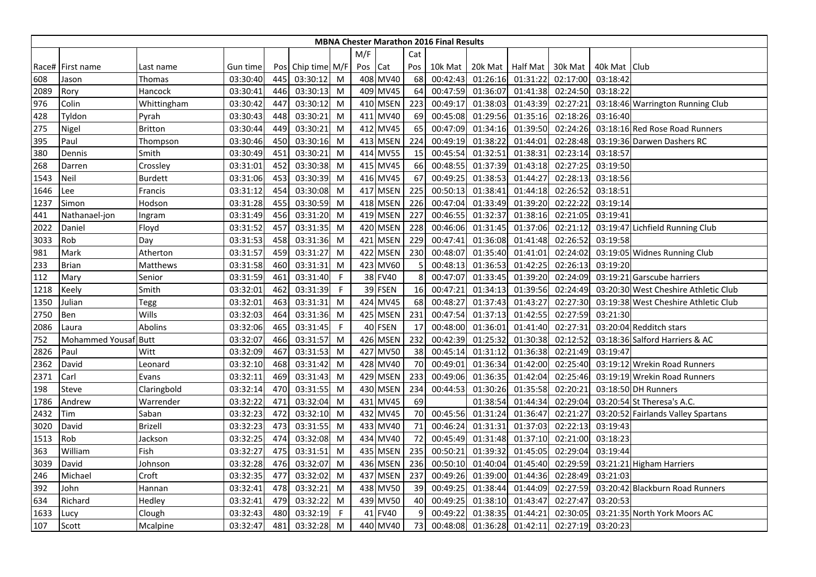|      |                      |                |          |     |                   |             |         |          |     | <b>MBNA Chester Marathon 2016 Final Results</b> |                  |          |          |                |                                      |
|------|----------------------|----------------|----------|-----|-------------------|-------------|---------|----------|-----|-------------------------------------------------|------------------|----------|----------|----------------|--------------------------------------|
|      |                      |                |          |     |                   |             | M/F     |          | Cat |                                                 |                  |          |          |                |                                      |
|      | Race# First name     | Last name      | Gun time |     | Pos Chip time M/F |             | Pos Cat |          | Pos | 10k Mat                                         | 20k Mat Half Mat |          | 30k Mat  | 40k Mat   Club |                                      |
| 608  | Jason                | Thomas         | 03:30:40 | 445 | 03:30:12          | M           |         | 408 MV40 | 68  | 00:42:43                                        | 01:26:16         | 01:31:22 | 02:17:00 | 03:18:42       |                                      |
| 2089 | Rory                 | Hancock        | 03:30:41 | 446 | 03:30:13          | M           |         | 409 MV45 | 64  | 00:47:59                                        | 01:36:07         | 01:41:38 | 02:24:50 | 03:18:22       |                                      |
| 976  | Colin                | Whittingham    | 03:30:42 | 447 | 03:30:12          | M           |         | 410 MSEN | 223 | 00:49:17                                        | 01:38:03         | 01:43:39 | 02:27:21 |                | 03:18:46 Warrington Running Club     |
| 428  | Tyldon               | Pyrah          | 03:30:43 | 448 | 03:30:21          | M           |         | 411 MV40 | 69  | 00:45:08                                        | 01:29:56         | 01:35:16 | 02:18:26 | 03:16:40       |                                      |
| 275  | Nigel                | <b>Britton</b> | 03:30:44 | 449 | 03:30:21          | M           |         | 412 MV45 | 65  | 00:47:09                                        | 01:34:16         | 01:39:50 | 02:24:26 |                | 03:18:16 Red Rose Road Runners       |
| 395  | Paul                 | Thompson       | 03:30:46 | 450 | 03:30:16          | M           |         | 413 MSEN | 224 | 00:49:19                                        | 01:38:22         | 01:44:01 | 02:28:48 |                | 03:19:36 Darwen Dashers RC           |
| 380  | Dennis               | Smith          | 03:30:49 | 451 | 03:30:21          | M           |         | 414 MV55 | 15  | 00:45:54                                        | 01:32:51         | 01:38:31 | 02:23:14 | 03:18:57       |                                      |
| 268  | Darren               | Crossley       | 03:31:01 | 452 | 03:30:38          | M           |         | 415 MV45 | 66  | 00:48:55                                        | 01:37:39         | 01:43:18 | 02:27:25 | 03:19:50       |                                      |
| 1543 | <b>Neil</b>          | <b>Burdett</b> | 03:31:06 | 453 | 03:30:39          | M           |         | 416 MV45 | 67  | 00:49:25                                        | 01:38:53         | 01:44:27 | 02:28:13 | 03:18:56       |                                      |
| 1646 | Lee                  | Francis        | 03:31:12 | 454 | 03:30:08          | M           |         | 417 MSEN | 225 | 00:50:13                                        | 01:38:41         | 01:44:18 | 02:26:52 | 03:18:51       |                                      |
| 1237 | Simon                | Hodson         | 03:31:28 | 455 | 03:30:59          | M           |         | 418 MSEN | 226 | 00:47:04                                        | 01:33:49         | 01:39:20 | 02:22:22 | 03:19:14       |                                      |
| 441  | Nathanael-jon        | Ingram         | 03:31:49 | 456 | 03:31:20          | M           |         | 419 MSEN | 227 | 00:46:55                                        | 01:32:37         | 01:38:16 | 02:21:05 | 03:19:41       |                                      |
| 2022 | Daniel               | Floyd          | 03:31:52 | 457 | 03:31:35          | M           |         | 420 MSEN | 228 | 00:46:06                                        | 01:31:45         | 01:37:06 | 02:21:12 |                | 03:19:47 Lichfield Running Club      |
| 3033 | Rob                  | Day            | 03:31:53 | 458 | 03:31:36          | M           |         | 421 MSEN | 229 | 00:47:41                                        | 01:36:08         | 01:41:48 | 02:26:52 | 03:19:58       |                                      |
| 981  | Mark                 | Atherton       | 03:31:57 | 459 | 03:31:27          | M           |         | 422 MSEN | 230 | 00:48:07                                        | 01:35:40         | 01:41:01 | 02:24:02 |                | 03:19:05 Widnes Running Club         |
| 233  | <b>Brian</b>         | Matthews       | 03:31:58 | 460 | 03:31:31          | M           |         | 423 MV60 | 5   | 00:48:13                                        | 01:36:53         | 01:42:25 | 02:26:13 | 03:19:20       |                                      |
| 112  | Mary                 | Senior         | 03:31:59 | 461 | 03:31:40          | $\mathsf F$ |         | 38 FV40  | 8   | 00:47:07                                        | 01:33:45         | 01:39:20 | 02:24:09 |                | 03:19:21 Garscube harriers           |
| 1218 | Keely                | Smith          | 03:32:01 | 462 | 03:31:39          | F           |         | 39 FSEN  | 16  | 00:47:21                                        | 01:34:13         | 01:39:56 | 02:24:49 |                | 03:20:30 West Cheshire Athletic Club |
| 1350 | Julian               | Tegg           | 03:32:01 | 463 | 03:31:31          | M           |         | 424 MV45 | 68  | 00:48:27                                        | 01:37:43         | 01:43:27 | 02:27:30 |                | 03:19:38 West Cheshire Athletic Club |
| 2750 | Ben                  | Wills          | 03:32:03 | 464 | 03:31:36          | M           |         | 425 MSEN | 231 | 00:47:54                                        | 01:37:13         | 01:42:55 | 02:27:59 | 03:21:30       |                                      |
| 2086 | Laura                | Abolins        | 03:32:06 | 465 | 03:31:45          | F           |         | 40 FSEN  | 17  | 00:48:00                                        | 01:36:01         | 01:41:40 | 02:27:31 |                | 03:20:04 Redditch stars              |
| 752  | Mohammed Yousaf Butt |                | 03:32:07 | 466 | 03:31:57          | M           |         | 426 MSEN | 232 | 00:42:39                                        | 01:25:32         | 01:30:38 | 02:12:52 |                | 03:18:36 Salford Harriers & AC       |
| 2826 | Paul                 | Witt           | 03:32:09 | 467 | 03:31:53          | M           |         | 427 MV50 | 38  | 00:45:14                                        | 01:31:12         | 01:36:38 | 02:21:49 | 03:19:47       |                                      |
| 2362 | David                | Leonard        | 03:32:10 | 468 | 03:31:42          | M           |         | 428 MV40 | 70  | 00:49:01                                        | 01:36:34         | 01:42:00 | 02:25:40 |                | 03:19:12 Wrekin Road Runners         |
| 2371 | Carl                 | Evans          | 03:32:11 | 469 | 03:31:43          | M           |         | 429 MSEN | 233 | 00:49:06                                        | 01:36:35         | 01:42:04 | 02:25:46 |                | 03:19:19 Wrekin Road Runners         |
| 198  | Steve                | Claringbold    | 03:32:14 | 470 | 03:31:55          | M           |         | 430 MSEN | 234 | 00:44:53                                        | 01:30:26         | 01:35:58 | 02:20:21 |                | 03:18:50 DH Runners                  |
| 1786 | Andrew               | Warrender      | 03:32:22 | 471 | 03:32:04          | M           |         | 431 MV45 | 69  |                                                 | 01:38:54         | 01:44:34 | 02:29:04 |                | 03:20:54 St Theresa's A.C.           |
| 2432 | Tim                  | Saban          | 03:32:23 | 472 | 03:32:10          | M           |         | 432 MV45 | 70  | 00:45:56                                        | 01:31:24         | 01:36:47 | 02:21:27 |                | 03:20:52 Fairlands Valley Spartans   |
| 3020 | David                | <b>Brizell</b> | 03:32:23 | 473 | 03:31:55          | M           |         | 433 MV40 | 71  | 00:46:24                                        | 01:31:31         | 01:37:03 | 02:22:13 | 03:19:43       |                                      |
| 1513 | Rob                  | Jackson        | 03:32:25 | 474 | 03:32:08          | M           |         | 434 MV40 | 72  | 00:45:49                                        | 01:31:48         | 01:37:10 | 02:21:00 | 03:18:23       |                                      |
| 363  | William              | Fish           | 03:32:27 | 475 | 03:31:51          | M           |         | 435 MSEN | 235 | 00:50:21                                        | 01:39:32         | 01:45:05 | 02:29:04 | 03:19:44       |                                      |
| 3039 | David                | Johnson        | 03:32:28 | 476 | 03:32:07          | M           |         | 436 MSEN | 236 | 00:50:10                                        | 01:40:04         | 01:45:40 | 02:29:59 |                | 03:21:21 Higham Harriers             |
| 246  | Michael              | Croft          | 03:32:35 | 477 | 03:32:02          | M           |         | 437 MSEN | 237 | 00:49:26                                        | 01:39:00         | 01:44:36 | 02:28:49 | 03:21:03       |                                      |
| 392  | John                 | Hannan         | 03:32:41 | 478 | 03:32:21          | M           |         | 438 MV50 | 39  | 00:49:25                                        | 01:38:44         | 01:44:09 | 02:27:59 |                | 03:20:42 Blackburn Road Runners      |
| 634  | Richard              | Hedley         | 03:32:41 | 479 | 03:32:22          | M           |         | 439 MV50 | 40  | 00:49:25                                        | 01:38:10         | 01:43:47 | 02:27:47 | 03:20:53       |                                      |
| 1633 | Lucy                 | Clough         | 03:32:43 | 480 | 03:32:19          | F           |         | 41 FV40  | 9   | 00:49:22                                        | 01:38:35         | 01:44:21 | 02:30:05 |                | 03:21:35 North York Moors AC         |
| 107  | Scott                | Mcalpine       | 03:32:47 | 481 | 03:32:28          | M           |         | 440 MV40 | 73  | 00:48:08                                        | 01:36:28         | 01:42:11 | 02:27:19 | 03:20:23       |                                      |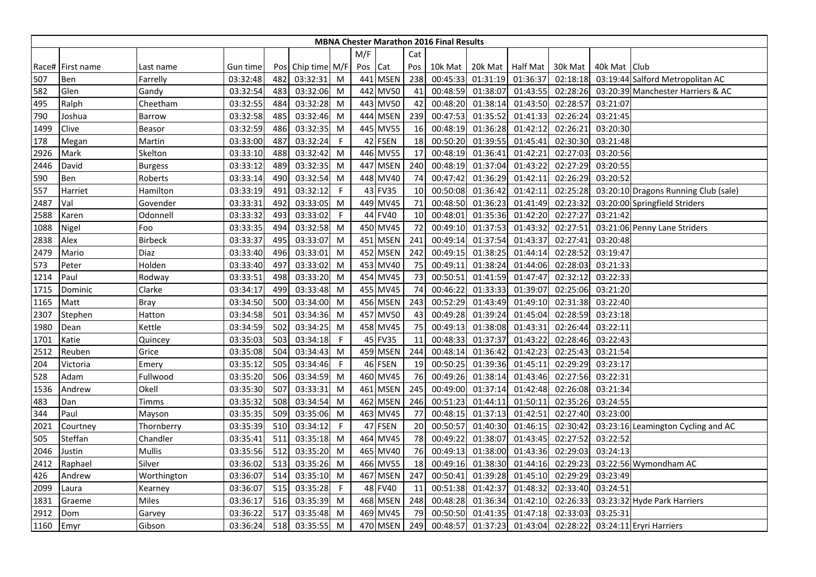|      |                  |                |          |     |                   |              |         |          |     | <b>MBNA Chester Marathon 2016 Final Results</b> |                  |          |          |                |                                      |
|------|------------------|----------------|----------|-----|-------------------|--------------|---------|----------|-----|-------------------------------------------------|------------------|----------|----------|----------------|--------------------------------------|
|      |                  |                |          |     |                   |              | M/F     |          | Cat |                                                 |                  |          |          |                |                                      |
|      | Race# First name | Last name      | Gun time |     | Pos Chip time M/F |              | Pos Cat |          | Pos | 10k Mat                                         | 20k Mat Half Mat |          | 30k Mat  | 40k Mat   Club |                                      |
| 507  | Ben              | Farrelly       | 03:32:48 | 482 | 03:32:31          | M            |         | 441 MSEN | 238 | 00:45:33                                        | 01:31:19         | 01:36:37 | 02:18:18 |                | 03:19:44 Salford Metropolitan AC     |
| 582  | Glen             | Gandy          | 03:32:54 | 483 | 03:32:06          | M            |         | 442 MV50 | 41  | 00:48:59                                        | 01:38:07         | 01:43:55 | 02:28:26 |                | 03:20:39 Manchester Harriers & AC    |
| 495  | Ralph            | Cheetham       | 03:32:55 | 484 | 03:32:28          | M            |         | 443 MV50 | 42  | 00:48:20                                        | 01:38:14         | 01:43:50 | 02:28:57 | 03:21:07       |                                      |
| 790  | Joshua           | Barrow         | 03:32:58 | 485 | 03:32:46          | M            |         | 444 MSEN | 239 | 00:47:53                                        | 01:35:52         | 01:41:33 | 02:26:24 | 03:21:45       |                                      |
| 1499 | Clive            | Beasor         | 03:32:59 | 486 | 03:32:35          | M            |         | 445 MV55 | 16  | 00:48:19                                        | 01:36:28         | 01:42:12 | 02:26:21 | 03:20:30       |                                      |
| 178  | Megan            | Martin         | 03:33:00 | 487 | 03:32:24          | F            |         | 42 FSEN  | 18  | 00:50:20                                        | 01:39:55         | 01:45:41 | 02:30:30 | 03:21:48       |                                      |
| 2926 | Mark             | Skelton        | 03:33:10 | 488 | 03:32:42          | M            |         | 446 MV55 | 17  | 00:48:19                                        | 01:36:41         | 01:42:2  | 02:27:03 | 03:20:56       |                                      |
| 2446 | David            | <b>Burgess</b> | 03:33:12 | 489 | 03:32:35          | M            |         | 447 MSEN | 240 | 00:48:19                                        | 01:37:04         | 01:43:22 | 02:27:29 | 03:20:55       |                                      |
| 590  | Ben              | Roberts        | 03:33:14 | 490 | 03:32:54          | M            |         | 448 MV40 | 74  | 00:47:42                                        | 01:36:29         | 01:42:11 | 02:26:29 | 03:20:52       |                                      |
| 557  | Harriet          | Hamilton       | 03:33:19 | 491 | 03:32:12          | $\mathsf F$  |         | 43 FV35  | 10  | 00:50:08                                        | 01:36:42         | 01:42:11 | 02:25:28 |                | 03:20:10 Dragons Running Club (sale) |
| 2487 | Val              | Govender       | 03:33:31 | 492 | 03:33:05          | M            |         | 449 MV45 | 71  | 00:48:50                                        | 01:36:23         | 01:41:49 | 02:23:32 |                | 03:20:00 Springfield Striders        |
| 2588 | Karen            | Odonnell       | 03:33:32 | 493 | 03:33:02          | F            |         | 44 FV40  | 10  | 00:48:01                                        | 01:35:36         | 01:42:20 | 02:27:27 | 03:21:42       |                                      |
| 1088 | Nigel            | Foo            | 03:33:35 | 494 | 03:32:58          | M            |         | 450 MV45 | 72  | 00:49:10                                        | 01:37:53         | 01:43:32 | 02:27:51 |                | 03:21:06 Penny Lane Striders         |
| 2838 | Alex             | <b>Birbeck</b> | 03:33:37 | 495 | 03:33:07          | M            |         | 451 MSEN | 241 | 00:49:14                                        | 01:37:54         | 01:43:37 | 02:27:41 | 03:20:48       |                                      |
| 2479 | Mario            | Diaz           | 03:33:40 | 496 | 03:33:01          | M            |         | 452 MSEN | 242 | 00:49:15                                        | 01:38:25         | 01:44:14 | 02:28:52 | 03:19:47       |                                      |
| 573  | Peter            | Holden         | 03:33:40 | 497 | 03:33:02          | M            |         | 453 MV40 | 75  | 00:49:11                                        | 01:38:24         | 01:44:06 | 02:28:03 | 03:21:33       |                                      |
| 1214 | Paul             | Rodway         | 03:33:51 | 498 | 03:33:20          | M            |         | 454 MV45 | 73  | 00:50:51                                        | 01:41:59         | 01:47:47 | 02:32:12 | 03:22:33       |                                      |
| 1715 | Dominic          | Clarke         | 03:34:17 | 499 | 03:33:48          | M            |         | 455 MV45 | 74  | 00:46:22                                        | 01:33:33         | 01:39:07 | 02:25:06 | 03:21:20       |                                      |
| 1165 | Matt             | Bray           | 03:34:50 | 500 | 03:34:00          | M            |         | 456 MSEN | 243 | 00:52:29                                        | 01:43:49         | 01:49:10 | 02:31:38 | 03:22:40       |                                      |
| 2307 | Stephen          | Hatton         | 03:34:58 | 501 | 03:34:36          | M            |         | 457 MV50 | 43  | 00:49:28                                        | 01:39:24         | 01:45:04 | 02:28:59 | 03:23:18       |                                      |
| 1980 | Dean             | Kettle         | 03:34:59 | 502 | 03:34:25          | M            |         | 458 MV45 | 75  | 00:49:13                                        | 01:38:08         | 01:43:31 | 02:26:44 | 03:22:11       |                                      |
| 1701 | Katie            | Quincey        | 03:35:03 | 503 | 03:34:18          | F            |         | 45 FV35  | 11  | 00:48:33                                        | 01:37:37         | 01:43:22 | 02:28:46 | 03:22:43       |                                      |
| 2512 | Reuben           | Grice          | 03:35:08 | 504 | 03:34:43          | M            |         | 459 MSEN | 244 | 00:48:14                                        | 01:36:42         | 01:42:23 | 02:25:43 | 03:21:54       |                                      |
| 204  | Victoria         | Emery          | 03:35:12 | 505 | 03:34:46          | $\mathsf{F}$ |         | 46 FSEN  | 19  | 00:50:25                                        | 01:39:36         | 01:45:11 | 02:29:29 | 03:23:17       |                                      |
| 528  | Adam             | Fullwood       | 03:35:20 | 506 | 03:34:59          | M            |         | 460 MV45 | 76  | 00:49:26                                        | 01:38:14         | 01:43:46 | 02:27:56 | 03:22:31       |                                      |
| 1536 | Andrew           | Okell          | 03:35:30 | 507 | 03:33:31          | M            |         | 461 MSEN | 245 | 00:49:00                                        | 01:37:14         | 01:42:48 | 02:26:08 | 03:21:34       |                                      |
| 483  | Dan              | Timms          | 03:35:32 | 508 | 03:34:54          | M            |         | 462 MSEN | 246 | 00:51:23                                        | 01:44:11         | 01:50:11 | 02:35:26 | 03:24:55       |                                      |
| 344  | Paul             | Mayson         | 03:35:35 | 509 | 03:35:06          | M            |         | 463 MV45 | 77  | 00:48:15                                        | 01:37:13         | 01:42:51 | 02:27:40 | 03:23:00       |                                      |
| 2021 | Courtney         | Thornberry     | 03:35:39 | 510 | 03:34:12          | F            |         | 47 FSEN  | 20  | 00:50:57                                        | 01:40:30         | 01:46:15 | 02:30:42 |                | 03:23:16 Leamington Cycling and AC   |
| 505  | Steffan          | Chandler       | 03:35:41 | 511 | 03:35:18          | M            |         | 464 MV45 | 78  | 00:49:22                                        | 01:38:07         | 01:43:45 | 02:27:52 | 03:22:52       |                                      |
| 2046 | Justin           | <b>Mullis</b>  | 03:35:56 | 512 | 03:35:20          | M            |         | 465 MV40 | 76  | 00:49:13                                        | 01:38:00         | 01:43:36 | 02:29:03 | 03:24:13       |                                      |
| 2412 | Raphael          | Silver         | 03:36:02 | 513 | 03:35:26          | M            |         | 466 MV55 | 18  | 00:49:16                                        | 01:38:30         | 01:44:16 | 02:29:23 |                | 03:22:56 Wymondham AC                |
| 426  | Andrew           | Worthington    | 03:36:07 | 514 | 03:35:10          | M            |         | 467 MSEN | 247 | 00:50:41                                        | 01:39:28         | 01:45:10 | 02:29:29 | 03:23:49       |                                      |
| 2099 | Laura            | Kearney        | 03:36:07 | 515 | 03:35:28          | -F           |         | 48 FV40  | 11  | 00:51:38                                        | 01:42:37         | 01:48:32 | 02:33:40 | 03:24:51       |                                      |
| 1831 | Graeme           | Miles          | 03:36:17 | 516 | 03:35:39          | M            |         | 468 MSEN | 248 | 00:48:28                                        | 01:36:34         | 01:42:10 | 02:26:33 |                | 03:23:32 Hyde Park Harriers          |
| 2912 | Dom              | Garvey         | 03:36:22 | 517 | 03:35:48          | M            |         | 469 MV45 | 79  | 00:50:50                                        | 01:41:35         | 01:47:18 | 02:33:03 | 03:25:31       |                                      |
| 1160 | Emyr             | Gibson         | 03:36:24 | 518 | 03:35:55          | M            |         | 470 MSEN | 249 | 00:48:57                                        | 01:37:23         | 01:43:04 | 02:28:22 |                | 03:24:11 Eryri Harriers              |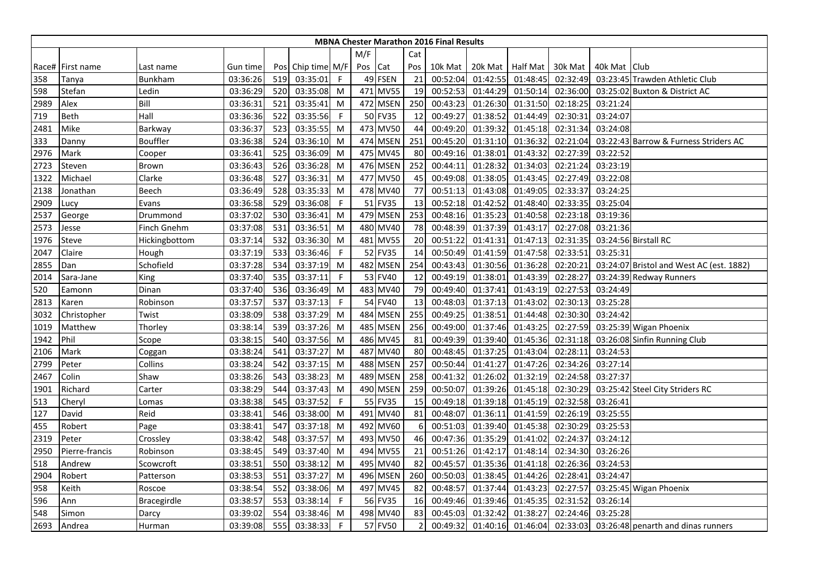|      |                  |                    |          |     |                   |             |         |             |     | <b>MBNA Chester Marathon 2016 Final Results</b> |                  |          |          |              |                                          |
|------|------------------|--------------------|----------|-----|-------------------|-------------|---------|-------------|-----|-------------------------------------------------|------------------|----------|----------|--------------|------------------------------------------|
|      |                  |                    |          |     |                   |             | M/F     |             | Cat |                                                 |                  |          |          |              |                                          |
|      | Race# First name | Last name          | Gun time |     | Pos Chip time M/F |             | Pos Cat |             | Pos | 10k Mat                                         | 20k Mat Half Mat |          | 30k Mat  | 40k Mat Club |                                          |
| 358  | Tanya            | <b>Bunkham</b>     | 03:36:26 | 519 | 03:35:01          | $\mathsf F$ |         | 49 FSEN     | 21  | 00:52:04                                        | 01:42:55         | 01:48:45 | 02:32:49 |              | 03:23:45 Trawden Athletic Club           |
| 598  | Stefan           | Ledin              | 03:36:29 | 520 | 03:35:08          | M           |         | 471 MV55    | 19  | 00:52:53                                        | 01:44:29         | 01:50:14 | 02:36:00 |              | 03:25:02 Buxton & District AC            |
| 2989 | Alex             | Bill               | 03:36:31 | 521 | 03:35:41          | M           |         | 472 MSEN    | 250 | 00:43:23                                        | 01:26:30         | 01:31:50 | 02:18:25 | 03:21:24     |                                          |
| 719  | <b>Beth</b>      | Hall               | 03:36:36 | 522 | 03:35:56          | F           |         | 50 FV35     | 12  | 00:49:27                                        | 01:38:52         | 01:44:49 | 02:30:31 | 03:24:07     |                                          |
| 2481 | Mike             | Barkway            | 03:36:37 | 523 | 03:35:55          | M           |         | 473 MV50    | 44  | 00:49:20                                        | 01:39:32         | 01:45:18 | 02:31:34 | 03:24:08     |                                          |
| 333  | Danny            | Bouffler           | 03:36:38 | 524 | 03:36:10          | M           |         | 474 MSEN    | 251 | 00:45:20                                        | 01:31:10         | 01:36:32 | 02:21:04 |              | 03:22:43 Barrow & Furness Striders AC    |
| 2976 | Mark             | Cooper             | 03:36:41 | 525 | 03:36:09          | M           |         | 475 MV45    | 80  | 00:49:16                                        | 01:38:01         | 01:43:32 | 02:27:39 | 03:22:52     |                                          |
| 2723 | Steven           | Brown              | 03:36:43 | 526 | 03:36:28          | M           |         | 476 MSEN    | 252 | 00:44:11                                        | 01:28:32         | 01:34:03 | 02:21:24 | 03:23:19     |                                          |
| 1322 | Michael          | Clarke             | 03:36:48 | 527 | 03:36:31          | M           |         | 477 MV50    | 45  | 00:49:08                                        | 01:38:05         | 01:43:45 | 02:27:49 | 03:22:08     |                                          |
| 2138 | Jonathan         | Beech              | 03:36:49 | 528 | 03:35:33          | M           |         | 478 MV40    | 77  | 00:51:13                                        | 01:43:08         | 01:49:05 | 02:33:37 | 03:24:25     |                                          |
| 2909 | <b>Lucy</b>      | Evans              | 03:36:58 | 529 | 03:36:08          | F           |         | 51 FV35     | 13  | 00:52:18                                        | 01:42:52         | 01:48:40 | 02:33:35 | 03:25:04     |                                          |
| 2537 | George           | Drummond           | 03:37:02 | 530 | 03:36:41          | M           |         | 479 MSEN    | 253 | 00:48:16                                        | 01:35:23         | 01:40:58 | 02:23:18 | 03:19:36     |                                          |
| 2573 | Jesse            | Finch Gnehm        | 03:37:08 | 531 | 03:36:51          | M           |         | 480 MV40    | 78  | 00:48:39                                        | 01:37:39         | 01:43:17 | 02:27:08 | 03:21:36     |                                          |
| 1976 | Steve            | Hickingbottom      | 03:37:14 | 532 | 03:36:30          | M           |         | 481 MV55    | 20  | 00:51:22                                        | 01:41:31         | 01:47:13 | 02:31:35 |              | 03:24:56 Birstall RC                     |
| 2047 | Claire           | Hough              | 03:37:19 | 533 | 03:36:46          | F           |         | 52 FV35     | 14  | 00:50:49                                        | 01:41:59         | 01:47:58 | 02:33:51 | 03:25:31     |                                          |
| 2855 | Dan              | Schofield          | 03:37:28 | 534 | 03:37:19          | M           |         | 482 MSEN    | 254 | 00:43:43                                        | 01:30:56         | 01:36:28 | 02:20:21 |              | 03:24:07 Bristol and West AC (est. 1882) |
| 2014 | Sara-Jane        | King               | 03:37:40 | 535 | 03:37:11          | F           |         | 53 FV40     | 12  | 00:49:19                                        | 01:38:01         | 01:43:39 | 02:28:27 |              | 03:24:39 Redway Runners                  |
| 520  | Eamonn           | Dinan              | 03:37:40 | 536 | 03:36:49          | M           |         | 483 MV40    | 79  | 00:49:40                                        | 01:37:41         | 01:43:19 | 02:27:53 | 03:24:49     |                                          |
| 2813 | Karen            | Robinson           | 03:37:57 | 537 | 03:37:13          | F           |         | 54 FV40     | 13  | 00:48:03                                        | 01:37:13         | 01:43:02 | 02:30:13 | 03:25:28     |                                          |
| 3032 | Christopher      | Twist              | 03:38:09 | 538 | 03:37:29          | M           |         | 484 MSEN    | 255 | 00:49:25                                        | 01:38:51         | 01:44:48 | 02:30:30 | 03:24:42     |                                          |
| 1019 | Matthew          | Thorley            | 03:38:14 | 539 | 03:37:26          | M           |         | 485 MSEN    | 256 | 00:49:00                                        | 01:37:46         | 01:43:25 | 02:27:59 |              | 03:25:39 Wigan Phoenix                   |
| 1942 | Phil             | Scope              | 03:38:15 | 540 | 03:37:56          | M           |         | 486 MV45    | 81  | 00:49:39                                        | 01:39:40         | 01:45:36 | 02:31:18 |              | 03:26:08 Sinfin Running Club             |
| 2106 | Mark             | Coggan             | 03:38:24 | 541 | 03:37:27          | M           |         | 487 MV40    | 80  | 00:48:45                                        | 01:37:25         | 01:43:04 | 02:28:11 | 03:24:53     |                                          |
| 2799 | Peter            | Collins            | 03:38:24 | 542 | 03:37:15          | M           |         | 488 MSEN    | 257 | 00:50:44                                        | 01:41:27         | 01:47:26 | 02:34:26 | 03:27:14     |                                          |
| 2467 | Colin            | Shaw               | 03:38:26 | 543 | 03:38:23          | M           | 489     | <b>MSEN</b> | 258 | 00:41:32                                        | 01:26:02         | 01:32:19 | 02:24:58 | 03:27:37     |                                          |
| 1901 | Richard          | Carter             | 03:38:29 | 544 | 03:37:43          | M           |         | 490 MSEN    | 259 | 00:50:07                                        | 01:39:26         | 01:45:18 | 02:30:29 |              | 03:25:42 Steel City Striders RC          |
| 513  | Cheryl           | Lomas              | 03:38:38 | 545 | 03:37:52          | F           |         | 55 FV35     | 15  | 00:49:18                                        | 01:39:18         | 01:45:19 | 02:32:58 | 03:26:41     |                                          |
| 127  | David            | Reid               | 03:38:41 | 546 | 03:38:00          | M           |         | 491 MV40    | 81  | 00:48:07                                        | 01:36:11         | 01:41:59 | 02:26:19 | 03:25:55     |                                          |
| 455  | Robert           | Page               | 03:38:41 | 547 | 03:37:18          | M           |         | 492 MV60    | 6   | 00:51:03                                        | 01:39:40         | 01:45:38 | 02:30:29 | 03:25:53     |                                          |
| 2319 | Peter            | Crossley           | 03:38:42 | 548 | 03:37:57          | M           |         | 493 MV50    | 46  | 00:47:36                                        | 01:35:29         | 01:41:02 | 02:24:37 | 03:24:12     |                                          |
| 2950 | Pierre-francis   | Robinson           | 03:38:45 | 549 | 03:37:40          | M           |         | 494 MV55    | 21  | 00:51:26                                        | 01:42:17         | 01:48:14 | 02:34:30 | 03:26:26     |                                          |
| 518  | Andrew           | Scowcroft          | 03:38:51 | 550 | 03:38:12          | M           |         | 495 MV40    | 82  | 00:45:57                                        | 01:35:36         | 01:41:18 | 02:26:36 | 03:24:53     |                                          |
| 2904 | Robert           | Patterson          | 03:38:53 | 551 | 03:37:27          | M           |         | 496 MSEN    | 260 | 00:50:03                                        | 01:38:45         | 01:44:26 | 02:28:41 | 03:24:47     |                                          |
| 958  | Keith            | Roscoe             | 03:38:54 | 552 | 03:38:06          | M           |         | 497 MV45    | 82  | 00:48:57                                        | 01:37:44         | 01:43:23 | 02:27:57 |              | 03:25:45 Wigan Phoenix                   |
| 596  | Ann              | <b>Bracegirdle</b> | 03:38:57 | 553 | 03:38:14          | F           |         | 56 FV35     | 16  | 00:49:46                                        | 01:39:46         | 01:45:35 | 02:31:52 | 03:26:14     |                                          |
| 548  | Simon            | Darcy              | 03:39:02 | 554 | 03:38:46          | M           |         | 498 MV40    | 83  | 00:45:03                                        | 01:32:42         | 01:38:27 | 02:24:46 | 03:25:28     |                                          |
| 2693 | Andrea           | Hurman             | 03:39:08 | 555 | 03:38:33          | F           |         | 57 FV50     |     | 00:49:32                                        | 01:40:16         | 01:46:04 | 02:33:03 |              | 03:26:48 penarth and dinas runners       |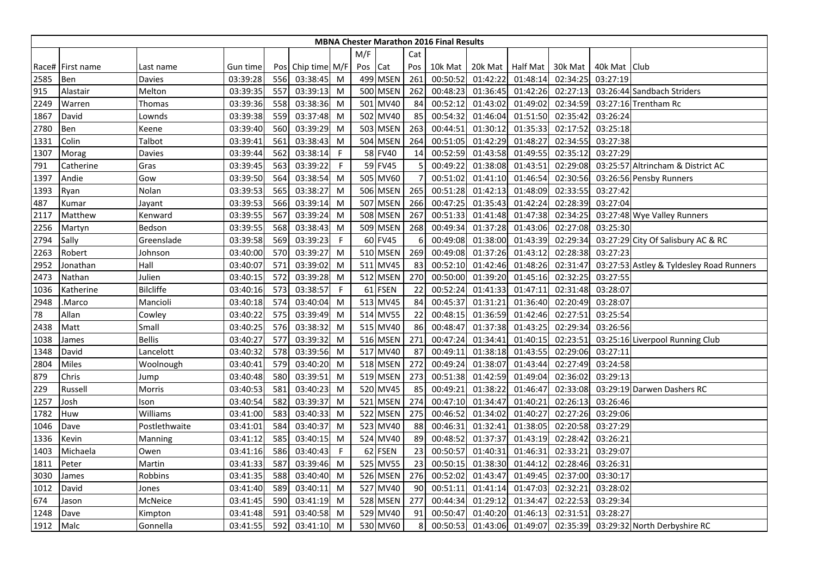|      |                  |                  |          |     |                   |              |         |                 |                | <b>MBNA Chester Marathon 2016 Final Results</b> |                  |          |          |              |                                          |
|------|------------------|------------------|----------|-----|-------------------|--------------|---------|-----------------|----------------|-------------------------------------------------|------------------|----------|----------|--------------|------------------------------------------|
|      |                  |                  |          |     |                   |              | M/F     |                 | Cat            |                                                 |                  |          |          |              |                                          |
|      | Race# First name | Last name        | Gun time |     | Pos Chip time M/F |              | Pos Cat |                 | Pos            | 10k Mat                                         | 20k Mat Half Mat |          | 30k Mat  | 40k Mat Club |                                          |
| 2585 | Ben              | Davies           | 03:39:28 | 556 | 03:38:45          | M            |         | 499 MSEN        | 261            | 00:50:52                                        | 01:42:22         | 01:48:14 | 02:34:25 | 03:27:19     |                                          |
| 915  | Alastair         | Melton           | 03:39:35 | 557 | 03:39:13          | M            |         | 500 MSEN        | 262            | 00:48:23                                        | 01:36:45         | 01:42:26 | 02:27:13 |              | 03:26:44 Sandbach Striders               |
| 2249 | Warren           | Thomas           | 03:39:36 | 558 | 03:38:36          | M            |         | 501 MV40        | 84             | 00:52:12                                        | 01:43:02         | 01:49:02 | 02:34:59 |              | 03:27:16 Trentham Rc                     |
| 1867 | David            | Lownds           | 03:39:38 | 559 | 03:37:48          | M            |         | 502 MV40        | 85             | 00:54:32                                        | 01:46:04         | 01:51:50 | 02:35:42 | 03:26:24     |                                          |
| 2780 | Ben              | Keene            | 03:39:40 | 560 | 03:39:29          | M            |         | 503 MSEN        | 263            | 00:44:51                                        | 01:30:12         | 01:35:33 | 02:17:52 | 03:25:18     |                                          |
| 1331 | Colin            | Talbot           | 03:39:41 | 561 | 03:38:43          | M            |         | <b>504 MSEN</b> | 264            | 00:51:05                                        | 01:42:29         | 01:48:27 | 02:34:55 | 03:27:38     |                                          |
| 1307 | Morag            | Davies           | 03:39:44 | 562 | 03:38:14          | $\mathsf F$  |         | 58 FV40         | 14             | 00:52:59                                        | 01:43:58         | 01:49:55 | 02:35:12 | 03:27:29     |                                          |
| 791  | Catherine        | Gras             | 03:39:45 | 563 | 03:39:22          | F            |         | 59 FV45         | 5              | 00:49:22                                        | 01:38:08         | 01:43:51 | 02:29:08 |              | 03:25:57 Altrincham & District AC        |
| 1397 | Andie            | Gow              | 03:39:50 | 564 | 03:38:54          | M            |         | 505 MV60        | $\overline{7}$ | 00:51:02                                        | 01:41:10         | 01:46:54 | 02:30:56 |              | 03:26:56 Pensby Runners                  |
| 1393 | Ryan             | Nolan            | 03:39:53 | 565 | 03:38:27          | M            |         | 506 MSEN        | 265            | 00:51:28                                        | 01:42:13         | 01:48:09 | 02:33:55 | 03:27:42     |                                          |
| 487  | Kumar            | Jayant           | 03:39:53 | 566 | 03:39:14          | M            |         | 507 MSEN        | 266            | 00:47:25                                        | 01:35:43         | 01:42:24 | 02:28:39 | 03:27:04     |                                          |
| 2117 | Matthew          | Kenward          | 03:39:55 | 567 | 03:39:24          | M            |         | 508 MSEN        | 267            | 00:51:33                                        | 01:41:48         | 01:47:38 | 02:34:25 |              | 03:27:48 Wye Valley Runners              |
| 2256 | Martyn           | Bedson           | 03:39:55 | 568 | 03:38:43          | M            |         | 509 MSEN        | 268            | 00:49:34                                        | 01:37:28         | 01:43:06 | 02:27:08 | 03:25:30     |                                          |
| 2794 | Sally            | Greenslade       | 03:39:58 | 569 | 03:39:23          | F            |         | 60 FV45         | 6              | 00:49:08                                        | 01:38:00         | 01:43:39 | 02:29:34 |              | 03:27:29 City Of Salisbury AC & RC       |
| 2263 | Robert           | Johnson          | 03:40:00 | 570 | 03:39:27          | M            |         | <b>510 MSEN</b> | 269            | 00:49:08                                        | 01:37:26         | 01:43:12 | 02:28:38 | 03:27:23     |                                          |
| 2952 | Jonathan         | Hall             | 03:40:07 | 571 | 03:39:02          | M            |         | 511 MV45        | 83             | 00:52:10                                        | 01:42:46         | 01:48:26 | 02:31:47 |              | 03:27:53 Astley & Tyldesley Road Runners |
| 2473 | Nathan           | Julien           | 03:40:15 | 572 | 03:39:28          | M            |         | 512 MSEN        | 270            | 00:50:00                                        | 01:39:20         | 01:45:16 | 02:32:25 | 03:27:55     |                                          |
| 1036 | Katherine        | <b>Bilcliffe</b> | 03:40:16 | 573 | 03:38:57          | $\mathsf F$  |         | 61 FSEN         | 22             | 00:52:24                                        | 01:41:33         | 01:47:11 | 02:31:48 | 03:28:07     |                                          |
| 2948 | Marco.           | Mancioli         | 03:40:18 | 574 | 03:40:04          | M            |         | 513 MV45        | 84             | 00:45:37                                        | 01:31:21         | 01:36:40 | 02:20:49 | 03:28:07     |                                          |
| 78   | Allan            | Cowley           | 03:40:22 | 575 | 03:39:49          | M            |         | 514 MV55        | 22             | 00:48:15                                        | 01:36:59         | 01:42:46 | 02:27:51 | 03:25:54     |                                          |
| 2438 | Matt             | Small            | 03:40:25 | 576 | 03:38:32          | M            |         | 515 MV40        | 86             | 00:48:47                                        | 01:37:38         | 01:43:25 | 02:29:34 | 03:26:56     |                                          |
| 1038 | James            | <b>Bellis</b>    | 03:40:27 | 577 | 03:39:32          | M            |         | 516 MSEN        | 271            | 00:47:24                                        | 01:34:41         | 01:40:15 | 02:23:51 |              | 03:25:16 Liverpool Running Club          |
| 1348 | David            | Lancelott        | 03:40:32 | 578 | 03:39:56          | M            |         | 517 MV40        | 87             | 00:49:11                                        | 01:38:18         | 01:43:55 | 02:29:06 | 03:27:11     |                                          |
| 2804 | <b>Miles</b>     | Woolnough        | 03:40:41 | 579 | 03:40:20          | M            |         | 518 MSEN        | 272            | 00:49:24                                        | 01:38:07         | 01:43:44 | 02:27:49 | 03:24:58     |                                          |
| 879  | Chris            | Jump             | 03:40:48 | 580 | 03:39:51          | M            |         | <b>519 MSEN</b> | 273            | 00:51:38                                        | 01:42:59         | 01:49:04 | 02:36:02 | 03:29:13     |                                          |
| 229  | Russell          | Morris           | 03:40:53 | 581 | 03:40:23          | M            |         | 520 MV45        | 85             | 00:49:21                                        | 01:38:22         | 01:46:47 | 02:33:08 |              | 03:29:19 Darwen Dashers RC               |
| 1257 | Josh             | Ison             | 03:40:54 | 582 | 03:39:37          | M            |         | 521 MSEN        | 274            | 00:47:10                                        | 01:34:47         | 01:40:21 | 02:26:13 | 03:26:46     |                                          |
| 1782 | Huw              | Williams         | 03:41:00 | 583 | 03:40:33          | M            |         | 522 MSEN        | 275            | 00:46:52                                        | 01:34:02         | 01:40:27 | 02:27:26 | 03:29:06     |                                          |
| 1046 | Dave             | Postlethwaite    | 03:41:01 | 584 | 03:40:37          | M            |         | 523 MV40        | 88             | 00:46:31                                        | 01:32:41         | 01:38:05 | 02:20:58 | 03:27:29     |                                          |
| 1336 | Kevin            | Manning          | 03:41:12 | 585 | 03:40:15          | M            |         | 524 MV40        | 89             | 00:48:52                                        | 01:37:37         | 01:43:19 | 02:28:42 | 03:26:21     |                                          |
| 1403 | Michaela         | Owen             | 03:41:16 | 586 | 03:40:43          | $\mathsf{F}$ |         | 62 FSEN         | 23             | 00:50:57                                        | 01:40:31         | 01:46:31 | 02:33:21 | 03:29:07     |                                          |
| 1811 | Peter            | Martin           | 03:41:33 | 587 | 03:39:46          | M            |         | 525 MV55        | 23             | 00:50:15                                        | 01:38:30         | 01:44:1  | 02:28:46 | 03:26:31     |                                          |
| 3030 | James            | Robbins          | 03:41:35 | 588 | 03:40:40          | M            |         | 526 MSEN        | 276            | 00:52:02                                        | 01:43:47         | 01:49:45 | 02:37:00 | 03:30:17     |                                          |
| 1012 | David            | Jones            | 03:41:40 | 589 | 03:40:11          | M            |         | 527 MV40        | 90             | 00:51:11                                        | 01:41:14         | 01:47:03 | 02:32:21 | 03:28:02     |                                          |
| 674  | Jason            | McNeice          | 03:41:45 | 590 | 03:41:19          | M            |         | 528 MSEN        | 277            | 00:44:34                                        | 01:29:12         | 01:34:47 | 02:22:53 | 03:29:34     |                                          |
| 1248 | Dave             | Kimpton          | 03:41:48 | 591 | 03:40:58          | M            |         | 529 MV40        | 91             | 00:50:47                                        | 01:40:20         | 01:46:13 | 02:31:51 | 03:28:27     |                                          |
| 1912 | Malc             | Gonnella         | 03:41:55 | 592 | 03:41:10          | M            |         | 530 MV60        | 8              | 00:50:53                                        | 01:43:06         | 01:49:07 | 02:35:39 |              | 03:29:32 North Derbyshire RC             |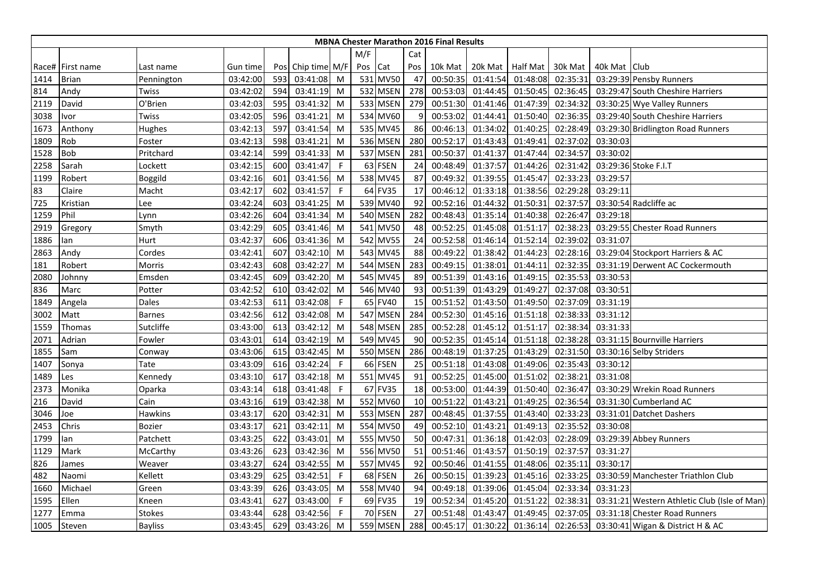|      |                  |                |          |     |                   |              |         |                 |     | <b>MBNA Chester Marathon 2016 Final Results</b> |          |                 |          |                |                                              |
|------|------------------|----------------|----------|-----|-------------------|--------------|---------|-----------------|-----|-------------------------------------------------|----------|-----------------|----------|----------------|----------------------------------------------|
|      |                  |                |          |     |                   |              | M/F     |                 | Cat |                                                 |          |                 |          |                |                                              |
|      | Race# First name | Last name      | Gun time |     | Pos Chip time M/F |              | Pos Cat |                 | Pos | 10k Mat                                         | 20k Mat  | <b>Half Mat</b> | 30k Mat  | 40k Mat   Club |                                              |
| 1414 | <b>Brian</b>     | Pennington     | 03:42:00 | 593 | 03:41:08          | M            |         | 531 MV50        | 47  | 00:50:35                                        | 01:41:54 | 01:48:08        | 02:35:31 |                | 03:29:39 Pensby Runners                      |
| 814  | Andy             | Twiss          | 03:42:02 | 594 | 03:41:19          | M            |         | 532 MSEN        | 278 | 00:53:03                                        | 01:44:45 | 01:50:45        | 02:36:45 |                | 03:29:47 South Cheshire Harriers             |
| 2119 | David            | O'Brien        | 03:42:03 | 595 | 03:41:32          | M            |         | 533 MSEN        | 279 | 00:51:30                                        | 01:41:46 | 01:47:39        | 02:34:32 |                | 03:30:25 Wye Valley Runners                  |
| 3038 | Ivor             | Twiss          | 03:42:05 | 596 | 03:41:21          | M            |         | 534 MV60        | 9   | 00:53:02                                        | 01:44:41 | 01:50:40        | 02:36:35 |                | 03:29:40 South Cheshire Harriers             |
| 1673 | Anthony          | Hughes         | 03:42:13 | 597 | 03:41:54          | M            |         | 535 MV45        | 86  | 00:46:13                                        | 01:34:02 | 01:40:25        | 02:28:49 |                | 03:29:30 Bridlington Road Runners            |
| 1809 | Rob              | Foster         | 03:42:13 | 598 | 03:41:21          | M            |         | 536 MSEN        | 280 | 00:52:17                                        | 01:43:43 | 01:49:41        | 02:37:02 | 03:30:03       |                                              |
| 1528 | <b>Bob</b>       | Pritchard      | 03:42:14 | 599 | 03:41:33          | M            |         | 537 MSEN        | 281 | 00:50:37                                        | 01:41:37 | 01:47:44        | 02:34:57 | 03:30:02       |                                              |
| 2258 | Sarah            | Lockett        | 03:42:15 | 600 | 03:41:47          | $\mathsf{F}$ |         | 63 FSEN         | 24  | 00:48:49                                        | 01:37:57 | 01:44:26        | 02:31:42 |                | 03:29:36 Stoke F.I.T                         |
| 1199 | Robert           | Boggild        | 03:42:16 | 601 | 03:41:56          | M            |         | 538 MV45        | 87  | 00:49:32                                        | 01:39:55 | 01:45:47        | 02:33:23 | 03:29:57       |                                              |
| 83   | Claire           | Macht          | 03:42:17 | 602 | 03:41:57          | $\mathsf{F}$ | 64      | <b>FV35</b>     | 17  | 00:46:12                                        | 01:33:18 | 01:38:56        | 02:29:28 | 03:29:11       |                                              |
| 725  | Kristian         | Lee            | 03:42:24 | 603 | 03:41:25          | M            |         | 539 MV40        | 92  | 00:52:16                                        | 01:44:32 | 01:50:31        | 02:37:57 |                | 03:30:54 Radcliffe ac                        |
| 1259 | Phil             | Lynn           | 03:42:26 | 604 | 03:41:34          | M            |         | <b>540 MSEN</b> | 282 | 00:48:43                                        | 01:35:14 | 01:40:38        | 02:26:47 | 03:29:18       |                                              |
| 2919 | Gregory          | Smyth          | 03:42:29 | 605 | 03:41:46          | M            |         | 541 MV50        | 48  | 00:52:25                                        | 01:45:08 | 01:51:17        | 02:38:23 |                | 03:29:55 Chester Road Runners                |
| 1886 | lan              | Hurt           | 03:42:37 | 606 | 03:41:36          | M            |         | 542 MV55        | 24  | 00:52:58                                        | 01:46:14 | 01:52:14        | 02:39:02 | 03:31:07       |                                              |
| 2863 | Andy             | Cordes         | 03:42:41 | 607 | 03:42:10          | M            |         | 543 MV45        | 88  | 00:49:22                                        | 01:38:42 | 01:44:23        | 02:28:16 |                | 03:29:04 Stockport Harriers & AC             |
| 181  | Robert           | Morris         | 03:42:43 | 608 | 03:42:27          | M            |         | <b>544 MSEN</b> | 283 | 00:49:15                                        | 01:38:01 | 01:44:11        | 02:32:35 |                | 03:31:19 Derwent AC Cockermouth              |
| 2080 | Johnny           | Emsden         | 03:42:45 | 609 | 03:42:20          | M            | 545     | <b>MV45</b>     | 89  | 00:51:39                                        | 01:43:16 | 01:49:15        | 02:35:53 | 03:30:53       |                                              |
| 836  | Marc             | Potter         | 03:42:52 | 610 | 03:42:02          | M            |         | 546 MV40        | 93  | 00:51:39                                        | 01:43:29 | 01:49:27        | 02:37:08 | 03:30:51       |                                              |
| 1849 | Angela           | Dales          | 03:42:53 | 611 | 03:42:08          | F            |         | 65 FV40         | 15  | 00:51:52                                        | 01:43:50 | 01:49:50        | 02:37:09 | 03:31:19       |                                              |
| 3002 | Matt             | <b>Barnes</b>  | 03:42:56 | 612 | 03:42:08          | M            |         | 547 MSEN        | 284 | 00:52:30                                        | 01:45:16 | 01:51:18        | 02:38:33 | 03:31:12       |                                              |
| 1559 | Thomas           | Sutcliffe      | 03:43:00 | 613 | 03:42:12          | M            |         | <b>548 MSEN</b> | 285 | 00:52:28                                        | 01:45:12 | 01:51:17        | 02:38:34 | 03:31:33       |                                              |
| 2071 | Adrian           | Fowler         | 03:43:01 | 614 | 03:42:19          | M            |         | 549 MV45        | 90  | 00:52:35                                        | 01:45:14 | 01:51:18        | 02:38:28 |                | 03:31:15 Bournville Harriers                 |
| 1855 | Sam              | Conway         | 03:43:06 | 615 | 03:42:45          | M            |         | 550 MSEN        | 286 | 00:48:19                                        | 01:37:25 | 01:43:29        | 02:31:50 |                | 03:30:16 Selby Striders                      |
| 1407 | Sonya            | Tate           | 03:43:09 | 616 | 03:42:24          | $\mathsf{F}$ |         | 66 FSEN         | 25  | 00:51:18                                        | 01:43:08 | 01:49:06        | 02:35:43 | 03:30:12       |                                              |
| 1489 | Les              | Kennedy        | 03:43:10 | 617 | 03:42:18          | M            |         | 551 MV45        | 91  | 00:52:25                                        | 01:45:00 | 01:51:02        | 02:38:21 | 03:31:08       |                                              |
| 2373 | Monika           | Oparka         | 03:43:14 | 618 | 03:41:48          | F            |         | 67 FV35         | 18  | 00:53:00                                        | 01:44:39 | 01:50:40        | 02:36:47 |                | 03:30:29 Wrekin Road Runners                 |
| 216  | David            | Cain           | 03:43:16 | 619 | 03:42:38          | M            |         | 552 MV60        | 10  | 00:51:22                                        | 01:43:21 | 01:49:25        | 02:36:54 |                | 03:31:30 Cumberland AC                       |
| 3046 | Joe              | <b>Hawkins</b> | 03:43:17 | 620 | 03:42:31          | M            |         | 553 MSEN        | 287 | 00:48:45                                        | 01:37:55 | 01:43:40        | 02:33:23 |                | 03:31:01 Datchet Dashers                     |
| 2453 | Chris            | Bozier         | 03:43:17 | 621 | 03:42:11          | M            |         | 554 MV50        | 49  | 00:52:10                                        | 01:43:21 | 01:49:13        | 02:35:52 | 03:30:08       |                                              |
| 1799 | lan              | Patchett       | 03:43:25 | 622 | 03:43:01          | M            |         | 555 MV50        | 50  | 00:47:31                                        | 01:36:18 | 01:42:03        | 02:28:09 |                | 03:29:39 Abbey Runners                       |
| 1129 | Mark             | McCarthy       | 03:43:26 | 623 | 03:42:36          | M            |         | 556 MV50        | 51  | 00:51:46                                        | 01:43:57 | 01:50:19        | 02:37:57 | 03:31:27       |                                              |
| 826  | James            | Weaver         | 03:43:27 | 624 | 03:42:55          | M            | 557     | <b>MV45</b>     | 92  | 00:50:46                                        | 01:41:55 | 01:48:06        | 02:35:11 | 03:30:17       |                                              |
| 482  | Naomi            | Kellett        | 03:43:29 | 625 | 03:42:51          | F            |         | 68 FSEN         | 26  | 00:50:15                                        | 01:39:23 | 01:45:16        | 02:33:25 |                | 03:30:59 Manchester Triathlon Club           |
| 1660 | Michael          | Green          | 03:43:39 | 626 | 03:43:05          | M            |         | 558 MV40        | 94  | 00:49:18                                        | 01:39:06 | 01:45:04        | 02:33:34 | 03:31:23       |                                              |
| 1595 | Ellen            | Kneen          | 03:43:41 | 627 | 03:43:00          | $\mathsf{F}$ |         | 69 FV35         | 19  | 00:52:34                                        | 01:45:20 | 01:51:22        | 02:38:31 |                | 03:31:21 Western Athletic Club (Isle of Man) |
| 1277 | Emma             | <b>Stokes</b>  | 03:43:44 | 628 | 03:42:56          | F            |         | 70 FSEN         | 27  | 00:51:48                                        | 01:43:47 | 01:49:45        | 02:37:05 |                | 03:31:18 Chester Road Runners                |
| 1005 | Steven           | <b>Bayliss</b> | 03:43:45 | 629 | 03:43:26          | M            |         | 559 MSEN        | 288 | 00:45:17                                        | 01:30:22 | 01:36:14        | 02:26:53 |                | 03:30:41 Wigan & District H & AC             |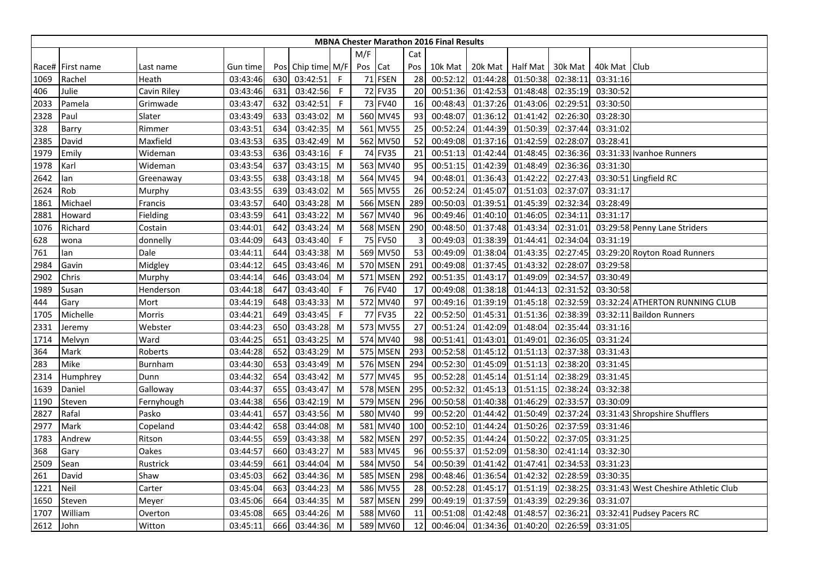|      |                  |             |          |     |                   |             |         |                 |     | <b>MBNA Chester Marathon 2016 Final Results</b> |                  |          |          |              |                                      |
|------|------------------|-------------|----------|-----|-------------------|-------------|---------|-----------------|-----|-------------------------------------------------|------------------|----------|----------|--------------|--------------------------------------|
|      |                  |             |          |     |                   |             | M/F     |                 | Cat |                                                 |                  |          |          |              |                                      |
|      | Race# First name | Last name   | Gun time |     | Pos Chip time M/F |             | Pos Cat |                 | Pos | 10k Mat                                         | 20k Mat Half Mat |          | 30k Mat  | 40k Mat Club |                                      |
| 1069 | Rachel           | Heath       | 03:43:46 | 630 | 03:42:51          | $\mathsf F$ |         | 71 FSEN         | 28  | 00:52:12                                        | 01:44:28         | 01:50:38 | 02:38:11 | 03:31:16     |                                      |
| 406  | Julie            | Cavin Riley | 03:43:46 | 631 | 03:42:56          | F           |         | 72 FV35         | 20  | 00:51:36                                        | 01:42:53         | 01:48:48 | 02:35:19 | 03:30:52     |                                      |
| 2033 | Pamela           | Grimwade    | 03:43:47 | 632 | 03:42:51          | F           |         | 73 FV40         | 16  | 00:48:43                                        | 01:37:26         | 01:43:06 | 02:29:51 | 03:30:50     |                                      |
| 2328 | Paul             | Slater      | 03:43:49 | 633 | 03:43:02          | M           |         | 560 MV45        | 93  | 00:48:07                                        | 01:36:12         | 01:41:42 | 02:26:30 | 03:28:30     |                                      |
| 328  | Barry            | Rimmer      | 03:43:51 | 634 | 03:42:35          | M           |         | 561 MV55        | 25  | 00:52:24                                        | 01:44:39         | 01:50:39 | 02:37:44 | 03:31:02     |                                      |
| 2385 | David            | Maxfield    | 03:43:53 | 635 | 03:42:49          | M           |         | 562 MV50        | 52  | 00:49:08                                        | 01:37:16         | 01:42:59 | 02:28:07 | 03:28:41     |                                      |
| 1979 | Emily            | Wideman     | 03:43:53 | 636 | 03:43:16          | F           |         | 74 FV35         | 21  | 00:51:13                                        | 01:42:44         | 01:48:45 | 02:36:36 |              | 03:31:33 Ivanhoe Runners             |
| 1978 | Karl             | Wideman     | 03:43:54 | 637 | 03:43:15          | M           |         | 563 MV40        | 95  | 00:51:15                                        | 01:42:39         | 01:48:49 | 02:36:36 | 03:31:30     |                                      |
| 2642 | lan              | Greenaway   | 03:43:55 | 638 | 03:43:18          | M           |         | 564 MV45        | 94  | 00:48:01                                        | 01:36:43         | 01:42:22 | 02:27:43 |              | 03:30:51 Lingfield RC                |
| 2624 | Rob              | Murphy      | 03:43:55 | 639 | 03:43:02          | M           |         | 565 MV55        | 26  | 00:52:24                                        | 01:45:07         | 01:51:03 | 02:37:07 | 03:31:17     |                                      |
| 1861 | Michael          | Francis     | 03:43:57 | 640 | 03:43:28          | M           |         | 566 MSEN        | 289 | 00:50:03                                        | 01:39:51         | 01:45:39 | 02:32:34 | 03:28:49     |                                      |
| 2881 | Howard           | Fielding    | 03:43:59 | 641 | 03:43:22          | M           |         | 567 MV40        | 96  | 00:49:46                                        | 01:40:10         | 01:46:05 | 02:34:11 | 03:31:17     |                                      |
| 1076 | Richard          | Costain     | 03:44:01 | 642 | 03:43:24          | M           |         | <b>568 MSEN</b> | 290 | 00:48:50                                        | 01:37:48         | 01:43:34 | 02:31:01 |              | 03:29:58 Penny Lane Striders         |
| 628  | wona             | donnelly    | 03:44:09 | 643 | 03:43:40          | F           |         | 75 FV50         | 3   | 00:49:03                                        | 01:38:39         | 01:44:41 | 02:34:04 | 03:31:19     |                                      |
| 761  | lan              | Dale        | 03:44:11 | 644 | 03:43:38          | M           |         | 569 MV50        | 53  | 00:49:09                                        | 01:38:04         | 01:43:35 | 02:27:45 |              | 03:29:20 Royton Road Runners         |
| 2984 | Gavin            | Midgley     | 03:44:12 | 645 | 03:43:46          | M           |         | 570 MSEN        | 291 | 00:49:08                                        | 01:37:45         | 01:43:32 | 02:28:07 | 03:29:58     |                                      |
| 2902 | Chris            | Murphy      | 03:44:14 | 646 | 03:43:04          | M           |         | 571 MSEN        | 292 | 00:51:35                                        | 01:43:17         | 01:49:09 | 02:34:57 | 03:30:49     |                                      |
| 1989 | Susan            | Henderson   | 03:44:18 | 647 | 03:43:40          | $\mathsf F$ |         | 76 FV40         | 17  | 00:49:08                                        | 01:38:18         | 01:44:13 | 02:31:52 | 03:30:58     |                                      |
| 444  | Gary             | Mort        | 03:44:19 | 648 | 03:43:33          | M           |         | 572 MV40        | 97  | 00:49:16                                        | 01:39:19         | 01:45:18 | 02:32:59 |              | 03:32:24 ATHERTON RUNNING CLUB       |
| 1705 | Michelle         | Morris      | 03:44:21 | 649 | 03:43:45          | -F          |         | 77 FV35         | 22  | 00:52:50                                        | 01:45:31         | 01:51:36 | 02:38:39 |              | 03:32:11 Baildon Runners             |
| 2331 | Jeremy           | Webster     | 03:44:23 | 650 | 03:43:28          | M           |         | 573 MV55        | 27  | 00:51:24                                        | 01:42:09         | 01:48:04 | 02:35:44 | 03:31:16     |                                      |
| 1714 | Melvyn           | Ward        | 03:44:25 | 651 | 03:43:25          | M           |         | 574 MV40        | 98  | 00:51:41                                        | 01:43:01         | 01:49:01 | 02:36:05 | 03:31:24     |                                      |
| 364  | Mark             | Roberts     | 03:44:28 | 652 | 03:43:29          | M           |         | 575 MSEN        | 293 | 00:52:58                                        | 01:45:12         | 01:51:13 | 02:37:38 | 03:31:43     |                                      |
| 283  | Mike             | Burnham     | 03:44:30 | 653 | 03:43:49          | M           |         | 576 MSEN        | 294 | 00:52:30                                        | 01:45:09         | 01:51:13 | 02:38:20 | 03:31:45     |                                      |
| 2314 | Humphrey         | Dunn        | 03:44:32 | 654 | 03:43:42          | M           |         | 577 MV45        | 95  | 00:52:28                                        | 01:45:14         | 01:51:14 | 02:38:29 | 03:31:45     |                                      |
| 1639 | Daniel           | Galloway    | 03:44:37 | 655 | 03:43:47          | M           |         | <b>578 MSEN</b> | 295 | 00:52:32                                        | 01:45:13         | 01:51:15 | 02:38:24 | 03:32:38     |                                      |
| 1190 | Steven           | Fernyhough  | 03:44:38 | 656 | 03:42:19          | M           |         | 579 MSEN        | 296 | 00:50:58                                        | 01:40:38         | 01:46:29 | 02:33:57 | 03:30:09     |                                      |
| 2827 | Rafal            | Pasko       | 03:44:41 | 657 | 03:43:56          | M           |         | 580 MV40        | 99  | 00:52:20                                        | 01:44:42         | 01:50:49 | 02:37:24 |              | 03:31:43 Shropshire Shufflers        |
| 2977 | Mark             | Copeland    | 03:44:42 | 658 | 03:44:08          | M           |         | 581 MV40        | 100 | 00:52:10                                        | 01:44:24         | 01:50:26 | 02:37:59 | 03:31:46     |                                      |
| 1783 | Andrew           | Ritson      | 03:44:55 | 659 | 03:43:38          | M           |         | 582 MSEN        | 297 | 00:52:35                                        | 01:44:24         | 01:50:22 | 02:37:05 | 03:31:25     |                                      |
| 368  | Gary             | Oakes       | 03:44:57 | 660 | 03:43:27          | M           |         | 583 MV45        | 96  | 00:55:37                                        | 01:52:09         | 01:58:30 | 02:41:14 | 03:32:30     |                                      |
| 2509 | Sean             | Rustrick    | 03:44:59 | 661 | 03:44:04          | M           |         | 584 MV50        | 54  | 00:50:39                                        | 01:41:42         | 01:47:41 | 02:34:53 | 03:31:23     |                                      |
| 261  | David            | Shaw        | 03:45:03 | 662 | 03:44:36          | M           |         | <b>585 MSEN</b> | 298 | 00:48:46                                        | 01:36:54         | 01:42:32 | 02:28:59 | 03:30:35     |                                      |
| 1221 | <b>Neil</b>      | Carter      | 03:45:04 | 663 | 03:44:23          | M           |         | 586 MV55        | 28  | 00:52:28                                        | 01:45:17         | 01:51:19 | 02:38:25 |              | 03:31:43 West Cheshire Athletic Club |
| 1650 | Steven           | Meyer       | 03:45:06 | 664 | 03:44:35          | M           |         | 587 MSEN        | 299 | 00:49:19                                        | 01:37:59         | 01:43:39 | 02:29:36 | 03:31:07     |                                      |
| 1707 | William          | Overton     | 03:45:08 | 665 | 03:44:26          | M           |         | 588 MV60        | 11  | 00:51:08                                        | 01:42:48         | 01:48:57 | 02:36:21 |              | 03:32:41 Pudsey Pacers RC            |
| 2612 | <b>John</b>      | Witton      | 03:45:11 | 666 | 03:44:36          | M           |         | 589 MV60        | 12  | 00:46:04                                        | 01:34:36         | 01:40:20 | 02:26:59 | 03:31:05     |                                      |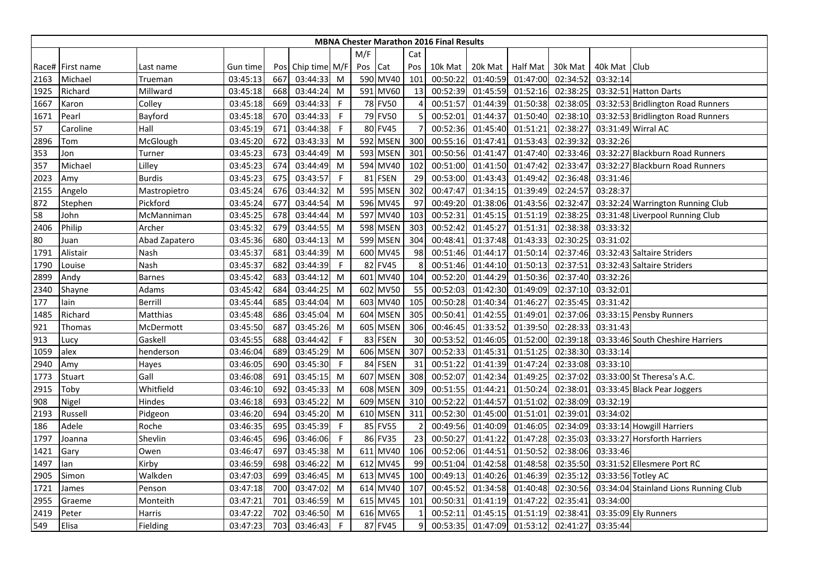|      |                  |               |          |     |                   |              |     |             |     | <b>MBNA Chester Marathon 2016 Final Results</b> |          |                    |          |              |                                       |
|------|------------------|---------------|----------|-----|-------------------|--------------|-----|-------------|-----|-------------------------------------------------|----------|--------------------|----------|--------------|---------------------------------------|
|      |                  |               |          |     |                   |              | M/F |             | Cat |                                                 |          |                    |          |              |                                       |
|      | Race# First name | Last name     | Gun time |     | Pos Chip time M/F |              | Pos | Cat         | Pos | 10k Mat                                         |          | 20k Mat   Half Mat | 30k Mat  | 40k Mat Club |                                       |
| 2163 | Michael          | Trueman       | 03:45:13 | 667 | 03:44:33          | M            |     | 590 MV40    | 101 | 00:50:22                                        | 01:40:59 | 01:47:00           | 02:34:52 | 03:32:14     |                                       |
| 1925 | Richard          | Millward      | 03:45:18 | 668 | 03:44:24          | M            |     | 591 MV60    | 13  | 00:52:39                                        | 01:45:59 | 01:52:16           | 02:38:25 |              | 03:32:51 Hatton Darts                 |
| 1667 | Karon            | Colley        | 03:45:18 | 669 | 03:44:33          | $\mathsf{F}$ |     | 78 FV50     | 4   | 00:51:57                                        | 01:44:39 | 01:50:38           | 02:38:05 |              | 03:32:53 Bridlington Road Runners     |
| 1671 | Pearl            | Bayford       | 03:45:18 | 670 | 03:44:33          | $\mathsf{F}$ |     | 79 FV50     | 5   | 00:52:01                                        | 01:44:37 | 01:50:40           | 02:38:10 |              | 03:32:53 Bridlington Road Runners     |
| 57   | Caroline         | Hall          | 03:45:19 | 671 | 03:44:38          | -F           |     | 80 FV45     |     | 00:52:36                                        | 01:45:40 | 01:51:21           | 02:38:27 |              | 03:31:49 Wirral AC                    |
| 2896 | Tom              | McGlough      | 03:45:20 | 672 | 03:43:33          | M            |     | 592 MSEN    | 300 | 00:55:16                                        | 01:47:41 | 01:53:43           | 02:39:32 | 03:32:26     |                                       |
| 353  | Jon              | Turner        | 03:45:23 | 673 | 03:44:49          | M            |     | 593 MSEN    | 301 | 00:50:56                                        | 01:41:47 | 01:47:40           | 02:33:46 |              | 03:32:27 Blackburn Road Runners       |
| 357  | Michael          | Lilley        | 03:45:23 | 674 | 03:44:49          | M            |     | 594 MV40    | 102 | 00:51:00                                        | 01:41:50 | 01:47:42           | 02:33:47 |              | 03:32:27 Blackburn Road Runners       |
| 2023 | Amy              | <b>Burdis</b> | 03:45:23 | 675 | 03:43:57          | $\mathsf{F}$ | 81  | <b>FSEN</b> | 29  | 00:53:00                                        | 01:43:43 | 01:49:42           | 02:36:48 | 03:31:46     |                                       |
| 2155 | Angelo           | Mastropietro  | 03:45:24 | 676 | 03:44:32          | M            | 595 | <b>MSEN</b> | 302 | 00:47:47                                        | 01:34:15 | 01:39:49           | 02:24:57 | 03:28:37     |                                       |
| 872  | Stephen          | Pickford      | 03:45:24 | 677 | 03:44:54          | M            |     | 596 MV45    | 97  | 00:49:20                                        | 01:38:06 | 01:43:56           | 02:32:47 |              | 03:32:24 Warrington Running Club      |
| 58   | John             | McManniman    | 03:45:25 | 678 | 03:44:44          | M            |     | 597 MV40    | 103 | 00:52:31                                        | 01:45:15 | 01:51:19           | 02:38:25 |              | 03:31:48 Liverpool Running Club       |
| 2406 | Philip           | Archer        | 03:45:32 | 679 | 03:44:55          | M            |     | 598 MSEN    | 303 | 00:52:42                                        | 01:45:27 | 01:51:31           | 02:38:38 | 03:33:32     |                                       |
| 80   | Juan             | Abad Zapatero | 03:45:36 | 680 | 03:44:13          | M            |     | 599 MSEN    | 304 | 00:48:41                                        | 01:37:48 | 01:43:33           | 02:30:25 | 03:31:02     |                                       |
| 1791 | Alistair         | Nash          | 03:45:37 | 681 | 03:44:39          | M            |     | 600 MV45    | 98  | 00:51:46                                        | 01:44:17 | 01:50:14           | 02:37:46 |              | 03:32:43 Saltaire Striders            |
| 1790 | Louise           | Nash          | 03:45:37 | 682 | 03:44:39          | $\mathsf{F}$ |     | 82 FV45     | 8   | 00:51:46                                        | 01:44:10 | 01:50:13           | 02:37:51 |              | 03:32:43 Saltaire Striders            |
| 2899 | Andy             | <b>Barnes</b> | 03:45:42 | 683 | 03:44:12          | M            | 601 | <b>MV40</b> | 104 | 00:52:20                                        | 01:44:29 | 01:50:36           | 02:37:40 | 03:32:26     |                                       |
| 2340 | Shayne           | Adams         | 03:45:42 | 684 | 03:44:25          | M            | 602 | <b>MV50</b> | 55  | 00:52:03                                        | 01:42:30 | 01:49:09           | 02:37:10 | 03:32:01     |                                       |
| 177  | lain             | Berrill       | 03:45:44 | 685 | 03:44:04          | M            |     | 603 MV40    | 105 | 00:50:28                                        | 01:40:34 | 01:46:27           | 02:35:45 | 03:31:42     |                                       |
| 1485 | Richard          | Matthias      | 03:45:48 | 686 | 03:45:04          | M            |     | 604 MSEN    | 305 | 00:50:41                                        | 01:42:55 | 01:49:01           | 02:37:06 |              | 03:33:15 Pensby Runners               |
| 921  | Thomas           | McDermott     | 03:45:50 | 687 | 03:45:26          | M            |     | 605 MSEN    | 306 | 00:46:45                                        | 01:33:52 | 01:39:50           | 02:28:33 | 03:31:43     |                                       |
| 913  | Lucy             | Gaskell       | 03:45:55 | 688 | 03:44:42          | $\mathsf F$  |     | 83 FSEN     | 30  | 00:53:52                                        | 01:46:05 | 01:52:00           | 02:39:18 |              | 03:33:46 South Cheshire Harriers      |
| 1059 | alex             | henderson     | 03:46:04 | 689 | 03:45:29          | M            |     | 606 MSEN    | 307 | 00:52:33                                        | 01:45:31 | 01:51:25           | 02:38:30 | 03:33:14     |                                       |
| 2940 | Amy              | Hayes         | 03:46:05 | 690 | 03:45:30          | $\mathsf{F}$ | 84  | <b>FSEN</b> | 31  | 00:51:22                                        | 01:41:39 | 01:47:24           | 02:33:08 | 03:33:10     |                                       |
| 1773 | Stuart           | Gall          | 03:46:08 | 691 | 03:45:15          | M            | 607 | <b>MSEN</b> | 308 | 00:52:07                                        | 01:42:34 | 01:49:25           | 02:37:02 |              | 03:33:00 St Theresa's A.C.            |
| 2915 | Toby             | Whitfield     | 03:46:10 | 692 | 03:45:33          | M            |     | 608 MSEN    | 309 | 00:51:55                                        | 01:44:21 | 01:50:24           | 02:38:01 |              | 03:33:45 Black Pear Joggers           |
| 908  | Nigel            | Hindes        | 03:46:18 | 693 | 03:45:22          | M            |     | 609 MSEN    | 310 | 00:52:22                                        | 01:44:57 | 01:51:02           | 02:38:09 | 03:32:19     |                                       |
| 2193 | Russell          | Pidgeon       | 03:46:20 | 694 | 03:45:20          | M            |     | 610 MSEN    | 311 | 00:52:30                                        | 01:45:00 | 01:51:01           | 02:39:01 | 03:34:02     |                                       |
| 186  | Adele            | Roche         | 03:46:35 | 695 | 03:45:39          | F            |     | 85 FV55     | -2  | 00:49:56                                        | 01:40:09 | 01:46:05           | 02:34:09 |              | 03:33:14 Howgill Harriers             |
| 1797 | Joanna           | Shevlin       | 03:46:45 | 696 | 03:46:06          | $\mathsf{F}$ |     | 86 FV35     | 23  | 00:50:27                                        | 01:41:22 | 01:47:28           | 02:35:03 |              | 03:33:27 Horsforth Harriers           |
| 1421 | Gary             | Owen          | 03:46:47 | 697 | 03:45:38          | M            |     | 611 MV40    | 106 | 00:52:06                                        | 01:44:51 | 01:50:52           | 02:38:06 | 03:33:46     |                                       |
| 1497 | lan              | Kirby         | 03:46:59 | 698 | 03:46:22          | M            |     | 612 MV45    | 99  | 00:51:04                                        | 01:42:58 | 01:48:58           | 02:35:50 |              | 03:31:52 Ellesmere Port RC            |
| 2905 | Simon            | Walkden       | 03:47:03 | 699 | 03:46:45          | M            |     | 613 MV45    | 100 | 00:49:13                                        | 01:40:26 | 01:46:39           | 02:35:12 |              | 03:33:56 Totley AC                    |
| 1721 | James            | Penson        | 03:47:18 | 700 | 03:47:02          | M            |     | 614 MV40    | 107 | 00:45:52                                        | 01:34:58 | 01:40:48           | 02:30:56 |              | 03:34:04 Stainland Lions Running Club |
| 2955 | Graeme           | Monteith      | 03:47:21 | 701 | 03:46:59          | M            |     | 615 MV45    | 101 | 00:50:31                                        | 01:41:19 | 01:47:22           | 02:35:41 | 03:34:00     |                                       |
| 2419 | Peter            | Harris        | 03:47:22 | 702 | 03:46:50          | M            |     | 616 MV65    |     | 00:52:11                                        | 01:45:15 | 01:51:19           | 02:38:41 |              | 03:35:09 Ely Runners                  |
| 549  | Elisa            | Fielding      | 03:47:23 | 703 | 03:46:43          | F            |     | 87 FV45     | 9   | 00:53:35                                        | 01:47:09 | 01:53:12           | 02:41:27 | 03:35:44     |                                       |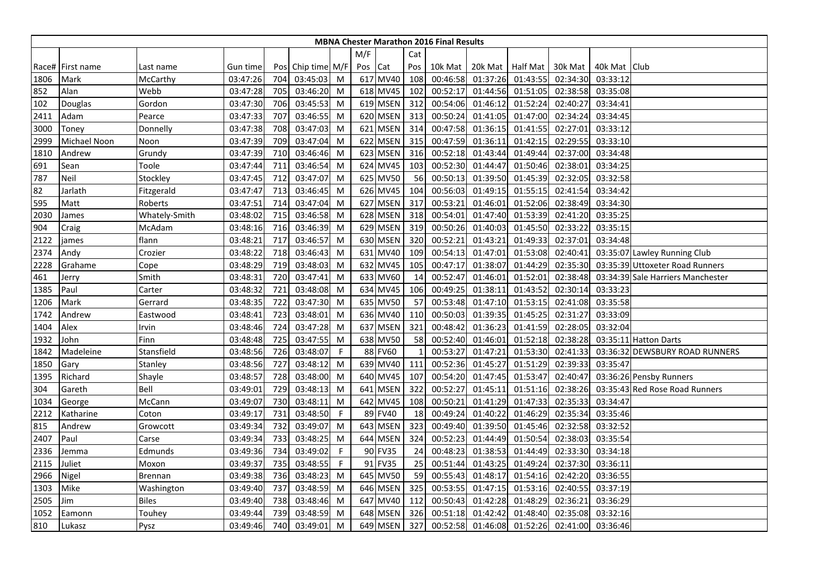|      |                  |                |          |     |                   |    |              |             |     | <b>MBNA Chester Marathon 2016 Final Results</b> |          |                  |          |                |                                   |
|------|------------------|----------------|----------|-----|-------------------|----|--------------|-------------|-----|-------------------------------------------------|----------|------------------|----------|----------------|-----------------------------------|
|      |                  |                |          |     |                   |    | M/F          |             | Cat |                                                 |          |                  |          |                |                                   |
|      | Race# First name | Last name      | Gun time |     | Pos Chip time M/F |    | Pos Cat      |             | Pos | 10k Mat                                         |          | 20k Mat Half Mat | 30k Mat  | 40k Mat   Club |                                   |
| 1806 | Mark             | McCarthy       | 03:47:26 | 704 | 03:45:03          | M  |              | 617 MV40    | 108 | 00:46:58                                        | 01:37:26 | 01:43:55         | 02:34:30 | 03:33:12       |                                   |
| 852  | Alan             | Webb           | 03:47:28 | 705 | 03:46:20          | M  |              | 618 MV45    | 102 | 00:52:17                                        | 01:44:56 | 01:51:05         | 02:38:58 | 03:35:08       |                                   |
| 102  | Douglas          | Gordon         | 03:47:30 | 706 | 03:45:53          | M  |              | 619 MSEN    | 312 | 00:54:06                                        | 01:46:12 | 01:52:24         | 02:40:27 | 03:34:41       |                                   |
| 2411 | Adam             | Pearce         | 03:47:33 | 707 | 03:46:55          | M  |              | 620 MSEN    | 313 | 00:50:24                                        | 01:41:05 | 01:47:00         | 02:34:24 | 03:34:45       |                                   |
| 3000 | Toney            | Donnelly       | 03:47:38 | 708 | 03:47:03          | M  |              | 621 MSEN    | 314 | 00:47:58                                        | 01:36:15 | 01:41:55         | 02:27:01 | 03:33:12       |                                   |
| 2999 | Michael Noon     | Noon           | 03:47:39 | 709 | 03:47:04          | M  |              | 622 MSEN    | 315 | 00:47:59                                        | 01:36:11 | 01:42:15         | 02:29:55 | 03:33:10       |                                   |
| 1810 | Andrew           | Grundy         | 03:47:39 | 710 | 03:46:46          | M  |              | 623 MSEN    | 316 | 00:52:18                                        | 01:43:44 | 01:49:44         | 02:37:00 | 03:34:48       |                                   |
| 691  | Sean             | Toole          | 03:47:44 | 711 | 03:46:54          | M  |              | 624 MV45    | 103 | 00:52:30                                        | 01:44:47 | 01:50:46         | 02:38:01 | 03:34:25       |                                   |
| 787  | Neil             | Stockley       | 03:47:45 | 712 | 03:47:07          | M  |              | 625 MV50    | 56  | 00:50:13                                        | 01:39:50 | 01:45:39         | 02:32:05 | 03:32:58       |                                   |
| 82   | Jarlath          | Fitzgerald     | 03:47:47 | 713 | 03:46:45          | M  |              | 626 MV45    | 104 | 00:56:03                                        | 01:49:15 | 01:55:15         | 02:41:54 | 03:34:42       |                                   |
| 595  | Matt             | Roberts        | 03:47:51 | 714 | 03:47:04          | M  |              | 627 MSEN    | 317 | 00:53:21                                        | 01:46:01 | 01:52:06         | 02:38:49 | 03:34:30       |                                   |
| 2030 | James            | Whately-Smith  | 03:48:02 | 715 | 03:46:58          | M  |              | 628 MSEN    | 318 | 00:54:01                                        | 01:47:40 | 01:53:39         | 02:41:20 | 03:35:25       |                                   |
| 904  | Craig            | McAdam         | 03:48:16 | 716 | 03:46:39          | M  |              | 629 MSEN    | 319 | 00:50:26                                        | 01:40:03 | 01:45:50         | 02:33:22 | 03:35:15       |                                   |
| 2122 | james            | flann          | 03:48:21 | 717 | 03:46:57          | M  |              | 630 MSEN    | 320 | 00:52:21                                        | 01:43:21 | 01:49:33         | 02:37:01 | 03:34:48       |                                   |
| 2374 | Andy             | Crozier        | 03:48:22 | 718 | 03:46:43          | M  |              | 631 MV40    | 109 | 00:54:13                                        | 01:47:01 | 01:53:08         | 02:40:41 |                | 03:35:07 Lawley Running Club      |
| 2228 | Grahame          | Cope           | 03:48:29 | 719 | 03:48:03          | M  |              | 632 MV45    | 105 | 00:47:17                                        | 01:38:07 | 01:44:29         | 02:35:30 |                | 03:35:39 Uttoxeter Road Runners   |
| 461  | Jerry            | Smith          | 03:48:31 | 720 | 03:47:41          | M  |              | 633 MV60    | 14  | 00:52:47                                        | 01:46:01 | 01:52:01         | 02:38:48 |                | 03:34:39 Sale Harriers Manchester |
| 1385 | Paul             | Carter         | 03:48:32 | 721 | 03:48:08          | M  |              | 634 MV45    | 106 | 00:49:25                                        | 01:38:11 | 01:43:52         | 02:30:14 | 03:33:23       |                                   |
| 1206 | Mark             | Gerrard        | 03:48:35 | 722 | 03:47:30          | M  |              | 635 MV50    | 57  | 00:53:48                                        | 01:47:10 | 01:53:15         | 02:41:08 | 03:35:58       |                                   |
| 1742 | Andrew           | Eastwood       | 03:48:41 | 723 | 03:48:01          | M  |              | 636 MV40    | 110 | 00:50:03                                        | 01:39:35 | 01:45:25         | 02:31:27 | 03:33:09       |                                   |
| 1404 | Alex             | Irvin          | 03:48:46 | 724 | 03:47:28          | M  |              | 637 MSEN    | 321 | 00:48:42                                        | 01:36:23 | 01:41:59         | 02:28:05 | 03:32:04       |                                   |
| 1932 | John             | Finn           | 03:48:48 | 725 | 03:47:55          | M  |              | 638 MV50    | 58  | 00:52:40                                        | 01:46:01 | 01:52:18         | 02:38:28 |                | 03:35:11 Hatton Darts             |
| 1842 | Madeleine        | Stansfield     | 03:48:56 | 726 | 03:48:07          | -F |              | 88 FV60     |     | 00:53:27                                        | 01:47:21 | 01:53:30         | 02:41:33 |                | 03:36:32 DEWSBURY ROAD RUNNERS    |
| 1850 | Gary             | Stanley        | 03:48:56 | 727 | 03:48:12          | M  |              | 639 MV40    | 111 | 00:52:36                                        | 01:45:27 | 01:51:29         | 02:39:33 | 03:35:47       |                                   |
| 1395 | Richard          | Shayle         | 03:48:57 | 728 | 03:48:00          | M  |              | 640 MV45    | 107 | 00:54:20                                        | 01:47:45 | 01:53:47         | 02:40:47 |                | 03:36:26 Pensby Runners           |
| 304  | Gareth           | Bell           | 03:49:01 | 729 | 03:48:13          | M  |              | 641 MSEN    | 322 | 00:52:27                                        | 01:45:11 | 01:51:16         | 02:38:26 |                | 03:35:43 Red Rose Road Runners    |
| 1034 | George           | McCann         | 03:49:07 | 730 | 03:48:11          | M  |              | 642 MV45    | 108 | 00:50:21                                        | 01:41:29 | 01:47:33         | 02:35:33 | 03:34:47       |                                   |
| 2212 | Katharine        | Coton          | 03:49:17 | 731 | 03:48:50          | -F |              | 89 FV40     | 18  | 00:49:24                                        | 01:40:22 | 01:46:29         | 02:35:34 | 03:35:46       |                                   |
| 815  | Andrew           | Growcott       | 03:49:34 | 732 | 03:49:07          | M  |              | 643 MSEN    | 323 | 00:49:40                                        | 01:39:50 | 01:45:46         | 02:32:58 | 03:32:52       |                                   |
| 2407 | Paul             | Carse          | 03:49:34 | 733 | 03:48:25          | M  |              | 644 MSEN    | 324 | 00:52:23                                        | 01:44:49 | 01:50:54         | 02:38:03 | 03:35:54       |                                   |
| 2336 | Jemma            | Edmunds        | 03:49:36 | 734 | 03:49:02          | -F |              | 90 FV35     | 24  | 00:48:23                                        | 01:38:53 | 01:44:49         | 02:33:30 | 03:34:18       |                                   |
| 2115 | Juliet           | Moxon          | 03:49:37 | 735 | 03:48:55          | F  |              | 91 FV35     | 25  | 00:51:44                                        | 01:43:25 | 01:49:24         | 02:37:30 | 03:36:11       |                                   |
| 2966 | Nigel            | <b>Brennan</b> | 03:49:38 | 736 | 03:48:23          | M  | 645 <b>I</b> | <b>MV50</b> | 59  | 00:55:43                                        | 01:48:17 | 01:54:16         | 02:42:20 | 03:36:55       |                                   |
| 1303 | Mike             | Washington     | 03:49:40 | 737 | 03:48:59          | M  |              | 646 MSEN    | 325 | 00:53:55                                        | 01:47:15 | 01:53:16         | 02:40:55 | 03:37:19       |                                   |
| 2505 | Jim              | <b>Biles</b>   | 03:49:40 | 738 | 03:48:46          | M  |              | 647 MV40    | 112 | 00:50:43                                        | 01:42:28 | 01:48:29         | 02:36:21 | 03:36:29       |                                   |
| 1052 | Eamonn           | Touhey         | 03:49:44 | 739 | 03:48:59          | M  |              | 648 MSEN    | 326 | 00:51:18                                        | 01:42:42 | 01:48:40         | 02:35:08 | 03:32:16       |                                   |
| 810  | Lukasz           | Pysz           | 03:49:46 | 740 | 03:49:01          | M  |              | 649 MSEN    | 327 | 00:52:58                                        | 01:46:08 | 01:52:26         | 02:41:00 | 03:36:46       |                                   |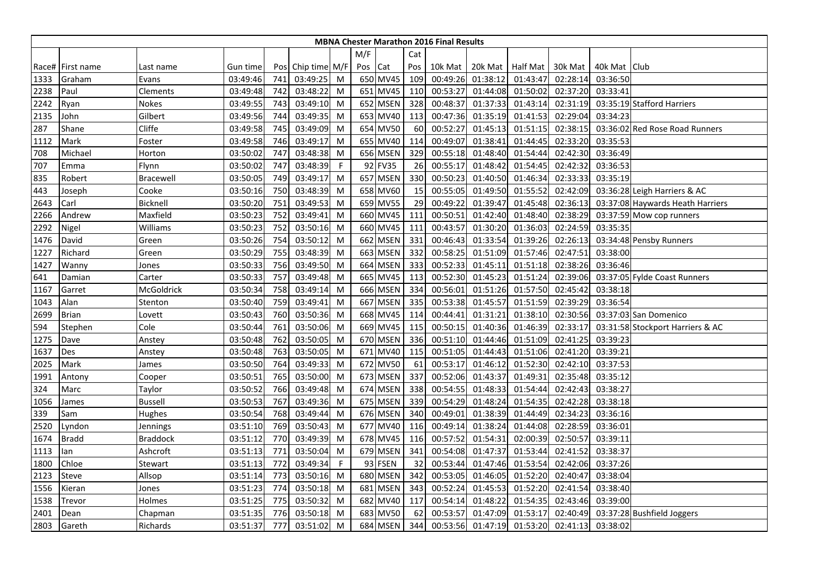|      |                  |                  |          |     |                   |   |         |          |     | <b>MBNA Chester Marathon 2016 Final Results</b> |                  |          |          |                |                                  |
|------|------------------|------------------|----------|-----|-------------------|---|---------|----------|-----|-------------------------------------------------|------------------|----------|----------|----------------|----------------------------------|
|      |                  |                  |          |     |                   |   | M/F     |          | Cat |                                                 |                  |          |          |                |                                  |
|      | Race# First name | Last name        | Gun time |     | Pos Chip time M/F |   | Pos Cat |          | Pos | 10k Mat                                         | 20k Mat Half Mat |          | 30k Mat  | 40k Mat   Club |                                  |
| 1333 | Graham           | Evans            | 03:49:46 | 741 | 03:49:25          | M |         | 650 MV45 | 109 | 00:49:26                                        | 01:38:12         | 01:43:47 | 02:28:14 | 03:36:50       |                                  |
| 2238 | Paul             | Clements         | 03:49:48 | 742 | 03:48:22          | M |         | 651 MV45 | 110 | 00:53:27                                        | 01:44:08         | 01:50:02 | 02:37:20 | 03:33:41       |                                  |
| 2242 | Ryan             | Nokes            | 03:49:55 | 743 | 03:49:10          | M |         | 652 MSEN | 328 | 00:48:37                                        | 01:37:33         | 01:43:14 | 02:31:19 |                | 03:35:19 Stafford Harriers       |
| 2135 | John             | Gilbert          | 03:49:56 | 744 | 03:49:35          | M |         | 653 MV40 | 113 | 00:47:36                                        | 01:35:19         | 01:41:53 | 02:29:04 | 03:34:23       |                                  |
| 287  | Shane            | Cliffe           | 03:49:58 | 745 | 03:49:09          | M |         | 654 MV50 | 60  | 00:52:27                                        | 01:45:13         | 01:51:15 | 02:38:15 |                | 03:36:02 Red Rose Road Runners   |
| 1112 | Mark             | Foster           | 03:49:58 | 746 | 03:49:17          | M |         | 655 MV40 | 114 | 00:49:07                                        | 01:38:41         | 01:44:45 | 02:33:20 | 03:35:53       |                                  |
| 708  | Michael          | Horton           | 03:50:02 | 747 | 03:48:38          | M |         | 656 MSEN | 329 | 00:55:18                                        | 01:48:40         | 01:54:44 | 02:42:30 | 03:36:49       |                                  |
| 707  | Emma             | Flynn            | 03:50:02 | 747 | 03:48:39          | F |         | 92 FV35  | 26  | 00:55:17                                        | 01:48:42         | 01:54:45 | 02:42:32 | 03:36:53       |                                  |
| 835  | Robert           | <b>Bracewell</b> | 03:50:05 | 749 | 03:49:17          | M |         | 657 MSEN | 330 | 00:50:23                                        | 01:40:50         | 01:46:34 | 02:33:33 | 03:35:19       |                                  |
| 443  | Joseph           | Cooke            | 03:50:16 | 750 | 03:48:39          | M |         | 658 MV60 | 15  | 00:55:05                                        | 01:49:50         | 01:55:52 | 02:42:09 |                | 03:36:28 Leigh Harriers & AC     |
| 2643 | Carl             | Bicknell         | 03:50:20 | 751 | 03:49:53          | M |         | 659 MV55 | 29  | 00:49:22                                        | 01:39:47         | 01:45:48 | 02:36:13 |                | 03:37:08 Haywards Heath Harriers |
| 2266 | Andrew           | Maxfield         | 03:50:23 | 752 | 03:49:41          | M |         | 660 MV45 | 111 | 00:50:51                                        | 01:42:40         | 01:48:40 | 02:38:29 |                | 03:37:59 Mow cop runners         |
| 2292 | Nigel            | Williams         | 03:50:23 | 752 | 03:50:16          | M |         | 660 MV45 | 111 | 00:43:57                                        | 01:30:20         | 01:36:03 | 02:24:59 | 03:35:35       |                                  |
| 1476 | David            | Green            | 03:50:26 | 754 | 03:50:12          | M |         | 662 MSEN | 331 | 00:46:43                                        | 01:33:54         | 01:39:26 | 02:26:13 |                | 03:34:48 Pensby Runners          |
| 1227 | Richard          | Green            | 03:50:29 | 755 | 03:48:39          | M |         | 663 MSEN | 332 | 00:58:25                                        | 01:51:09         | 01:57:46 | 02:47:51 | 03:38:00       |                                  |
| 1427 | Wanny            | Jones            | 03:50:33 | 756 | 03:49:50          | M |         | 664 MSEN | 333 | 00:52:33                                        | 01:45:11         | 01:51:18 | 02:38:26 | 03:36:46       |                                  |
| 641  | Damian           | Carter           | 03:50:33 | 757 | 03:49:48          | M |         | 665 MV45 | 113 | 00:52:30                                        | 01:45:23         | 01:51:24 | 02:39:06 |                | 03:37:05 Fylde Coast Runners     |
| 1167 | Garret           | McGoldrick       | 03:50:34 | 758 | 03:49:14          | M |         | 666 MSEN | 334 | 00:56:01                                        | 01:51:26         | 01:57:50 | 02:45:42 | 03:38:18       |                                  |
| 1043 | Alan             | Stenton          | 03:50:40 | 759 | 03:49:41          | M |         | 667 MSEN | 335 | 00:53:38                                        | 01:45:57         | 01:51:59 | 02:39:29 | 03:36:54       |                                  |
| 2699 | <b>Brian</b>     | Lovett           | 03:50:43 | 760 | 03:50:36          | M |         | 668 MV45 | 114 | 00:44:41                                        | 01:31:21         | 01:38:10 | 02:30:56 |                | 03:37:03 San Domenico            |
| 594  | Stephen          | Cole             | 03:50:44 | 761 | 03:50:06          | M |         | 669 MV45 | 115 | 00:50:15                                        | 01:40:36         | 01:46:39 | 02:33:17 |                | 03:31:58 Stockport Harriers & AC |
| 1275 | Dave             | Anstey           | 03:50:48 | 762 | 03:50:05          | M |         | 670 MSEN | 336 | 00:51:10                                        | 01:44:46         | 01:51:09 | 02:41:25 | 03:39:23       |                                  |
| 1637 | Des              | Anstey           | 03:50:48 | 763 | 03:50:05          | M |         | 671 MV40 | 115 | 00:51:05                                        | 01:44:43         | 01:51:06 | 02:41:20 | 03:39:21       |                                  |
| 2025 | Mark             | James            | 03:50:50 | 764 | 03:49:33          | M |         | 672 MV50 | 61  | 00:53:17                                        | 01:46:12         | 01:52:30 | 02:42:10 | 03:37:53       |                                  |
| 1991 | Antony           | Cooper           | 03:50:51 | 765 | 03:50:00          | M |         | 673 MSEN | 337 | 00:52:06                                        | 01:43:37         | 01:49:31 | 02:35:48 | 03:35:12       |                                  |
| 324  | Marc             | Taylor           | 03:50:52 | 766 | 03:49:48          | M |         | 674 MSEN | 338 | 00:54:55                                        | 01:48:33         | 01:54:44 | 02:42:43 | 03:38:27       |                                  |
| 1056 | James            | <b>Bussell</b>   | 03:50:53 | 767 | 03:49:36          | M |         | 675 MSEN | 339 | 00:54:29                                        | 01:48:24         | 01:54:35 | 02:42:28 | 03:38:18       |                                  |
| 339  | Sam              | Hughes           | 03:50:54 | 768 | 03:49:44          | M |         | 676 MSEN | 340 | 00:49:01                                        | 01:38:39         | 01:44:49 | 02:34:23 | 03:36:16       |                                  |
| 2520 | Lyndon           | Jennings         | 03:51:10 | 769 | 03:50:43          | M |         | 677 MV40 | 116 | 00:49:14                                        | 01:38:24         | 01:44:08 | 02:28:59 | 03:36:01       |                                  |
| 1674 | <b>Bradd</b>     | <b>Braddock</b>  | 03:51:12 | 770 | 03:49:39          | M |         | 678 MV45 | 116 | 00:57:52                                        | 01:54:31         | 02:00:39 | 02:50:57 | 03:39:11       |                                  |
| 1113 | lan              | Ashcroft         | 03:51:13 | 771 | 03:50:04          | M |         | 679 MSEN | 341 | 00:54:08                                        | 01:47:37         | 01:53:44 | 02:41:52 | 03:38:37       |                                  |
| 1800 | Chloe            | Stewart          | 03:51:13 | 772 | 03:49:34          | F |         | 93 FSEN  | 32  | 00:53:44                                        | 01:47:46         | 01:53:54 | 02:42:06 | 03:37:26       |                                  |
| 2123 | Steve            | Allsop           | 03:51:14 | 773 | 03:50:16          | M |         | 680 MSEN | 342 | 00:53:05                                        | 01:46:05         | 01:52:20 | 02:40:47 | 03:38:04       |                                  |
| 1556 | Kieran           | Jones            | 03:51:23 | 774 | 03:50:18          | M |         | 681 MSEN | 343 | 00:52:24                                        | 01:45:53         | 01:52:20 | 02:41:54 | 03:38:40       |                                  |
| 1538 | Trevor           | Holmes           | 03:51:25 | 775 | 03:50:32          | M |         | 682 MV40 | 117 | 00:54:14                                        | 01:48:22         | 01:54:35 | 02:43:46 | 03:39:00       |                                  |
| 2401 | Dean             | Chapman          | 03:51:35 | 776 | 03:50:18          | M |         | 683 MV50 | 62  | 00:53:57                                        | 01:47:09         | 01:53:17 | 02:40:49 |                | 03:37:28 Bushfield Joggers       |
| 2803 | Gareth           | Richards         | 03:51:37 | 777 | 03:51:02          | M |         | 684 MSEN | 344 | 00:53:56                                        | 01:47:19         | 01:53:20 | 02:41:13 | 03:38:02       |                                  |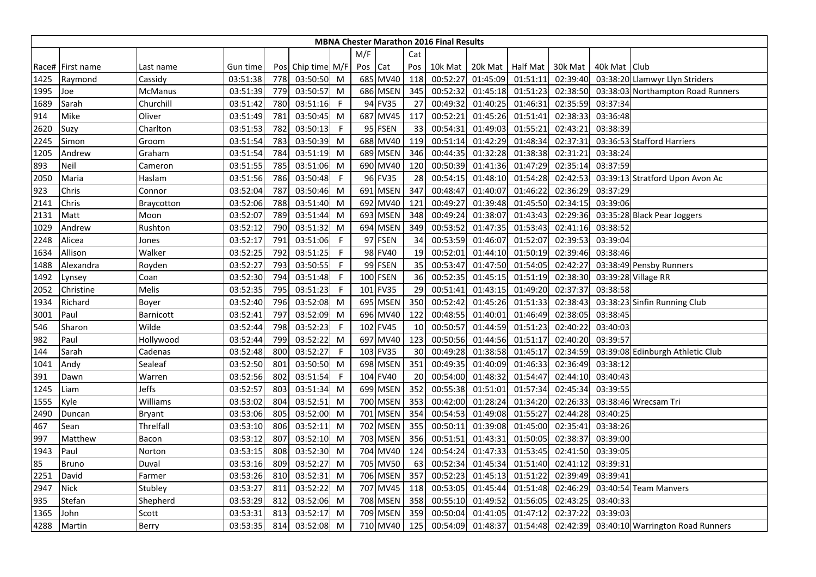|      |                  |               |          |     |                   |              |     |             |     | <b>MBNA Chester Marathon 2016 Final Results</b> |          |                 |          |              |                                   |
|------|------------------|---------------|----------|-----|-------------------|--------------|-----|-------------|-----|-------------------------------------------------|----------|-----------------|----------|--------------|-----------------------------------|
|      |                  |               |          |     |                   |              | M/F |             | Cat |                                                 |          |                 |          |              |                                   |
|      | Race# First name | Last name     | Gun time |     | Pos Chip time M/F |              | Pos | Cat         | Pos | 10k Mat                                         | 20k Mat  | <b>Half Mat</b> | 30k Mat  | 40k Mat Club |                                   |
| 1425 | Raymond          | Cassidy       | 03:51:38 | 778 | 03:50:50          | M            |     | 685 MV40    | 118 | 00:52:27                                        | 01:45:09 | 01:51:11        | 02:39:40 |              | 03:38:20 Llamwyr Llyn Striders    |
| 1995 | Joe              | McManus       | 03:51:39 | 779 | 03:50:57          | M            |     | 686 MSEN    | 345 | 00:52:32                                        | 01:45:18 | 01:51:23        | 02:38:50 |              | 03:38:03 Northampton Road Runners |
| 1689 | Sarah            | Churchill     | 03:51:42 | 780 | 03:51:16          | $\mathsf{F}$ |     | 94 FV35     | 27  | 00:49:32                                        | 01:40:25 | 01:46:31        | 02:35:59 | 03:37:34     |                                   |
| 914  | Mike             | Oliver        | 03:51:49 | 781 | 03:50:45          | M            |     | 687 MV45    | 117 | 00:52:21                                        | 01:45:26 | 01:51:41        | 02:38:33 | 03:36:48     |                                   |
| 2620 | Suzy             | Charlton      | 03:51:53 | 782 | 03:50:13          | F            |     | 95 FSEN     | 33  | 00:54:31                                        | 01:49:03 | 01:55:21        | 02:43:21 | 03:38:39     |                                   |
| 2245 | Simon            | Groom         | 03:51:54 | 783 | 03:50:39          | M            |     | 688 MV40    | 119 | 00:51:14                                        | 01:42:29 | 01:48:34        | 02:37:31 |              | 03:36:53 Stafford Harriers        |
| 1205 | Andrew           | Graham        | 03:51:54 | 784 | 03:51:19          | M            |     | 689 MSEN    | 346 | 00:44:35                                        | 01:32:28 | 01:38:38        | 02:31:21 | 03:38:24     |                                   |
| 893  | Neil             | Cameron       | 03:51:55 | 785 | 03:51:06          | M            |     | 690 MV40    | 120 | 00:50:39                                        | 01:41:36 | 01:47:29        | 02:35:14 | 03:37:59     |                                   |
| 2050 | Maria            | Haslam        | 03:51:56 | 786 | 03:50:48          | -F           |     | 96 FV35     | 28  | 00:54:15                                        | 01:48:10 | 01:54:28        | 02:42:53 |              | 03:39:13 Stratford Upon Avon Ac   |
| 923  | Chris            | Connor        | 03:52:04 | 787 | 03:50:46          | M            | 691 | <b>MSEN</b> | 347 | 00:48:47                                        | 01:40:07 | 01:46:22        | 02:36:29 | 03:37:29     |                                   |
| 2141 | Chris            | Braycotton    | 03:52:06 | 788 | 03:51:40          | M            | 692 | <b>MV40</b> | 121 | 00:49:27                                        | 01:39:48 | 01:45:50        | 02:34:15 | 03:39:06     |                                   |
| 2131 | Matt             | Moon          | 03:52:07 | 789 | 03:51:44          | M            |     | 693 MSEN    | 348 | 00:49:24                                        | 01:38:07 | 01:43:43        | 02:29:36 |              | 03:35:28 Black Pear Joggers       |
| 1029 | Andrew           | Rushton       | 03:52:12 | 790 | 03:51:32          | M            |     | 694 MSEN    | 349 | 00:53:52                                        | 01:47:35 | 01:53:43        | 02:41:16 | 03:38:52     |                                   |
| 2248 | Alicea           | Jones         | 03:52:17 | 791 | 03:51:06          | F            |     | 97 FSEN     | 34  | 00:53:59                                        | 01:46:07 | 01:52:07        | 02:39:53 | 03:39:04     |                                   |
| 1634 | Allison          | Walker        | 03:52:25 | 792 | 03:51:25          | F            |     | 98 FV40     | 19  | 00:52:01                                        | 01:44:10 | 01:50:19        | 02:39:46 | 03:38:46     |                                   |
| 1488 | Alexandra        | Royden        | 03:52:27 | 793 | 03:50:55          | F            |     | 99 FSEN     | 35  | 00:53:47                                        | 01:47:50 | 01:54:05        | 02:42:27 |              | 03:38:49 Pensby Runners           |
| 1492 | Lynsey           | Coan          | 03:52:30 | 794 | 03:51:48          | $\mathsf{F}$ |     | 100 FSEN    | 36  | 00:52:35                                        | 01:45:15 | 01:51:19        | 02:38:30 |              | 03:39:28 Village RR               |
| 2052 | Christine        | Melis         | 03:52:35 | 795 | 03:51:23          | F            | 101 | <b>FV35</b> | 29  | 00:51:41                                        | 01:43:15 | 01:49:20        | 02:37:37 | 03:38:58     |                                   |
| 1934 | Richard          | Boyer         | 03:52:40 | 796 | 03:52:08          | M            |     | 695 MSEN    | 350 | 00:52:42                                        | 01:45:26 | 01:51:33        | 02:38:43 |              | 03:38:23 Sinfin Running Club      |
| 3001 | Paul             | Barnicott     | 03:52:41 | 797 | 03:52:09          | M            |     | 696 MV40    | 122 | 00:48:55                                        | 01:40:01 | 01:46:49        | 02:38:05 | 03:38:45     |                                   |
| 546  | Sharon           | Wilde         | 03:52:44 | 798 | 03:52:23          | -F           |     | 102 FV45    | 10  | 00:50:57                                        | 01:44:59 | 01:51:23        | 02:40:22 | 03:40:03     |                                   |
| 982  | Paul             | Hollywood     | 03:52:44 | 799 | 03:52:22          | M            |     | 697 MV40    | 123 | 00:50:56                                        | 01:44:56 | 01:51:17        | 02:40:20 | 03:39:57     |                                   |
| 144  | Sarah            | Cadenas       | 03:52:48 | 800 | 03:52:27          | $\mathsf{F}$ |     | 103 FV35    | 30  | 00:49:28                                        | 01:38:58 | 01:45:17        | 02:34:59 |              | 03:39:08 Edinburgh Athletic Club  |
| 1041 | Andy             | Sealeaf       | 03:52:50 | 801 | 03:50:50          | M            |     | 698 MSEN    | 351 | 00:49:35                                        | 01:40:09 | 01:46:33        | 02:36:49 | 03:38:12     |                                   |
| 391  | Dawn             | Warren        | 03:52:56 | 802 | 03:51:54          | $\mathsf{F}$ |     | 104 FV40    | 20  | 00:54:00                                        | 01:48:32 | 01:54:47        | 02:44:10 | 03:40:43     |                                   |
| 1245 | Liam             | Jeffs         | 03:52:57 | 803 | 03:51:34          | M            |     | 699 MSEN    | 352 | 00:55:38                                        | 01:51:01 | 01:57:34        | 02:45:34 | 03:39:55     |                                   |
| 1555 | Kyle             | Williams      | 03:53:02 | 804 | 03:52:51          | M            |     | 700 MSEN    | 353 | 00:42:00                                        | 01:28:24 | 01:34:20        | 02:26:33 |              | 03:38:46 Wrecsam Tri              |
| 2490 | Duncan           | <b>Bryant</b> | 03:53:06 | 805 | 03:52:00          | M            |     | 701 MSEN    | 354 | 00:54:53                                        | 01:49:08 | 01:55:27        | 02:44:28 | 03:40:25     |                                   |
| 467  | Sean             | Threlfall     | 03:53:10 | 806 | 03:52:11          | M            |     | 702 MSEN    | 355 | 00:50:11                                        | 01:39:08 | 01:45:00        | 02:35:41 | 03:38:26     |                                   |
| 997  | Matthew          | Bacon         | 03:53:12 | 807 | 03:52:10          | M            |     | 703 MSEN    | 356 | 00:51:51                                        | 01:43:31 | 01:50:05        | 02:38:37 | 03:39:00     |                                   |
| 1943 | Paul             | Norton        | 03:53:15 | 808 | 03:52:30          | M            |     | 704 MV40    | 124 | 00:54:24                                        | 01:47:33 | 01:53:45        | 02:41:50 | 03:39:05     |                                   |
| 85   | <b>Bruno</b>     | Duval         | 03:53:16 | 809 | 03:52:27          | M            |     | 705 MV50    | 63  | 00:52:34                                        | 01:45:34 | 01:51:40        | 02:41:12 | 03:39:31     |                                   |
| 2251 | David            | Farmer        | 03:53:26 | 810 | 03:52:31          | M            |     | 706 MSEN    | 357 | 00:52:23                                        | 01:45:13 | 01:51:22        | 02:39:49 | 03:39:41     |                                   |
| 2947 | Nick             | Stubley       | 03:53:27 | 811 | 03:52:22          | M            |     | 707 MV45    | 118 | 00:53:05                                        | 01:45:44 | 01:51:48        | 02:46:29 |              | 03:40:54 Team Manvers             |
| 935  | Stefan           | Shepherd      | 03:53:29 | 812 | 03:52:06          | M            |     | 708 MSEN    | 358 | 00:55:10                                        | 01:49:52 | 01:56:05        | 02:43:25 | 03:40:33     |                                   |
| 1365 | John             | Scott         | 03:53:31 | 813 | 03:52:17          | M            |     | 709 MSEN    | 359 | 00:50:04                                        | 01:41:05 | 01:47:12        | 02:37:22 | 03:39:03     |                                   |
| 4288 | Martin           | Berry         | 03:53:35 | 814 | 03:52:08          | M            |     | 710 MV40    | 125 | 00:54:09                                        | 01:48:37 | 01:54:48        | 02:42:39 |              | 03:40:10 Warrington Road Runners  |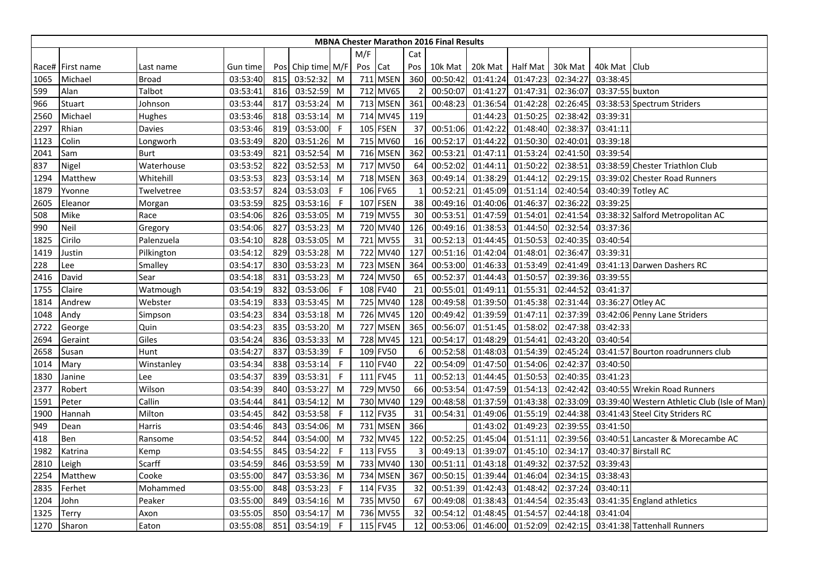|      |                  |            |          |     |                   |              |     |          |     | <b>MBNA Chester Marathon 2016 Final Results</b> |          |                 |          |                   |                                              |
|------|------------------|------------|----------|-----|-------------------|--------------|-----|----------|-----|-------------------------------------------------|----------|-----------------|----------|-------------------|----------------------------------------------|
|      |                  |            |          |     |                   |              | M/F |          | Cat |                                                 |          |                 |          |                   |                                              |
|      | Race# First name | Last name  | Gun time |     | Pos Chip time M/F |              | Pos | Cat      | Pos | 10k Mat                                         | 20k Mat  | <b>Half Mat</b> | 30k Mat  | 40k Mat Club      |                                              |
| 1065 | Michael          | Broad      | 03:53:40 | 815 | 03:52:32          | M            |     | 711 MSEN | 360 | 00:50:42                                        | 01:41:24 | 01:47:23        | 02:34:27 | 03:38:45          |                                              |
| 599  | Alan             | Talbot     | 03:53:41 | 816 | 03:52:59          | M            |     | 712 MV65 | 2   | 00:50:07                                        | 01:41:27 | 01:47:31        | 02:36:07 | 03:37:55 buxton   |                                              |
| 966  | Stuart           | Johnson    | 03:53:44 | 817 | 03:53:24          | M            |     | 713 MSEN | 361 | 00:48:23                                        | 01:36:54 | 01:42:28        | 02:26:45 |                   | 03:38:53 Spectrum Striders                   |
| 2560 | Michael          | Hughes     | 03:53:46 | 818 | 03:53:14          | M            |     | 714 MV45 | 119 |                                                 | 01:44:23 | 01:50:25        | 02:38:42 | 03:39:31          |                                              |
| 2297 | Rhian            | Davies     | 03:53:46 | 819 | 03:53:00          | -F           |     | 105 FSEN | 37  | 00:51:06                                        | 01:42:22 | 01:48:40        | 02:38:37 | 03:41:11          |                                              |
| 1123 | Colin            | Longworh   | 03:53:49 | 820 | 03:51:26          | M            |     | 715 MV60 | 16  | 00:52:17                                        | 01:44:22 | 01:50:30        | 02:40:01 | 03:39:18          |                                              |
| 2041 | Sam              | Burt       | 03:53:49 | 821 | 03:52:54          | M            |     | 716 MSEN | 362 | 00:53:21                                        | 01:47:11 | 01:53:24        | 02:41:50 | 03:39:54          |                                              |
| 837  | Nigel            | Waterhouse | 03:53:52 | 822 | 03:52:53          | M            |     | 717 MV50 | 64  | 00:52:02                                        | 01:44:11 | 01:50:22        | 02:38:51 |                   | 03:38:59 Chester Triathlon Club              |
| 1294 | Matthew          | Whitehill  | 03:53:53 | 823 | 03:53:14          | M            |     | 718 MSEN | 363 | 00:49:14                                        | 01:38:29 | 01:44:12        | 02:29:15 |                   | 03:39:02 Chester Road Runners                |
| 1879 | Yvonne           | Twelvetree | 03:53:57 | 824 | 03:53:03          | F            |     | 106 FV65 |     | 00:52:21                                        | 01:45:09 | 01:51:14        | 02:40:54 |                   | 03:40:39 Totley AC                           |
| 2605 | Eleanor          | Morgan     | 03:53:59 | 825 | 03:53:16          | $\mathsf{F}$ |     | 107 FSEN | 38  | 00:49:16                                        | 01:40:06 | 01:46:37        | 02:36:22 | 03:39:25          |                                              |
| 508  | Mike             | Race       | 03:54:06 | 826 | 03:53:05          | M            |     | 719 MV55 | 30  | 00:53:51                                        | 01:47:59 | 01:54:01        | 02:41:54 |                   | 03:38:32 Salford Metropolitan AC             |
| 990  | Neil             | Gregory    | 03:54:06 | 827 | 03:53:23          | M            |     | 720 MV40 | 126 | 00:49:16                                        | 01:38:53 | 01:44:50        | 02:32:54 | 03:37:36          |                                              |
| 1825 | Cirilo           | Palenzuela | 03:54:10 | 828 | 03:53:05          | M            |     | 721 MV55 | 31  | 00:52:13                                        | 01:44:45 | 01:50:53        | 02:40:35 | 03:40:54          |                                              |
| 1419 | Justin           | Pilkington | 03:54:12 | 829 | 03:53:28          | M            |     | 722 MV40 | 127 | 00:51:16                                        | 01:42:04 | 01:48:01        | 02:36:47 | 03:39:31          |                                              |
| 228  | Lee              | Smalley    | 03:54:17 | 830 | 03:53:23          | M            |     | 723 MSEN | 364 | 00:53:00                                        | 01:46:33 | 01:53:49        | 02:41:49 |                   | 03:41:13 Darwen Dashers RC                   |
| 2416 | David            | Sear       | 03:54:18 | 831 | 03:53:23          | M            |     | 724 MV50 | 65  | 00:52:37                                        | 01:44:43 | 01:50:57        | 02:39:36 | 03:39:55          |                                              |
| 1755 | Claire           | Watmough   | 03:54:19 | 832 | 03:53:06          | $\mathsf{F}$ |     | 108 FV40 | 21  | 00:55:01                                        | 01:49:11 | 01:55:31        | 02:44:52 | 03:41:37          |                                              |
| 1814 | Andrew           | Webster    | 03:54:19 | 833 | 03:53:45          | M            |     | 725 MV40 | 128 | 00:49:58                                        | 01:39:50 | 01:45:38        | 02:31:44 | 03:36:27 Otley AC |                                              |
| 1048 | Andy             | Simpson    | 03:54:23 | 834 | 03:53:18          | M            |     | 726 MV45 | 120 | 00:49:42                                        | 01:39:59 | 01:47:11        | 02:37:39 |                   | 03:42:06 Penny Lane Striders                 |
| 2722 | George           | Quin       | 03:54:23 | 835 | 03:53:20          | M            |     | 727 MSEN | 365 | 00:56:07                                        | 01:51:45 | 01:58:02        | 02:47:38 | 03:42:33          |                                              |
| 2694 | Geraint          | Giles      | 03:54:24 | 836 | 03:53:33          | M            |     | 728 MV45 | 121 | 00:54:17                                        | 01:48:29 | 01:54:41        | 02:43:20 | 03:40:54          |                                              |
| 2658 | Susan            | Hunt       | 03:54:27 | 837 | 03:53:39          | F            |     | 109 FV50 | 6   | 00:52:58                                        | 01:48:03 | 01:54:39        | 02:45:24 |                   | 03:41:57 Bourton roadrunners club            |
| 1014 | Mary             | Winstanley | 03:54:34 | 838 | 03:53:14          | $\mathsf{F}$ |     | 110 FV40 | 22  | 00:54:09                                        | 01:47:50 | 01:54:06        | 02:42:37 | 03:40:50          |                                              |
| 1830 | Janine           | Lee        | 03:54:37 | 839 | 03:53:31          | F            |     | 111 FV45 | 11  | 00:52:13                                        | 01:44:45 | 01:50:53        | 02:40:35 | 03:41:23          |                                              |
| 2377 | Robert           | Wilson     | 03:54:39 | 840 | 03:53:27          | M            |     | 729 MV50 | 66  | 00:53:54                                        | 01:47:59 | 01:54:13        | 02:42:42 |                   | 03:40:55 Wrekin Road Runners                 |
| 1591 | Peter            | Callin     | 03:54:44 | 841 | 03:54:12          | M            |     | 730 MV40 | 129 | 00:48:58                                        | 01:37:59 | 01:43:38        | 02:33:09 |                   | 03:39:40 Western Athletic Club (Isle of Man) |
| 1900 | Hannah           | Milton     | 03:54:45 | 842 | 03:53:58          | -F           |     | 112 FV35 | 31  | 00:54:31                                        | 01:49:06 | 01:55:19        | 02:44:38 |                   | 03:41:43 Steel City Striders RC              |
| 949  | Dean             | Harris     | 03:54:46 | 843 | 03:54:06          | M            |     | 731 MSEN | 366 |                                                 | 01:43:02 | 01:49:23        | 02:39:55 | 03:41:50          |                                              |
| 418  | Ben              | Ransome    | 03:54:52 | 844 | 03:54:00          | M            |     | 732 MV45 | 122 | 00:52:25                                        | 01:45:04 | 01:51:11        | 02:39:56 |                   | 03:40:51 Lancaster & Morecambe AC            |
| 1982 | Katrina          | Kemp       | 03:54:55 | 845 | 03:54:22          | -F           |     | 113 FV55 | 3   | 00:49:13                                        | 01:39:07 | 01:45:10        | 02:34:17 |                   | 03:40:37 Birstall RC                         |
| 2810 | Leigh            | Scarff     | 03:54:59 | 846 | 03:53:59          | M            |     | 733 MV40 | 130 | 00:51:11                                        | 01:43:18 | 01:49:32        | 02:37:52 | 03:39:43          |                                              |
| 2254 | Matthew          | Cooke      | 03:55:00 | 847 | 03:53:36          | M            |     | 734 MSEN | 367 | 00:50:15                                        | 01:39:44 | 01:46:04        | 02:34:15 | 03:38:43          |                                              |
| 2835 | Ferhet           | Mohammed   | 03:55:00 | 848 | 03:53:23          | -F           |     | 114 FV35 | 32  | 00:51:39                                        | 01:42:43 | 01:48:42        | 02:37:24 | 03:40:11          |                                              |
| 1204 | John             | Peaker     | 03:55:00 | 849 | 03:54:16          | M            |     | 735 MV50 | 67  | 00:49:08                                        | 01:38:43 | 01:44:54        | 02:35:43 |                   | 03:41:35 England athletics                   |
| 1325 | Terry            | Axon       | 03:55:05 | 850 | 03:54:17          | M            |     | 736 MV55 | 32  | 00:54:12                                        | 01:48:45 | 01:54:57        | 02:44:18 | 03:41:04          |                                              |
| 1270 | Sharon           | Eaton      | 03:55:08 | 851 | 03:54:19          | F            |     | 115 FV45 | 12  | 00:53:06                                        | 01:46:00 | 01:52:09        | 02:42:15 |                   | 03:41:38 Tattenhall Runners                  |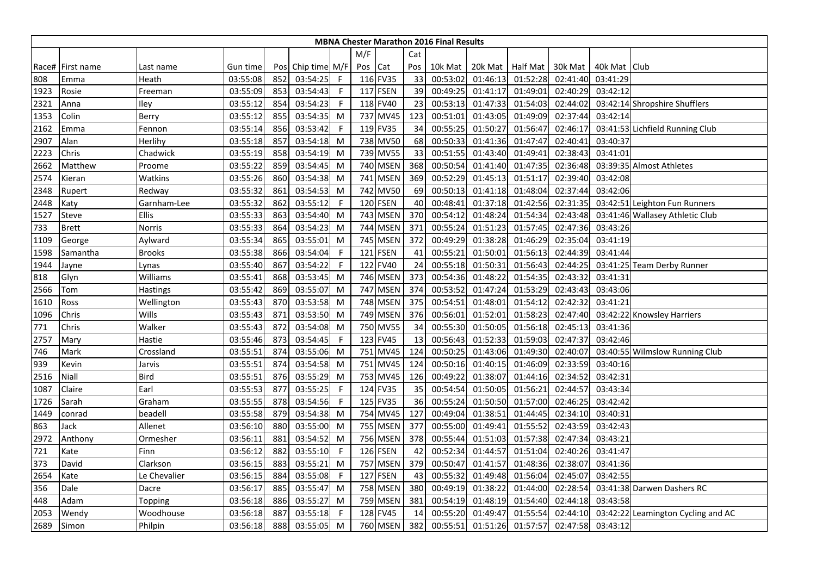|      |                    |               |          |     |                   |              |         |                 |     | <b>MBNA Chester Marathon 2016 Final Results</b> |                  |          |          |              |                                    |
|------|--------------------|---------------|----------|-----|-------------------|--------------|---------|-----------------|-----|-------------------------------------------------|------------------|----------|----------|--------------|------------------------------------|
|      |                    |               |          |     |                   |              | M/F     |                 | Cat |                                                 |                  |          |          |              |                                    |
|      | Race#   First name | Last name     | Gun time |     | Pos Chip time M/F |              | Pos Cat |                 | Pos | 10k Mat                                         | 20k Mat Half Mat |          | 30k Mat  | 40k Mat Club |                                    |
| 808  | Emma               | Heath         | 03:55:08 | 852 | 03:54:25          | $\mathsf{F}$ |         | 116 FV35        | 33  | 00:53:02                                        | 01:46:13         | 01:52:28 | 02:41:40 | 03:41:29     |                                    |
| 1923 | Rosie              | Freeman       | 03:55:09 | 853 | 03:54:43          | -F           |         | 117 FSEN        | 39  | 00:49:25                                        | 01:41:17         | 01:49:01 | 02:40:29 | 03:42:12     |                                    |
| 2321 | Anna               | Iley          | 03:55:12 | 854 | 03:54:23          | F            |         | 118 FV40        | 23  | 00:53:13                                        | 01:47:33         | 01:54:03 | 02:44:02 |              | 03:42:14 Shropshire Shufflers      |
| 1353 | Colin              | Berry         | 03:55:12 | 855 | 03:54:35          | M            |         | 737 MV45        | 123 | 00:51:01                                        | 01:43:05         | 01:49:09 | 02:37:44 | 03:42:14     |                                    |
| 2162 | Emma               | Fennon        | 03:55:14 | 856 | 03:53:42          | -F           |         | 119 FV35        | 34  | 00:55:25                                        | 01:50:27         | 01:56:47 | 02:46:17 |              | 03:41:53 Lichfield Running Club    |
| 2907 | Alan               | Herlihy       | 03:55:18 | 857 | 03:54:18          | M            |         | 738 MV50        | 68  | 00:50:33                                        | 01:41:36         | 01:47:47 | 02:40:41 | 03:40:37     |                                    |
| 2223 | Chris              | Chadwick      | 03:55:19 | 858 | 03:54:19          | M            |         | 739 MV55        | 33  | 00:51:55                                        | 01:43:40         | 01:49:41 | 02:38:43 | 03:41:01     |                                    |
| 2662 | Matthew            | Proome        | 03:55:22 | 859 | 03:54:45          | M            |         | 740 MSEN        | 368 | 00:50:54                                        | 01:41:40         | 01:47:35 | 02:36:48 |              | 03:39:35 Almost Athletes           |
| 2574 | Kieran             | Watkins       | 03:55:26 | 860 | 03:54:38          | M            | 741     | <b>MSEN</b>     | 369 | 00:52:29                                        | 01:45:13         | 01:51:17 | 02:39:40 | 03:42:08     |                                    |
| 2348 | Rupert             | Redway        | 03:55:32 | 861 | 03:54:53          | M            |         | 742 MV50        | 69  | 00:50:13                                        | 01:41:18         | 01:48:04 | 02:37:44 | 03:42:06     |                                    |
| 2448 | Katy               | Garnham-Lee   | 03:55:32 | 862 | 03:55:12          | $\mathsf{F}$ |         | 120 FSEN        | 40  | 00:48:41                                        | 01:37:18         | 01:42:56 | 02:31:35 |              | 03:42:51 Leighton Fun Runners      |
| 1527 | Steve              | <b>Ellis</b>  | 03:55:33 | 863 | 03:54:40          | M            |         | 743 MSEN        | 370 | 00:54:12                                        | 01:48:24         | 01:54:34 | 02:43:48 |              | 03:41:46 Wallasey Athletic Club    |
| 733  | <b>Brett</b>       | Norris        | 03:55:33 | 864 | 03:54:23          | M            |         | 744 MSEN        | 371 | 00:55:24                                        | 01:51:23         | 01:57:45 | 02:47:36 | 03:43:26     |                                    |
| 1109 | George             | Aylward       | 03:55:34 | 865 | 03:55:01          | M            |         | 745 MSEN        | 372 | 00:49:29                                        | 01:38:28         | 01:46:29 | 02:35:04 | 03:41:19     |                                    |
| 1598 | Samantha           | <b>Brooks</b> | 03:55:38 | 866 | 03:54:04          | F            |         | 121 FSEN        | 41  | 00:55:21                                        | 01:50:01         | 01:56:13 | 02:44:39 | 03:41:44     |                                    |
| 1944 | Jayne              | Lynas         | 03:55:40 | 867 | 03:54:22          | F            |         | 122 FV40        | 24  | 00:55:18                                        | 01:50:31         | 01:56:43 | 02:44:25 |              | 03:41:25 Team Derby Runner         |
| 818  | Glyn               | Williams      | 03:55:41 | 868 | 03:53:45          | M            |         | 746 MSEN        | 373 | 00:54:36                                        | 01:48:22         | 01:54:35 | 02:43:32 | 03:41:31     |                                    |
| 2566 | Tom                | Hastings      | 03:55:42 | 869 | 03:55:07          | M            |         | 747 MSEN        | 374 | 00:53:52                                        | 01:47:24         | 01:53:29 | 02:43:43 | 03:43:06     |                                    |
| 1610 | Ross               | Wellington    | 03:55:43 | 870 | 03:53:58          | M            |         | 748 MSEN        | 375 | 00:54:51                                        | 01:48:01         | 01:54:12 | 02:42:32 | 03:41:21     |                                    |
| 1096 | Chris              | Wills         | 03:55:43 | 871 | 03:53:50          | M            |         | 749 MSEN        | 376 | 00:56:01                                        | 01:52:01         | 01:58:23 | 02:47:40 |              | 03:42:22 Knowsley Harriers         |
| 771  | Chris              | Walker        | 03:55:43 | 872 | 03:54:08          | M            |         | 750 MV55        | 34  | 00:55:30                                        | 01:50:05         | 01:56:18 | 02:45:13 | 03:41:36     |                                    |
| 2757 | Mary               | Hastie        | 03:55:46 | 873 | 03:54:45          | F            |         | 123 FV45        | 13  | 00:56:43                                        | 01:52:33         | 01:59:03 | 02:47:37 | 03:42:46     |                                    |
| 746  | Mark               | Crossland     | 03:55:51 | 874 | 03:55:06          | M            |         | 751 MV45        | 124 | 00:50:25                                        | 01:43:06         | 01:49:30 | 02:40:07 |              | 03:40:55 Wilmslow Running Club     |
| 939  | Kevin              | Jarvis        | 03:55:51 | 874 | 03:54:58          | M            |         | 751 MV45        | 124 | 00:50:16                                        | 01:40:15         | 01:46:09 | 02:33:59 | 03:40:16     |                                    |
| 2516 | Niall              | <b>Bird</b>   | 03:55:51 | 876 | 03:55:29          | M            |         | 753 MV45        | 126 | 00:49:22                                        | 01:38:07         | 01:44:16 | 02:34:52 | 03:42:31     |                                    |
| 1087 | Claire             | Earl          | 03:55:53 | 877 | 03:55:25          | F            |         | 124 FV35        | 35  | 00:54:54                                        | 01:50:05         | 01:56:21 | 02:44:57 | 03:43:34     |                                    |
| 1726 | Sarah              | Graham        | 03:55:55 | 878 | 03:54:56          | -F           |         | 125 FV35        | 36  | 00:55:24                                        | 01:50:50         | 01:57:00 | 02:46:25 | 03:42:42     |                                    |
| 1449 | conrad             | beadell       | 03:55:58 | 879 | 03:54:38          | M            |         | 754 MV45        | 127 | 00:49:04                                        | 01:38:51         | 01:44:45 | 02:34:10 | 03:40:31     |                                    |
| 863  | Jack               | Allenet       | 03:56:10 | 880 | 03:55:00          | M            |         | <b>755 MSEN</b> | 377 | 00:55:00                                        | 01:49:41         | 01:55:52 | 02:43:59 | 03:42:43     |                                    |
| 2972 | Anthony            | Ormesher      | 03:56:11 | 881 | 03:54:52          | M            |         | 756 MSEN        | 378 | 00:55:44                                        | 01:51:03         | 01:57:38 | 02:47:34 | 03:43:21     |                                    |
| 721  | Kate               | Finn          | 03:56:12 | 882 | 03:55:10          | F            |         | 126 FSEN        | 42  | 00:52:34                                        | 01:44:57         | 01:51:04 | 02:40:26 | 03:41:47     |                                    |
| 373  | David              | Clarkson      | 03:56:15 | 883 | 03:55:21          | M            |         | 757 MSEN        | 379 | 00:50:47                                        | 01:41:57         | 01:48:36 | 02:38:07 | 03:41:36     |                                    |
| 2654 | Kate               | Le Chevalier  | 03:56:15 | 884 | 03:55:08          | F            |         | 127 FSEN        | 43  | 00:55:32                                        | 01:49:48         | 01:56:04 | 02:45:07 | 03:42:55     |                                    |
| 356  | Dale               | Dacre         | 03:56:17 | 885 | 03:55:47          | M            |         | 758 MSEN        | 380 | 00:49:19                                        | 01:38:22         | 01:44:00 | 02:28:54 |              | 03:41:38 Darwen Dashers RC         |
| 448  | Adam               | Topping       | 03:56:18 | 886 | 03:55:27          | M            |         | 759 MSEN        | 381 | 00:54:19                                        | 01:48:19         | 01:54:40 | 02:44:18 | 03:43:58     |                                    |
| 2053 | Wendy              | Woodhouse     | 03:56:18 | 887 | 03:55:18          | F            |         | 128 FV45        | 14  | 00:55:20                                        | 01:49:47         | 01:55:54 | 02:44:10 |              | 03:42:22 Leamington Cycling and AC |
| 2689 | Simon              | Philpin       | 03:56:18 | 888 | 03:55:05          | M            |         | 760 MSEN        | 382 | 00:55:51                                        | 01:51:26         | 01:57:57 | 02:47:58 | 03:43:12     |                                    |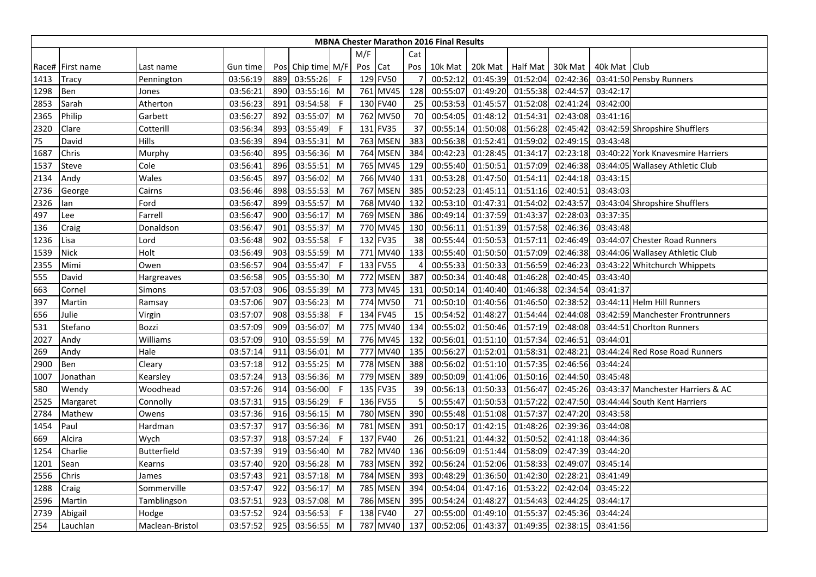|      |                  |                    |          |     |               |              |     |          |                | <b>MBNA Chester Marathon 2016 Final Results</b> |          |                    |          |              |                                   |
|------|------------------|--------------------|----------|-----|---------------|--------------|-----|----------|----------------|-------------------------------------------------|----------|--------------------|----------|--------------|-----------------------------------|
|      |                  |                    |          |     |               |              | M/F |          | Cat            |                                                 |          |                    |          |              |                                   |
|      | Race# First name | Last name          | Gun time | Pos | Chip time M/F |              | Pos | Cat      | Pos            | 10k Mat                                         |          | 20k Mat   Half Mat | 30k Mat  | 40k Mat Club |                                   |
| 1413 | Tracy            | Pennington         | 03:56:19 | 889 | 03:55:26      | $\mathsf{F}$ |     | 129 FV50 |                | 00:52:12                                        | 01:45:39 | 01:52:04           | 02:42:36 |              | 03:41:50 Pensby Runners           |
| 1298 | Ben              | Jones              | 03:56:21 | 890 | 03:55:16      | M            |     | 761 MV45 | 128            | 00:55:07                                        | 01:49:20 | 01:55:38           | 02:44:57 | 03:42:17     |                                   |
| 2853 | Sarah            | Atherton           | 03:56:23 | 891 | 03:54:58      | $\mathsf{F}$ |     | 130 FV40 | 25             | 00:53:53                                        | 01:45:57 | 01:52:08           | 02:41:24 | 03:42:00     |                                   |
| 2365 | Philip           | Garbett            | 03:56:27 | 892 | 03:55:07      | M            |     | 762 MV50 | 70             | 00:54:05                                        | 01:48:12 | 01:54:31           | 02:43:08 | 03:41:16     |                                   |
| 2320 | Clare            | Cotterill          | 03:56:34 | 893 | 03:55:49      | -F           |     | 131 FV35 | 37             | 00:55:14                                        | 01:50:08 | 01:56:28           | 02:45:42 |              | 03:42:59 Shropshire Shufflers     |
| 75   | David            | Hills              | 03:56:39 | 894 | 03:55:31      | M            |     | 763 MSEN | 383            | 00:56:38                                        | 01:52:41 | 01:59:02           | 02:49:15 | 03:43:48     |                                   |
| 1687 | Chris            | Murphy             | 03:56:40 | 895 | 03:56:36      | M            |     | 764 MSEN | 384            | 00:42:23                                        | 01:28:45 | 01:34:17           | 02:23:18 |              | 03:40:22 York Knavesmire Harriers |
| 1537 | Steve            | Cole               | 03:56:41 | 896 | 03:55:51      | M            |     | 765 MV45 | 129            | 00:55:40                                        | 01:50:51 | 01:57:09           | 02:46:38 |              | 03:44:05 Wallasey Athletic Club   |
| 2134 | Andy             | Wales              | 03:56:45 | 897 | 03:56:02      | M            |     | 766 MV40 | 131            | 00:53:28                                        | 01:47:50 | 01:54:11           | 02:44:18 | 03:43:15     |                                   |
| 2736 | George           | Cairns             | 03:56:46 | 898 | 03:55:53      | M            |     | 767 MSEN | 385            | 00:52:23                                        | 01:45:11 | 01:51:16           | 02:40:51 | 03:43:03     |                                   |
| 2326 | lan              | Ford               | 03:56:47 | 899 | 03:55:57      | M            |     | 768 MV40 | 132            | 00:53:10                                        | 01:47:31 | 01:54:02           | 02:43:57 |              | 03:43:04 Shropshire Shufflers     |
| 497  | Lee              | Farrell            | 03:56:47 | 900 | 03:56:17      | M            |     | 769 MSEN | 386            | 00:49:14                                        | 01:37:59 | 01:43:37           | 02:28:03 | 03:37:35     |                                   |
| 136  | Craig            | Donaldson          | 03:56:47 | 901 | 03:55:37      | M            |     | 770 MV45 | 130            | 00:56:11                                        | 01:51:39 | 01:57:58           | 02:46:36 | 03:43:48     |                                   |
| 1236 | Lisa             | Lord               | 03:56:48 | 902 | 03:55:58      | -F           |     | 132 FV35 | 38             | 00:55:44                                        | 01:50:53 | 01:57:11           | 02:46:49 |              | 03:44:07 Chester Road Runners     |
| 1539 | <b>Nick</b>      | Holt               | 03:56:49 | 903 | 03:55:59      | M            |     | 771 MV40 | 133            | 00:55:40                                        | 01:50:50 | 01:57:09           | 02:46:38 |              | 03:44:06 Wallasey Athletic Club   |
| 2355 | Mimi             | Owen               | 03:56:57 | 904 | 03:55:47      | -F           |     | 133 FV55 | $\overline{4}$ | 00:55:33                                        | 01:50:33 | 01:56:59           | 02:46:23 |              | 03:43:22 Whitchurch Whippets      |
| 555  | David            | Hargreaves         | 03:56:58 | 905 | 03:55:30      | M            |     | 772 MSEN | 387            | 00:50:34                                        | 01:40:48 | 01:46:28           | 02:40:45 | 03:43:40     |                                   |
| 663  | Cornel           | Simons             | 03:57:03 | 906 | 03:55:39      | M            |     | 773 MV45 | 131            | 00:50:14                                        | 01:40:40 | 01:46:38           | 02:34:54 | 03:41:37     |                                   |
| 397  | Martin           | Ramsay             | 03:57:06 | 907 | 03:56:23      | M            |     | 774 MV50 | 71             | 00:50:10                                        | 01:40:56 | 01:46:50           | 02:38:52 |              | 03:44:11 Helm Hill Runners        |
| 656  | Julie            | Virgin             | 03:57:07 | 908 | 03:55:38      | -F           |     | 134 FV45 | 15             | 00:54:52                                        | 01:48:27 | 01:54:44           | 02:44:08 |              | 03:42:59 Manchester Frontrunners  |
| 531  | Stefano          | Bozzi              | 03:57:09 | 909 | 03:56:07      | M            |     | 775 MV40 | 134            | 00:55:02                                        | 01:50:46 | 01:57:19           | 02:48:08 |              | 03:44:51 Chorlton Runners         |
| 2027 | Andy             | Williams           | 03:57:09 | 910 | 03:55:59      | M            |     | 776 MV45 | 132            | 00:56:01                                        | 01:51:10 | 01:57:34           | 02:46:51 | 03:44:01     |                                   |
| 269  | Andy             | Hale               | 03:57:14 | 911 | 03:56:01      | M            |     | 777 MV40 | 135            | 00:56:27                                        | 01:52:01 | 01:58:31           | 02:48:21 |              | 03:44:24 Red Rose Road Runners    |
| 2900 | Ben              | Cleary             | 03:57:18 | 912 | 03:55:25      | M            |     | 778 MSEN | 388            | 00:56:02                                        | 01:51:10 | 01:57:35           | 02:46:56 | 03:44:24     |                                   |
| 1007 | Jonathan         | Kearsley           | 03:57:24 | 913 | 03:56:36      | M            |     | 779 MSEN | 389            | 00:50:09                                        | 01:41:06 | 01:50:16           | 02:44:50 | 03:45:48     |                                   |
| 580  | Wendy            | Woodhead           | 03:57:26 | 914 | 03:56:00      | F            |     | 135 FV35 | 39             | 00:56:13                                        | 01:50:33 | 01:56:47           | 02:45:26 |              | 03:43:37 Manchester Harriers & AC |
| 2525 | Margaret         | Connolly           | 03:57:31 | 915 | 03:56:29      | $\mathsf{F}$ |     | 136 FV55 |                | 00:55:47                                        | 01:50:53 | 01:57:22           | 02:47:50 |              | 03:44:44 South Kent Harriers      |
| 2784 | Mathew           | Owens              | 03:57:36 | 916 | 03:56:15      | M            |     | 780 MSEN | 390            | 00:55:48                                        | 01:51:08 | 01:57:37           | 02:47:20 | 03:43:58     |                                   |
| 1454 | Paul             | Hardman            | 03:57:37 | 917 | 03:56:36      | M            |     | 781 MSEN | 391            | 00:50:17                                        | 01:42:15 | 01:48:26           | 02:39:36 | 03:44:08     |                                   |
| 669  | Alcira           | Wych               | 03:57:37 | 918 | 03:57:24      | $\mathsf{F}$ |     | 137 FV40 | 26             | 00:51:21                                        | 01:44:32 | 01:50:52           | 02:41:18 | 03:44:36     |                                   |
| 1254 | Charlie          | <b>Butterfield</b> | 03:57:39 | 919 | 03:56:40      | M            |     | 782 MV40 | 136            | 00:56:09                                        | 01:51:44 | 01:58:09           | 02:47:39 | 03:44:20     |                                   |
| 1201 | Sean             | Kearns             | 03:57:40 | 920 | 03:56:28      | M            |     | 783 MSEN | 392            | 00:56:24                                        | 01:52:06 | 01:58:33           | 02:49:07 | 03:45:14     |                                   |
| 2556 | Chris            | James              | 03:57:43 | 921 | 03:57:18      | M            |     | 784 MSEN | 393            | 00:48:29                                        | 01:36:50 | 01:42:30           | 02:28:21 | 03:41:49     |                                   |
| 1288 | Craig            | Sommerville        | 03:57:47 | 922 | 03:56:17      | M            |     | 785 MSEN | 394            | 00:54:04                                        | 01:47:16 | 01:53:22           | 02:42:04 | 03:45:22     |                                   |
| 2596 | Martin           | Tamblingson        | 03:57:51 | 923 | 03:57:08      | M            |     | 786 MSEN | 395            | 00:54:24                                        | 01:48:27 | 01:54:43           | 02:44:25 | 03:44:17     |                                   |
| 2739 | Abigail          | Hodge              | 03:57:52 | 924 | 03:56:53      | $\mathsf{F}$ |     | 138 FV40 | 27             | 00:55:00                                        | 01:49:10 | 01:55:37           | 02:45:36 | 03:44:24     |                                   |
| 254  | Lauchlan         | Maclean-Bristol    | 03:57:52 | 925 | 03:56:55      | M            |     | 787 MV40 | 137            | 00:52:06                                        | 01:43:37 | 01:49:35           | 02:38:15 | 03:41:56     |                                   |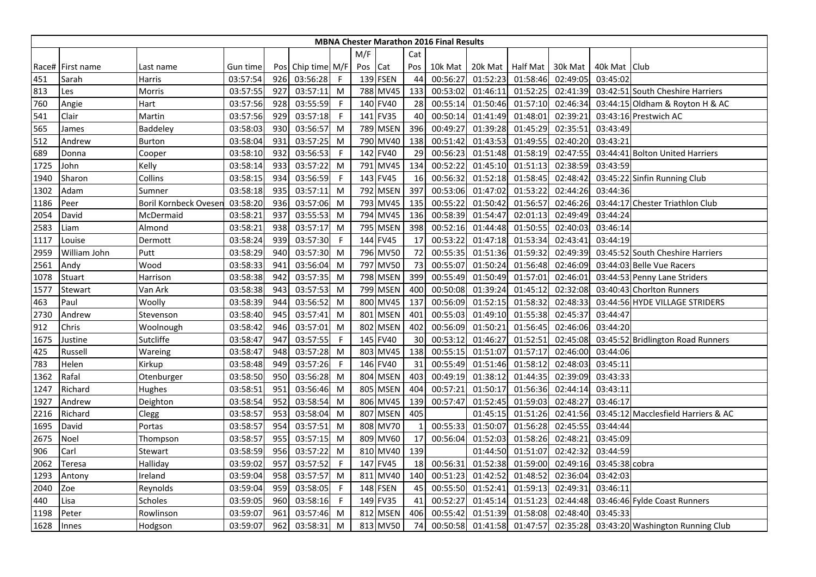|      |                  |                              |          |     |               |              |         |          |     | <b>MBNA Chester Marathon 2016 Final Results</b> |          |                 |          |                |                                           |
|------|------------------|------------------------------|----------|-----|---------------|--------------|---------|----------|-----|-------------------------------------------------|----------|-----------------|----------|----------------|-------------------------------------------|
|      |                  |                              |          |     |               |              | M/F     |          | Cat |                                                 |          |                 |          |                |                                           |
|      | Race# First name | Last name                    | Gun time | Pos | Chip time M/F |              | Pos Cat |          | Pos | 10k Mat                                         | 20k Mat  | <b>Half Mat</b> | 30k Mat  | 40k Mat Club   |                                           |
| 451  | Sarah            | Harris                       | 03:57:54 | 926 | 03:56:28      | $\mathsf{F}$ |         | 139 FSEN | 44  | 00:56:27                                        | 01:52:23 | 01:58:46        | 02:49:05 | 03:45:02       |                                           |
| 813  | Les              | Morris                       | 03:57:55 | 927 | 03:57:11      | M            |         | 788 MV45 | 133 | 00:53:02                                        | 01:46:11 | 01:52:25        | 02:41:39 |                | 03:42:51 South Cheshire Harriers          |
| 760  | Angie            | Hart                         | 03:57:56 | 928 | 03:55:59      | $\mathsf{F}$ |         | 140 FV40 | 28  | 00:55:14                                        | 01:50:46 | 01:57:10        | 02:46:34 |                | 03:44:15 Oldham & Royton H & AC           |
| 541  | Clair            | Martin                       | 03:57:56 | 929 | 03:57:18      | -F           |         | 141 FV35 | 40  | 00:50:14                                        | 01:41:49 | 01:48:01        | 02:39:21 |                | 03:43:16 Prestwich AC                     |
| 565  | James            | Baddeley                     | 03:58:03 | 930 | 03:56:57      | M            |         | 789 MSEN | 396 | 00:49:27                                        | 01:39:28 | 01:45:29        | 02:35:51 | 03:43:49       |                                           |
| 512  | Andrew           | Burton                       | 03:58:04 | 931 | 03:57:25      | M            |         | 790 MV40 | 138 | 00:51:42                                        | 01:43:53 | 01:49:55        | 02:40:20 | 03:43:21       |                                           |
| 689  | Donna            | Cooper                       | 03:58:10 | 932 | 03:56:53      | F            |         | 142 FV40 | 29  | 00:56:23                                        | 01:51:48 | 01:58:19        | 02:47:55 |                | 03:44:41 Bolton United Harriers           |
| 1725 | John             | Kelly                        | 03:58:14 | 933 | 03:57:22      | M            |         | 791 MV45 | 134 | 00:52:22                                        | 01:45:10 | 01:51:13        | 02:38:59 | 03:43:59       |                                           |
| 1940 | Sharon           | Collins                      | 03:58:15 | 934 | 03:56:59      | -F           |         | 143 FV45 | 16  | 00:56:32                                        | 01:52:18 | 01:58:45        | 02:48:42 |                | 03:45:22 Sinfin Running Club              |
| 1302 | Adam             | Sumner                       | 03:58:18 | 935 | 03:57:11      | M            |         | 792 MSEN | 397 | 00:53:06                                        | 01:47:02 | 01:53:22        | 02:44:26 | 03:44:36       |                                           |
| 1186 | Peer             | <b>Boril Kornbeck Oveser</b> | 03:58:20 | 936 | 03:57:06      | M            |         | 793 MV45 | 135 | 00:55:22                                        | 01:50:42 | 01:56:57        | 02:46:26 |                | 03:44:17 Chester Triathlon Club           |
| 2054 | David            | McDermaid                    | 03:58:21 | 937 | 03:55:53      | M            |         | 794 MV45 | 136 | 00:58:39                                        | 01:54:47 | 02:01:13        | 02:49:49 | 03:44:24       |                                           |
| 2583 | Liam             | Almond                       | 03:58:21 | 938 | 03:57:17      | M            |         | 795 MSEN | 398 | 00:52:16                                        | 01:44:48 | 01:50:55        | 02:40:03 | 03:46:14       |                                           |
| 1117 | Louise           | Dermott                      | 03:58:24 | 939 | 03:57:30      | -F           |         | 144 FV45 | 17  | 00:53:22                                        | 01:47:18 | 01:53:34        | 02:43:41 | 03:44:19       |                                           |
| 2959 | William John     | Putt                         | 03:58:29 | 940 | 03:57:30      | M            |         | 796 MV50 | 72  | 00:55:35                                        | 01:51:36 | 01:59:32        | 02:49:39 |                | 03:45:52 South Cheshire Harriers          |
| 2561 | Andy             | Wood                         | 03:58:33 | 941 | 03:56:04      | M            |         | 797 MV50 | 73  | 00:55:07                                        | 01:50:24 | 01:56:48        | 02:46:09 |                | 03:44:03 Belle Vue Racers                 |
| 1078 | Stuart           | Harrison                     | 03:58:38 | 942 | 03:57:35      | M            |         | 798 MSEN | 399 | 00:55:49                                        | 01:50:49 | 01:57:01        | 02:46:01 |                | 03:44:53 Penny Lane Striders              |
| 1577 | Stewart          | Van Ark                      | 03:58:38 | 943 | 03:57:53      | M            |         | 799 MSEN | 400 | 00:50:08                                        | 01:39:24 | 01:45:12        | 02:32:08 |                | 03:40:43 Chorlton Runners                 |
| 463  | Paul             | Woolly                       | 03:58:39 | 944 | 03:56:52      | M            |         | 800 MV45 | 137 | 00:56:09                                        | 01:52:15 | 01:58:32        | 02:48:33 |                | 03:44:56 HYDE VILLAGE STRIDERS            |
| 2730 | Andrew           | Stevenson                    | 03:58:40 | 945 | 03:57:41      | M            |         | 801 MSEN | 401 | 00:55:03                                        | 01:49:10 | 01:55:38        | 02:45:37 | 03:44:47       |                                           |
| 912  | Chris            | Woolnough                    | 03:58:42 | 946 | 03:57:01      | M            |         | 802 MSEN | 402 | 00:56:09                                        | 01:50:21 | 01:56:45        | 02:46:06 | 03:44:20       |                                           |
| 1675 | Justine          | Sutcliffe                    | 03:58:47 | 947 | 03:57:55      | F            |         | 145 FV40 | 30  | 00:53:12                                        | 01:46:27 | 01:52:51        | 02:45:08 |                | 03:45:52 Bridlington Road Runners         |
| 425  | Russell          | Wareing                      | 03:58:47 | 948 | 03:57:28      | M            |         | 803 MV45 | 138 | 00:55:15                                        | 01:51:07 | 01:57:17        | 02:46:00 | 03:44:06       |                                           |
| 783  | Helen            | Kirkup                       | 03:58:48 | 949 | 03:57:26      | $\mathsf{F}$ |         | 146 FV40 | 31  | 00:55:49                                        | 01:51:46 | 01:58:12        | 02:48:03 | 03:45:11       |                                           |
| 1362 | Rafal            | Otenburger                   | 03:58:50 | 950 | 03:56:28      | M            |         | 804 MSEN | 403 | 00:49:19                                        | 01:38:12 | 01:44:35        | 02:39:09 | 03:43:33       |                                           |
| 1247 | Richard          | Hughes                       | 03:58:51 | 951 | 03:56:46      | M            |         | 805 MSEN | 404 | 00:57:21                                        | 01:50:17 | 01:56:36        | 02:44:14 | 03:43:11       |                                           |
| 1927 | Andrew           | Deighton                     | 03:58:54 | 952 | 03:58:54      | M            |         | 806 MV45 | 139 | 00:57:47                                        | 01:52:45 | 01:59:03        | 02:48:27 | 03:46:17       |                                           |
| 2216 | Richard          | Clegg                        | 03:58:57 | 953 | 03:58:04      | M            |         | 807 MSEN | 405 |                                                 | 01:45:15 | 01:51:26        | 02:41:56 |                | 03:45:12 Macclesfield Harriers & AC       |
| 1695 | David            | Portas                       | 03:58:57 | 954 | 03:57:51      | M            |         | 808 MV70 | 1   | 00:55:33                                        | 01:50:07 | 01:56:28        | 02:45:55 | 03:44:44       |                                           |
| 2675 | Noel             | Thompson                     | 03:58:57 | 955 | 03:57:15      | M            |         | 809 MV60 | 17  | 00:56:04                                        | 01:52:03 | 01:58:26        | 02:48:21 | 03:45:09       |                                           |
| 906  | Carl             | Stewart                      | 03:58:59 | 956 | 03:57:22      | M            |         | 810 MV40 | 139 |                                                 | 01:44:50 | 01:51:07        | 02:42:32 | 03:44:59       |                                           |
| 2062 | Teresa           | Halliday                     | 03:59:02 | 957 | 03:57:52      | -F           |         | 147 FV45 | 18  | 00:56:31                                        | 01:52:38 | 01:59:00        | 02:49:16 | 03:45:38 cobra |                                           |
| 1293 | Antony           | Ireland                      | 03:59:04 | 958 | 03:57:57      | M            |         | 811 MV40 | 140 | 00:51:23                                        | 01:42:52 | 01:48:52        | 02:36:04 | 03:42:03       |                                           |
| 2040 | Zoe              | Reynolds                     | 03:59:04 | 959 | 03:58:05      | -F           |         | 148 FSEN | 45  | 00:55:50                                        | 01:52:41 | 01:59:13        | 02:49:31 | 03:46:11       |                                           |
| 440  | Lisa             | Scholes                      | 03:59:05 | 960 | 03:58:16      | -F           |         | 149 FV35 | 41  | 00:52:27                                        | 01:45:14 | 01:51:23        | 02:44:48 |                | 03:46:46 Fylde Coast Runners              |
| 1198 | Peter            | Rowlinson                    | 03:59:07 | 961 | 03:57:46      | M            |         | 812 MSEN | 406 | 00:55:42                                        | 01:51:39 | 01:58:08        | 02:48:40 | 03:45:33       |                                           |
| 1628 | Innes            | Hodgson                      | 03:59:07 | 962 | 03:58:31      | M            |         | 813 MV50 | 74  | 00:50:58                                        | 01:41:58 | 01:47:57        |          |                | 02:35:28 03:43:20 Washington Running Club |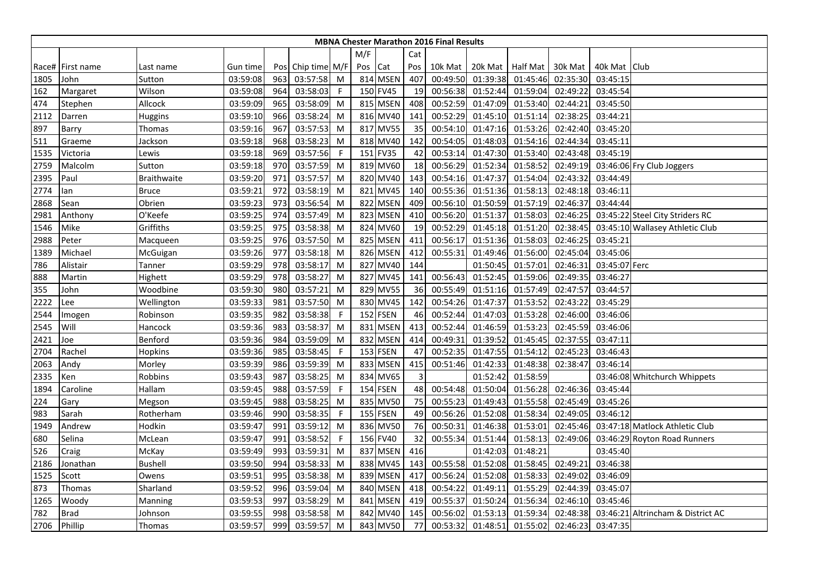|      |                  |                    |          |     |                   |    |         |          |     | <b>MBNA Chester Marathon 2016 Final Results</b> |                  |          |          |               |                                   |
|------|------------------|--------------------|----------|-----|-------------------|----|---------|----------|-----|-------------------------------------------------|------------------|----------|----------|---------------|-----------------------------------|
|      |                  |                    |          |     |                   |    | M/F     |          | Cat |                                                 |                  |          |          |               |                                   |
|      | Race# First name | Last name          | Gun time |     | Pos Chip time M/F |    | Pos Cat |          | Pos | 10k Mat                                         | 20k Mat Half Mat |          | 30k Mat  | 40k Mat Club  |                                   |
| 1805 | John             | Sutton             | 03:59:08 | 963 | 03:57:58          | M  |         | 814 MSEN | 407 | 00:49:50                                        | 01:39:38         | 01:45:46 | 02:35:30 | 03:45:15      |                                   |
| 162  | Margaret         | Wilson             | 03:59:08 | 964 | 03:58:03          | -F |         | 150 FV45 | 19  | 00:56:38                                        | 01:52:44         | 01:59:04 | 02:49:22 | 03:45:54      |                                   |
| 474  | Stephen          | Allcock            | 03:59:09 | 965 | 03:58:09          | M  |         | 815 MSEN | 408 | 00:52:59                                        | 01:47:09         | 01:53:40 | 02:44:21 | 03:45:50      |                                   |
| 2112 | Darren           | Huggins            | 03:59:10 | 966 | 03:58:24          | M  |         | 816 MV40 | 141 | 00:52:29                                        | 01:45:10         | 01:51:14 | 02:38:25 | 03:44:21      |                                   |
| 897  | Barry            | Thomas             | 03:59:16 | 967 | 03:57:53          | M  |         | 817 MV55 | 35  | 00:54:10                                        | 01:47:16         | 01:53:26 | 02:42:40 | 03:45:20      |                                   |
| 511  | Graeme           | Jackson            | 03:59:18 | 968 | 03:58:23          | M  |         | 818 MV40 | 142 | 00:54:05                                        | 01:48:03         | 01:54:16 | 02:44:34 | 03:45:11      |                                   |
| 1535 | Victoria         | Lewis              | 03:59:18 | 969 | 03:57:56          | F  |         | 151 FV35 | 42  | 00:53:14                                        | 01:47:30         | 01:53:40 | 02:43:48 | 03:45:19      |                                   |
| 2759 | Malcolm          | Sutton             | 03:59:18 | 970 | 03:57:59          | M  |         | 819 MV60 | 18  | 00:56:29                                        | 01:52:34         | 01:58:52 | 02:49:19 |               | 03:46:06 Fry Club Joggers         |
| 2395 | Paul             | <b>Braithwaite</b> | 03:59:20 | 971 | 03:57:57          | M  |         | 820 MV40 | 143 | 00:54:16                                        | 01:47:37         | 01:54:04 | 02:43:32 | 03:44:49      |                                   |
| 2774 | lan              | <b>Bruce</b>       | 03:59:21 | 972 | 03:58:19          | M  |         | 821 MV45 | 140 | 00:55:36                                        | 01:51:36         | 01:58:13 | 02:48:18 | 03:46:11      |                                   |
| 2868 | Sean             | Obrien             | 03:59:23 | 973 | 03:56:54          | M  |         | 822 MSEN | 409 | 00:56:10                                        | 01:50:59         | 01:57:19 | 02:46:37 | 03:44:44      |                                   |
| 2981 | Anthony          | O'Keefe            | 03:59:25 | 974 | 03:57:49          | M  |         | 823 MSEN | 410 | 00:56:20                                        | 01:51:37         | 01:58:03 | 02:46:25 |               | 03:45:22 Steel City Striders RC   |
| 1546 | Mike             | Griffiths          | 03:59:25 | 975 | 03:58:38          | M  |         | 824 MV60 | 19  | 00:52:29                                        | 01:45:18         | 01:51:20 | 02:38:45 |               | 03:45:10 Wallasey Athletic Club   |
| 2988 | Peter            | Macqueen           | 03:59:25 | 976 | 03:57:50          | M  |         | 825 MSEN | 411 | 00:56:17                                        | 01:51:36         | 01:58:03 | 02:46:25 | 03:45:21      |                                   |
| 1389 | Michael          | <b>McGuigan</b>    | 03:59:26 | 977 | 03:58:18          | M  |         | 826 MSEN | 412 | 00:55:31                                        | 01:49:46         | 01:56:00 | 02:45:04 | 03:45:06      |                                   |
| 786  | Alistair         | Tanner             | 03:59:29 | 978 | 03:58:17          | M  |         | 827 MV40 | 144 |                                                 | 01:50:45         | 01:57:01 | 02:46:31 | 03:45:07 Ferc |                                   |
| 888  | Martin           | Highett            | 03:59:29 | 978 | 03:58:27          | M  |         | 827 MV45 | 141 | 00:56:43                                        | 01:52:45         | 01:59:06 | 02:49:35 | 03:46:27      |                                   |
| 355  | John             | Woodbine           | 03:59:30 | 980 | 03:57:21          | M  |         | 829 MV55 | 36  | 00:55:49                                        | 01:51:16         | 01:57:49 | 02:47:57 | 03:44:57      |                                   |
| 2222 | Lee              | Wellington         | 03:59:33 | 981 | 03:57:50          | M  |         | 830 MV45 | 142 | 00:54:26                                        | 01:47:37         | 01:53:52 | 02:43:22 | 03:45:29      |                                   |
| 2544 | Imogen           | Robinson           | 03:59:35 | 982 | 03:58:38          | -F |         | 152 FSEN | 46  | 00:52:44                                        | 01:47:03         | 01:53:28 | 02:46:00 | 03:46:06      |                                   |
| 2545 | Will             | Hancock            | 03:59:36 | 983 | 03:58:37          | M  |         | 831 MSEN | 413 | 00:52:44                                        | 01:46:59         | 01:53:23 | 02:45:59 | 03:46:06      |                                   |
| 2421 | Joe              | Benford            | 03:59:36 | 984 | 03:59:09          | M  |         | 832 MSEN | 414 | 00:49:31                                        | 01:39:52         | 01:45:45 | 02:37:55 | 03:47:11      |                                   |
| 2704 | Rachel           | Hopkins            | 03:59:36 | 985 | 03:58:45          | -F |         | 153 FSEN | 47  | 00:52:35                                        | 01:47:55         | 01:54:12 | 02:45:23 | 03:46:43      |                                   |
| 2063 | Andy             | Morley             | 03:59:39 | 986 | 03:59:39          | M  |         | 833 MSEN | 415 | 00:51:46                                        | 01:42:33         | 01:48:38 | 02:38:47 | 03:46:14      |                                   |
| 2335 | Ken              | Robbins            | 03:59:43 | 987 | 03:58:25          | M  |         | 834 MV65 | 3   |                                                 | 01:52:42         | 01:58:59 |          |               | 03:46:08 Whitchurch Whippets      |
| 1894 | Caroline         | Hallam             | 03:59:45 | 988 | 03:57:59          | F  |         | 154 FSEN | 48  | 00:54:48                                        | 01:50:04         | 01:56:28 | 02:46:36 | 03:45:44      |                                   |
| 224  | Gary             | Megson             | 03:59:45 | 988 | 03:58:25          | M  |         | 835 MV50 | 75  | 00:55:23                                        | 01:49:43         | 01:55:58 | 02:45:49 | 03:45:26      |                                   |
| 983  | Sarah            | Rotherham          | 03:59:46 | 990 | 03:58:35          | -F |         | 155 FSEN | 49  | 00:56:26                                        | 01:52:08         | 01:58:34 | 02:49:05 | 03:46:12      |                                   |
| 1949 | Andrew           | Hodkin             | 03:59:47 | 991 | 03:59:12          | M  |         | 836 MV50 | 76  | 00:50:31                                        | 01:46:38         | 01:53:01 | 02:45:46 |               | 03:47:18 Matlock Athletic Club    |
| 680  | Selina           | McLean             | 03:59:47 | 991 | 03:58:52          | -F |         | 156 FV40 | 32  | 00:55:34                                        | 01:51:44         | 01:58:13 | 02:49:06 |               | 03:46:29 Royton Road Runners      |
| 526  | Craig            | McKay              | 03:59:49 | 993 | 03:59:31          | M  |         | 837 MSEN | 416 |                                                 | 01:42:03         | 01:48:21 |          | 03:45:40      |                                   |
| 2186 | Jonathan         | <b>Bushell</b>     | 03:59:50 | 994 | 03:58:33          | M  |         | 838 MV45 | 143 | 00:55:58                                        | 01:52:08         | 01:58:45 | 02:49:21 | 03:46:38      |                                   |
| 1525 | Scott            | Owens              | 03:59:51 | 995 | 03:58:38          | M  |         | 839 MSEN | 417 | 00:56:24                                        | 01:52:08         | 01:58:33 | 02:49:02 | 03:46:09      |                                   |
| 873  | Thomas           | Sharland           | 03:59:52 | 996 | 03:59:04          | M  |         | 840 MSEN | 418 | 00:54:22                                        | 01:49:11         | 01:55:29 | 02:44:39 | 03:45:07      |                                   |
| 1265 | Woody            | Manning            | 03:59:53 | 997 | 03:58:29          | M  |         | 841 MSEN | 419 | 00:55:37                                        | 01:50:24         | 01:56:34 | 02:46:10 | 03:45:46      |                                   |
| 782  | <b>Brad</b>      | Johnson            | 03:59:55 | 998 | 03:58:58          | M  |         | 842 MV40 | 145 | 00:56:02                                        | 01:53:13         | 01:59:34 | 02:48:38 |               | 03:46:21 Altrincham & District AC |
| 2706 | Phillip          | Thomas             | 03:59:57 | 999 | 03:59:57          | M  |         | 843 MV50 | 77  | 00:53:32                                        | 01:48:51         | 01:55:02 | 02:46:23 | 03:47:35      |                                   |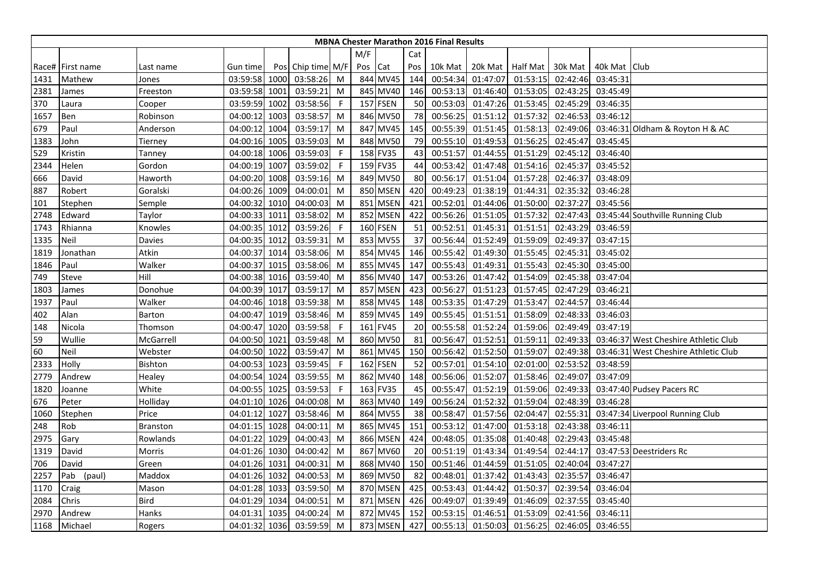|      |                  |                 |               |      |                   |              |         |          |     | <b>MBNA Chester Marathon 2016 Final Results</b> |                   |          |          |              |                                      |
|------|------------------|-----------------|---------------|------|-------------------|--------------|---------|----------|-----|-------------------------------------------------|-------------------|----------|----------|--------------|--------------------------------------|
|      |                  |                 |               |      |                   |              | M/F     |          | Cat |                                                 |                   |          |          |              |                                      |
|      | Race# First name | Last name       | Gun time      |      | Pos Chip time M/F |              | Pos Cat |          | Pos | 10k Mat                                         | 20k Mat Half Mat  |          | 30k Mat  | 40k Mat Club |                                      |
| 1431 | Mathew           | Jones           | 03:59:58 1000 |      | 03:58:26          | M            |         | 844 MV45 | 144 |                                                 | 00:54:34 01:47:07 | 01:53:15 | 02:42:46 | 03:45:31     |                                      |
| 2381 | James            | Freeston        | 03:59:58 1001 |      | 03:59:21          | M            |         | 845 MV40 | 146 | 00:53:13                                        | 01:46:40          | 01:53:05 | 02:43:25 | 03:45:49     |                                      |
| 370  | Laura            | Cooper          | 03:59:59      | 1002 | 03:58:56          | F            |         | 157 FSEN | 50  | 00:53:03                                        | 01:47:26          | 01:53:45 | 02:45:29 | 03:46:35     |                                      |
| 1657 | Ben              | Robinson        | 04:00:12      | 1003 | 03:58:57          | M            |         | 846 MV50 | 78  | 00:56:25                                        | 01:51:12          | 01:57:32 | 02:46:53 | 03:46:12     |                                      |
| 679  | Paul             | Anderson        | 04:00:12      | 1004 | 03:59:17          | M            |         | 847 MV45 | 145 | 00:55:39                                        | 01:51:45          | 01:58:13 | 02:49:06 |              | 03:46:31 Oldham & Royton H & AC      |
| 1383 | John             | Tierney         | 04:00:16      | 1005 | 03:59:03          | M            |         | 848 MV50 | 79  | 00:55:10                                        | 01:49:53          | 01:56:25 | 02:45:47 | 03:45:45     |                                      |
| 529  | Kristin          | Tanney          | 04:00:18      | 1006 | 03:59:03          | F            |         | 158 FV35 | 43  | 00:51:57                                        | 01:44:55          | 01:51:29 | 02:45:12 | 03:46:40     |                                      |
| 2344 | Helen            | Gordon          | 04:00:19      | 1007 | 03:59:02          | -F           |         | 159 FV35 | 44  | 00:53:42                                        | 01:47:48          | 01:54:16 | 02:45:37 | 03:45:52     |                                      |
| 666  | David            | Haworth         | 04:00:20 1008 |      | 03:59:16          | M            |         | 849 MV50 | 80  | 00:56:17                                        | 01:51:04          | 01:57:28 | 02:46:37 | 03:48:09     |                                      |
| 887  | Robert           | Goralski        | 04:00:26      | 1009 | 04:00:01          | M            |         | 850 MSEN | 420 | 00:49:23                                        | 01:38:19          | 01:44:31 | 02:35:32 | 03:46:28     |                                      |
| 101  | Stephen          | Semple          | 04:00:32      | 1010 | 04:00:03          | M            |         | 851 MSEN | 421 | 00:52:01                                        | 01:44:06          | 01:50:00 | 02:37:27 | 03:45:56     |                                      |
| 2748 | Edward           | Taylor          | 04:00:33      | 1011 | 03:58:02          | M            |         | 852 MSEN | 422 | 00:56:26                                        | 01:51:05          | 01:57:32 | 02:47:43 |              | 03:45:44 Southville Running Club     |
| 1743 | Rhianna          | Knowles         | 04:00:35 1012 |      | 03:59:26          | $\mathsf{F}$ |         | 160 FSEN | 51  | 00:52:51                                        | 01:45:31          | 01:51:51 | 02:43:29 | 03:46:59     |                                      |
| 1335 | Neil             | Davies          | 04:00:35 1012 |      | 03:59:31          | M            |         | 853 MV55 | 37  | 00:56:44                                        | 01:52:49          | 01:59:09 | 02:49:37 | 03:47:15     |                                      |
| 1819 | Jonathan         | Atkin           | 04:00:37      | 1014 | 03:58:06          | M            |         | 854 MV45 | 146 | 00:55:42                                        | 01:49:30          | 01:55:45 | 02:45:31 | 03:45:02     |                                      |
| 1846 | Paul             | Walker          | 04:00:37      | 1015 | 03:58:06          | M            |         | 855 MV45 | 147 | 00:55:43                                        | 01:49:31          | 01:55:43 | 02:45:30 | 03:45:00     |                                      |
| 749  | Steve            | Hill            | 04:00:38      | 1016 | 03:59:40          | M            |         | 856 MV40 | 147 | 00:53:26                                        | 01:47:42          | 01:54:09 | 02:45:38 | 03:47:04     |                                      |
| 1803 | James            | Donohue         | 04:00:39      | 1017 | 03:59:17          | M            |         | 857 MSEN | 423 | 00:56:27                                        | 01:51:23          | 01:57:45 | 02:47:29 | 03:46:21     |                                      |
| 1937 | Paul             | Walker          | 04:00:46      | 1018 | 03:59:38          | M            |         | 858 MV45 | 148 | 00:53:35                                        | 01:47:29          | 01:53:47 | 02:44:57 | 03:46:44     |                                      |
| 402  | Alan             | Barton          | 04:00:47 1019 |      | 03:58:46          | M            |         | 859 MV45 | 149 | 00:55:45                                        | 01:51:51          | 01:58:09 | 02:48:33 | 03:46:03     |                                      |
| 148  | Nicola           | Thomson         | 04:00:47      | 1020 | 03:59:58          | -F           |         | 161 FV45 | 20  | 00:55:58                                        | 01:52:24          | 01:59:06 | 02:49:49 | 03:47:19     |                                      |
| 59   | Wullie           | McGarrell       | 04:00:50 1021 |      | 03:59:48          | M            |         | 860 MV50 | 81  | 00:56:47                                        | 01:52:51          | 01:59:11 | 02:49:33 |              | 03:46:37 West Cheshire Athletic Club |
| 60   | Neil             | Webster         | 04:00:50 1022 |      | 03:59:47          | M            |         | 861 MV45 | 150 | 00:56:42                                        | 01:52:50          | 01:59:07 | 02:49:38 |              | 03:46:31 West Cheshire Athletic Club |
| 2333 | Holly            | <b>Bishton</b>  | 04:00:53 1023 |      | 03:59:45          | - F          |         | 162 FSEN | 52  | 00:57:01                                        | 01:54:10          | 02:01:00 | 02:53:52 | 03:48:59     |                                      |
| 2779 | Andrew           | Healey          | 04:00:54      | 1024 | 03:59:55          | M            |         | 862 MV40 | 148 | 00:56:06                                        | 01:52:07          | 01:58:46 | 02:49:07 | 03:47:09     |                                      |
| 1820 | Joanne           | White           | 04:00:55 1025 |      | 03:59:53          | F            |         | 163 FV35 | 45  | 00:55:47                                        | 01:52:19          | 01:59:06 | 02:49:33 |              | 03:47:40 Pudsey Pacers RC            |
| 676  | Peter            | Holliday        | 04:01:10 1026 |      | 04:00:08          | M            |         | 863 MV40 | 149 | 00:56:24                                        | 01:52:32          | 01:59:04 | 02:48:39 | 03:46:28     |                                      |
| 1060 | Stephen          | Price           | 04:01:12      | 1027 | 03:58:46          | M            |         | 864 MV55 | 38  | 00:58:47                                        | 01:57:56          | 02:04:47 | 02:55:31 |              | 03:47:34 Liverpool Running Club      |
| 248  | Rob              | <b>Branston</b> | 04:01:15 1028 |      | 04:00:11          | M            |         | 865 MV45 | 151 | 00:53:12                                        | 01:47:00          | 01:53:18 | 02:43:38 | 03:46:11     |                                      |
| 2975 | Gary             | Rowlands        | 04:01:22 1029 |      | 04:00:43          | M            |         | 866 MSEN | 424 | 00:48:05                                        | 01:35:08          | 01:40:48 | 02:29:43 | 03:45:48     |                                      |
| 1319 | David            | Morris          | 04:01:26 1030 |      | 04:00:42          | M            |         | 867 MV60 | 20  | 00:51:19                                        | 01:43:34          | 01:49:54 | 02:44:17 |              | 03:47:53 Deestriders Rc              |
| 706  | David            | Green           | 04:01:26      | 1031 | 04:00:31          | M            |         | 868 MV40 | 150 | 00:51:46                                        | 01:44:59          | 01:51:05 | 02:40:04 | 03:47:27     |                                      |
| 2257 | Pab (paul)       | Maddox          | 04:01:26 1032 |      | 04:00:53          | M            |         | 869 MV50 | 82  | 00:48:01                                        | 01:37:42          | 01:43:43 | 02:35:57 | 03:46:47     |                                      |
| 1170 | Craig            | Mason           | 04:01:28 1033 |      | 03:59:50          | M            |         | 870 MSEN | 425 | 00:53:43                                        | 01:44:42          | 01:50:37 | 02:39:54 | 03:46:04     |                                      |
| 2084 | Chris            | Bird            | 04:01:29 1034 |      | 04:00:51          | M            |         | 871 MSEN | 426 | 00:49:07                                        | 01:39:49          | 01:46:09 | 02:37:55 | 03:45:40     |                                      |
| 2970 | Andrew           | Hanks           | 04:01:31      | 1035 | 04:00:24          | M            |         | 872 MV45 | 152 | 00:53:15                                        | 01:46:51          | 01:53:09 | 02:41:56 | 03:46:11     |                                      |
| 1168 | Michael          | Rogers          | 04:01:32 1036 |      | 03:59:59          | M            |         | 873 MSEN | 427 | 00:55:13                                        | 01:50:03          | 01:56:25 | 02:46:05 | 03:46:55     |                                      |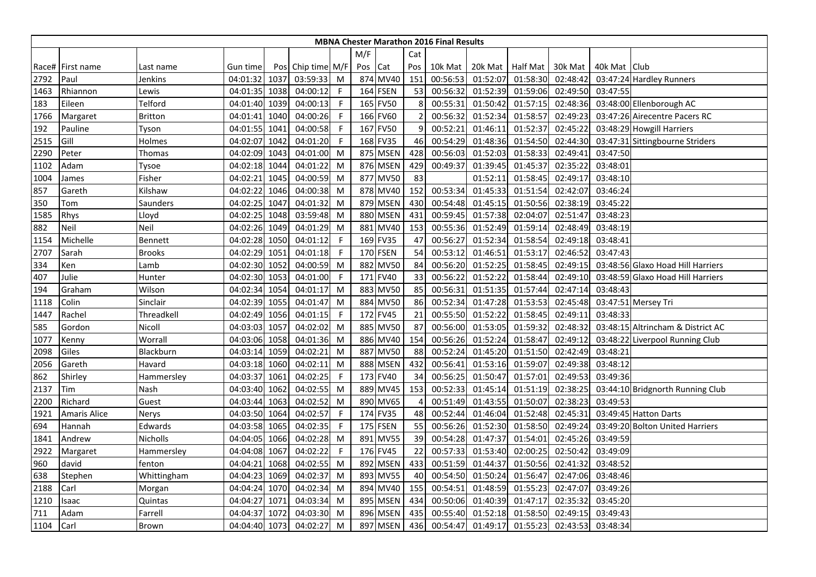|      |                  |                 |               |      |                   |              |     |          |                | <b>MBNA Chester Marathon 2016 Final Results</b> |          |                  |          |              |                                   |
|------|------------------|-----------------|---------------|------|-------------------|--------------|-----|----------|----------------|-------------------------------------------------|----------|------------------|----------|--------------|-----------------------------------|
|      |                  |                 |               |      |                   |              | M/F |          | Cat            |                                                 |          |                  |          |              |                                   |
|      | Race# First name | Last name       | Gun time      |      | Pos Chip time M/F |              | Pos | Cat      | Pos            | 10k Mat                                         |          | 20k Mat Half Mat | 30k Mat  | 40k Mat Club |                                   |
| 2792 | Paul             | Jenkins         | 04:01:32      | 1037 | 03:59:33          | M            |     | 874 MV40 | 151            | 00:56:53                                        | 01:52:07 | 01:58:30         | 02:48:42 |              | 03:47:24 Hardley Runners          |
| 1463 | Rhiannon         | Lewis           | 04:01:35      | 1038 | 04:00:12          | $\mathsf{F}$ |     | 164 FSEN | 53             | 00:56:32                                        | 01:52:39 | 01:59:06         | 02:49:50 | 03:47:55     |                                   |
| 183  | Eileen           | Telford         | 04:01:40      | 1039 | 04:00:13          | $\mathsf{F}$ |     | 165 FV50 | 8              | 00:55:31                                        | 01:50:42 | 01:57:15         | 02:48:36 |              | 03:48:00 Ellenborough AC          |
| 1766 | Margaret         | <b>Britton</b>  | 04:01:41      | 1040 | 04:00:26          | $\mathsf F$  |     | 166 FV60 |                | 00:56:32                                        | 01:52:34 | 01:58:57         | 02:49:23 |              | 03:47:26 Airecentre Pacers RC     |
| 192  | Pauline          | Tyson           | 04:01:55      | 1041 | 04:00:58          | -F           |     | 167 FV50 | 9              | 00:52:21                                        | 01:46:11 | 01:52:37         | 02:45:22 |              | 03:48:29 Howgill Harriers         |
| 2515 | Gill             | Holmes          | 04:02:07      | 1042 | 04:01:20          | -F           |     | 168 FV35 | 46             | 00:54:29                                        | 01:48:36 | 01:54:50         | 02:44:30 |              | 03:47:31 Sittingbourne Striders   |
| 2290 | Peter            | Thomas          | 04:02:09      | 1043 | 04:01:00          | M            |     | 875 MSEN | 428            | 00:56:03                                        | 01:52:03 | 01:58:33         | 02:49:41 | 03:47:50     |                                   |
| 1102 | Adam             | Tysoe           | 04:02:18 1044 |      | 04:01:22          | M            |     | 876 MSEN | 429            | 00:49:37                                        | 01:39:45 | 01:45:37         | 02:35:22 | 03:48:01     |                                   |
| 1004 | James            | Fisher          | 04:02:21      | 1045 | 04:00:59          | M            |     | 877 MV50 | 83             |                                                 | 01:52:11 | 01:58:45         | 02:49:17 | 03:48:10     |                                   |
| 857  | Gareth           | Kilshaw         | 04:02:22      | 1046 | 04:00:38          | M            |     | 878 MV40 | 152            | 00:53:34                                        | 01:45:33 | 01:51:54         | 02:42:07 | 03:46:24     |                                   |
| 350  | Tom              | Saunders        | 04:02:25      | 1047 | 04:01:32          | M            |     | 879 MSEN | 430            | 00:54:48                                        | 01:45:15 | 01:50:56         | 02:38:19 | 03:45:22     |                                   |
| 1585 | Rhys             | Lloyd           | 04:02:25      | 1048 | 03:59:48          | M            |     | 880 MSEN | 431            | 00:59:45                                        | 01:57:38 | 02:04:07         | 02:51:47 | 03:48:23     |                                   |
| 882  | Neil             | Neil            | 04:02:26 1049 |      | 04:01:29          | M            |     | 881 MV40 | 153            | 00:55:36                                        | 01:52:49 | 01:59:14         | 02:48:49 | 03:48:19     |                                   |
| 1154 | Michelle         | <b>Bennett</b>  | 04:02:28      | 1050 | 04:01:12          | $\mathsf{F}$ |     | 169 FV35 | 47             | 00:56:27                                        | 01:52:34 | 01:58:54         | 02:49:18 | 03:48:41     |                                   |
| 2707 | Sarah            | <b>Brooks</b>   | 04:02:29      | 1051 | 04:01:18          | -F           |     | 170 FSEN | 54             | 00:53:12                                        | 01:46:51 | 01:53:17         | 02:46:52 | 03:47:43     |                                   |
| 334  | Ken              | Lamb            | 04:02:30      | 1052 | 04:00:59          | M            |     | 882 MV50 | 84             | 00:56:20                                        | 01:52:25 | 01:58:45         | 02:49:15 |              | 03:48:56 Glaxo Hoad Hill Harriers |
| 407  | Julie            | Hunter          | 04:02:30      | 1053 | 04:01:00          | $\mathsf{F}$ |     | 171 FV40 | 33             | 00:56:22                                        | 01:52:22 | 01:58:44         | 02:49:10 |              | 03:48:59 Glaxo Hoad Hill Harriers |
| 194  | Graham           | Wilson          | 04:02:34 1054 |      | 04:01:17          | M            |     | 883 MV50 | 85             | 00:56:31                                        | 01:51:35 | 01:57:44         | 02:47:14 | 03:48:43     |                                   |
| 1118 | Colin            | Sinclair        | 04:02:39      | 1055 | 04:01:47          | M            |     | 884 MV50 | 86             | 00:52:34                                        | 01:47:28 | 01:53:53         | 02:45:48 |              | 03:47:51 Mersey Tri               |
| 1447 | Rachel           | Threadkell      | 04:02:49 1056 |      | 04:01:15          | -F           |     | 172 FV45 | 21             | 00:55:50                                        | 01:52:22 | 01:58:45         | 02:49:11 | 03:48:33     |                                   |
| 585  | Gordon           | Nicoll          | 04:03:03 1057 |      | 04:02:02          | M            |     | 885 MV50 | 87             | 00:56:00                                        | 01:53:05 | 01:59:32         | 02:48:32 |              | 03:48:15 Altrincham & District AC |
| 1077 | Kenny            | Worrall         | 04:03:06 1058 |      | 04:01:36          | M            |     | 886 MV40 | 154            | 00:56:26                                        | 01:52:24 | 01:58:47         | 02:49:12 |              | 03:48:22 Liverpool Running Club   |
| 2098 | Giles            | Blackburn       | 04:03:14 1059 |      | 04:02:21          | M            |     | 887 MV50 | 88             | 00:52:24                                        | 01:45:20 | 01:51:50         | 02:42:49 | 03:48:21     |                                   |
| 2056 | Gareth           | Havard          | 04:03:18      | 1060 | 04:02:11          | M            |     | 888 MSEN | 432            | 00:56:41                                        | 01:53:16 | 01:59:07         | 02:49:38 | 03:48:12     |                                   |
| 862  | Shirley          | Hammersley      | 04:03:37      | 1061 | 04:02:25          | $\mathsf{F}$ |     | 173 FV40 | 34             | 00:56:25                                        | 01:50:47 | 01:57:01         | 02:49:53 | 03:49:36     |                                   |
| 2137 | Tim              | Nash            | 04:03:40      | 1062 | 04:02:55          | M            |     | 889 MV45 | 153            | 00:52:33                                        | 01:45:14 | 01:51:19         | 02:38:25 |              | 03:44:10 Bridgnorth Running Club  |
| 2200 | Richard          | Guest           | 04:03:44 1063 |      | 04:02:52          | M            |     | 890 MV65 | $\overline{4}$ | 00:51:49                                        | 01:43:55 | 01:50:07         | 02:38:23 | 03:49:53     |                                   |
| 1921 | Amaris Alice     | Nerys           | 04:03:50      | 1064 | 04:02:57          | -F           |     | 174 FV35 | 48             | 00:52:44                                        | 01:46:04 | 01:52:48         | 02:45:31 |              | 03:49:45 Hatton Darts             |
| 694  | Hannah           | Edwards         | 04:03:58 1065 |      | 04:02:35          | $\mathsf F$  |     | 175 FSEN | 55             | 00:56:26                                        | 01:52:30 | 01:58:50         | 02:49:24 |              | 03:49:20 Bolton United Harriers   |
| 1841 | Andrew           | <b>Nicholls</b> | 04:04:05 1066 |      | 04:02:28          | M            |     | 891 MV55 | 39             | 00:54:28                                        | 01:47:37 | 01:54:01         | 02:45:26 | 03:49:59     |                                   |
| 2922 | Margaret         | Hammersley      | 04:04:08 1067 |      | 04:02:22          | $\mathsf{F}$ |     | 176 FV45 | 22             | 00:57:33                                        | 01:53:40 | 02:00:25         | 02:50:42 | 03:49:09     |                                   |
| 960  | david            | fenton          | 04:04:21      | 1068 | 04:02:55          | M            |     | 892 MSEN | 433            | 00:51:59                                        | 01:44:37 | 01:50:56         | 02:41:32 | 03:48:52     |                                   |
| 638  | Stephen          | Whittingham     | 04:04:23      | 1069 | 04:02:37          | M            |     | 893 MV55 | 40             | 00:54:50                                        | 01:50:24 | 01:56:47         | 02:47:06 | 03:48:46     |                                   |
| 2188 | Carl             | Morgan          | 04:04:24 1070 |      | 04:02:34          | M            |     | 894 MV40 | 155            | 00:54:51                                        | 01:48:59 | 01:55:23         | 02:47:07 | 03:49:26     |                                   |
| 1210 | Isaac            | Quintas         | 04:04:27      | 1071 | 04:03:34          | M            |     | 895 MSEN | 434            | 00:50:06                                        | 01:40:39 | 01:47:17         | 02:35:32 | 03:45:20     |                                   |
| 711  | Adam             | Farrell         | 04:04:37      | 1072 | 04:03:30          | M            |     | 896 MSEN | 435            | 00:55:40                                        | 01:52:18 | 01:58:50         | 02:49:15 | 03:49:43     |                                   |
| 1104 | Carl             | Brown           | 04:04:40 1073 |      | 04:02:27          | M            |     | 897 MSEN | 436            | 00:54:47                                        | 01:49:17 | 01:55:23         | 02:43:53 | 03:48:34     |                                   |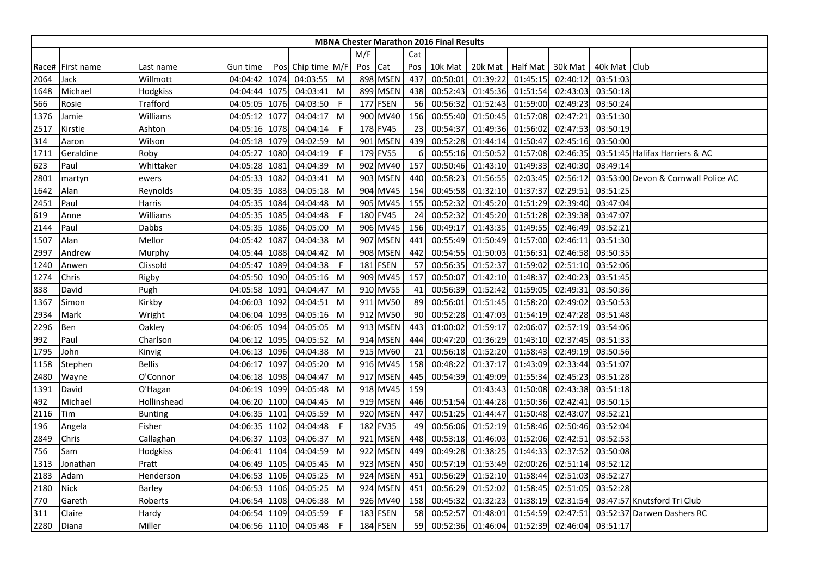|      |                  |                 |               |      |                   |              |         |          |     | <b>MBNA Chester Marathon 2016 Final Results</b> |                  |          |          |                |                                     |
|------|------------------|-----------------|---------------|------|-------------------|--------------|---------|----------|-----|-------------------------------------------------|------------------|----------|----------|----------------|-------------------------------------|
|      |                  |                 |               |      |                   |              | M/F     |          | Cat |                                                 |                  |          |          |                |                                     |
|      | Race# First name | Last name       | Gun time      |      | Pos Chip time M/F |              | Pos Cat |          | Pos | 10k Mat                                         | 20k Mat Half Mat |          | 30k Mat  | 40k Mat   Club |                                     |
| 2064 | Jack             | Willmott        | 04:04:42 1074 |      | 04:03:55          | M            |         | 898 MSEN | 437 | 00:50:01                                        | 01:39:22         | 01:45:15 | 02:40:12 | 03:51:03       |                                     |
| 1648 | Michael          | Hodgkiss        | 04:04:44 1075 |      | 04:03:41          | M            |         | 899 MSEN | 438 | 00:52:43                                        | 01:45:36         | 01:51:54 | 02:43:03 | 03:50:18       |                                     |
| 566  | Rosie            | <b>Trafford</b> | 04:05:05 1076 |      | 04:03:50          | $\mathsf{F}$ |         | 177 FSEN | 56  | 00:56:32                                        | 01:52:43         | 01:59:00 | 02:49:23 | 03:50:24       |                                     |
| 1376 | Jamie            | Williams        | 04:05:12      | 1077 | 04:04:17          | M            |         | 900 MV40 | 156 | 00:55:40                                        | 01:50:45         | 01:57:08 | 02:47:21 | 03:51:30       |                                     |
| 2517 | Kirstie          | Ashton          | 04:05:16 1078 |      | 04:04:14          | -F           |         | 178 FV45 | 23  | 00:54:37                                        | 01:49:36         | 01:56:02 | 02:47:53 | 03:50:19       |                                     |
| 314  | Aaron            | Wilson          | 04:05:18      | 1079 | 04:02:59          | M            |         | 901 MSEN | 439 | 00:52:28                                        | 01:44:14         | 01:50:47 | 02:45:16 | 03:50:00       |                                     |
| 1711 | Geraldine        | Roby            | 04:05:27      | 1080 | 04:04:19          | F            |         | 179 FV55 | 6   | 00:55:16                                        | 01:50:52         | 01:57:08 | 02:46:35 |                | 03:51:45 Halifax Harriers & AC      |
| 623  | Paul             | Whittaker       | 04:05:28 1081 |      | 04:04:39          | M            |         | 902 MV40 | 157 | 00:50:46                                        | 01:43:10         | 01:49:33 | 02:40:30 | 03:49:14       |                                     |
| 2801 | martyn           | ewers           | 04:05:33 1082 |      | 04:03:41          | M            |         | 903 MSEN | 440 | 00:58:23                                        | 01:56:55         | 02:03:45 | 02:56:12 |                | 03:53:00 Devon & Cornwall Police AC |
| 1642 | Alan             | Reynolds        | 04:05:35      | 1083 | 04:05:18          | M            |         | 904 MV45 | 154 | 00:45:58                                        | 01:32:10         | 01:37:37 | 02:29:51 | 03:51:25       |                                     |
| 2451 | Paul             | Harris          | 04:05:35 1084 |      | 04:04:48          | M            |         | 905 MV45 | 155 | 00:52:32                                        | 01:45:20         | 01:51:29 | 02:39:40 | 03:47:04       |                                     |
| 619  | Anne             | Williams        | 04:05:35      | 1085 | 04:04:48          | $\mathsf{F}$ |         | 180 FV45 | 24  | 00:52:32                                        | 01:45:20         | 01:51:28 | 02:39:38 | 03:47:07       |                                     |
| 2144 | Paul             | Dabbs           | 04:05:35      | 1086 | 04:05:00          | M            |         | 906 MV45 | 156 | 00:49:17                                        | 01:43:35         | 01:49:55 | 02:46:49 | 03:52:21       |                                     |
| 1507 | Alan             | Mellor          | 04:05:42      | 1087 | 04:04:38          | M            |         | 907 MSEN | 441 | 00:55:49                                        | 01:50:49         | 01:57:00 | 02:46:11 | 03:51:30       |                                     |
| 2997 | Andrew           | Murphy          | 04:05:44 1088 |      | 04:04:42          | M            |         | 908 MSEN | 442 | 00:54:55                                        | 01:50:03         | 01:56:31 | 02:46:58 | 03:50:35       |                                     |
| 1240 | Anwen            | Clissold        | 04:05:47 1089 |      | 04:04:38          | -F           |         | 181 FSEN | 57  | 00:56:35                                        | 01:52:37         | 01:59:02 | 02:51:10 | 03:52:06       |                                     |
| 1274 | Chris            | Rigby           | 04:05:50      | 1090 | 04:05:16          | M            |         | 909 MV45 | 157 | 00:50:07                                        | 01:42:10         | 01:48:37 | 02:40:23 | 03:51:45       |                                     |
| 838  | David            | Pugh            | 04:05:58 1091 |      | 04:04:47          | M            |         | 910 MV55 | 41  | 00:56:39                                        | 01:52:42         | 01:59:05 | 02:49:31 | 03:50:36       |                                     |
| 1367 | Simon            | Kirkby          | 04:06:03      | 1092 | 04:04:51          | M            |         | 911 MV50 | 89  | 00:56:01                                        | 01:51:45         | 01:58:20 | 02:49:02 | 03:50:53       |                                     |
| 2934 | Mark             | Wright          | 04:06:04 1093 |      | 04:05:16          | M            |         | 912 MV50 | 90  | 00:52:28                                        | 01:47:03         | 01:54:19 | 02:47:28 | 03:51:48       |                                     |
| 2296 | Ben              | Oakley          | 04:06:05 1094 |      | 04:05:05          | M            |         | 913 MSEN | 443 | 01:00:02                                        | 01:59:17         | 02:06:07 | 02:57:19 | 03:54:06       |                                     |
| 992  | Paul             | Charlson        | 04:06:12      | 1095 | 04:05:52          | M            |         | 914 MSEN | 444 | 00:47:20                                        | 01:36:29         | 01:43:10 | 02:37:45 | 03:51:33       |                                     |
| 1795 | John             | Kinvig          | 04:06:13 1096 |      | 04:04:38          | M            |         | 915 MV60 | 21  | 00:56:18                                        | 01:52:20         | 01:58:43 | 02:49:19 | 03:50:56       |                                     |
| 1158 | Stephen          | <b>Bellis</b>   | 04:06:17      | 1097 | 04:05:20          | M            |         | 916 MV45 | 158 | 00:48:22                                        | 01:37:17         | 01:43:09 | 02:33:44 | 03:51:07       |                                     |
| 2480 | Wayne            | O'Connor        | 04:06:18 1098 |      | 04:04:47          | M            |         | 917 MSEN | 445 | 00:54:39                                        | 01:49:09         | 01:55:34 | 02:45:23 | 03:51:28       |                                     |
| 1391 | David            | O'Hagan         | 04:06:19      | 1099 | 04:05:48          | M            |         | 918 MV45 | 159 |                                                 | 01:43:43         | 01:50:08 | 02:43:38 | 03:51:18       |                                     |
| 492  | Michael          | Hollinshead     | 04:06:20 1100 |      | 04:04:45          | M            |         | 919 MSEN | 446 | 00:51:54                                        | 01:44:28         | 01:50:36 | 02:42:41 | 03:50:15       |                                     |
| 2116 | Tim              | <b>Bunting</b>  | 04:06:35 1101 |      | 04:05:59          | M            |         | 920 MSEN | 447 | 00:51:25                                        | 01:44:47         | 01:50:48 | 02:43:07 | 03:52:21       |                                     |
| 196  | Angela           | Fisher          | 04:06:35 1102 |      | 04:04:48          | F.           |         | 182 FV35 | 49  | 00:56:06                                        | 01:52:19         | 01:58:46 | 02:50:46 | 03:52:04       |                                     |
| 2849 | Chris            | Callaghan       | 04:06:37 1103 |      | 04:06:37          | M            |         | 921 MSEN | 448 | 00:53:18                                        | 01:46:03         | 01:52:06 | 02:42:51 | 03:52:53       |                                     |
| 756  | Sam              | Hodgkiss        | 04:06:41 1104 |      | 04:04:59          | M            |         | 922 MSEN | 449 | 00:49:28                                        | 01:38:25         | 01:44:33 | 02:37:52 | 03:50:08       |                                     |
| 1313 | Jonathan         | Pratt           | 04:06:49      | 1105 | 04:05:45          | M            |         | 923 MSEN | 450 | 00:57:19                                        | 01:53:49         | 02:00:26 | 02:51:14 | 03:52:12       |                                     |
| 2183 | Adam             | Henderson       | 04:06:53 1106 |      | 04:05:25          | M            |         | 924 MSEN | 451 | 00:56:29                                        | 01:52:10         | 01:58:44 | 02:51:03 | 03:52:27       |                                     |
| 2180 | <b>Nick</b>      | Barley          | 04:06:53 1106 |      | 04:05:25          | M            |         | 924 MSEN | 451 | 00:56:29                                        | 01:52:02         | 01:58:45 | 02:51:05 | 03:52:28       |                                     |
| 770  | Gareth           | Roberts         | 04:06:54 1108 |      | 04:06:38          | M            |         | 926 MV40 | 158 | 00:45:32                                        | 01:32:23         | 01:38:19 | 02:31:54 |                | 03:47:57 Knutsford Tri Club         |
| 311  | Claire           | Hardy           | 04:06:54      | 1109 | 04:05:59          | F            |         | 183 FSEN | 58  | 00:52:57                                        | 01:48:01         | 01:54:59 | 02:47:51 |                | 03:52:37 Darwen Dashers RC          |
| 2280 | Diana            | Miller          | 04:06:56 1110 |      | 04:05:48          | F            |         | 184 FSEN | 59  | 00:52:36                                        | 01:46:04         | 01:52:39 | 02:46:04 | 03:51:17       |                                     |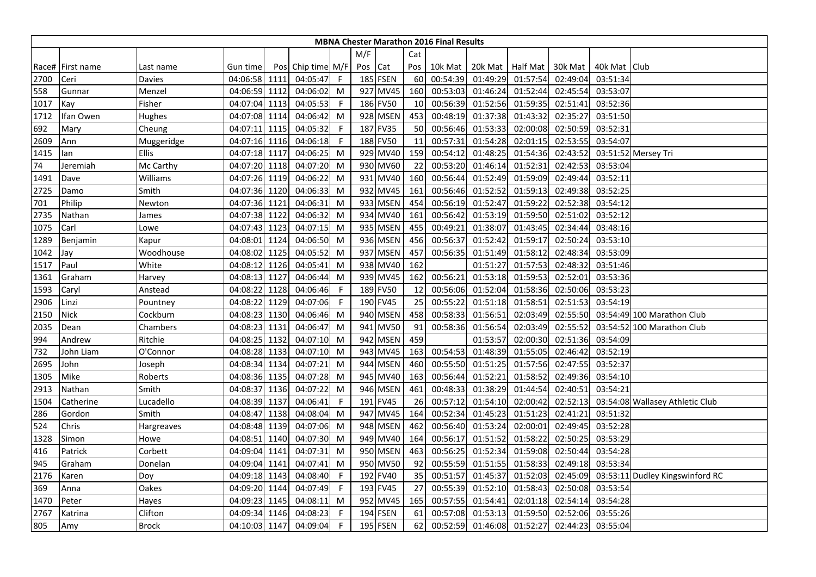|      |                  |              |               |      |                   |     |         |          |     | <b>MBNA Chester Marathon 2016 Final Results</b> |                  |          |          |                |                                 |
|------|------------------|--------------|---------------|------|-------------------|-----|---------|----------|-----|-------------------------------------------------|------------------|----------|----------|----------------|---------------------------------|
|      |                  |              |               |      |                   |     | M/F     |          | Cat |                                                 |                  |          |          |                |                                 |
|      | Race# First name | Last name    | Gun time      |      | Pos Chip time M/F |     | Pos Cat |          | Pos | 10k Mat                                         | 20k Mat Half Mat |          | 30k Mat  | 40k Mat   Club |                                 |
| 2700 | Ceri             | Davies       | 04:06:58 1111 |      | 04:05:47          | - F |         | 185 FSEN | 60  | 00:54:39                                        | 01:49:29         | 01:57:54 | 02:49:04 | 03:51:34       |                                 |
| 558  | Gunnar           | Menzel       | 04:06:59 1112 |      | 04:06:02          | M   |         | 927 MV45 | 160 | 00:53:03                                        | 01:46:24         | 01:52:44 | 02:45:54 | 03:53:07       |                                 |
| 1017 | Kay              | Fisher       | 04:07:04 1113 |      | 04:05:53          | -F  |         | 186 FV50 | 10  | 00:56:39                                        | 01:52:56         | 01:59:35 | 02:51:41 | 03:52:36       |                                 |
| 1712 | Ifan Owen        | Hughes       | 04:07:08 1114 |      | 04:06:42          | M   |         | 928 MSEN | 453 | 00:48:19                                        | 01:37:38         | 01:43:32 | 02:35:27 | 03:51:50       |                                 |
| 692  | Mary             | Cheung       | 04:07:11 1115 |      | 04:05:32          | -F  |         | 187 FV35 | 50  | 00:56:46                                        | 01:53:33         | 02:00:08 | 02:50:59 | 03:52:31       |                                 |
| 2609 | Ann              | Muggeridge   | 04:07:16 1116 |      | 04:06:18          | -F  |         | 188 FV50 | 11  | 00:57:31                                        | 01:54:28         | 02:01:15 | 02:53:55 | 03:54:07       |                                 |
| 1415 | lan              | <b>Ellis</b> | 04:07:18 1117 |      | 04:06:25          | M   |         | 929 MV40 | 159 | 00:54:12                                        | 01:48:25         | 01:54:36 | 02:43:52 |                | 03:51:52 Mersey Tri             |
| 74   | Jeremiah         | Mc Carthy    | 04:07:20 1118 |      | 04:07:20          | M   |         | 930 MV60 | 22  | 00:53:20                                        | 01:46:14         | 01:52:31 | 02:42:53 | 03:53:04       |                                 |
| 1491 | Dave             | Williams     | 04:07:26 1119 |      | 04:06:22          | M   |         | 931 MV40 | 160 | 00:56:44                                        | 01:52:49         | 01:59:09 | 02:49:44 | 03:52:11       |                                 |
| 2725 | Damo             | Smith        | 04:07:36 1120 |      | 04:06:33          | M   |         | 932 MV45 | 161 | 00:56:46                                        | 01:52:52         | 01:59:13 | 02:49:38 | 03:52:25       |                                 |
| 701  | Philip           | Newton       | 04:07:36 1121 |      | 04:06:31          | M   |         | 933 MSEN | 454 | 00:56:19                                        | 01:52:47         | 01:59:22 | 02:52:38 | 03:54:12       |                                 |
| 2735 | Nathan           | James        | 04:07:38 1122 |      | 04:06:32          | M   |         | 934 MV40 | 161 | 00:56:42                                        | 01:53:19         | 01:59:50 | 02:51:02 | 03:52:12       |                                 |
| 1075 | Carl             | Lowe         | 04:07:43 1123 |      | 04:07:15          | M   |         | 935 MSEN | 455 | 00:49:21                                        | 01:38:07         | 01:43:45 | 02:34:44 | 03:48:16       |                                 |
| 1289 | Benjamin         | Kapur        | 04:08:01      | 1124 | 04:06:50          | M   |         | 936 MSEN | 456 | 00:56:37                                        | 01:52:42         | 01:59:17 | 02:50:24 | 03:53:10       |                                 |
| 1042 | Jay              | Woodhouse    | 04:08:02 1125 |      | 04:05:52          | M   |         | 937 MSEN | 457 | 00:56:35                                        | 01:51:49         | 01:58:12 | 02:48:34 | 03:53:09       |                                 |
| 1517 | Paul             | White        | 04:08:12 1126 |      | 04:05:41          | M   |         | 938 MV40 | 162 |                                                 | 01:51:27         | 01:57:53 | 02:48:32 | 03:51:46       |                                 |
| 1361 | Graham           | Harvey       | 04:08:13      | 1127 | 04:06:44          | M   |         | 939 MV45 | 162 | 00:56:21                                        | 01:53:18         | 01:59:53 | 02:52:01 | 03:53:36       |                                 |
| 1593 | Caryl            | Anstead      | 04:08:22      | 1128 | 04:06:46          | -F  |         | 189 FV50 | 12  | 00:56:06                                        | 01:52:04         | 01:58:36 | 02:50:06 | 03:53:23       |                                 |
| 2906 | Linzi            | Pountney     | 04:08:22      | 1129 | 04:07:06          | -F  |         | 190 FV45 | 25  | 00:55:22                                        | 01:51:18         | 01:58:51 | 02:51:53 | 03:54:19       |                                 |
| 2150 | <b>Nick</b>      | Cockburn     | 04:08:23 1130 |      | 04:06:46          | M   |         | 940 MSEN | 458 | 00:58:33                                        | 01:56:51         | 02:03:49 | 02:55:50 |                | 03:54:49 100 Marathon Club      |
| 2035 | Dean             | Chambers     | 04:08:23      | 1131 | 04:06:47          | M   |         | 941 MV50 | 91  | 00:58:36                                        | 01:56:54         | 02:03:49 | 02:55:52 |                | 03:54:52 100 Marathon Club      |
| 994  | Andrew           | Ritchie      | 04:08:25      | 1132 | 04:07:10          | M   |         | 942 MSEN | 459 |                                                 | 01:53:57         | 02:00:30 | 02:51:36 | 03:54:09       |                                 |
| 732  | John Liam        | O'Connor     | 04:08:28 1133 |      | 04:07:10          | M   |         | 943 MV45 | 163 | 00:54:53                                        | 01:48:39         | 01:55:05 | 02:46:42 | 03:52:19       |                                 |
| 2695 | John             | Joseph       | 04:08:34 1134 |      | 04:07:21          | M   |         | 944 MSEN | 460 | 00:55:50                                        | 01:51:25         | 01:57:56 | 02:47:55 | 03:52:37       |                                 |
| 1305 | Mike             | Roberts      | 04:08:36 1135 |      | 04:07:28          | M   |         | 945 MV40 | 163 | 00:56:44                                        | 01:52:21         | 01:58:52 | 02:49:36 | 03:54:10       |                                 |
| 2913 | Nathan           | Smith        | 04:08:37 1136 |      | 04:07:22          | M   |         | 946 MSEN | 461 | 00:48:33                                        | 01:38:29         | 01:44:54 | 02:40:51 | 03:54:21       |                                 |
| 1504 | Catherine        | Lucadello    | 04:08:39 1137 |      | 04:06:41          | F   |         | 191 FV45 | 26  | 00:57:12                                        | 01:54:10         | 02:00:42 | 02:52:13 |                | 03:54:08 Wallasey Athletic Club |
| 286  | Gordon           | Smith        | 04:08:47 1138 |      | 04:08:04          | M   |         | 947 MV45 | 164 | 00:52:34                                        | 01:45:23         | 01:51:23 | 02:41:21 | 03:51:32       |                                 |
| 524  | Chris            | Hargreaves   | 04:08:48 1139 |      | 04:07:06          | M   |         | 948 MSEN | 462 | 00:56:40                                        | 01:53:24         | 02:00:01 | 02:49:45 | 03:52:28       |                                 |
| 1328 | Simon            | Howe         | 04:08:51 1140 |      | 04:07:30          | M   |         | 949 MV40 | 164 | 00:56:17                                        | 01:51:52         | 01:58:22 | 02:50:25 | 03:53:29       |                                 |
| 416  | Patrick          | Corbett      | 04:09:04 1141 |      | 04:07:31          | M   |         | 950 MSEN | 463 | 00:56:25                                        | 01:52:34         | 01:59:08 | 02:50:44 | 03:54:28       |                                 |
| 945  | Graham           | Donelan      | 04:09:04 1141 |      | 04:07:41          | M   |         | 950 MV50 | 92  | 00:55:59                                        | 01:51:55         | 01:58:33 | 02:49:18 | 03:53:34       |                                 |
| 2176 | Karen            | Doy          | 04:09:18      | 1143 | 04:08:40          | -F  |         | 192 FV40 | 35  | 00:51:57                                        | 01:45:37         | 01:52:03 | 02:45:09 |                | 03:53:11 Dudley Kingswinford RC |
| 369  | Anna             | Oakes        | 04:09:20 1144 |      | 04:07:49          | -F  |         | 193 FV45 | 27  | 00:55:39                                        | 01:52:10         | 01:58:43 | 02:50:08 | 03:53:54       |                                 |
| 1470 | Peter            | Hayes        | 04:09:23 1145 |      | 04:08:11          | M   |         | 952 MV45 | 165 | 00:57:55                                        | 01:54:41         | 02:01:18 | 02:54:14 | 03:54:28       |                                 |
| 2767 | Katrina          | Clifton      | 04:09:34 1146 |      | 04:08:23          | F   |         | 194 FSEN | 61  | 00:57:08                                        | 01:53:13         | 01:59:50 | 02:52:06 | 03:55:26       |                                 |
| 805  | Amy              | <b>Brock</b> | 04:10:03 1147 |      | 04:09:04          | F   |         | 195 FSEN | 62  | 00:52:59                                        | 01:46:08         | 01:52:27 | 02:44:23 | 03:55:04       |                                 |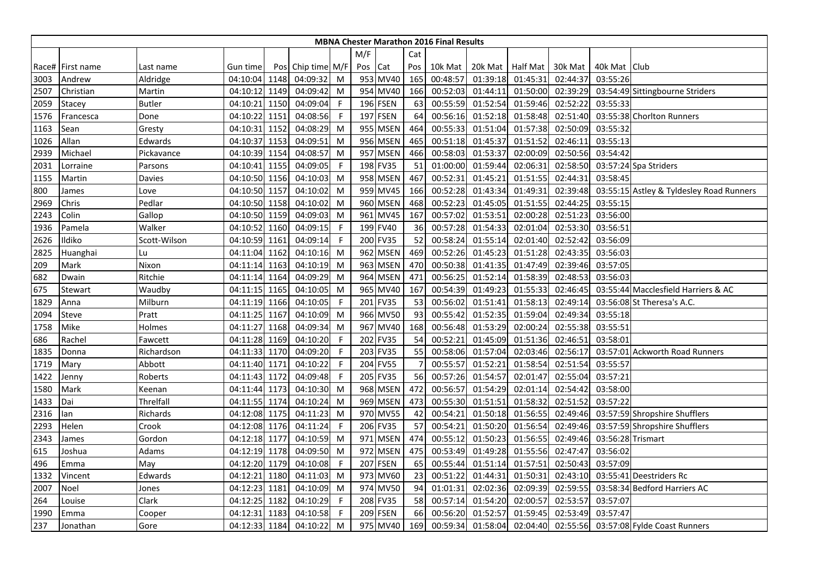|      |                  |               |               |      |                   |              |         |                 |     | <b>MBNA Chester Marathon 2016 Final Results</b> |                  |          |          |                   |                                          |
|------|------------------|---------------|---------------|------|-------------------|--------------|---------|-----------------|-----|-------------------------------------------------|------------------|----------|----------|-------------------|------------------------------------------|
|      |                  |               |               |      |                   |              | M/F     |                 | Cat |                                                 |                  |          |          |                   |                                          |
|      | Race# First name | Last name     | Gun time      |      | Pos Chip time M/F |              | Pos Cat |                 | Pos | 10k Mat                                         | 20k Mat Half Mat |          | 30k Mat  | 40k Mat   Club    |                                          |
| 3003 | Andrew           | Aldridge      | 04:10:04      | 1148 | 04:09:32          | M            |         | 953 MV40        | 165 | 00:48:57                                        | 01:39:18         | 01:45:31 | 02:44:37 | 03:55:26          |                                          |
| 2507 | Christian        | Martin        | 04:10:12      | 1149 | 04:09:42          | M            |         | 954 MV40        | 166 | 00:52:03                                        | 01:44:11         | 01:50:00 | 02:39:29 |                   | 03:54:49 Sittingbourne Striders          |
| 2059 | Stacey           | <b>Butler</b> | 04:10:21      | 1150 | 04:09:04          | F            |         | <b>196 FSEN</b> | 63  | 00:55:59                                        | 01:52:54         | 01:59:46 | 02:52:22 | 03:55:33          |                                          |
| 1576 | Francesca        | Done          | 04:10:22      | 1151 | 04:08:56          | $\mathsf F$  |         | 197 FSEN        | 64  | 00:56:16                                        | 01:52:18         | 01:58:48 | 02:51:40 |                   | 03:55:38 Chorlton Runners                |
| 1163 | Sean             | Gresty        | 04:10:31      | 1152 | 04:08:29          | M            |         | 955 MSEN        | 464 | 00:55:33                                        | 01:51:04         | 01:57:38 | 02:50:09 | 03:55:32          |                                          |
| 1026 | Allan            | Edwards       | 04:10:37      | 1153 | 04:09:51          | M            |         | 956 MSEN        | 465 | 00:51:18                                        | 01:45:37         | 01:51:52 | 02:46:11 | 03:55:13          |                                          |
| 2939 | Michael          | Pickavance    | 04:10:39      | 1154 | 04:08:57          | M            |         | 957 MSEN        | 466 | 00:58:03                                        | 01:53:37         | 02:00:09 | 02:50:56 | 03:54:42          |                                          |
| 2031 | Lorraine         | Parsons       | 04:10:41 1155 |      | 04:09:05          | F            |         | 198 FV35        | 51  | 01:00:00                                        | 01:59:44         | 02:06:31 | 02:58:50 |                   | 03:57:24 Spa Striders                    |
| 1155 | Martin           | Davies        | 04:10:50 1156 |      | 04:10:03          | M            |         | 958 MSEN        | 467 | 00:52:31                                        | 01:45:21         | 01:51:55 | 02:44:31 | 03:58:45          |                                          |
| 800  | James            | Love          | 04:10:50      | 1157 | 04:10:02          | M            |         | 959 MV45        | 166 | 00:52:28                                        | 01:43:34         | 01:49:31 | 02:39:48 |                   | 03:55:15 Astley & Tyldesley Road Runners |
| 2969 | Chris            | Pedlar        | 04:10:50      | 1158 | 04:10:02          | M            |         | 960 MSEN        | 468 | 00:52:23                                        | 01:45:05         | 01:51:55 | 02:44:25 | 03:55:15          |                                          |
| 2243 | Colin            | Gallop        | 04:10:50 1159 |      | 04:09:03          | M            |         | 961 MV45        | 167 | 00:57:02                                        | 01:53:51         | 02:00:28 | 02:51:23 | 03:56:00          |                                          |
| 1936 | Pamela           | Walker        | 04:10:52 1160 |      | 04:09:15          | F            |         | 199 FV40        | 36  | 00:57:28                                        | 01:54:33         | 02:01:04 | 02:53:30 | 03:56:51          |                                          |
| 2626 | Ildiko           | Scott-Wilson  | 04:10:59      | 1161 | 04:09:14          | -F           |         | 200 FV35        | 52  | 00:58:24                                        | 01:55:14         | 02:01:40 | 02:52:42 | 03:56:09          |                                          |
| 2825 | Huanghai         | Lu            | 04:11:04 1162 |      | 04:10:16          | M            |         | 962 MSEN        | 469 | 00:52:26                                        | 01:45:23         | 01:51:28 | 02:43:35 | 03:56:03          |                                          |
| 209  | Mark             | Nixon         | 04:11:14 1163 |      | 04:10:19          | M            |         | 963 MSEN        | 470 | 00:50:38                                        | 01:41:35         | 01:47:49 | 02:39:46 | 03:57:05          |                                          |
| 682  | Dwain            | Ritchie       | 04:11:14      | 1164 | 04:09:29          | M            |         | 964 MSEN        | 471 | 00:56:25                                        | 01:52:14         | 01:58:39 | 02:48:53 | 03:56:03          |                                          |
| 675  | Stewart          | Waudby        | 04:11:15      | 1165 | 04:10:05          | M            |         | 965 MV40        | 167 | 00:54:39                                        | 01:49:23         | 01:55:33 | 02:46:45 |                   | 03:55:44 Macclesfield Harriers & AC      |
| 1829 | Anna             | Milburn       | 04:11:19 1166 |      | 04:10:05          | F            |         | 201 FV35        | 53  | 00:56:02                                        | 01:51:41         | 01:58:13 | 02:49:14 |                   | 03:56:08 St Theresa's A.C.               |
| 2094 | Steve            | Pratt         | 04:11:25 1167 |      | 04:10:09          | M            |         | 966 MV50        | 93  | 00:55:42                                        | 01:52:35         | 01:59:04 | 02:49:34 | 03:55:18          |                                          |
| 1758 | Mike             | Holmes        | 04:11:27      | 1168 | 04:09:34          | M            |         | 967 MV40        | 168 | 00:56:48                                        | 01:53:29         | 02:00:24 | 02:55:38 | 03:55:51          |                                          |
| 686  | Rachel           | Fawcett       | 04:11:28      | 1169 | 04:10:20          | F            |         | 202 FV35        | 54  | 00:52:21                                        | 01:45:09         | 01:51:36 | 02:46:51 | 03:58:01          |                                          |
| 1835 | Donna            | Richardson    | 04:11:33 1170 |      | 04:09:20          | -F           |         | 203 FV35        | 55  | 00:58:06                                        | 01:57:04         | 02:03:46 | 02:56:17 |                   | 03:57:01 Ackworth Road Runners           |
| 1719 | Mary             | Abbott        | 04:11:40      | 1171 | 04:10:22          | F            |         | 204 FV55        | 7   | 00:55:57                                        | 01:52:21         | 01:58:54 | 02:51:54 | 03:55:57          |                                          |
| 1422 | Jenny            | Roberts       | 04:11:43      | 1172 | 04:09:48          | -F           |         | 205 FV35        | 56  | 00:57:26                                        | 01:54:57         | 02:01:47 | 02:55:04 | 03:57:21          |                                          |
| 1580 | Mark             | Keenan        | 04:11:44      | 1173 | 04:10:30          | M            |         | 968 MSEN        | 472 | 00:56:57                                        | 01:54:29         | 02:01:14 | 02:54:42 | 03:58:00          |                                          |
| 1433 | Dai              | Threlfall     | 04:11:55 1174 |      | 04:10:24          | M            |         | 969 MSEN        | 473 | 00:55:30                                        | 01:51:51         | 01:58:32 | 02:51:52 | 03:57:22          |                                          |
| 2316 | lan              | Richards      | 04:12:08 1175 |      | 04:11:23          | M            |         | 970 MV55        | 42  | 00:54:21                                        | 01:50:18         | 01:56:55 | 02:49:46 |                   | 03:57:59 Shropshire Shufflers            |
| 2293 | Helen            | Crook         | 04:12:08 1176 |      | 04:11:24          | -F           |         | 206 FV35        | 57  | 00:54:21                                        | 01:50:20         | 01:56:54 | 02:49:46 |                   | 03:57:59 Shropshire Shufflers            |
| 2343 | James            | Gordon        | 04:12:18 1177 |      | 04:10:59          | M            |         | 971 MSEN        | 474 | 00:55:12                                        | 01:50:23         | 01:56:55 | 02:49:46 | 03:56:28 Trismart |                                          |
| 615  | Joshua           | Adams         | 04:12:19 1178 |      | 04:09:50          | M            |         | 972 MSEN        | 475 | 00:53:49                                        | 01:49:28         | 01:55:56 | 02:47:47 | 03:56:02          |                                          |
| 496  | Emma             | May           | 04:12:20      | 1179 | 04:10:08          | -F           |         | <b>207 FSEN</b> | 65  | 00:55:44                                        | 01:51:14         | 01:57:51 | 02:50:43 | 03:57:09          |                                          |
| 1332 | Vincent          | Edwards       | 04:12:21      | 1180 | 04:11:03          | M            |         | 973 MV60        | 23  | 00:51:22                                        | 01:44:31         | 01:50:31 | 02:43:10 |                   | 03:55:41 Deestriders Rc                  |
| 2007 | Noel             | Jones         | 04:12:23 1181 |      | 04:10:09          | M            |         | 974 MV50        | 94  | 01:01:31                                        | 02:02:36         | 02:09:39 | 02:59:55 |                   | 03:58:34 Bedford Harriers AC             |
| 264  | Louise           | Clark         | 04:12:25      | 1182 | 04:10:29          | F.           |         | 208 FV35        | 58  | 00:57:14                                        | 01:54:20         | 02:00:57 | 02:53:57 | 03:57:07          |                                          |
| 1990 | Emma             | Cooper        | 04:12:31      | 1183 | 04:10:58          | $\mathsf{F}$ |         | 209 FSEN        | 66  | 00:56:20                                        | 01:52:57         | 01:59:45 | 02:53:49 | 03:57:47          |                                          |
| 237  | Jonathan         | Gore          | 04:12:33 1184 |      | 04:10:22          | M            |         | 975 MV40        | 169 | 00:59:34                                        | 01:58:04         | 02:04:40 |          |                   | 02:55:56 03:57:08 Fylde Coast Runners    |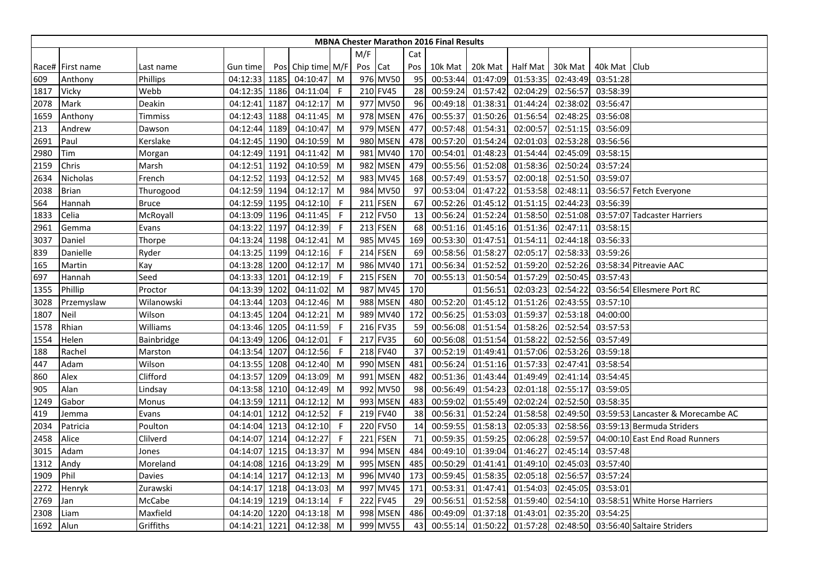|      |                  |            |               |      |                   |    |         |             |     | <b>MBNA Chester Marathon 2016 Final Results</b> |                  |          |          |                |                                     |
|------|------------------|------------|---------------|------|-------------------|----|---------|-------------|-----|-------------------------------------------------|------------------|----------|----------|----------------|-------------------------------------|
|      |                  |            |               |      |                   |    | M/F     |             | Cat |                                                 |                  |          |          |                |                                     |
|      | Race# First name | Last name  | Gun time      |      | Pos Chip time M/F |    | Pos Cat |             | Pos | 10k Mat                                         | 20k Mat Half Mat |          | 30k Mat  | 40k Mat   Club |                                     |
| 609  | Anthony          | Phillips   | 04:12:33 1185 |      | 04:10:47          | M  |         | 976 MV50    | 95  | 00:53:44                                        | 01:47:09         | 01:53:35 | 02:43:49 | 03:51:28       |                                     |
| 1817 | Vicky            | Webb       | 04:12:35 1186 |      | 04:11:04          | -F |         | 210 FV45    | 28  | 00:59:24                                        | 01:57:42         | 02:04:29 | 02:56:57 | 03:58:39       |                                     |
| 2078 | Mark             | Deakin     | 04:12:41      | 1187 | 04:12:17          | M  |         | 977 MV50    | 96  | 00:49:18                                        | 01:38:31         | 01:44:24 | 02:38:02 | 03:56:47       |                                     |
| 1659 | Anthony          | Timmiss    | 04:12:43      | 1188 | 04:11:45          | M  |         | 978 MSEN    | 476 | 00:55:37                                        | 01:50:26         | 01:56:54 | 02:48:25 | 03:56:08       |                                     |
| 213  | Andrew           | Dawson     | 04:12:44 1189 |      | 04:10:47          | M  |         | 979 MSEN    | 477 | 00:57:48                                        | 01:54:31         | 02:00:57 | 02:51:15 | 03:56:09       |                                     |
| 2691 | Paul             | Kerslake   | 04:12:45 1190 |      | 04:10:59          | M  |         | 980 MSEN    | 478 | 00:57:20                                        | 01:54:24         | 02:01:03 | 02:53:28 | 03:56:56       |                                     |
| 2980 | Tim              | Morgan     | 04:12:49 1191 |      | 04:11:42          | M  |         | 981 MV40    | 170 | 00:54:01                                        | 01:48:23         | 01:54:44 | 02:45:09 | 03:58:15       |                                     |
| 2159 | Chris            | Marsh      | 04:12:51 1192 |      | 04:10:59          | M  |         | 982 MSEN    | 479 | 00:55:56                                        | 01:52:08         | 01:58:36 | 02:50:24 | 03:57:24       |                                     |
| 2634 | Nicholas         | French     | 04:12:52 1193 |      | 04:12:52          | M  |         | 983 MV45    | 168 | 00:57:49                                        | 01:53:57         | 02:00:18 | 02:51:50 | 03:59:07       |                                     |
| 2038 | <b>Brian</b>     | Thurogood  | 04:12:59 1194 |      | 04:12:17          | M  |         | 984 MV50    | 97  | 00:53:04                                        | 01:47:22         | 01:53:58 | 02:48:11 |                | 03:56:57 Fetch Everyone             |
| 564  | Hannah           | Bruce      | 04:12:59 1195 |      | 04:12:10          | -F |         | 211 FSEN    | 67  | 00:52:26                                        | 01:45:12         | 01:51:15 | 02:44:23 | 03:56:39       |                                     |
| 1833 | Celia            | McRoyall   | 04:13:09 1196 |      | 04:11:45          | -F |         | 212 FV50    | 13  | 00:56:24                                        | 01:52:24         | 01:58:50 | 02:51:08 |                | 03:57:07 Tadcaster Harriers         |
| 2961 | Gemma            | Evans      | 04:13:22 1197 |      | 04:12:39          | -F |         | 213 FSEN    | 68  | 00:51:16                                        | 01:45:16         | 01:51:36 | 02:47:11 | 03:58:15       |                                     |
| 3037 | Daniel           | Thorpe     | 04:13:24 1198 |      | 04:12:41          | M  |         | 985 MV45    | 169 | 00:53:30                                        | 01:47:51         | 01:54:11 | 02:44:18 | 03:56:33       |                                     |
| 839  | Danielle         | Ryder      | 04:13:25 1199 |      | 04:12:16          | -F |         | 214 FSEN    | 69  | 00:58:56                                        | 01:58:27         | 02:05:17 | 02:58:33 | 03:59:26       |                                     |
| 165  | Martin           | Kay        | 04:13:28 1200 |      | 04:12:17          | M  |         | 986 MV40    | 171 | 00:56:34                                        | 01:52:52         | 01:59:20 | 02:52:26 |                | 03:58:34 Pitreavie AAC              |
| 697  | Hannah           | Seed       | 04:13:33      | 1201 | 04:12:19          | F  |         | 215 FSEN    | 70  | 00:55:13                                        | 01:50:54         | 01:57:29 | 02:50:45 | 03:57:43       |                                     |
| 1355 | Phillip          | Proctor    | 04:13:39      | 1202 | 04:11:02          | M  |         | 987 MV45    | 170 |                                                 | 01:56:51         | 02:03:23 | 02:54:22 |                | 03:56:54 Ellesmere Port RC          |
| 3028 | Przemyslaw       | Wilanowski | 04:13:44 1203 |      | 04:12:46          | M  |         | 988 MSEN    | 480 | 00:52:20                                        | 01:45:12         | 01:51:26 | 02:43:55 | 03:57:10       |                                     |
| 1807 | Neil             | Wilson     | 04:13:45 1204 |      | 04:12:21          | M  |         | 989 MV40    | 172 | 00:56:25                                        | 01:53:03         | 01:59:37 | 02:53:18 | 04:00:00       |                                     |
| 1578 | Rhian            | Williams   | 04:13:46 1205 |      | 04:11:59          | -F |         | 216 FV35    | 59  | 00:56:08                                        | 01:51:54         | 01:58:26 | 02:52:54 | 03:57:53       |                                     |
| 1554 | Helen            | Bainbridge | 04:13:49 1206 |      | 04:12:01          | F  |         | 217 FV35    | 60  | 00:56:08                                        | 01:51:54         | 01:58:22 | 02:52:56 | 03:57:49       |                                     |
| 188  | Rachel           | Marston    | 04:13:54 1207 |      | 04:12:56          | -F |         | 218 FV40    | 37  | 00:52:19                                        | 01:49:41         | 01:57:06 | 02:53:26 | 03:59:18       |                                     |
| 447  | Adam             | Wilson     | 04:13:55 1208 |      | 04:12:40          | M  |         | 990 MSEN    | 481 | 00:56:24                                        | 01:51:16         | 01:57:33 | 02:47:41 | 03:58:54       |                                     |
| 860  | Alex             | Clifford   | 04:13:57      | 1209 | 04:13:09          | M  | 991     | <b>MSEN</b> | 482 | 00:51:36                                        | 01:43:44         | 01:49:49 | 02:41:14 | 03:54:45       |                                     |
| 905  | Alan             | Lindsay    | 04:13:58      | 1210 | 04:12:49          | M  |         | 992 MV50    | 98  | 00:56:49                                        | 01:54:23         | 02:01:18 | 02:55:17 | 03:59:05       |                                     |
| 1249 | Gabor            | Monus      | 04:13:59 1211 |      | 04:12:12          | M  |         | 993 MSEN    | 483 | 00:59:02                                        | 01:55:49         | 02:02:24 | 02:52:50 | 03:58:35       |                                     |
| 419  | Jemma            | Evans      | 04:14:01 1212 |      | 04:12:52          | -F |         | 219 FV40    | 38  | 00:56:31                                        | 01:52:24         | 01:58:58 | 02:49:50 |                | 03:59:53 Lancaster & Morecambe AC   |
| 2034 | Patricia         | Poulton    | 04:14:04 1213 |      | 04:12:10          | -F |         | 220 FV50    | 14  | 00:59:55                                        | 01:58:13         | 02:05:33 | 02:58:56 |                | 03:59:13 Bermuda Striders           |
| 2458 | Alice            | Clilverd   | 04:14:07 1214 |      | 04:12:27          | -F |         | 221 FSEN    | 71  | 00:59:35                                        | 01:59:25         | 02:06:28 | 02:59:57 |                | 04:00:10 East End Road Runners      |
| 3015 | Adam             | Jones      | 04:14:07 1215 |      | 04:13:37          | M  |         | 994 MSEN    | 484 | 00:49:10                                        | 01:39:04         | 01:46:27 | 02:45:14 | 03:57:48       |                                     |
| 1312 | Andy             | Moreland   | 04:14:08 1216 |      | 04:13:29          | M  |         | 995 MSEN    | 485 | 00:50:29                                        | 01:41:41         | 01:49:10 | 02:45:03 | 03:57:40       |                                     |
| 1909 | Phil             | Davies     | 04:14:14      | 1217 | 04:12:13          | M  |         | 996 MV40    | 173 | 00:59:45                                        | 01:58:35         | 02:05:18 | 02:56:57 | 03:57:24       |                                     |
| 2272 | Henryk           | Zurawski   | 04:14:17 1218 |      | 04:13:03          | M  |         | 997 MV45    | 171 | 00:53:31                                        | 01:47:41         | 01:54:03 | 02:45:05 | 03:53:01       |                                     |
| 2769 | Jan              | McCabe     | 04:14:19 1219 |      | 04:13:14          | -F |         | 222 FV45    | 29  | 00:56:51                                        | 01:52:58         | 01:59:40 | 02:54:10 |                | 03:58:51 White Horse Harriers       |
| 2308 | _iam             | Maxfield   | 04:14:20      | 1220 | 04:13:18          | M  |         | 998 MSEN    | 486 | 00:49:09                                        | 01:37:18         | 01:43:01 | 02:35:20 | 03:54:25       |                                     |
| 1692 | <b>Alun</b>      | Griffiths  | 04:14:21 1221 |      | 04:12:38          | M  |         | 999 MV55    | 43  | 00:55:14                                        | 01:50:22         | 01:57:28 |          |                | 02:48:50 03:56:40 Saltaire Striders |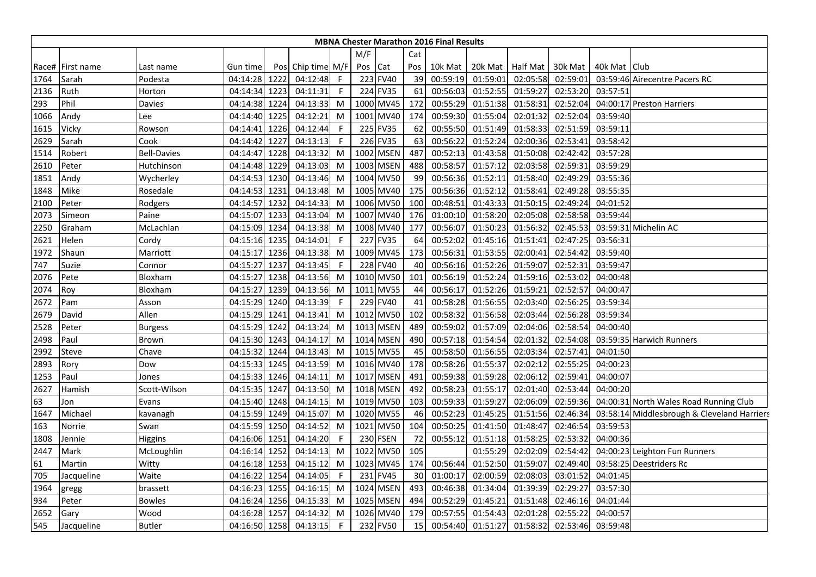|      |                  |                    |               |      |               |              |         |                 |                 | <b>MBNA Chester Marathon 2016 Final Results</b> |          |                    |          |                |                                             |
|------|------------------|--------------------|---------------|------|---------------|--------------|---------|-----------------|-----------------|-------------------------------------------------|----------|--------------------|----------|----------------|---------------------------------------------|
|      |                  |                    |               |      |               |              | M/F     |                 | Cat             |                                                 |          |                    |          |                |                                             |
|      | Race# First name | Last name          | Gun time      | Pos  | Chip time M/F |              | Pos Cat |                 | Pos             | 10k Mat                                         |          | 20k Mat   Half Mat | 30k Mat  | 40k Mat   Club |                                             |
| 1764 | Sarah            | Podesta            | 04:14:28 1222 |      | 04:12:48      | $\mathsf{F}$ |         | 223 FV40        | 39              | 00:59:19                                        | 01:59:01 | 02:05:58           | 02:59:01 |                | 03:59:46 Airecentre Pacers RC               |
| 2136 | Ruth             | Horton             | 04:14:34      | 1223 | 04:11:31      | $\mathsf F$  |         | 224 FV35        | 61              | 00:56:03                                        | 01:52:55 | 01:59:27           | 02:53:20 | 03:57:51       |                                             |
| 293  | Phil             | Davies             | 04:14:38      | 1224 | 04:13:33      | M            |         | 1000 MV45       | 172             | 00:55:29                                        | 01:51:38 | 01:58:31           | 02:52:04 |                | 04:00:17 Preston Harriers                   |
| 1066 | Andy             | Lee                | 04:14:40 1225 |      | 04:12:21      | M            |         | 1001 MV40       | 174             | 00:59:30                                        | 01:55:04 | 02:01:32           | 02:52:04 | 03:59:40       |                                             |
| 1615 | Vicky            | Rowson             | 04:14:41      | 1226 | 04:12:44      | -F           |         | 225 FV35        | 62              | 00:55:50                                        | 01:51:49 | 01:58:33           | 02:51:59 | 03:59:11       |                                             |
| 2629 | Sarah            | Cook               | 04:14:42      | 1227 | 04:13:13      | -F           |         | 226 FV35        | 63              | 00:56:22                                        | 01:52:24 | 02:00:36           | 02:53:41 | 03:58:42       |                                             |
| 1514 | Robert           | <b>Bell-Davies</b> | 04:14:47      | 1228 | 04:13:32      | M            |         | 1002 MSEN       | 487             | 00:52:13                                        | 01:43:58 | 01:50:08           | 02:42:42 | 03:57:28       |                                             |
| 2610 | Peter            | Hutchinson         | 04:14:48 1229 |      | 04:13:03      | M            |         | 1003 MSEN       | 488             | 00:58:57                                        | 01:57:12 | 02:03:58           | 02:59:31 | 03:59:29       |                                             |
| 1851 | Andy             | Wycherley          | 04:14:53 1230 |      | 04:13:46      | M            |         | 1004 MV50       | 99              | 00:56:36                                        | 01:52:11 | 01:58:40           | 02:49:29 | 03:55:36       |                                             |
| 1848 | Mike             | Rosedale           | 04:14:53      | 1231 | 04:13:48      | M            |         | 1005 MV40       | 175             | 00:56:36                                        | 01:52:12 | 01:58:41           | 02:49:28 | 03:55:35       |                                             |
| 2100 | Peter            | Rodgers            | 04:14:57      | 1232 | 04:14:33      | M            |         | 1006 MV50       | 100             | 00:48:51                                        | 01:43:33 | 01:50:15           | 02:49:24 | 04:01:52       |                                             |
| 2073 | Simeon           | Paine              | 04:15:07      | 1233 | 04:13:04      | M            |         | 1007 MV40       | 176             | 01:00:10                                        | 01:58:20 | 02:05:08           | 02:58:58 | 03:59:44       |                                             |
| 2250 | Graham           | McLachlan          | 04:15:09 1234 |      | 04:13:38      | M            |         | 1008 MV40       | 177             | 00:56:07                                        | 01:50:23 | 01:56:32           | 02:45:53 |                | 03:59:31 Michelin AC                        |
| 2621 | Helen            | Cordy              | 04:15:16 1235 |      | 04:14:01      | -F           |         | 227 FV35        | 64              | 00:52:02                                        | 01:45:16 | 01:51:41           | 02:47:25 | 03:56:31       |                                             |
| 1972 | Shaun            | Marriott           | 04:15:17 1236 |      | 04:13:38      | M            |         | 1009 MV45       | 173             | 00:56:31                                        | 01:53:55 | 02:00:41           | 02:54:42 | 03:59:40       |                                             |
| 747  | Suzie            | Connor             | 04:15:27 1237 |      | 04:13:45      | -F           |         | 228 FV40        | 40              | 00:56:16                                        | 01:52:26 | 01:59:07           | 02:52:31 | 03:59:47       |                                             |
| 2076 | Pete             | Bloxham            | 04:15:27      | 1238 | 04:13:56      | M            |         | 1010 MV50       | 101             | 00:56:19                                        | 01:52:24 | 01:59:16           | 02:53:02 | 04:00:48       |                                             |
| 2074 | Roy              | Bloxham            | 04:15:27      | 1239 | 04:13:56      | M            | 1011    | <b>MV55</b>     | 44              | 00:56:17                                        | 01:52:26 | 01:59:21           | 02:52:57 | 04:00:47       |                                             |
| 2672 | Pam              | Asson              | 04:15:29 1240 |      | 04:13:39      | F            |         | 229 FV40        | 41              | 00:58:28                                        | 01:56:55 | 02:03:40           | 02:56:25 | 03:59:34       |                                             |
| 2679 | David            | Allen              | 04:15:29 1241 |      | 04:13:41      | M            |         | 1012 MV50       | 102             | 00:58:32                                        | 01:56:58 | 02:03:44           | 02:56:28 | 03:59:34       |                                             |
| 2528 | Peter            | <b>Burgess</b>     | 04:15:29 1242 |      | 04:13:24      | M            |         | 1013 MSEN       | 489             | 00:59:02                                        | 01:57:09 | 02:04:06           | 02:58:54 | 04:00:40       |                                             |
| 2498 | Paul             | Brown              | 04:15:30 1243 |      | 04:14:17      | M            |         | 1014 MSEN       | 490             | 00:57:18                                        | 01:54:54 | 02:01:32           | 02:54:08 |                | 03:59:35 Harwich Runners                    |
| 2992 | <b>Steve</b>     | Chave              | 04:15:32 1244 |      | 04:13:43      | M            |         | 1015 MV55       | 45              | 00:58:50                                        | 01:56:55 | 02:03:34           | 02:57:41 | 04:01:50       |                                             |
| 2893 | Rory             | Dow                | 04:15:33 1245 |      | 04:13:59      | M            |         | 1016 MV40       | 178             | 00:58:26                                        | 01:55:37 | 02:02:12           | 02:55:25 | 04:00:23       |                                             |
| 1253 | Paul             | Jones              | 04:15:33 1246 |      | 04:14:11      | M            |         | 1017 MSEN       | 491             | 00:59:38                                        | 01:59:28 | 02:06:12           | 02:59:41 | 04:00:07       |                                             |
| 2627 | Hamish           | Scott-Wilson       | 04:15:35 1247 |      | 04:13:50      | M            |         | 1018 MSEN       | 492             | 00:58:23                                        | 01:55:17 | 02:01:40           | 02:53:44 | 04:00:20       |                                             |
| 63   | Jon              | Evans              | 04:15:40 1248 |      | 04:14:15      | M            |         | 1019 MV50       | 103             | 00:59:33                                        | 01:59:27 | 02:06:09           | 02:59:36 |                | 04:00:31 North Wales Road Running Club      |
| 1647 | Michael          | kavanagh           | 04:15:59 1249 |      | 04:15:07      | M            |         | 1020 MV55       | 46              | 00:52:23                                        | 01:45:25 | 01:51:56           | 02:46:34 |                | 03:58:14 Middlesbrough & Cleveland Harriers |
| 163  | Norrie           | Swan               | 04:15:59 1250 |      | 04:14:52      | M            | 1021    | <b>MV50</b>     | 104             | 00:50:25                                        | 01:41:50 | 01:48:47           | 02:46:54 | 03:59:53       |                                             |
| 1808 | Jennie           | Higgins            | 04:16:06      | 1251 | 04:14:20      | -F           |         | <b>230 FSEN</b> | 72              | 00:55:12                                        | 01:51:18 | 01:58:25           | 02:53:32 | 04:00:36       |                                             |
| 2447 | Mark             | McLoughlin         | 04:16:14 1252 |      | 04:14:13      | M            |         | 1022 MV50       | 105             |                                                 | 01:55:29 | 02:02:09           | 02:54:42 |                | 04:00:23 Leighton Fun Runners               |
| 61   | Martin           | Witty              | 04:16:18 1253 |      | 04:15:12      | M            |         | 1023 MV45       | 174             | 00:56:44                                        | 01:52:50 | 01:59:07           | 02:49:40 |                | 03:58:25 Deestriders Rc                     |
| 705  | Jacqueline       | Waite              | 04:16:22      | 1254 | 04:14:05      | $\mathsf{F}$ | 231     | <b>FV45</b>     | 30 <sup>1</sup> | 01:00:17                                        | 02:00:59 | 02:08:03           | 03:01:52 | 04:01:45       |                                             |
| 1964 | gregg            | brassett           | 04:16:23 1255 |      | 04:16:15      | M            |         | 1024 MSEN       | 493             | 00:46:38                                        | 01:34:04 | 01:39:39           | 02:29:27 | 03:57:30       |                                             |
| 934  | Peter            | <b>Bowles</b>      | 04:16:24 1256 |      | 04:15:33      | M            |         | 1025 MSEN       | 494             | 00:52:29                                        | 01:45:21 | 01:51:48           | 02:46:16 | 04:01:44       |                                             |
| 2652 | Gary             | Wood               | 04:16:28      | 1257 | 04:14:32      | M            |         | 1026 MV40       | 179             | 00:57:55                                        | 01:54:43 | 02:01:28           | 02:55:22 | 04:00:57       |                                             |
| 545  | Jacqueline       | <b>Butler</b>      | 04:16:50 1258 |      | 04:13:15      | $\mathsf{F}$ |         | 232 FV50        | 15              | 00:54:40                                        | 01:51:27 | 01:58:32           | 02:53:46 | 03:59:48       |                                             |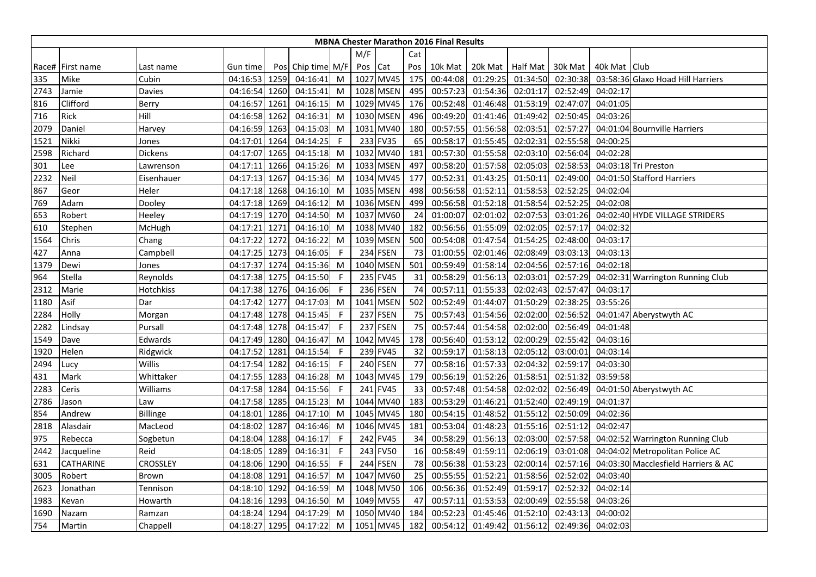|      | <b>MBNA Chester Marathon 2016 Final Results</b> |                 |               |      |                   |             |     |                 |     |          |                  |          |          |              |                                     |
|------|-------------------------------------------------|-----------------|---------------|------|-------------------|-------------|-----|-----------------|-----|----------|------------------|----------|----------|--------------|-------------------------------------|
|      |                                                 |                 |               |      |                   |             | M/F |                 | Cat |          |                  |          |          |              |                                     |
|      | Race# First name                                | Last name       | Gun time      |      | Pos Chip time M/F |             | Pos | Cat             | Pos | 10k Mat  | 20k Mat Half Mat |          | 30k Mat  | 40k Mat Club |                                     |
| 335  | Mike                                            | Cubin           | 04:16:53 1259 |      | 04:16:41          | M           |     | 1027 MV45       | 175 | 00:44:08 | 01:29:25         | 01:34:50 | 02:30:38 |              | 03:58:36 Glaxo Hoad Hill Harriers   |
| 2743 | Jamie                                           | Davies          | 04:16:54      | 1260 | 04:15:41          | M           |     | 1028 MSEN       | 495 | 00:57:23 | 01:54:36         | 02:01:17 | 02:52:49 | 04:02:17     |                                     |
| 816  | Clifford                                        | Berry           | 04:16:57      | 1261 | 04:16:15          | M           |     | 1029 MV45       | 176 | 00:52:48 | 01:46:48         | 01:53:19 | 02:47:07 | 04:01:05     |                                     |
| 716  | Rick                                            | Hill            | 04:16:58      | 1262 | 04:16:31          | M           |     | 1030 MSEN       | 496 | 00:49:20 | 01:41:46         | 01:49:42 | 02:50:45 | 04:03:26     |                                     |
| 2079 | Daniel                                          | Harvey          | 04:16:59      | 1263 | 04:15:03          | M           |     | 1031 MV40       | 180 | 00:57:55 | 01:56:58         | 02:03:51 | 02:57:27 |              | 04:01:04 Bournville Harriers        |
| 1521 | Nikki                                           | Jones           | 04:17:01      | 1264 | 04:14:25          | F           |     | 233 FV35        | 65  | 00:58:17 | 01:55:45         | 02:02:31 | 02:55:58 | 04:00:25     |                                     |
| 2598 | Richard                                         | Dickens         | 04:17:07      | 1265 | 04:15:18          | M           |     | 1032 MV40       | 181 | 00:57:30 | 01:55:58         | 02:03:10 | 02:56:04 | 04:02:28     |                                     |
| 301  | Lee                                             | Lawrenson       | 04:17:11 1266 |      | 04:15:26          | M           |     | 1033 MSEN       | 497 | 00:58:20 | 01:57:58         | 02:05:03 | 02:58:53 |              | 04:03:18 Tri Preston                |
| 2232 | <b>Neil</b>                                     | Eisenhauer      | 04:17:13      | 1267 | 04:15:36          | M           |     | 1034 MV45       | 177 | 00:52:31 | 01:43:25         | 01:50:11 | 02:49:00 |              | 04:01:50 Stafford Harriers          |
| 867  | Geor                                            | Heler           | 04:17:18      | 1268 | 04:16:10          | M           |     | 1035 MSEN       | 498 | 00:56:58 | 01:52:11         | 01:58:53 | 02:52:25 | 04:02:04     |                                     |
| 769  | Adam                                            | Dooley          | 04:17:18      | 1269 | 04:16:12          | M           |     | 1036 MSEN       | 499 | 00:56:58 | 01:52:18         | 01:58:54 | 02:52:25 | 04:02:08     |                                     |
| 653  | Robert                                          | Heeley          | 04:17:19      | 1270 | 04:14:50          | M           |     | 1037 MV60       | 24  | 01:00:07 | 02:01:02         | 02:07:53 | 03:01:26 |              | 04:02:40 HYDE VILLAGE STRIDERS      |
| 610  | Stephen                                         | McHugh          | 04:17:21      | 1271 | 04:16:10          | M           |     | 1038 MV40       | 182 | 00:56:56 | 01:55:09         | 02:02:05 | 02:57:17 | 04:02:32     |                                     |
| 1564 | Chris                                           | Chang           | 04:17:22      | 1272 | 04:16:22          | M           |     | 1039 MSEN       | 500 | 00:54:08 | 01:47:54         | 01:54:25 | 02:48:00 | 04:03:17     |                                     |
| 427  | Anna                                            | Campbell        | 04:17:25      | 1273 | 04:16:05          | F           |     | 234 FSEN        | 73  | 01:00:55 | 02:01:46         | 02:08:49 | 03:03:13 | 04:03:13     |                                     |
| 1379 | Dewi                                            | Jones           | 04:17:37 1274 |      | 04:15:36          | M           |     | 1040 MSEN       | 501 | 00:59:49 | 01:58:14         | 02:04:56 | 02:57:16 | 04:02:18     |                                     |
| 964  | Stella                                          | Reynolds        | 04:17:38      | 1275 | 04:15:50          | F           |     | 235 FV45        | 31  | 00:58:29 | 01:56:13         | 02:03:01 | 02:57:29 |              | 04:02:31 Warrington Running Club    |
| 2312 | Marie                                           | Hotchkiss       | 04:17:38 1276 |      | 04:16:06          | F           |     | 236 FSEN        | 74  | 00:57:11 | 01:55:33         | 02:02:43 | 02:57:47 | 04:03:17     |                                     |
| 1180 | Asif                                            | Dar             | 04:17:42      | 1277 | 04:17:03          | M           |     | 1041 MSEN       | 502 | 00:52:49 | 01:44:07         | 01:50:29 | 02:38:25 | 03:55:26     |                                     |
| 2284 | Holly                                           | Morgan          | 04:17:48 1278 |      | 04:15:45          | -F          |     | 237 FSEN        | 75  | 00:57:43 | 01:54:56         | 02:02:00 | 02:56:52 |              | 04:01:47 Aberystwyth AC             |
| 2282 | Lindsay                                         | Pursall         | 04:17:48      | 1278 | 04:15:47          | F           |     | 237 FSEN        | 75  | 00:57:44 | 01:54:58         | 02:02:00 | 02:56:49 | 04:01:48     |                                     |
| 1549 | Dave                                            | Edwards         | 04:17:49      | 1280 | 04:16:47          | M           |     | 1042 MV45       | 178 | 00:56:40 | 01:53:12         | 02:00:29 | 02:55:42 | 04:03:16     |                                     |
| 1920 | Helen                                           | Ridgwick        | 04:17:52 1281 |      | 04:15:54          | -F          |     | 239 FV45        | 32  | 00:59:17 | 01:58:13         | 02:05:12 | 03:00:01 | 04:03:14     |                                     |
| 2494 | Lucy                                            | Willis          | 04:17:54 1282 |      | 04:16:15          | $\mathsf F$ |     | <b>240 FSEN</b> | 77  | 00:58:16 | 01:57:33         | 02:04:32 | 02:59:17 | 04:03:30     |                                     |
| 431  | Mark                                            | Whittaker       | 04:17:55      | 1283 | 04:16:28          | M           |     | 1043 MV45       | 179 | 00:56:19 | 01:52:26         | 01:58:51 | 02:51:32 | 03:59:58     |                                     |
| 2283 | Ceris                                           | <b>Williams</b> | 04:17:58 1284 |      | 04:15:56          | F           |     | 241 FV45        | 33  | 00:57:48 | 01:54:58         | 02:02:02 | 02:56:49 |              | 04:01:50 Aberystwyth AC             |
| 2786 | Jason                                           | Law             | 04:17:58 1285 |      | 04:15:23          | M           |     | 1044 MV40       | 183 | 00:53:29 | 01:46:21         | 01:52:40 | 02:49:19 | 04:01:37     |                                     |
| 854  | Andrew                                          | Billinge        | 04:18:01      | 1286 | 04:17:10          | M           |     | 1045 MV45       | 180 | 00:54:15 | 01:48:52         | 01:55:12 | 02:50:09 | 04:02:36     |                                     |
| 2818 | Alasdair                                        | MacLeod         | 04:18:02      | 1287 | 04:16:46          | M           |     | 1046 MV45       | 181 | 00:53:04 | 01:48:23         | 01:55:16 | 02:51:12 | 04:02:47     |                                     |
| 975  | Rebecca                                         | Sogbetun        | 04:18:04 1288 |      | 04:16:17          | F           |     | 242 FV45        | 34  | 00:58:29 | 01:56:13         | 02:03:00 | 02:57:58 |              | 04:02:52 Warrington Running Club    |
| 2442 | Jacqueline                                      | Reid            | 04:18:05 1289 |      | 04:16:31          | F           |     | 243 FV50        | 16  | 00:58:49 | 01:59:11         | 02:06:19 | 03:01:08 |              | 04:04:02 Metropolitan Police AC     |
| 631  | CATHARINE                                       | CROSSLEY        | 04:18:06      | 1290 | 04:16:55          | F           |     | <b>244 FSEN</b> | 78  | 00:56:38 | 01:53:23         | 02:00:14 | 02:57:16 |              | 04:03:30 Macclesfield Harriers & AC |
| 3005 | Robert                                          | Brown           | 04:18:08      | 1291 | 04:16:57          | M           |     | 1047 MV60       | 25  | 00:55:55 | 01:52:21         | 01:58:56 | 02:52:02 | 04:03:40     |                                     |
| 2623 | Jonathan                                        | Tennison        | 04:18:10      | 1292 | 04:16:59          | M           |     | 1048 MV50       | 106 | 00:56:36 | 01:52:49         | 01:59:17 | 02:52:32 | 04:02:14     |                                     |
| 1983 | Kevan                                           | Howarth         | 04:18:16 1293 |      | 04:16:50          | M           |     | 1049 MV55       | 47  | 00:57:11 | 01:53:53         | 02:00:49 | 02:55:58 | 04:03:26     |                                     |
| 1690 | Nazam                                           | Ramzan          | 04:18:24      | 1294 | 04:17:29          | M           |     | 1050 MV40       | 184 | 00:52:23 | 01:45:46         | 01:52:10 | 02:43:13 | 04:00:02     |                                     |
| 754  | Martin                                          | Chappell        | 04:18:27      | 1295 | 04:17:22          | M           |     | 1051 MV45       | 182 | 00:54:12 | 01:49:42         | 01:56:12 | 02:49:36 | 04:02:03     |                                     |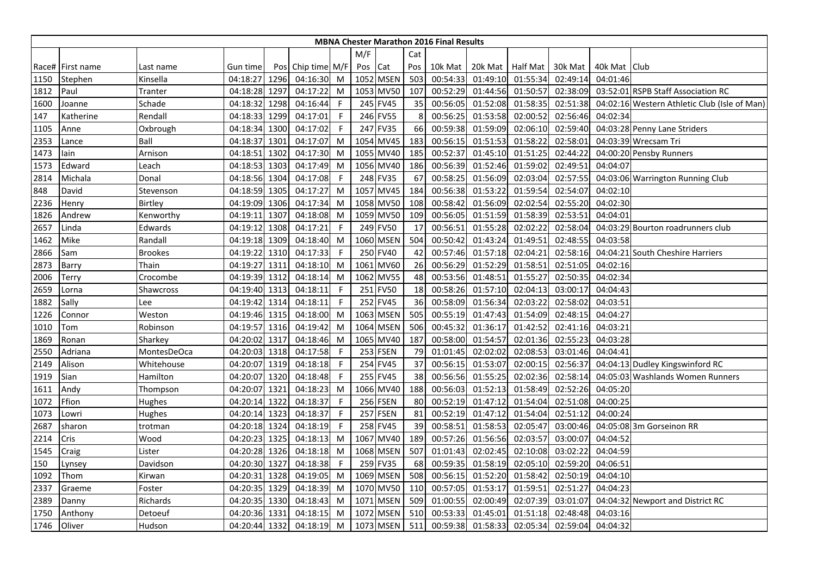|      |                    |                |               |      |                   |              |      |             |     | <b>MBNA Chester Marathon 2016 Final Results</b> |                  |          |          |              |                                              |
|------|--------------------|----------------|---------------|------|-------------------|--------------|------|-------------|-----|-------------------------------------------------|------------------|----------|----------|--------------|----------------------------------------------|
|      |                    |                |               |      |                   |              | M/F  |             | Cat |                                                 |                  |          |          |              |                                              |
|      | Race#   First name | Last name      | Gun time      |      | Pos Chip time M/F |              | Pos  | Cat         | Pos | 10k Mat                                         | 20k Mat Half Mat |          | 30k Mat  | 40k Mat Club |                                              |
| 1150 | Stephen            | Kinsella       | 04:18:27      | 1296 | 04:16:30          | M            |      | 1052 MSEN   | 503 | 00:54:33                                        | 01:49:10         | 01:55:34 | 02:49:14 | 04:01:46     |                                              |
| 1812 | Paul               | Tranter        | 04:18:28 1297 |      | 04:17:22          | M            | 1053 | <b>MV50</b> | 107 | 00:52:29                                        | 01:44:56         | 01:50:57 | 02:38:09 |              | 03:52:01 RSPB Staff Association RC           |
| 1600 | Joanne             | Schade         | 04:18:32      | 1298 | 04:16:44          | $\mathsf{F}$ | 245  | <b>FV45</b> | 35  | 00:56:05                                        | 01:52:08         | 01:58:35 | 02:51:38 |              | 04:02:16 Western Athletic Club (Isle of Man) |
| 147  | Katherine          | Rendall        | 04:18:33      | 1299 | 04:17:01          | $\mathsf{F}$ |      | 246 FV55    | 8   | 00:56:25                                        | 01:53:58         | 02:00:52 | 02:56:46 | 04:02:34     |                                              |
| 1105 | Anne               | Oxbrough       | 04:18:34 1300 |      | 04:17:02          | -F           |      | 247 FV35    | 66  | 00:59:38                                        | 01:59:09         | 02:06:10 | 02:59:40 |              | 04:03:28 Penny Lane Striders                 |
| 2353 | Lance              | Ball           | 04:18:37      | 1301 | 04:17:07          | M            |      | 1054 MV45   | 183 | 00:56:15                                        | 01:51:53         | 01:58:22 | 02:58:01 |              | 04:03:39 Wrecsam Tri                         |
| 1473 | lain               | Arnison        | 04:18:51      | 1302 | 04:17:30          | M            |      | 1055 MV40   | 185 | 00:52:37                                        | 01:45:10         | 01:51:25 | 02:44:22 |              | 04:00:20 Pensby Runners                      |
| 1573 | Edward             | Leach          | 04:18:53 1303 |      | 04:17:49          | M            |      | 1056 MV40   | 186 | 00:56:39                                        | 01:52:46         | 01:59:02 | 02:49:51 | 04:04:07     |                                              |
| 2814 | Michala            | Donal          | 04:18:56 1304 |      | 04:17:08          | $\mathsf{F}$ |      | 248 FV35    | 67  | 00:58:25                                        | 01:56:09         | 02:03:04 | 02:57:55 |              | 04:03:06 Warrington Running Club             |
| 848  | David              | Stevenson      | 04:18:59 1305 |      | 04:17:27          | M            | 1057 | <b>MV45</b> | 184 | 00:56:38                                        | 01:53:22         | 01:59:54 | 02:54:07 | 04:02:10     |                                              |
| 2236 | Henry              | Birtley        | 04:19:09 1306 |      | 04:17:34          | M            |      | 1058 MV50   | 108 | 00:58:42                                        | 01:56:09         | 02:02:54 | 02:55:20 | 04:02:30     |                                              |
| 1826 | Andrew             | Kenworthy      | 04:19:11      | 1307 | 04:18:08          | M            |      | 1059 MV50   | 109 | 00:56:05                                        | 01:51:59         | 01:58:39 | 02:53:51 | 04:04:01     |                                              |
| 2657 | Linda              | Edwards        | 04:19:12 1308 |      | 04:17:21          | $\mathsf{F}$ |      | 249 FV50    | 17  | 00:56:51                                        | 01:55:28         | 02:02:22 | 02:58:04 |              | 04:03:29 Bourton roadrunners club            |
| 1462 | Mike               | Randall        | 04:19:18 1309 |      | 04:18:40          | M            |      | 1060 MSEN   | 504 | 00:50:42                                        | 01:43:24         | 01:49:51 | 02:48:55 | 04:03:58     |                                              |
| 2866 | Sam                | <b>Brookes</b> | 04:19:22 1310 |      | 04:17:33          | F            |      | 250 FV40    | 42  | 00:57:46                                        | 01:57:18         | 02:04:21 | 02:58:16 |              | 04:04:21 South Cheshire Harriers             |
| 2873 | Barry              | Thain          | 04:19:27 1311 |      | 04:18:10          | M            | 1061 | <b>MV60</b> | 26  | 00:56:29                                        | 01:52:29         | 01:58:51 | 02:51:05 | 04:02:16     |                                              |
| 2006 | Terry              | Crocombe       | 04:19:39      | 1312 | 04:18:14          | M            | 1062 | <b>MV55</b> | 48  | 00:53:56                                        | 01:48:51         | 01:55:27 | 02:50:35 | 04:02:34     |                                              |
| 2659 | Lorna              | Shawcross      | 04:19:40 1313 |      | 04:18:11          | $\mathsf{F}$ | 251  | <b>FV50</b> | 18  | 00:58:26                                        | 01:57:10         | 02:04:13 | 03:00:17 | 04:04:43     |                                              |
| 1882 | Sally              | Lee            | 04:19:42 1314 |      | 04:18:11          | F            |      | 252 FV45    | 36  | 00:58:09                                        | 01:56:34         | 02:03:22 | 02:58:02 | 04:03:51     |                                              |
| 1226 | Connor             | Weston         | 04:19:46 1315 |      | 04:18:00          | M            |      | 1063 MSEN   | 505 | 00:55:19                                        | 01:47:43         | 01:54:09 | 02:48:15 | 04:04:27     |                                              |
| 1010 | Tom                | Robinson       | 04:19:57 1316 |      | 04:19:42          | M            | 1064 | <b>MSEN</b> | 506 | 00:45:32                                        | 01:36:17         | 01:42:52 | 02:41:16 | 04:03:21     |                                              |
| 1869 | Ronan              | Sharkey        | 04:20:02      | 1317 | 04:18:46          | M            |      | 1065 MV40   | 187 | 00:58:00                                        | 01:54:57         | 02:01:36 | 02:55:23 | 04:03:28     |                                              |
| 2550 | Adriana            | MontesDeOca    | 04:20:03 1318 |      | 04:17:58          | -F           |      | 253 FSEN    | 79  | 01:01:45                                        | 02:02:02         | 02:08:53 | 03:01:46 | 04:04:41     |                                              |
| 2149 | Alison             | Whitehouse     | 04:20:07      | 1319 | 04:18:18          | $\mathsf{F}$ | 254  | <b>FV45</b> | 37  | 00:56:15                                        | 01:53:07         | 02:00:15 | 02:56:37 |              | 04:04:13 Dudley Kingswinford RC              |
| 1919 | Sian               | Hamilton       | 04:20:07 1320 |      | 04:18:48          | $\mathsf{F}$ |      | 255 FV45    | 38  | 00:56:56                                        | 01:55:25         | 02:02:36 | 02:58:14 |              | 04:05:03 Washlands Women Runners             |
| 1611 | Andy               | Thompson       | 04:20:07      | 1321 | 04:18:23          | M            |      | 1066 MV40   | 188 | 00:56:03                                        | 01:52:13         | 01:58:49 | 02:52:26 | 04:05:20     |                                              |
| 1072 | Ffion              | Hughes         | 04:20:14 1322 |      | 04:18:37          | -F           |      | 256 FSEN    | 80  | 00:52:19                                        | 01:47:12         | 01:54:04 | 02:51:08 | 04:00:25     |                                              |
| 1073 | Lowri              | Hughes         | 04:20:14 1323 |      | 04:18:37          | -F           |      | 257 FSEN    | 81  | 00:52:19                                        | 01:47:12         | 01:54:04 | 02:51:12 | 04:00:24     |                                              |
| 2687 | sharon             | trotman        | 04:20:18 1324 |      | 04:18:19          | -F           |      | 258 FV45    | 39  | 00:58:51                                        | 01:58:53         | 02:05:47 | 03:00:46 |              | 04:05:08 3m Gorseinon RR                     |
| 2214 | Cris               | Wood           | 04:20:23 1325 |      | 04:18:13          | M            |      | 1067 MV40   | 189 | 00:57:26                                        | 01:56:56         | 02:03:57 | 03:00:07 | 04:04:52     |                                              |
| 1545 | Craig              | Lister         | 04:20:28 1326 |      | 04:18:18          | M            |      | 1068 MSEN   | 507 | 01:01:43                                        | 02:02:45         | 02:10:08 | 03:02:22 | 04:04:59     |                                              |
| 150  | Lynsey             | Davidson       | 04:20:30 1327 |      | 04:18:38          | F            | 259  | <b>FV35</b> | 68  | 00:59:35                                        | 01:58:19         | 02:05:10 | 02:59:20 | 04:06:51     |                                              |
| 1092 | Thom               | Kirwan         | 04:20:31      | 1328 | 04:19:05          | M            |      | 1069 MSEN   | 508 | 00:56:15                                        | 01:52:20         | 01:58:42 | 02:50:19 | 04:04:10     |                                              |
| 2337 | Graeme             | Foster         | 04:20:35 1329 |      | 04:18:39          | M            |      | 1070 MV50   | 110 | 00:57:05                                        | 01:53:17         | 01:59:51 | 02:51:27 | 04:04:23     |                                              |
| 2389 | Danny              | Richards       | 04:20:35      | 1330 | 04:18:43          | M            | 1071 | <b>MSEN</b> | 509 | 01:00:55                                        | 02:00:49         | 02:07:39 | 03:01:07 |              | 04:04:32 Newport and District RC             |
| 1750 | Anthony            | Detoeuf        | 04:20:36 1331 |      | 04:18:15          | M            | 1072 | <b>MSEN</b> | 510 | 00:53:33                                        | 01:45:01         | 01:51:18 | 02:48:48 | 04:03:16     |                                              |
| 1746 | Oliver             | Hudson         | 04:20:44 1332 |      | 04:18:19          | M            |      | 1073 MSEN   | 511 | 00:59:38                                        | 01:58:33         | 02:05:34 | 02:59:04 | 04:04:32     |                                              |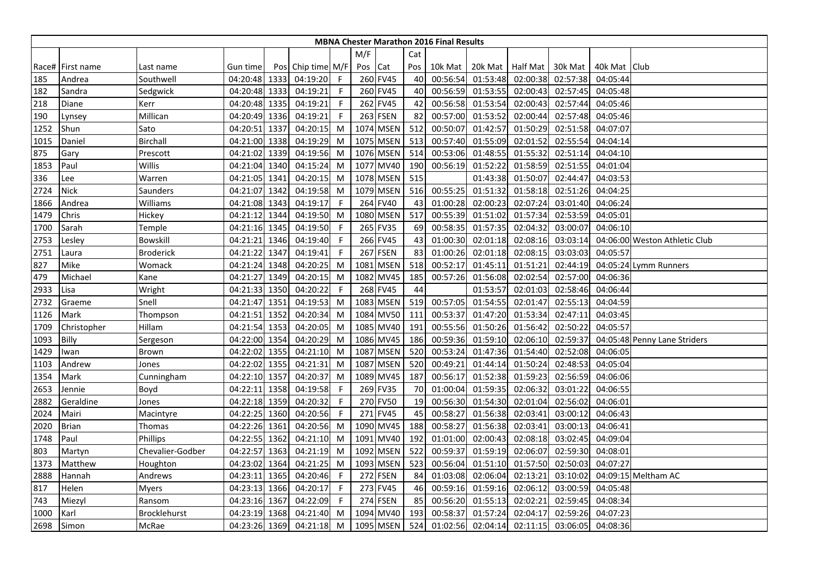|      | <b>MBNA Chester Marathon 2016 Final Results</b> |                     |               |      |                   |              |         |                 |     |          |          |                    |          |              |                               |
|------|-------------------------------------------------|---------------------|---------------|------|-------------------|--------------|---------|-----------------|-----|----------|----------|--------------------|----------|--------------|-------------------------------|
|      |                                                 |                     |               |      |                   |              |         |                 |     |          |          |                    |          |              |                               |
|      |                                                 |                     |               |      |                   |              | M/F     |                 | Cat |          |          |                    |          |              |                               |
|      | Race# First name                                | Last name           | Gun time      |      | Pos Chip time M/F |              | Pos Cat |                 | Pos | 10k Mat  |          | 20k Mat   Half Mat | 30k Mat  | 40k Mat Club |                               |
| 185  | Andrea                                          | Southwell           | 04:20:48 1333 |      | 04:19:20          | $\mathsf{F}$ |         | 260 FV45        | 40  | 00:56:54 | 01:53:48 | 02:00:38           | 02:57:38 | 04:05:44     |                               |
| 182  | Sandra                                          | Sedgwick            | 04:20:48 1333 |      | 04:19:21          | -F           |         | 260 FV45        | 40  | 00:56:59 | 01:53:55 | 02:00:43           | 02:57:45 | 04:05:48     |                               |
| 218  | Diane                                           | Kerr                | 04:20:48 1335 |      | 04:19:21          | F            |         | 262 FV45        | 42  | 00:56:58 | 01:53:54 | 02:00:43           | 02:57:44 | 04:05:46     |                               |
| 190  | Lynsey                                          | Millican            | 04:20:49 1336 |      | 04:19:21          | F            |         | 263 FSEN        | 82  | 00:57:00 | 01:53:52 | 02:00:44           | 02:57:48 | 04:05:46     |                               |
| 1252 | Shun                                            | Sato                | 04:20:51 1337 |      | 04:20:15          | M            |         | 1074 MSEN       | 512 | 00:50:07 | 01:42:57 | 01:50:29           | 02:51:58 | 04:07:07     |                               |
| 1015 | Daniel                                          | <b>Birchall</b>     | 04:21:00 1338 |      | 04:19:29          | M            |         | 1075 MSEN       | 513 | 00:57:40 | 01:55:09 | 02:01:52           | 02:55:54 | 04:04:14     |                               |
| 875  | Gary                                            | Prescott            | 04:21:02 1339 |      | 04:19:56          | M            |         | 1076 MSEN       | 514 | 00:53:06 | 01:48:55 | 01:55:32           | 02:51:14 | 04:04:10     |                               |
| 1853 | Paul                                            | Willis              | 04:21:04 1340 |      | 04:15:24          | M            |         | 1077 MV40       | 190 | 00:56:19 | 01:52:22 | 01:58:59           | 02:51:55 | 04:01:04     |                               |
| 336  | Lee                                             | Warren              | 04:21:05 1341 |      | 04:20:15          | M            |         | 1078 MSEN       | 515 |          | 01:43:38 | 01:50:07           | 02:44:47 | 04:03:53     |                               |
| 2724 | <b>Nick</b>                                     | Saunders            | 04:21:07      | 1342 | 04:19:58          | M            |         | 1079 MSEN       | 516 | 00:55:25 | 01:51:32 | 01:58:18           | 02:51:26 | 04:04:25     |                               |
| 1866 | Andrea                                          | Williams            | 04:21:08 1343 |      | 04:19:17          | F            |         | 264 FV40        | 43  | 01:00:28 | 02:00:23 | 02:07:24           | 03:01:40 | 04:06:24     |                               |
| 1479 | Chris                                           | Hickey              | 04:21:12 1344 |      | 04:19:50          | M            |         | 1080 MSEN       | 517 | 00:55:39 | 01:51:02 | 01:57:34           | 02:53:59 | 04:05:01     |                               |
| 1700 | Sarah                                           | Temple              | 04:21:16 1345 |      | 04:19:50          | -F           |         | 265 FV35        | 69  | 00:58:35 | 01:57:35 | 02:04:32           | 03:00:07 | 04:06:10     |                               |
| 2753 | Lesley                                          | Bowskill            | 04:21:21      | 1346 | 04:19:40          | F            |         | 266 FV45        | 43  | 01:00:30 | 02:01:18 | 02:08:16           | 03:03:14 |              | 04:06:00 Weston Athletic Club |
| 2751 | Laura                                           | <b>Broderick</b>    | 04:21:22      | 1347 | 04:19:41          | F            |         | <b>267 FSEN</b> | 83  | 01:00:26 | 02:01:18 | 02:08:15           | 03:03:03 | 04:05:57     |                               |
| 827  | Mike                                            | Womack              | 04:21:24 1348 |      | 04:20:25          | M            |         | 1081 MSEN       | 518 | 00:52:17 | 01:45:11 | 01:51:21           | 02:44:19 |              | 04:05:24 Lymm Runners         |
| 479  | Michael                                         | Kane                | 04:21:27      | 1349 | 04:20:15          | M            |         | 1082 MV45       | 185 | 00:57:26 | 01:56:08 | 02:02:54           | 02:57:00 | 04:06:36     |                               |
| 2933 | Lisa                                            | Wright              | 04:21:33 1350 |      | 04:20:22          | F            |         | 268 FV45        | 44  |          | 01:53:57 | 02:01:03           | 02:58:46 | 04:06:44     |                               |
| 2732 | Graeme                                          | Snell               | 04:21:47 1351 |      | 04:19:53          | M            |         | 1083 MSEN       | 519 | 00:57:05 | 01:54:55 | 02:01:47           | 02:55:13 | 04:04:59     |                               |
| 1126 | Mark                                            | Thompson            | 04:21:51 1352 |      | 04:20:34          | M            |         | 1084 MV50       | 111 | 00:53:37 | 01:47:20 | 01:53:34           | 02:47:11 | 04:03:45     |                               |
| 1709 | Christopher                                     | Hillam              | 04:21:54 1353 |      | 04:20:05          | M            |         | 1085 MV40       | 191 | 00:55:56 | 01:50:26 | 01:56:42           | 02:50:22 | 04:05:57     |                               |
| 1093 | <b>Billy</b>                                    | Sergeson            | 04:22:00 1354 |      | 04:20:29          | M            |         | 1086 MV45       | 186 | 00:59:36 | 01:59:10 | 02:06:10           | 02:59:37 |              | 04:05:48 Penny Lane Striders  |
| 1429 | Iwan                                            | Brown               | 04:22:02 1355 |      | 04:21:10          | M            |         | 1087 MSEN       | 520 | 00:53:24 | 01:47:36 | 01:54:40           | 02:52:08 | 04:06:05     |                               |
| 1103 | Andrew                                          | Jones               | 04:22:02 1355 |      | 04:21:31          | M            |         | 1087 MSEN       | 520 | 00:49:21 | 01:44:14 | 01:50:24           | 02:48:53 | 04:05:04     |                               |
| 1354 | Mark                                            | Cunningham          | 04:22:10      | 1357 | 04:20:37          | M            |         | 1089 MV45       | 187 | 00:56:17 | 01:52:38 | 01:59:23           | 02:56:59 | 04:06:06     |                               |
| 2653 | Jennie                                          | Boyd                | 04:22:11 1358 |      | 04:19:58          | F            |         | 269 FV35        | 70  | 01:00:04 | 01:59:35 | 02:06:32           | 03:01:22 | 04:06:55     |                               |
| 2882 | Geraldine                                       | Jones               | 04:22:18 1359 |      | 04:20:32          | -F           |         | 270 FV50        | 19  | 00:56:30 | 01:54:30 | 02:01:04           | 02:56:02 | 04:06:01     |                               |
| 2024 | Mairi                                           | Macintyre           | 04:22:25      | 1360 | 04:20:56          | F            |         | 271 FV45        | 45  | 00:58:27 | 01:56:38 | 02:03:41           | 03:00:12 | 04:06:43     |                               |
| 2020 | <b>Brian</b>                                    | Thomas              | 04:22:26 1361 |      | 04:20:56          | M            |         | 1090 MV45       | 188 | 00:58:27 | 01:56:38 | 02:03:41           | 03:00:13 | 04:06:41     |                               |
| 1748 | Paul                                            | Phillips            | 04:22:55 1362 |      | 04:21:10          | M            |         | 1091 MV40       | 192 | 01:01:00 | 02:00:43 | 02:08:18           | 03:02:45 | 04:09:04     |                               |
| 803  | Martyn                                          | Chevalier-Godber    | 04:22:57 1363 |      | 04:21:19          | M            |         | 1092 MSEN       | 522 | 00:59:37 | 01:59:19 | 02:06:07           | 02:59:30 | 04:08:01     |                               |
| 1373 | Matthew                                         | Houghton            | 04:23:02      | 1364 | 04:21:25          | M            |         | 1093 MSEN       | 523 | 00:56:04 | 01:51:10 | 01:57:50           | 02:50:03 | 04:07:27     |                               |
| 2888 | Hannah                                          | Andrews             | 04:23:11      | 1365 | 04:20:46          | F            |         | 272 FSEN        | 84  | 01:03:08 | 02:06:04 | 02:13:21           | 03:10:02 |              | 04:09:15 Meltham AC           |
| 817  | Helen                                           | <b>Myers</b>        | 04:23:13 1366 |      | 04:20:17          | -F           |         | 273 FV45        | 46  | 00:59:16 | 01:59:16 | 02:06:12           | 03:00:59 | 04:05:48     |                               |
| 743  | Miezyl                                          | Ransom              | 04:23:16 1367 |      | 04:22:09          | -F           |         | 274 FSEN        | 85  | 00:56:20 | 01:55:13 | 02:02:21           | 02:59:45 | 04:08:34     |                               |
| 1000 | Karl                                            | <b>Brocklehurst</b> | 04:23:19      | 1368 | 04:21:40          | M            |         | 1094 MV40       | 193 | 00:58:37 | 01:57:24 | 02:04:17           | 02:59:26 | 04:07:23     |                               |
| 2698 | Simon                                           | McRae               | 04:23:26 1369 |      | 04:21:18          | M            |         | 1095 MSEN       | 524 | 01:02:56 | 02:04:14 | 02:11:15           | 03:06:05 | 04:08:36     |                               |
|      |                                                 |                     |               |      |                   |              |         |                 |     |          |          |                    |          |              |                               |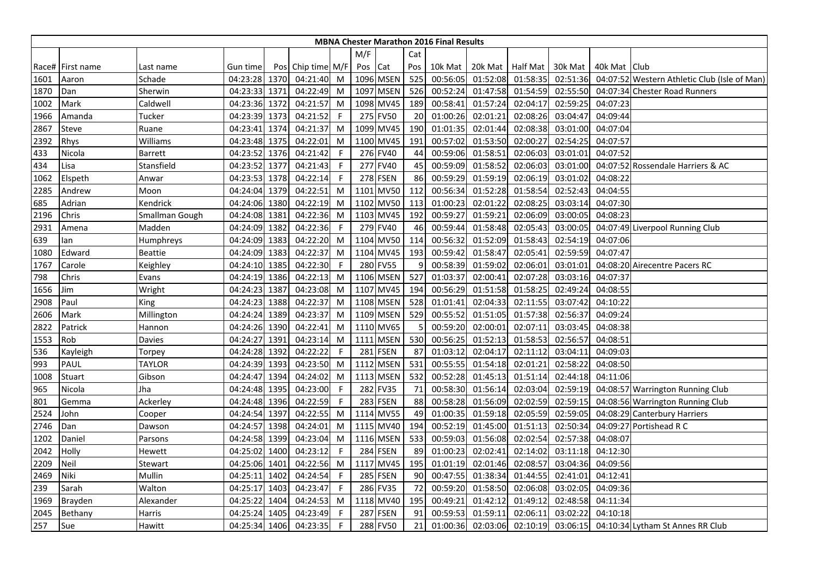|      |                    |                |               |      |                   |              |      |                 |     | <b>MBNA Chester Marathon 2016 Final Results</b> |          |                    |          |                |                                              |
|------|--------------------|----------------|---------------|------|-------------------|--------------|------|-----------------|-----|-------------------------------------------------|----------|--------------------|----------|----------------|----------------------------------------------|
|      |                    |                |               |      |                   |              | M/F  |                 | Cat |                                                 |          |                    |          |                |                                              |
|      | Race#   First name | Last name      | Gun time      |      | Pos Chip time M/F |              | Pos  | Cat             | Pos | 10k Mat                                         |          | 20k Mat   Half Mat | 30k Mat  | 40k Mat   Club |                                              |
| 1601 | Aaron              | Schade         | 04:23:28 1370 |      | 04:21:40          | M            |      | 1096 MSEN       | 525 | 00:56:05                                        | 01:52:08 | 01:58:35           | 02:51:36 |                | 04:07:52 Western Athletic Club (Isle of Man) |
| 1870 | Dan                | Sherwin        | 04:23:33 1371 |      | 04:22:49          | M            | 1097 | <b>MSEN</b>     | 526 | 00:52:24                                        | 01:47:58 | 01:54:59           | 02:55:50 |                | 04:07:34 Chester Road Runners                |
| 1002 | Mark               | Caldwell       | 04:23:36 1372 |      | 04:21:57          | M            | 1098 | <b>MV45</b>     | 189 | 00:58:41                                        | 01:57:24 | 02:04:17           | 02:59:25 | 04:07:23       |                                              |
| 1966 | Amanda             | Tucker         | 04:23:39 1373 |      | 04:21:52          | $\mathsf{F}$ |      | 275 FV50        | 20  | 01:00:26                                        | 02:01:21 | 02:08:26           | 03:04:47 | 04:09:44       |                                              |
| 2867 | Steve              | Ruane          | 04:23:41 1374 |      | 04:21:37          | M            |      | 1099 MV45       | 190 | 01:01:35                                        | 02:01:44 | 02:08:38           | 03:01:00 | 04:07:04       |                                              |
| 2392 | Rhys               | Williams       | 04:23:48 1375 |      | 04:22:01          | M            |      | 1100 MV45       | 191 | 00:57:02                                        | 01:53:50 | 02:00:27           | 02:54:25 | 04:07:57       |                                              |
| 433  | Nicola             | Barrett        | 04:23:52 1376 |      | 04:21:42          | -F           |      | 276 FV40        | 44  | 00:59:06                                        | 01:58:51 | 02:06:03           | 03:01:01 | 04:07:52       |                                              |
| 434  | Lisa               | Stansfield     | 04:23:52 1377 |      | 04:21:43          | -F           |      | 277 FV40        | 45  | 00:59:09                                        | 01:58:52 | 02:06:03           | 03:01:00 |                | 04:07:52 Rossendale Harriers & AC            |
| 1062 | Elspeth            | Anwar          | 04:23:53 1378 |      | 04:22:14          | $\mathsf F$  |      | 278 FSEN        | 86  | 00:59:29                                        | 01:59:19 | 02:06:19           | 03:01:02 | 04:08:22       |                                              |
| 2285 | Andrew             | Moon           | 04:24:04 1379 |      | 04:22:51          | M            | 1101 | <b>MV50</b>     | 112 | 00:56:34                                        | 01:52:28 | 01:58:54           | 02:52:43 | 04:04:55       |                                              |
| 685  | Adrian             | Kendrick       | 04:24:06 1380 |      | 04:22:19          | M            | 1102 | <b>MV50</b>     | 113 | 01:00:23                                        | 02:01:22 | 02:08:25           | 03:03:14 | 04:07:30       |                                              |
| 2196 | Chris              | Smallman Gough | 04:24:08 1381 |      | 04:22:36          | M            |      | 1103 MV45       | 192 | 00:59:27                                        | 01:59:21 | 02:06:09           | 03:00:05 | 04:08:23       |                                              |
| 2931 | Amena              | Madden         | 04:24:09 1382 |      | 04:22:36          | -F           |      | 279 FV40        | 46  | 00:59:44                                        | 01:58:48 | 02:05:43           | 03:00:05 |                | 04:07:49 Liverpool Running Club              |
| 639  | lan                | Humphreys      | 04:24:09 1383 |      | 04:22:20          | M            |      | 1104 MV50       | 114 | 00:56:32                                        | 01:52:09 | 01:58:43           | 02:54:19 | 04:07:06       |                                              |
| 1080 | Edward             | <b>Beattie</b> | 04:24:09 1383 |      | 04:22:37          | M            |      | 1104 MV45       | 193 | 00:59:42                                        | 01:58:47 | 02:05:41           | 02:59:59 | 04:07:47       |                                              |
| 1767 | Carole             | Keighley       | 04:24:10 1385 |      | 04:22:30          | -F           |      | 280 FV55        | 9   | 00:58:39                                        | 01:59:02 | 02:06:01           | 03:01:01 |                | 04:08:20 Airecentre Pacers RC                |
| 798  | Chris              | Evans          | 04:24:19 1386 |      | 04:22:13          | M            |      | 1106 MSEN       | 527 | 01:03:37                                        | 02:00:41 | 02:07:28           | 03:03:16 | 04:07:37       |                                              |
| 1656 | Jim                | Wright         | 04:24:23 1387 |      | 04:23:08          | M            | 1107 | <b>MV45</b>     | 194 | 00:56:29                                        | 01:51:58 | 01:58:25           | 02:49:24 | 04:08:55       |                                              |
| 2908 | Paul               | King           | 04:24:23 1388 |      | 04:22:37          | M            |      | 1108 MSEN       | 528 | 01:01:41                                        | 02:04:33 | 02:11:55           | 03:07:42 | 04:10:22       |                                              |
| 2606 | Mark               | Millington     | 04:24:24 1389 |      | 04:23:37          | M            |      | 1109 MSEN       | 529 | 00:55:52                                        | 01:51:05 | 01:57:38           | 02:56:37 | 04:09:24       |                                              |
| 2822 | Patrick            | Hannon         | 04:24:26 1390 |      | 04:22:41          | M            |      | 1110 MV65       | 5   | 00:59:20                                        | 02:00:01 | 02:07:11           | 03:03:45 | 04:08:38       |                                              |
| 1553 | Rob                | Davies         | 04:24:27 1391 |      | 04:23:14          | M            |      | 1111 MSEN       | 530 | 00:56:25                                        | 01:52:13 | 01:58:53           | 02:56:57 | 04:08:51       |                                              |
| 536  | Kayleigh           | Torpey         | 04:24:28 1392 |      | 04:22:22          | -F           |      | 281 FSEN        | 87  | 01:03:12                                        | 02:04:17 | 02:11:12           | 03:04:11 | 04:09:03       |                                              |
| 993  | PAUL               | TAYLOR         | 04:24:39 1393 |      | 04:23:50          | M            | 1112 | <b>MSEN</b>     | 531 | 00:55:55                                        | 01:54:18 | 02:01:21           | 02:58:22 | 04:08:50       |                                              |
| 1008 | Stuart             | Gibson         | 04:24:47 1394 |      | 04:24:02          | M            | 1113 | <b>MSEN</b>     | 532 | 00:52:28                                        | 01:45:13 | 01:51:14           | 02:44:18 | 04:11:06       |                                              |
| 965  | Nicola             | Jha            | 04:24:48 1395 |      | 04:23:00          | -F           | 282  | <b>FV35</b>     | 71  | 00:58:30                                        | 01:56:14 | 02:03:04           | 02:59:19 |                | 04:08:57 Warrington Running Club             |
| 801  | Gemma              | Ackerley       | 04:24:48 1396 |      | 04:22:59          | -F           |      | 283 FSEN        | 88  | 00:58:28                                        | 01:56:09 | 02:02:59           | 02:59:15 |                | 04:08:56 Warrington Running Club             |
| 2524 | John               | Cooper         | 04:24:54 1397 |      | 04:22:55          | M            |      | 1114 MV55       | 49  | 01:00:35                                        | 01:59:18 | 02:05:59           | 02:59:05 |                | 04:08:29 Canterbury Harriers                 |
| 2746 | Dan                | Dawson         | 04:24:57 1398 |      | 04:24:01          | M            |      | 1115 MV40       | 194 | 00:52:19                                        | 01:45:00 | 01:51:13           | 02:50:34 |                | 04:09:27 Portishead R C                      |
| 1202 | Daniel             | Parsons        | 04:24:58 1399 |      | 04:23:04          | M            |      | 1116 MSEN       | 533 | 00:59:03                                        | 01:56:08 | 02:02:54           | 02:57:38 | 04:08:07       |                                              |
| 2042 | Holly              | Hewett         | 04:25:02 1400 |      | 04:23:12          | $\mathsf{F}$ |      | <b>284 FSEN</b> | 89  | 01:00:23                                        | 02:02:41 | 02:14:02           | 03:11:18 | 04:12:30       |                                              |
| 2209 | Neil               | Stewart        | 04:25:06 1401 |      | 04:22:56          | M            | 1117 | <b>MV45</b>     | 195 | 01:01:19                                        | 02:01:46 | 02:08:57           | 03:04:36 | 04:09:56       |                                              |
| 2469 | Niki               | Mullin         | 04:25:11      | 1402 | 04:24:54          | $\mathsf{F}$ | 285  | <b>FSEN</b>     | 90  | 00:47:55                                        | 01:38:34 | 01:44:55           | 02:41:01 | 04:12:41       |                                              |
| 239  | Sarah              | Walton         | 04:25:17 1403 |      | 04:23:47          | -F           |      | 286 FV35        | 72  | 00:59:20                                        | 01:58:50 | 02:06:08           | 03:02:05 | 04:09:36       |                                              |
| 1969 | Brayden            | Alexander      | 04:25:22 1404 |      | 04:24:53          | M            |      | 1118 MV40       | 195 | 00:49:21                                        | 01:42:12 | 01:49:12           | 02:48:58 | 04:11:34       |                                              |
| 2045 | Bethany            | Harris         | 04:25:24 1405 |      | 04:23:49          | F            |      | <b>287 FSEN</b> | 91  | 00:59:53                                        | 01:59:11 | 02:06:11           | 03:02:22 | 04:10:18       |                                              |
| 257  | Sue                | Hawitt         | 04:25:34 1406 |      | 04:23:35          | $\mathsf{F}$ |      | 288 FV50        | 21  | 01:00:36                                        | 02:03:06 | 02:10:19           | 03:06:15 |                | 04:10:34 Lytham St Annes RR Club             |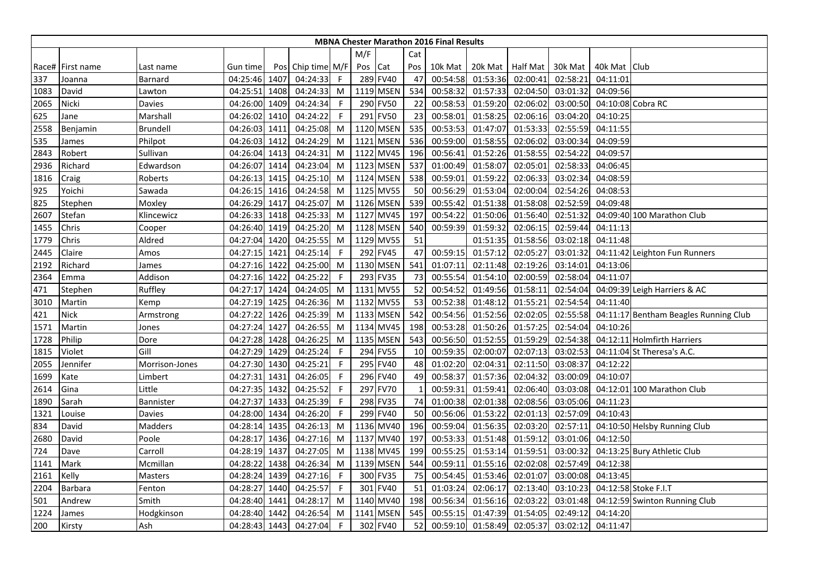|      |                  |                |               |      |                   |              |      |             |     | <b>MBNA Chester Marathon 2016 Final Results</b> |          |                    |          |                |                                       |
|------|------------------|----------------|---------------|------|-------------------|--------------|------|-------------|-----|-------------------------------------------------|----------|--------------------|----------|----------------|---------------------------------------|
|      |                  |                |               |      |                   |              | M/F  |             | Cat |                                                 |          |                    |          |                |                                       |
|      | Race# First name | Last name      | Gun time      |      | Pos Chip time M/F |              | Pos  | Cat         | Pos | 10k Mat                                         |          | 20k Mat   Half Mat | 30k Mat  | 40k Mat   Club |                                       |
| 337  | Joanna           | Barnard        | 04:25:46 1407 |      | 04:24:33          | -F           |      | 289 FV40    | 47  | 00:54:58                                        | 01:53:36 | 02:00:41           | 02:58:21 | 04:11:01       |                                       |
| 1083 | David            | Lawton         | 04:25:51 1408 |      | 04:24:33          | M            |      | 1119 MSEN   | 534 | 00:58:32                                        | 01:57:33 | 02:04:50           | 03:01:32 | 04:09:56       |                                       |
| 2065 | Nicki            | Davies         | 04:26:00      | 1409 | 04:24:34          | -F           |      | 290 FV50    | 22  | 00:58:53                                        | 01:59:20 | 02:06:02           | 03:00:50 |                | 04:10:08 Cobra RC                     |
| 625  | Jane             | Marshall       | 04:26:02 1410 |      | 04:24:22          | -F           |      | 291 FV50    | 23  | 00:58:01                                        | 01:58:25 | 02:06:16           | 03:04:20 | 04:10:25       |                                       |
| 2558 | Benjamin         | Brundell       | 04:26:03 1411 |      | 04:25:08          | M            |      | 1120 MSEN   | 535 | 00:53:53                                        | 01:47:07 | 01:53:33           | 02:55:59 | 04:11:55       |                                       |
| 535  | James            | Philpot        | 04:26:03 1412 |      | 04:24:29          | M            | 1121 | <b>MSEN</b> | 536 | 00:59:00                                        | 01:58:55 | 02:06:02           | 03:00:34 | 04:09:59       |                                       |
| 2843 | Robert           | Sullivan       | 04:26:04 1413 |      | 04:24:31          | M            |      | 1122 MV45   | 196 | 00:56:41                                        | 01:52:26 | 01:58:5            | 02:54:22 | 04:09:57       |                                       |
| 2936 | Richard          | Edwardson      | 04:26:07      | 1414 | 04:23:04          | M            |      | 1123 MSEN   | 537 | 01:00:49                                        | 01:58:07 | 02:05:01           | 02:58:33 | 04:06:45       |                                       |
| 1816 | Craig            | Roberts        | 04:26:13 1415 |      | 04:25:10          | M            |      | 1124 MSEN   | 538 | 00:59:01                                        | 01:59:22 | 02:06:33           | 03:02:34 | 04:08:59       |                                       |
| 925  | Yoichi           | Sawada         | 04:26:15      | 1416 | 04:24:58          | M            |      | 1125 MV55   | 50  | 00:56:29                                        | 01:53:04 | 02:00:04           | 02:54:26 | 04:08:53       |                                       |
| 825  | Stephen          | Moxley         | 04:26:29      | 1417 | 04:25:07          | M            |      | 1126 MSEN   | 539 | 00:55:42                                        | 01:51:38 | 01:58:08           | 02:52:59 | 04:09:48       |                                       |
| 2607 | Stefan           | Klincewicz     | 04:26:33 1418 |      | 04:25:33          | M            |      | 1127 MV45   | 197 | 00:54:22                                        | 01:50:06 | 01:56:40           | 02:51:32 |                | 04:09:40 100 Marathon Club            |
| 1455 | Chris            | Cooper         | 04:26:40 1419 |      | 04:25:20          | M            |      | 1128 MSEN   | 540 | 00:59:39                                        | 01:59:32 | 02:06:15           | 02:59:44 | 04:11:13       |                                       |
| 1779 | Chris            | Aldred         | 04:27:04 1420 |      | 04:25:55          | M            |      | 1129 MV55   | 51  |                                                 | 01:51:35 | 01:58:56           | 03:02:18 | 04:11:48       |                                       |
| 2445 | Claire           | Amos           | 04:27:15 1421 |      | 04:25:14          | -F           |      | 292 FV45    | 47  | 00:59:15                                        | 01:57:12 | 02:05:27           | 03:01:32 |                | 04:11:42 Leighton Fun Runners         |
| 2192 | Richard          | James          | 04:27:16 1422 |      | 04:25:00          | M            |      | 1130 MSEN   | 541 | 01:07:11                                        | 02:11:48 | 02:19:26           | 03:14:01 | 04:13:06       |                                       |
| 2364 | Emma             | Addison        | 04:27:16 1422 |      | 04:25:22          | -F           |      | 293 FV35    | 73  | 00:55:54                                        | 01:54:10 | 02:00:59           | 02:58:04 | 04:11:07       |                                       |
| 471  | Stephen          | Ruffley        | 04:27:17      | 1424 | 04:24:05          | M            |      | 1131 MV55   | 52  | 00:54:52                                        | 01:49:56 | 01:58:11           | 02:54:04 |                | 04:09:39 Leigh Harriers & AC          |
| 3010 | Martin           | Kemp           | 04:27:19 1425 |      | 04:26:36          | M            |      | 1132 MV55   | 53  | 00:52:38                                        | 01:48:12 | 01:55:21           | 02:54:54 | 04:11:40       |                                       |
| 421  | <b>Nick</b>      | Armstrong      | 04:27:22 1426 |      | 04:25:39          | M            |      | 1133 MSEN   | 542 | 00:54:56                                        | 01:52:56 | 02:02:05           | 02:55:58 |                | 04:11:17 Bentham Beagles Running Club |
| 1571 | Martin           | Jones          | 04:27:24 1427 |      | 04:26:55          | M            |      | 1134 MV45   | 198 | 00:53:28                                        | 01:50:26 | 01:57:25           | 02:54:04 | 04:10:26       |                                       |
| 1728 | Philip           | Dore           | 04:27:28 1428 |      | 04:26:25          | M            |      | 1135 MSEN   | 543 | 00:56:50                                        | 01:52:55 | 01:59:29           | 02:54:38 |                | 04:12:11 Holmfirth Harriers           |
| 1815 | Violet           | Gill           | 04:27:29 1429 |      | 04:25:24          | -F           |      | 294 FV55    | 10  | 00:59:35                                        | 02:00:07 | 02:07:13           | 03:02:53 |                | 04:11:04 St Theresa's A.C.            |
| 2055 | Jennifer         | Morrison-Jones | 04:27:30 1430 |      | 04:25:21          | -F           |      | 295 FV40    | 48  | 01:02:20                                        | 02:04:31 | 02:11:50           | 03:08:37 | 04:12:22       |                                       |
| 1699 | Kate             | Limbert        | 04:27:31 1431 |      | 04:26:05          | $\mathsf{F}$ |      | 296 FV40    | 49  | 00:58:37                                        | 01:57:36 | 02:04:32           | 03:00:09 | 04:10:07       |                                       |
| 2614 | Gina             | Little         | 04:27:35 1432 |      | 04:25:52          | -F           |      | 297 FV70    |     | 00:59:31                                        | 01:59:41 | 02:06:40           | 03:03:08 |                | 04:12:01 100 Marathon Club            |
| 1890 | Sarah            | Bannister      | 04:27:37 1433 |      | 04:25:39          | -F           |      | 298 FV35    | 74  | 01:00:38                                        | 02:01:38 | 02:08:56           | 03:05:06 | 04:11:23       |                                       |
| 1321 | Louise           | Davies         | 04:28:00 1434 |      | 04:26:20          | $\mathsf{F}$ |      | 299 FV40    | 50  | 00:56:06                                        | 01:53:22 | 02:01:13           | 02:57:09 | 04:10:43       |                                       |
| 834  | David            | Madders        | 04:28:14 1435 |      | 04:26:13          | M            |      | 1136 MV40   | 196 | 00:59:04                                        | 01:56:35 | 02:03:20           | 02:57:11 |                | 04:10:50 Helsby Running Club          |
| 2680 | David            | Poole          | 04:28:17 1436 |      | 04:27:16          | M            |      | 1137 MV40   | 197 | 00:53:33                                        | 01:51:48 | 01:59:12           | 03:01:06 | 04:12:50       |                                       |
| 724  | Dave             | Carroll        | 04:28:19 1437 |      | 04:27:05          | M            |      | 1138 MV45   | 199 | 00:55:25                                        | 01:53:14 | 01:59:51           | 03:00:32 |                | 04:13:25 Bury Athletic Club           |
| 1141 | Mark             | Mcmillan       | 04:28:22      | 1438 | 04:26:34          | M            |      | 1139 MSEN   | 544 | 00:59:11                                        | 01:55:16 | 02:02:08           | 02:57:49 | 04:12:38       |                                       |
| 2161 | Kelly            | Masters        | 04:28:24      | 1439 | 04:27:16          | -F           |      | 300 FV35    | 75  | 00:54:45                                        | 01:53:46 | 02:01:07           | 03:00:08 | 04:13:45       |                                       |
| 2204 | <b>Barbara</b>   | Fenton         | 04:28:27      | 1440 | 04:25:57          | -F           |      | 301 FV40    | 51  | 01:03:24                                        | 02:06:17 | 02:13:40           | 03:10:23 |                | 04:12:58 Stoke F.I.T                  |
| 501  | Andrew           | Smith          | 04:28:40 1441 |      | 04:28:17          | M            |      | 1140 MV40   | 198 | 00:56:34                                        | 01:56:16 | 02:03:22           | 03:01:48 |                | 04:12:59 Swinton Running Club         |
| 1224 | lames            | Hodgkinson     | 04:28:40 1442 |      | 04:26:54          | M            |      | 1141 MSEN   | 545 | 00:55:15                                        | 01:47:39 | 01:54:05           | 02:49:12 | 04:14:20       |                                       |
| 200  | Kirsty           | Ash            | 04:28:43 1443 |      | 04:27:04          | F            |      | 302 FV40    | 52  | 00:59:10                                        | 01:58:49 | 02:05:37           | 03:02:12 | 04:11:47       |                                       |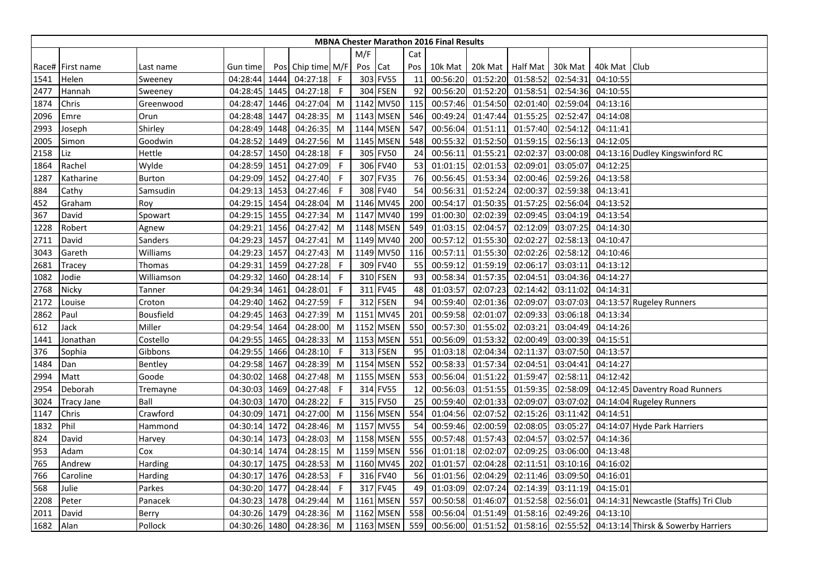|      |                   |               |               |      |                   |             |         |                 |     | <b>MBNA Chester Marathon 2016 Final Results</b> |                  |          |          |                |                                      |
|------|-------------------|---------------|---------------|------|-------------------|-------------|---------|-----------------|-----|-------------------------------------------------|------------------|----------|----------|----------------|--------------------------------------|
|      |                   |               |               |      |                   |             | M/F     |                 | Cat |                                                 |                  |          |          |                |                                      |
|      | Race# First name  | Last name     | Gun time      |      | Pos Chip time M/F |             | Pos Cat |                 | Pos | 10k Mat                                         | 20k Mat Half Mat |          | 30k Mat  | 40k Mat   Club |                                      |
| 1541 | Helen             | Sweeney       | 04:28:44      | 1444 | 04:27:18          | $\mathsf F$ |         | 303 FV55        | 11  | 00:56:20                                        | 01:52:20         | 01:58:52 | 02:54:31 | 04:10:55       |                                      |
| 2477 | Hannah            | Sweeney       | 04:28:45      | 1445 | 04:27:18          | -F          |         | 304 FSEN        | 92  | 00:56:20                                        | 01:52:20         | 01:58:51 | 02:54:36 | 04:10:55       |                                      |
| 1874 | Chris             | Greenwood     | 04:28:47      | 1446 | 04:27:04          | M           |         | 1142 MV50       | 115 | 00:57:46                                        | 01:54:50         | 02:01:40 | 02:59:04 | 04:13:16       |                                      |
| 2096 | Emre              | Orun          | 04:28:48      | 1447 | 04:28:35          | M           |         | 1143 MSEN       | 546 | 00:49:24                                        | 01:47:44         | 01:55:25 | 02:52:47 | 04:14:08       |                                      |
| 2993 | Joseph            | Shirley       | 04:28:49      | 1448 | 04:26:35          | M           |         | 1144 MSEN       | 547 | 00:56:04                                        | 01:51:11         | 01:57:40 | 02:54:12 | 04:11:41       |                                      |
| 2005 | Simon             | Goodwin       | 04:28:52      | 1449 | 04:27:56          | M           |         | 1145 MSEN       | 548 | 00:55:32                                        | 01:52:50         | 01:59:15 | 02:56:13 | 04:12:05       |                                      |
| 2158 | Liz               | Hettle        | 04:28:57      | 1450 | 04:28:18          | F           |         | 305 FV50        | 24  | 00:56:11                                        | 01:55:21         | 02:02:37 | 03:00:08 |                | 04:13:16 Dudley Kingswinford RC      |
| 1864 | Rachel            | Wylde         | 04:28:59 1451 |      | 04:27:09          | F           |         | 306 FV40        | 53  | 01:01:15                                        | 02:01:53         | 02:09:01 | 03:05:07 | 04:12:25       |                                      |
| 1287 | Katharine         | <b>Burton</b> | 04:29:09 1452 |      | 04:27:40          | F           |         | 307 FV35        | 76  | 00:56:45                                        | 01:53:34         | 02:00:46 | 02:59:26 | 04:13:58       |                                      |
| 884  | Cathy             | Samsudin      | 04:29:13      | 1453 | 04:27:46          | F           |         | 308 FV40        | 54  | 00:56:31                                        | 01:52:24         | 02:00:37 | 02:59:38 | 04:13:41       |                                      |
| 452  | Graham            | Roy           | 04:29:15      | 1454 | 04:28:04          | M           |         | 1146 MV45       | 200 | 00:54:17                                        | 01:50:35         | 01:57:25 | 02:56:04 | 04:13:52       |                                      |
| 367  | David             | Spowart       | 04:29:15      | 1455 | 04:27:34          | M           |         | 1147 MV40       | 199 | 01:00:30                                        | 02:02:39         | 02:09:45 | 03:04:19 | 04:13:54       |                                      |
| 1228 | Robert            | Agnew         | 04:29:21      | 1456 | 04:27:42          | M           |         | 1148 MSEN       | 549 | 01:03:15                                        | 02:04:57         | 02:12:09 | 03:07:25 | 04:14:30       |                                      |
| 2711 | David             | Sanders       | 04:29:23      | 1457 | 04:27:41          | M           |         | 1149 MV40       | 200 | 00:57:12                                        | 01:55:30         | 02:02:2  | 02:58:13 | 04:10:47       |                                      |
| 3043 | Gareth            | Williams      | 04:29:23      | 1457 | 04:27:43          | M           |         | 1149 MV50       | 116 | 00:57:11                                        | 01:55:30         | 02:02:26 | 02:58:12 | 04:10:46       |                                      |
| 2681 | Tracey            | Thomas        | 04:29:31 1459 |      | 04:27:28          | -F          |         | 309 FV40        | 55  | 00:59:12                                        | 01:59:19         | 02:06:17 | 03:03:11 | 04:13:12       |                                      |
| 1082 | Jodie             | Williamson    | 04:29:32      | 1460 | 04:28:14          | F           |         | <b>310 FSEN</b> | 93  | 00:58:34                                        | 01:57:35         | 02:04:51 | 03:04:36 | 04:14:27       |                                      |
| 2768 | Nicky             | Tanner        | 04:29:34      | 1461 | 04:28:01          | F           |         | 311 FV45        | 48  | 01:03:57                                        | 02:07:23         | 02:14:42 | 03:11:02 | 04:14:31       |                                      |
| 2172 | Louise            | Croton        | 04:29:40      | 1462 | 04:27:59          | F           |         | 312 FSEN        | 94  | 00:59:40                                        | 02:01:36         | 02:09:07 | 03:07:03 |                | 04:13:57 Rugeley Runners             |
| 2862 | Paul              | Bousfield     | 04:29:45      | 1463 | 04:27:39          | M           |         | 1151 MV45       | 201 | 00:59:58                                        | 02:01:07         | 02:09:33 | 03:06:18 | 04:13:34       |                                      |
| 612  | Jack              | Miller        | 04:29:54      | 1464 | 04:28:00          | M           |         | 1152 MSEN       | 550 | 00:57:30                                        | 01:55:02         | 02:03:21 | 03:04:49 | 04:14:26       |                                      |
| 1441 | Jonathan          | Costello      | 04:29:55      | 1465 | 04:28:33          | M           |         | 1153 MSEN       | 551 | 00:56:09                                        | 01:53:32         | 02:00:49 | 03:00:39 | 04:15:51       |                                      |
| 376  | Sophia            | Gibbons       | 04:29:55 1466 |      | 04:28:10          | -F          |         | 313 FSEN        | 95  | 01:03:18                                        | 02:04:34         | 02:11:37 | 03:07:50 | 04:13:57       |                                      |
| 1484 | Dan               | Bentley       | 04:29:58      | 1467 | 04:28:39          | M           |         | 1154 MSEN       | 552 | 00:58:33                                        | 01:57:34         | 02:04:51 | 03:04:41 | 04:14:27       |                                      |
| 2994 | Matt              | Goode         | 04:30:02      | 1468 | 04:27:48          | M           |         | 1155 MSEN       | 553 | 00:56:04                                        | 01:51:22         | 01:59:47 | 02:58:11 | 04:12:42       |                                      |
| 2954 | Deborah           | Tremayne      | 04:30:03      | 1469 | 04:27:48          | F           |         | 314 FV55        | 12  | 00:56:03                                        | 01:51:55         | 01:59:35 | 02:58:09 |                | 04:12:45 Daventry Road Runners       |
| 3024 | <b>Tracy Jane</b> | Ball          | 04:30:03 1470 |      | 04:28:22          | -F          |         | 315 FV50        | 25  | 00:59:40                                        | 02:01:33         | 02:09:07 | 03:07:02 |                | 04:14:04 Rugeley Runners             |
| 1147 | Chris             | Crawford      | 04:30:09 1471 |      | 04:27:00          | M           |         | 1156 MSEN       | 554 | 01:04:56                                        | 02:07:52         | 02:15:26 | 03:11:42 | 04:14:51       |                                      |
| 1832 | Phil              | Hammond       | 04:30:14 1472 |      | 04:28:46          | M           |         | 1157 MV55       | 54  | 00:59:46                                        | 02:00:59         | 02:08:05 | 03:05:27 |                | 04:14:07 Hyde Park Harriers          |
| 824  | David             | Harvey        | 04:30:14 1473 |      | 04:28:03          | M           |         | 1158 MSEN       | 555 | 00:57:48                                        | 01:57:43         | 02:04:57 | 03:02:57 | 04:14:36       |                                      |
| 953  | Adam              | Cox           | 04:30:14 1474 |      | 04:28:15          | M           |         | 1159 MSEN       | 556 | 01:01:18                                        | 02:02:07         | 02:09:25 | 03:06:00 | 04:13:48       |                                      |
| 765  | Andrew            | Harding       | 04:30:17      | 1475 | 04:28:53          | M           |         | 1160 MV45       | 202 | 01:01:57                                        | 02:04:28         | 02:11:51 | 03:10:16 | 04:16:02       |                                      |
| 766  | Caroline          | Harding       | 04:30:17      | 1476 | 04:28:53          | F           |         | 316 FV40        | 56  | 01:01:56                                        | 02:04:29         | 02:11:46 | 03:09:50 | 04:16:01       |                                      |
| 568  | Julie             | Parkes        | 04:30:20      | 1477 | 04:28:44          | -F          |         | 317 FV45        | 49  | 01:03:09                                        | 02:07:24         | 02:14:39 | 03:11:19 | 04:15:01       |                                      |
| 2208 | Peter             | Panacek       | 04:30:23      | 1478 | 04:29:44          | M           |         | 1161 MSEN       | 557 | 00:50:58                                        | 01:46:07         | 01:52:58 | 02:56:01 |                | 04:14:31 Newcastle (Staffs) Tri Club |
| 2011 | David             | Berry         | 04:30:26      | 1479 | 04:28:36          | M           |         | 1162 MSEN       | 558 | 00:56:04                                        | 01:51:49         | 01:58:16 | 02:49:26 | 04:13:10       |                                      |
| 1682 | Alan              | Pollock       | 04:30:26 1480 |      | 04:28:36          | M           |         | 1163 MSEN       | 559 | 00:56:00                                        | 01:51:52         | 01:58:16 | 02:55:52 |                | 04:13:14 Thirsk & Sowerby Harriers   |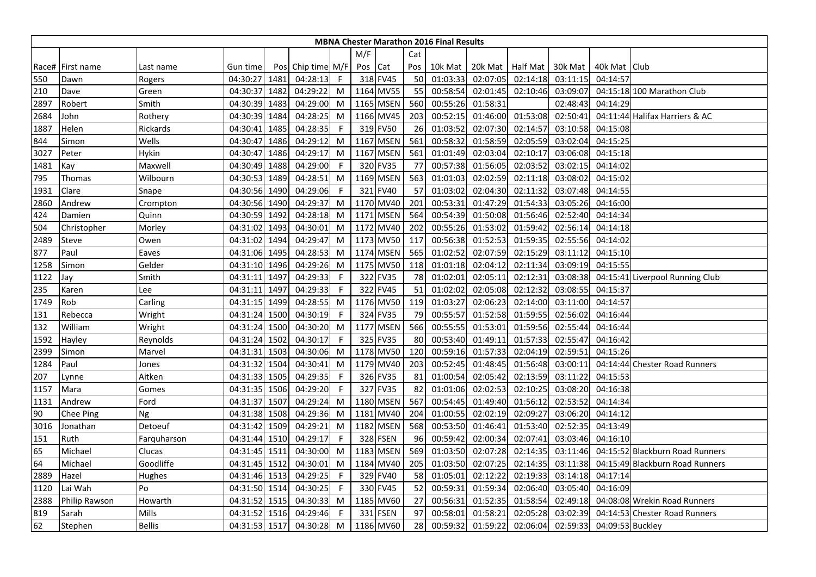|      |                      |               |               |      |                   |              |         |             |     | <b>MBNA Chester Marathon 2016 Final Results</b> |          |                  |          |                  |                                 |
|------|----------------------|---------------|---------------|------|-------------------|--------------|---------|-------------|-----|-------------------------------------------------|----------|------------------|----------|------------------|---------------------------------|
|      |                      |               |               |      |                   |              | M/F     |             | Cat |                                                 |          |                  |          |                  |                                 |
|      | Race# First name     | Last name     | Gun time      |      | Pos Chip time M/F |              | Pos Cat |             | Pos | 10k Mat                                         |          | 20k Mat Half Mat | 30k Mat  | 40k Mat Club     |                                 |
| 550  | Dawn                 | Rogers        | 04:30:27      | 1481 | 04:28:13          | F.           |         | 318 FV45    | 50  | 01:03:33                                        | 02:07:05 | 02:14:18         | 03:11:15 | 04:14:57         |                                 |
| 210  | Dave                 | Green         | 04:30:37      | 1482 | 04:29:22          | M            |         | 1164 MV55   | 55  | 00:58:54                                        | 02:01:45 | 02:10:46         | 03:09:07 |                  | 04:15:18 100 Marathon Club      |
| 2897 | Robert               | Smith         | 04:30:39      | 1483 | 04:29:00          | M            |         | 1165 MSEN   | 560 | 00:55:26                                        | 01:58:31 |                  | 02:48:43 | 04:14:29         |                                 |
| 2684 | John                 | Rothery       | 04:30:39      | 1484 | 04:28:25          | M            |         | 1166 MV45   | 203 | 00:52:15                                        | 01:46:00 | 01:53:08         | 02:50:41 |                  | 04:11:44 Halifax Harriers & AC  |
| 1887 | Helen                | Rickards      | 04:30:41 1485 |      | 04:28:35          | -F           |         | 319 FV50    | 26  | 01:03:52                                        | 02:07:30 | 02:14:57         | 03:10:58 | 04:15:08         |                                 |
| 844  | Simon                | Wells         | 04:30:47      | 1486 | 04:29:12          | M            |         | 1167 MSEN   | 561 | 00:58:32                                        | 01:58:59 | 02:05:59         | 03:02:04 | 04:15:25         |                                 |
| 3027 | Peter                | Hykin         | 04:30:47      | 1486 | 04:29:17          | M            |         | 1167 MSEN   | 561 | 01:01:49                                        | 02:03:04 | 02:10:17         | 03:06:08 | 04:15:18         |                                 |
| 1481 | Kay                  | Maxwell       | 04:30:49 1488 |      | 04:29:00          | -F           |         | 320 FV35    | 77  | 00:57:38                                        | 01:56:05 | 02:03:52         | 03:02:15 | 04:14:02         |                                 |
| 795  | Thomas               | Wilbourn      | 04:30:53 1489 |      | 04:28:51          | M            |         | 1169 MSEN   | 563 | 01:01:03                                        | 02:02:59 | 02:11:18         | 03:08:02 | 04:15:02         |                                 |
| 1931 | Clare                | Snape         | 04:30:56      | 1490 | 04:29:06          | $\mathsf{F}$ | 321     | <b>FV40</b> | 57  | 01:03:02                                        | 02:04:30 | 02:11:32         | 03:07:48 | 04:14:55         |                                 |
| 2860 | Andrew               | Crompton      | 04:30:56 1490 |      | 04:29:37          | M            |         | 1170 MV40   | 201 | 00:53:31                                        | 01:47:29 | 01:54:33         | 03:05:26 | 04:16:00         |                                 |
| 424  | Damien               | Quinn         | 04:30:59 1492 |      | 04:28:18          | M            |         | 1171 MSEN   | 564 | 00:54:39                                        | 01:50:08 | 01:56:46         | 02:52:40 | 04:14:34         |                                 |
| 504  | Christopher          | Morley        | 04:31:02      | 1493 | 04:30:01          | M            |         | 1172 MV40   | 202 | 00:55:26                                        | 01:53:02 | 01:59:42         | 02:56:14 | 04:14:18         |                                 |
| 2489 | Steve                | Owen          | 04:31:02      | 1494 | 04:29:47          | M            |         | 1173 MV50   | 117 | 00:56:38                                        | 01:52:53 | 01:59:35         | 02:55:56 | 04:14:02         |                                 |
| 877  | Paul                 | Eaves         | 04:31:06 1495 |      | 04:28:53          | M            |         | 1174 MSEN   | 565 | 01:02:52                                        | 02:07:59 | 02:15:29         | 03:11:12 | 04:15:10         |                                 |
| 1258 | Simon                | Gelder        | 04:31:10 1496 |      | 04:29:26          | M            |         | 1175 MV50   | 118 | 01:01:18                                        | 02:04:12 | 02:11:34         | 03:09:19 | 04:15:55         |                                 |
| 1122 | Jay                  | Smith         | 04:31:11      | 1497 | 04:29:33          | -F           | 322 l   | <b>FV35</b> | 78  | 01:02:01                                        | 02:05:11 | 02:12:31         | 03:08:38 |                  | 04:15:41 Liverpool Running Club |
| 235  | Karen                | Lee           | 04:31:11      | 1497 | 04:29:33          | -F           |         | 322 FV45    | 51  | 01:02:02                                        | 02:05:08 | 02:12:32         | 03:08:55 | 04:15:37         |                                 |
| 1749 | Rob                  | Carling       | 04:31:15 1499 |      | 04:28:55          | M            |         | 1176 MV50   | 119 | 01:03:27                                        | 02:06:23 | 02:14:00         | 03:11:00 | 04:14:57         |                                 |
| 131  | Rebecca              | Wright        | 04:31:24 1500 |      | 04:30:19          | -F           |         | 324 FV35    | 79  | 00:55:57                                        | 01:52:58 | 01:59:55         | 02:56:02 | 04:16:44         |                                 |
| 132  | William              | Wright        | 04:31:24 1500 |      | 04:30:20          | M            |         | 1177 MSEN   | 566 | 00:55:55                                        | 01:53:01 | 01:59:56         | 02:55:44 | 04:16:44         |                                 |
| 1592 | Hayley               | Reynolds      | 04:31:24 1502 |      | 04:30:17          | -F           |         | 325 FV35    | 80  | 00:53:40                                        | 01:49:11 | 01:57:33         | 02:55:47 | 04:16:42         |                                 |
| 2399 | Simon                | Marvel        | 04:31:31 1503 |      | 04:30:06          | M            |         | 1178 MV50   | 120 | 00:59:16                                        | 01:57:33 | 02:04:19         | 02:59:51 | 04:15:26         |                                 |
| 1284 | Paul                 | Jones         | 04:31:32      | 1504 | 04:30:41          | M            |         | 1179 MV40   | 203 | 00:52:45                                        | 01:48:45 | 01:56:48         | 03:00:11 |                  | 04:14:44 Chester Road Runners   |
| 207  | Lynne                | Aitken        | 04:31:33 1505 |      | 04:29:35          | -F           |         | 326 FV35    | 81  | 01:00:54                                        | 02:05:42 | 02:13:59         | 03:11:22 | 04:15:53         |                                 |
| 1157 | Mara                 | Gomes         | 04:31:35 1506 |      | 04:29:20          | -F           |         | 327 FV35    | 82  | 01:01:06                                        | 02:02:53 | 02:10:25         | 03:08:20 | 04:16:38         |                                 |
| 1131 | Andrew               | Ford          | 04:31:37 1507 |      | 04:29:24          | M            |         | 1180 MSEN   | 567 | 00:54:45                                        | 01:49:40 | 01:56:12         | 02:53:52 | 04:14:34         |                                 |
| 90   | Chee Ping            | <b>Ng</b>     | 04:31:38 1508 |      | 04:29:36          | M            |         | 1181 MV40   | 204 | 01:00:55                                        | 02:02:19 | 02:09:27         | 03:06:20 | 04:14:12         |                                 |
| 3016 | Jonathan             | Detoeuf       | 04:31:42 1509 |      | 04:29:21          | M            |         | 1182 MSEN   | 568 | 00:53:50                                        | 01:46:41 | 01:53:40         | 02:52:35 | 04:13:49         |                                 |
| 151  | Ruth                 | Farquharson   | 04:31:44 1510 |      | 04:29:17          | -F           |         | 328 FSEN    | 96  | 00:59:42                                        | 02:00:34 | 02:07:41         | 03:03:46 | 04:16:10         |                                 |
| 65   | Michael              | Clucas        | 04:31:45 1511 |      | 04:30:00          | M            |         | 1183 MSEN   | 569 | 01:03:50                                        | 02:07:28 | 02:14:35         | 03:11:46 |                  | 04:15:52 Blackburn Road Runners |
| 64   | Michael              | Goodliffe     | 04:31:45      | 1512 | 04:30:01          | M            |         | 1184 MV40   | 205 | 01:03:50                                        | 02:07:25 | 02:14:35         | 03:11:38 |                  | 04:15:49 Blackburn Road Runners |
| 2889 | Hazel                | Hughes        | 04:31:46 1513 |      | 04:29:25          | F            |         | 329 FV40    | 58  | 01:05:01                                        | 02:12:22 | 02:19:33         | 03:14:18 | 04:17:14         |                                 |
| 1120 | Lai Wah              | Po            | 04:31:50 1514 |      | 04:30:25          | -F           |         | 330 FV45    | 52  | 00:59:31                                        | 01:59:34 | 02:06:40         | 03:05:40 | 04:16:09         |                                 |
| 2388 | <b>Philip Rawson</b> | Howarth       | 04:31:52 1515 |      | 04:30:33          | M            |         | 1185 MV60   | 27  | 00:56:31                                        | 01:52:35 | 01:58:54         | 02:49:18 |                  | 04:08:08 Wrekin Road Runners    |
| 819  | Sarah                | Mills         | 04:31:52      | 1516 | 04:29:46          | F            |         | 331 FSEN    | 97  | 00:58:01                                        | 01:58:21 | 02:05:28         | 03:02:39 |                  | 04:14:53 Chester Road Runners   |
| 62   | Stephen              | <b>Bellis</b> | 04:31:53 1517 |      | 04:30:28          | M            |         | 1186 MV60   | 28  | 00:59:32                                        | 01:59:22 | 02:06:04         | 02:59:33 | 04:09:53 Buckley |                                 |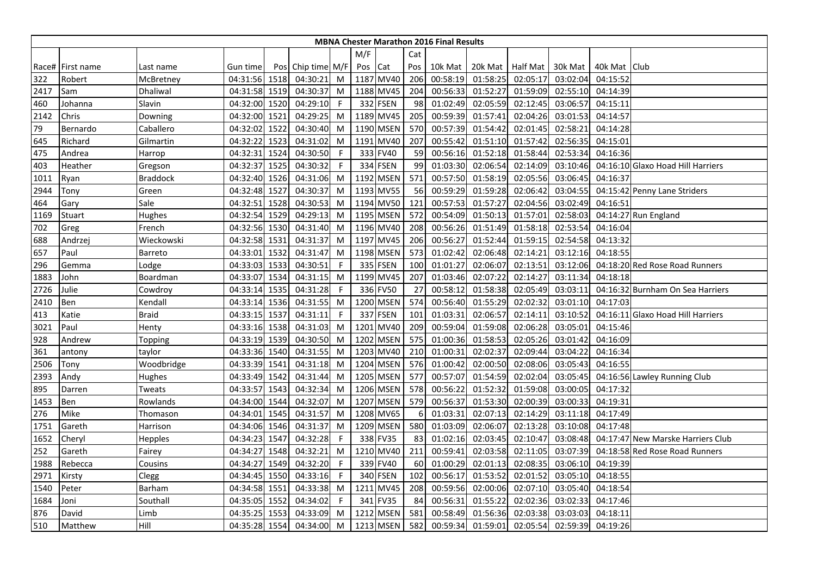|      |                  |                 |               |      |                   |    |         |           |     | <b>MBNA Chester Marathon 2016 Final Results</b> |                  |          |          |                |                                   |
|------|------------------|-----------------|---------------|------|-------------------|----|---------|-----------|-----|-------------------------------------------------|------------------|----------|----------|----------------|-----------------------------------|
|      |                  |                 |               |      |                   |    | M/F     |           | Cat |                                                 |                  |          |          |                |                                   |
|      | Race# First name | Last name       | Gun time      |      | Pos Chip time M/F |    | Pos Cat |           | Pos | 10k Mat                                         | 20k Mat Half Mat |          | 30k Mat  | 40k Mat   Club |                                   |
| 322  | Robert           | McBretney       | 04:31:56 1518 |      | 04:30:21          | M  |         | 1187 MV40 | 206 | 00:58:19                                        | 01:58:25         | 02:05:17 | 03:02:04 | 04:15:52       |                                   |
| 2417 | Sam              | Dhaliwal        | 04:31:58 1519 |      | 04:30:37          | M  |         | 1188 MV45 | 204 | 00:56:33                                        | 01:52:27         | 01:59:09 | 02:55:10 | 04:14:39       |                                   |
| 460  | Johanna          | Slavin          | 04:32:00      | 1520 | 04:29:10          | F  |         | 332 FSEN  | 98  | 01:02:49                                        | 02:05:59         | 02:12:45 | 03:06:57 | 04:15:11       |                                   |
| 2142 | Chris            | Downing         | 04:32:00      | 1521 | 04:29:25          | M  |         | 1189 MV45 | 205 | 00:59:39                                        | 01:57:41         | 02:04:26 | 03:01:53 | 04:14:57       |                                   |
| 79   | Bernardo         | Caballero       | 04:32:02 1522 |      | 04:30:40          | M  |         | 1190 MSEN | 570 | 00:57:39                                        | 01:54:42         | 02:01:45 | 02:58:21 | 04:14:28       |                                   |
| 645  | Richard          | Gilmartin       | 04:32:22      | 1523 | 04:31:02          | M  |         | 1191 MV40 | 207 | 00:55:42                                        | 01:51:10         | 01:57:42 | 02:56:35 | 04:15:01       |                                   |
| 475  | Andrea           | Harrop          | 04:32:31      | 1524 | 04:30:50          | F  |         | 333 FV40  | 59  | 00:56:16                                        | 01:52:18         | 01:58:44 | 02:53:34 | 04:16:36       |                                   |
| 403  | Heather          | Gregson         | 04:32:37      | 1525 | 04:30:32          | F  |         | 334 FSEN  | 99  | 01:03:30                                        | 02:06:54         | 02:14:09 | 03:10:46 |                | 04:16:10 Glaxo Hoad Hill Harriers |
| 1011 | Ryan             | <b>Braddock</b> | 04:32:40 1526 |      | 04:31:06          | M  |         | 1192 MSEN | 571 | 00:57:50                                        | 01:58:19         | 02:05:56 | 03:06:45 | 04:16:37       |                                   |
| 2944 | Tony             | Green           | 04:32:48      | 1527 | 04:30:37          | M  |         | 1193 MV55 | 56  | 00:59:29                                        | 01:59:28         | 02:06:42 | 03:04:55 |                | 04:15:42 Penny Lane Striders      |
| 464  | Gary             | Sale            | 04:32:51      | 1528 | 04:30:53          | M  |         | 1194 MV50 | 121 | 00:57:53                                        | 01:57:27         | 02:04:56 | 03:02:49 | 04:16:51       |                                   |
| 1169 | Stuart           | Hughes          | 04:32:54 1529 |      | 04:29:13          | M  |         | 1195 MSEN | 572 | 00:54:09                                        | 01:50:13         | 01:57:01 | 02:58:03 |                | 04:14:27 Run England              |
| 702  | Greg             | French          | 04:32:56 1530 |      | 04:31:40          | M  |         | 1196 MV40 | 208 | 00:56:26                                        | 01:51:49         | 01:58:18 | 02:53:54 | 04:16:04       |                                   |
| 688  | Andrzej          | Wieckowski      | 04:32:58 1531 |      | 04:31:37          | M  |         | 1197 MV45 | 206 | 00:56:27                                        | 01:52:44         | 01:59:15 | 02:54:58 | 04:13:32       |                                   |
| 657  | Paul             | Barreto         | 04:33:01 1532 |      | 04:31:47          | M  |         | 1198 MSEN | 573 | 01:02:42                                        | 02:06:48         | 02:14:21 | 03:12:16 | 04:18:55       |                                   |
| 296  | Gemma            | Lodge           | 04:33:03 1533 |      | 04:30:51          | -F |         | 335 FSEN  | 100 | 01:01:27                                        | 02:06:07         | 02:13:51 | 03:12:06 |                | 04:18:20 Red Rose Road Runners    |
| 1883 | John             | Boardman        | 04:33:07      | 1534 | 04:31:15          | M  |         | 1199 MV45 | 207 | 01:03:46                                        | 02:07:22         | 02:14:27 | 03:11:34 | 04:18:18       |                                   |
| 2726 | Julie            | Cowdroy         | 04:33:14      | 1535 | 04:31:28          | F  |         | 336 FV50  | 27  | 00:58:12                                        | 01:58:38         | 02:05:49 | 03:03:11 |                | 04:16:32 Burnham On Sea Harriers  |
| 2410 | Ben              | Kendall         | 04:33:14      | 1536 | 04:31:55          | M  |         | 1200 MSEN | 574 | 00:56:40                                        | 01:55:29         | 02:02:32 | 03:01:10 | 04:17:03       |                                   |
| 413  | Katie            | <b>Braid</b>    | 04:33:15 1537 |      | 04:31:11          | -F |         | 337 FSEN  | 101 | 01:03:31                                        | 02:06:57         | 02:14:11 | 03:10:52 |                | 04:16:11 Glaxo Hoad Hill Harriers |
| 3021 | Paul             | Henty           | 04:33:16 1538 |      | 04:31:03          | M  |         | 1201 MV40 | 209 | 00:59:04                                        | 01:59:08         | 02:06:28 | 03:05:01 | 04:15:46       |                                   |
| 928  | Andrew           | Topping         | 04:33:19 1539 |      | 04:30:50          | M  |         | 1202 MSEN | 575 | 01:00:36                                        | 01:58:53         | 02:05:26 | 03:01:42 | 04:16:09       |                                   |
| 361  | antony           | taylor          | 04:33:36 1540 |      | 04:31:55          | M  |         | 1203 MV40 | 210 | 01:00:31                                        | 02:02:37         | 02:09:44 | 03:04:22 | 04:16:34       |                                   |
| 2506 | Tony             | Woodbridge      | 04:33:39 1541 |      | 04:31:18          | M  |         | 1204 MSEN | 576 | 01:00:42                                        | 02:00:50         | 02:08:06 | 03:05:43 | 04:16:55       |                                   |
| 2393 | Andy             | Hughes          | 04:33:49 1542 |      | 04:31:44          | M  |         | 1205 MSEN | 577 | 00:57:07                                        | 01:54:59         | 02:02:04 | 03:05:45 |                | 04:16:56 Lawley Running Club      |
| 895  | Darren           | Tweats          | 04:33:57 1543 |      | 04:32:34          | M  |         | 1206 MSEN | 578 | 00:56:22                                        | 01:52:32         | 01:59:08 | 03:00:05 | 04:17:32       |                                   |
| 1453 | Ben              | Rowlands        | 04:34:00 1544 |      | 04:32:07          | M  |         | 1207 MSEN | 579 | 00:56:37                                        | 01:53:30         | 02:00:39 | 03:00:33 | 04:19:31       |                                   |
| 276  | Mike             | Thomason        | 04:34:01 1545 |      | 04:31:57          | M  |         | 1208 MV65 | 6   | 01:03:31                                        | 02:07:13         | 02:14:29 | 03:11:18 | 04:17:49       |                                   |
| 1751 | Gareth           | Harrison        | 04:34:06 1546 |      | 04:31:37          | M  |         | 1209 MSEN | 580 | 01:03:09                                        | 02:06:07         | 02:13:28 | 03:10:08 | 04:17:48       |                                   |
| 1652 | Cheryl           | Hepples         | 04:34:23 1547 |      | 04:32:28          | F  |         | 338 FV35  | 83  | 01:02:16                                        | 02:03:45         | 02:10:47 | 03:08:48 |                | 04:17:47 New Marske Harriers Club |
| 252  | Gareth           | Fairey          | 04:34:27 1548 |      | 04:32:21          | M  |         | 1210 MV40 | 211 | 00:59:41                                        | 02:03:58         | 02:11:05 | 03:07:39 |                | 04:18:58 Red Rose Road Runners    |
| 1988 | Rebecca          | Cousins         | 04:34:27      | 1549 | 04:32:20          | F  |         | 339 FV40  | 60  | 01:00:29                                        | 02:01:13         | 02:08:35 | 03:06:10 | 04:19:39       |                                   |
| 2971 | Kirsty           | Clegg           | 04:34:45      | 1550 | 04:33:16          | F  |         | 340 FSEN  | 102 | 00:56:17                                        | 01:53:52         | 02:01:52 | 03:05:10 | 04:18:55       |                                   |
| 1540 | Peter            | Barham          | 04:34:58 1551 |      | 04:33:38          | M  |         | 1211 MV45 | 208 | 00:59:56                                        | 02:00:06         | 02:07:10 | 03:05:40 | 04:18:54       |                                   |
| 1684 | Joni             | Southall        | 04:35:05 1552 |      | 04:34:02          | -F |         | 341 FV35  | 84  | 00:56:31                                        | 01:55:22         | 02:02:36 | 03:02:33 | 04:17:46       |                                   |
| 876  | David            | Limb            | 04:35:25      | 1553 | 04:33:09          | M  |         | 1212 MSEN | 581 | 00:58:49                                        | 01:56:36         | 02:03:38 | 03:03:03 | 04:18:11       |                                   |
| 510  | Matthew          | Hill            | 04:35:28 1554 |      | 04:34:00          | M  |         | 1213 MSEN | 582 | 00:59:34                                        | 01:59:01         | 02:05:54 | 02:59:39 | 04:19:26       |                                   |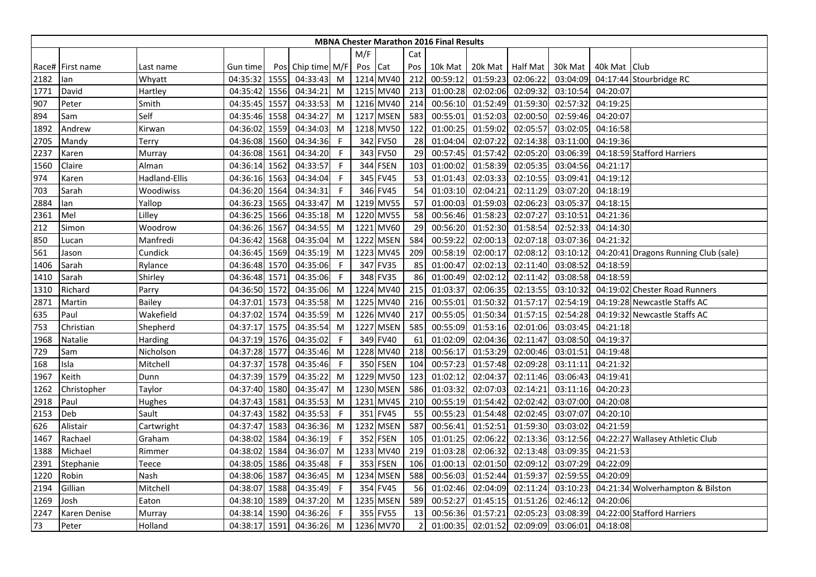|      |                  |               |               |      |                   |    |     |           |                | <b>MBNA Chester Marathon 2016 Final Results</b> |          |          |          |              |                                      |
|------|------------------|---------------|---------------|------|-------------------|----|-----|-----------|----------------|-------------------------------------------------|----------|----------|----------|--------------|--------------------------------------|
|      |                  |               |               |      |                   |    | M/F |           | Cat            |                                                 |          |          |          |              |                                      |
|      | Race# First name | Last name     | Gun time      |      | Pos Chip time M/F |    | Pos | Cat       | Pos            | 10k Mat                                         | 20k Mat  | Half Mat | 30k Mat  | 40k Mat Club |                                      |
| 2182 | lan              | Whyatt        | 04:35:32      | 1555 | 04:33:43          | M  |     | 1214 MV40 | 212            | 00:59:12                                        | 01:59:23 | 02:06:22 | 03:04:09 |              | 04:17:44 Stourbridge RC              |
| 1771 | David            | Hartley       | 04:35:42      | 1556 | 04:34:21          | M  |     | 1215 MV40 | 213            | 01:00:28                                        | 02:02:06 | 02:09:32 | 03:10:54 | 04:20:07     |                                      |
| 907  | Peter            | Smith         | 04:35:45      | 1557 | 04:33:53          | M  |     | 1216 MV40 | 214            | 00:56:10                                        | 01:52:49 | 01:59:30 | 02:57:32 | 04:19:25     |                                      |
| 894  | Sam              | Self          | 04:35:46      | 1558 | 04:34:27          | M  |     | 1217 MSEN | 583            | 00:55:01                                        | 01:52:03 | 02:00:50 | 02:59:46 | 04:20:07     |                                      |
| 1892 | Andrew           | Kirwan        | 04:36:02      | 1559 | 04:34:03          | M  |     | 1218 MV50 | 122            | 01:00:25                                        | 01:59:02 | 02:05:57 | 03:02:05 | 04:16:58     |                                      |
| 2705 | Mandy            | Terry         | 04:36:08 1560 |      | 04:34:36          | -F |     | 342 FV50  | 28             | 01:04:04                                        | 02:07:22 | 02:14:38 | 03:11:00 | 04:19:36     |                                      |
| 2237 | Karen            | Murray        | 04:36:08 1561 |      | 04:34:20          | F  |     | 343 FV50  | 29             | 00:57:45                                        | 01:57:42 | 02:05:20 | 03:06:39 |              | 04:18:59 Stafford Harriers           |
| 1560 | Claire           | Alman         | 04:36:14 1562 |      | 04:33:57          | -F |     | 344 FSEN  | 103            | 01:00:02                                        | 01:58:39 | 02:05:35 | 03:04:56 | 04:21:17     |                                      |
| 974  | Karen            | Hadland-Ellis | 04:36:16      | 1563 | 04:34:04          | -F |     | 345 FV45  | 53             | 01:01:43                                        | 02:03:33 | 02:10:55 | 03:09:41 | 04:19:12     |                                      |
| 703  | Sarah            | Woodiwiss     | 04:36:20 1564 |      | 04:34:31          | -F |     | 346 FV45  | 54             | 01:03:10                                        | 02:04:21 | 02:11:29 | 03:07:20 | 04:18:19     |                                      |
| 2884 | lan              | Yallop        | 04:36:23      | 1565 | 04:33:47          | M  |     | 1219 MV55 | 57             | 01:00:03                                        | 01:59:03 | 02:06:23 | 03:05:37 | 04:18:15     |                                      |
| 2361 | Mel              | Lilley        | 04:36:25      | 1566 | 04:35:18          | M  |     | 1220 MV55 | 58             | 00:56:46                                        | 01:58:23 | 02:07:27 | 03:10:51 | 04:21:36     |                                      |
| 212  | Simon            | Woodrow       | 04:36:26      | 1567 | 04:34:55          | M  |     | 1221 MV60 | 29             | 00:56:20                                        | 01:52:30 | 01:58:54 | 02:52:33 | 04:14:30     |                                      |
| 850  | Lucan            | Manfredi      | 04:36:42      | 1568 | 04:35:04          | M  |     | 1222 MSEN | 584            | 00:59:22                                        | 02:00:13 | 02:07:18 | 03:07:36 | 04:21:32     |                                      |
| 561  | Jason            | Cundick       | 04:36:45      | 1569 | 04:35:19          | M  |     | 1223 MV45 | 209            | 00:58:19                                        | 02:00:17 | 02:08:12 | 03:10:12 |              | 04:20:41 Dragons Running Club (sale) |
| 1406 | Sarah            | Rylance       | 04:36:48 1570 |      | 04:35:06          | -F |     | 347 FV35  | 85             | 01:00:47                                        | 02:02:13 | 02:11:40 | 03:08:52 | 04:18:59     |                                      |
| 1410 | Sarah            | Shirley       | 04:36:48      | 1571 | 04:35:06          | F  |     | 348 FV35  | 86             | 01:00:49                                        | 02:02:12 | 02:11:42 | 03:08:58 | 04:18:59     |                                      |
| 1310 | Richard          | Parry         | 04:36:50      | 1572 | 04:35:06          | M  |     | 1224 MV40 | 215            | 01:03:37                                        | 02:06:35 | 02:13:55 | 03:10:32 |              | 04:19:02 Chester Road Runners        |
| 2871 | Martin           | <b>Bailey</b> | 04:37:01      | 1573 | 04:35:58          | M  |     | 1225 MV40 | 216            | 00:55:01                                        | 01:50:32 | 01:57:17 | 02:54:19 |              | 04:19:28 Newcastle Staffs AC         |
| 635  | Paul             | Wakefield     | 04:37:02      | 1574 | 04:35:59          | M  |     | 1226 MV40 | 217            | 00:55:05                                        | 01:50:34 | 01:57:15 | 02:54:28 |              | 04:19:32 Newcastle Staffs AC         |
| 753  | Christian        | Shepherd      | 04:37:17      | 1575 | 04:35:54          | M  |     | 1227 MSEN | 585            | 00:55:09                                        | 01:53:16 | 02:01:06 | 03:03:45 | 04:21:18     |                                      |
| 1968 | Natalie          | Harding       | 04:37:19      | 1576 | 04:35:02          | F  |     | 349 FV40  | 61             | 01:02:09                                        | 02:04:36 | 02:11:47 | 03:08:50 | 04:19:37     |                                      |
| 729  | Sam              | Nicholson     | 04:37:28 1577 |      | 04:35:46          | M  |     | 1228 MV40 | 218            | 00:56:17                                        | 01:53:29 | 02:00:46 | 03:01:51 | 04:19:48     |                                      |
| 168  | Isla             | Mitchell      | 04:37:37      | 1578 | 04:35:46          | -F |     | 350 FSEN  | 104            | 00:57:23                                        | 01:57:48 | 02:09:28 | 03:11:11 | 04:21:32     |                                      |
| 1967 | Keith            | Dunn          | 04:37:39      | 1579 | 04:35:22          | M  |     | 1229 MV50 | 123            | 01:02:12                                        | 02:04:37 | 02:11:46 | 03:06:43 | 04:19:41     |                                      |
| 1262 | Christopher      | Taylor        | 04:37:40      | 1580 | 04:35:47          | M  |     | 1230 MSEN | 586            | 01:03:32                                        | 02:07:03 | 02:14:21 | 03:11:16 | 04:20:23     |                                      |
| 2918 | Paul             | Hughes        | 04:37:43 1581 |      | 04:35:53          | M  |     | 1231 MV45 | 210            | 00:55:19                                        | 01:54:42 | 02:02:42 | 03:07:00 | 04:20:08     |                                      |
| 2153 | Deb              | Sault         | 04:37:43 1582 |      | 04:35:53          | -F |     | 351 FV45  | 55             | 00:55:23                                        | 01:54:48 | 02:02:45 | 03:07:07 | 04:20:10     |                                      |
| 626  | Alistair         | Cartwright    | 04:37:47 1583 |      | 04:36:36          | M  |     | 1232 MSEN | 587            | 00:56:41                                        | 01:52:51 | 01:59:30 | 03:03:02 | 04:21:59     |                                      |
| 1467 | Rachael          | Graham        | 04:38:02 1584 |      | 04:36:19          | F. |     | 352 FSEN  | 105            | 01:01:25                                        | 02:06:22 | 02:13:36 | 03:12:56 |              | 04:22:27 Wallasey Athletic Club      |
| 1388 | Michael          | Rimmer        | 04:38:02      | 1584 | 04:36:07          | M  |     | 1233 MV40 | 219            | 01:03:28                                        | 02:06:32 | 02:13:48 | 03:09:35 | 04:21:53     |                                      |
| 2391 | Stephanie        | Teece         | 04:38:05      | 1586 | 04:35:48          | F  |     | 353 FSEN  | 106            | 01:00:13                                        | 02:01:50 | 02:09:12 | 03:07:29 | 04:22:09     |                                      |
| 1220 | Robin            | Nash          | 04:38:06      | 1587 | 04:36:45          | M  |     | 1234 MSEN | 588            | 00:56:03                                        | 01:52:44 | 01:59:37 | 02:59:55 | 04:20:09     |                                      |
| 2194 | Gillian          | Mitchell      | 04:38:07      | 1588 | 04:35:49          | -F |     | 354 FV45  | 56             | 01:02:46                                        | 02:04:09 | 02:11:24 | 03:10:23 |              | 04:21:34 Wolverhampton & Bilston     |
| 1269 | Josh             | Eaton         | 04:38:10      | 1589 | 04:37:20          | M  |     | 1235 MSEN | 589            | 00:52:27                                        | 01:45:15 | 01:51:26 | 02:46:12 | 04:20:06     |                                      |
| 2247 | Karen Denise     | Murray        | 04:38:14      | 1590 | 04:36:26          | F  |     | 355 FV55  | 13             | 00:56:36                                        | 01:57:21 | 02:05:23 | 03:08:39 |              | 04:22:00 Stafford Harriers           |
| 73   | Peter            | Holland       | 04:38:17 1591 |      | 04:36:26          | M  |     | 1236 MV70 | $\overline{2}$ | 01:00:35                                        | 02:01:52 | 02:09:09 | 03:06:01 | 04:18:08     |                                      |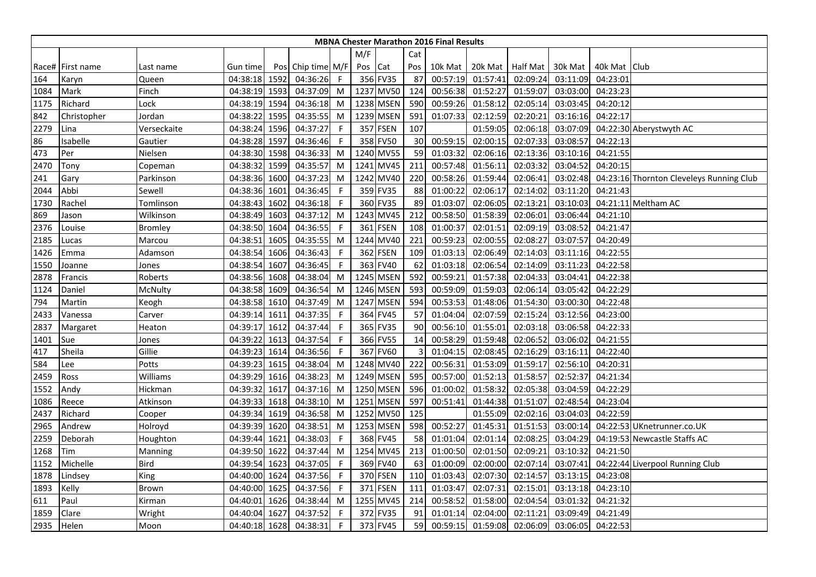|      |                  |              |               |      |                   |              |      |                 |     | <b>MBNA Chester Marathon 2016 Final Results</b> |          |                  |          |                |                                          |
|------|------------------|--------------|---------------|------|-------------------|--------------|------|-----------------|-----|-------------------------------------------------|----------|------------------|----------|----------------|------------------------------------------|
|      |                  |              |               |      |                   |              | M/F  |                 | Cat |                                                 |          |                  |          |                |                                          |
|      | Race# First name | Last name    | Gun time      |      | Pos Chip time M/F |              | Pos  | Cat             | Pos | 10k Mat                                         |          | 20k Mat Half Mat | 30k Mat  | 40k Mat   Club |                                          |
| 164  | Karyn            | Queen        | 04:38:18 1592 |      | 04:36:26          | $\mathsf{F}$ |      | 356 FV35        | 87  | 00:57:19                                        | 01:57:41 | 02:09:24         | 03:11:09 | 04:23:01       |                                          |
| 1084 | Mark             | Finch        | 04:38:19      | 1593 | 04:37:09          | M            |      | 1237 MV50       | 124 | 00:56:38                                        | 01:52:27 | 01:59:07         | 03:03:00 | 04:23:23       |                                          |
| 1175 | Richard          | Lock         | 04:38:19      | 1594 | 04:36:18          | M            |      | 1238 MSEN       | 590 | 00:59:26                                        | 01:58:12 | 02:05:14         | 03:03:45 | 04:20:12       |                                          |
| 842  | Christopher      | Jordan       | 04:38:22 1595 |      | 04:35:55          | M            |      | 1239 MSEN       | 591 | 01:07:33                                        | 02:12:59 | 02:20:21         | 03:16:16 | 04:22:17       |                                          |
| 2279 | Lina             | Verseckaite  | 04:38:24 1596 |      | 04:37:27          | -F           |      | <b>357 FSEN</b> | 107 |                                                 | 01:59:05 | 02:06:18         | 03:07:09 |                | 04:22:30 Aberystwyth AC                  |
| 86   | Isabelle         | Gautier      | 04:38:28      | 1597 | 04:36:46          | -F           |      | 358 FV50        | 30  | 00:59:15                                        | 02:00:15 | 02:07:33         | 03:08:57 | 04:22:13       |                                          |
| 473  | Per              | Nielsen      | 04:38:30 1598 |      | 04:36:33          | M            |      | 1240 MV55       | 59  | 01:03:32                                        | 02:06:16 | 02:13:36         | 03:10:16 | 04:21:55       |                                          |
| 2470 | Tony             | Copeman      | 04:38:32 1599 |      | 04:35:57          | M            |      | 1241 MV45       | 211 | 00:57:48                                        | 01:56:11 | 02:03:32         | 03:04:52 | 04:20:15       |                                          |
| 241  | Gary             | Parkinson    | 04:38:36 1600 |      | 04:37:23          | M            |      | 1242 MV40       | 220 | 00:58:26                                        | 01:59:44 | 02:06:41         | 03:02:48 |                | 04:23:16 Thornton Cleveleys Running Club |
| 2044 | Abbi             | Sewell       | 04:38:36      | 1601 | 04:36:45          | -F           |      | 359 FV35        | 88  | 01:00:22                                        | 02:06:17 | 02:14:02         | 03:11:20 | 04:21:43       |                                          |
| 1730 | Rachel           | Tomlinson    | 04:38:43      | 1602 | 04:36:18          | -F           |      | 360 FV35        | 89  | 01:03:07                                        | 02:06:05 | 02:13:21         | 03:10:03 |                | 04:21:11 Meltham AC                      |
| 869  | Jason            | Wilkinson    | 04:38:49      | 1603 | 04:37:12          | M            |      | 1243 MV45       | 212 | 00:58:50                                        | 01:58:39 | 02:06:01         | 03:06:44 | 04:21:10       |                                          |
| 2376 | Louise           | Bromley      | 04:38:50 1604 |      | 04:36:55          | -F           |      | 361 FSEN        | 108 | 01:00:37                                        | 02:01:51 | 02:09:19         | 03:08:52 | 04:21:47       |                                          |
| 2185 | Lucas            | Marcou       | 04:38:51      | 1605 | 04:35:55          | M            |      | 1244 MV40       | 221 | 00:59:23                                        | 02:00:55 | 02:08:27         | 03:07:57 | 04:20:49       |                                          |
| 1426 | Emma             | Adamson      | 04:38:54 1606 |      | 04:36:43          | F            |      | 362 FSEN        | 109 | 01:03:13                                        | 02:06:49 | 02:14:03         | 03:11:16 | 04:22:55       |                                          |
| 1550 | Joanne           | Jones        | 04:38:54 1607 |      | 04:36:45          | -F           |      | 363 FV40        | 62  | 01:03:18                                        | 02:06:54 | 02:14:09         | 03:11:23 | 04:22:58       |                                          |
| 2878 | Francis          | Roberts      | 04:38:56      | 1608 | 04:38:04          | M            |      | 1245 MSEN       | 592 | 00:59:21                                        | 01:57:38 | 02:04:33         | 03:04:41 | 04:22:38       |                                          |
| 1124 | Daniel           | McNulty      | 04:38:58      | 1609 | 04:36:54          | M            | 1246 | <b>MSEN</b>     | 593 | 00:59:09                                        | 01:59:03 | 02:06:14         | 03:05:42 | 04:22:29       |                                          |
| 794  | Martin           | Keogh        | 04:38:58 1610 |      | 04:37:49          | M            |      | 1247 MSEN       | 594 | 00:53:53                                        | 01:48:06 | 01:54:30         | 03:00:30 | 04:22:48       |                                          |
| 2433 | Vanessa          | Carver       | 04:39:14 1611 |      | 04:37:35          | -F           |      | 364 FV45        | 57  | 01:04:04                                        | 02:07:59 | 02:15:24         | 03:12:56 | 04:23:00       |                                          |
| 2837 | Margaret         | Heaton       | 04:39:17      | 1612 | 04:37:44          | -F           |      | 365 FV35        | 90  | 00:56:10                                        | 01:55:01 | 02:03:18         | 03:06:58 | 04:22:33       |                                          |
| 1401 | Sue              | Jones        | 04:39:22      | 1613 | 04:37:54          | F            |      | 366 FV55        | 14  | 00:58:29                                        | 01:59:48 | 02:06:52         | 03:06:02 | 04:21:55       |                                          |
| 417  | Sheila           | Gillie       | 04:39:23 1614 |      | 04:36:56          | -F           |      | 367 FV60        | 3   | 01:04:15                                        | 02:08:45 | 02:16:29         | 03:16:11 | 04:22:40       |                                          |
| 584  | Lee              | Potts        | 04:39:23 1615 |      | 04:38:04          | M            |      | 1248 MV40       | 222 | 00:56:31                                        | 01:53:09 | 01:59:17         | 02:56:10 | 04:20:31       |                                          |
| 2459 | Ross             | Williams     | 04:39:29      | 1616 | 04:38:23          | M            |      | 1249 MSEN       | 595 | 00:57:00                                        | 01:52:13 | 01:58:57         | 02:52:37 | 04:21:34       |                                          |
| 1552 | Andy             | Hickman      | 04:39:32 1617 |      | 04:37:16          | M            |      | 1250 MSEN       | 596 | 01:00:02                                        | 01:58:32 | 02:05:38         | 03:04:59 | 04:22:29       |                                          |
| 1086 | Reece            | Atkinson     | 04:39:33 1618 |      | 04:38:10          | M            |      | 1251 MSEN       | 597 | 00:51:41                                        | 01:44:38 | 01:51:07         | 02:48:54 | 04:23:04       |                                          |
| 2437 | Richard          | Cooper       | 04:39:34 1619 |      | 04:36:58          | M            |      | 1252 MV50       | 125 |                                                 | 01:55:09 | 02:02:16         | 03:04:03 | 04:22:59       |                                          |
| 2965 | Andrew           | Holroyd      | 04:39:39 1620 |      | 04:38:51          | M            |      | 1253 MSEN       | 598 | 00:52:27                                        | 01:45:31 | 01:51:53         | 03:00:14 |                | 04:22:53 UKnetrunner.co.UK               |
| 2259 | Deborah          | Houghton     | 04:39:44 1621 |      | 04:38:03          | -F           |      | 368 FV45        | 58  | 01:01:04                                        | 02:01:14 | 02:08:25         | 03:04:29 |                | 04:19:53 Newcastle Staffs AC             |
| 1268 | Tim              | Manning      | 04:39:50 1622 |      | 04:37:44          | M            |      | 1254 MV45       | 213 | 01:00:50                                        | 02:01:50 | 02:09:21         | 03:10:32 | 04:21:50       |                                          |
| 1152 | Michelle         | Bird         | 04:39:54 1623 |      | 04:37:05          | -F           |      | 369 FV40        | 63  | 01:00:09                                        | 02:00:00 | 02:07:14         | 03:07:41 |                | 04:22:44 Liverpool Running Club          |
| 1878 | Lindsey          | King         | 04:40:00 1624 |      | 04:37:56          | -F           |      | 370 FSEN        | 110 | 01:03:43                                        | 02:07:30 | 02:14:57         | 03:13:15 | 04:23:08       |                                          |
| 1893 | Kelly            | <b>Brown</b> | 04:40:00 1625 |      | 04:37:56          | -F           |      | 371 FSEN        | 111 | 01:03:47                                        | 02:07:31 | 02:15:01         | 03:13:18 | 04:23:10       |                                          |
| 611  | Paul             | Kirman       | 04:40:01 1626 |      | 04:38:44          | M            |      | 1255 MV45       | 214 | 00:58:52                                        | 01:58:00 | 02:04:54         | 03:01:32 | 04:21:32       |                                          |
| 1859 | Clare            | Wright       | 04:40:04      | 1627 | 04:37:52          | -F           |      | 372 FV35        | 91  | 01:01:14                                        | 02:04:00 | 02:11:23         | 03:09:49 | 04:21:49       |                                          |
| 2935 | Helen            | Moon         | 04:40:18 1628 |      | 04:38:31          | -F           |      | 373 FV45        | 59  | 00:59:15                                        | 01:59:08 | 02:06:09         | 03:06:05 | 04:22:53       |                                          |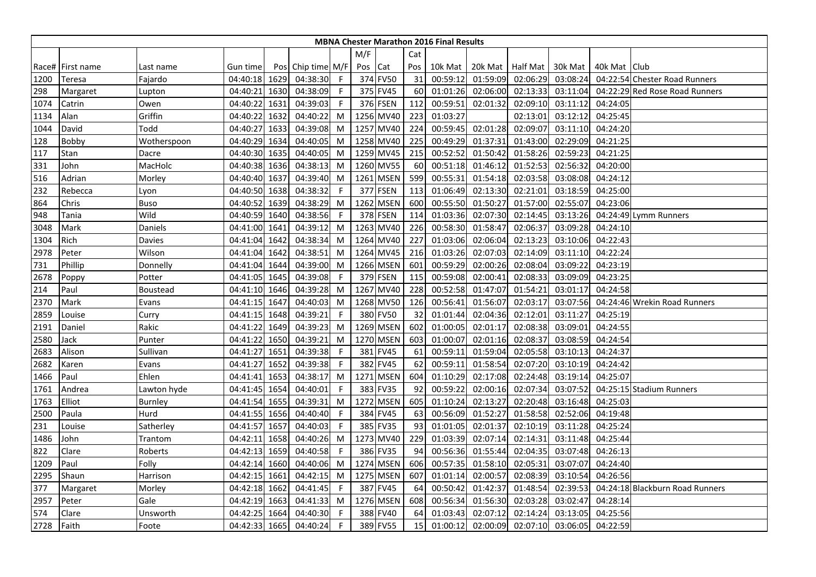|      |                  |                 |               |      |                   |              |         |           |     | <b>MBNA Chester Marathon 2016 Final Results</b> |                  |          |          |                |                                 |
|------|------------------|-----------------|---------------|------|-------------------|--------------|---------|-----------|-----|-------------------------------------------------|------------------|----------|----------|----------------|---------------------------------|
|      |                  |                 |               |      |                   |              | M/F     |           | Cat |                                                 |                  |          |          |                |                                 |
|      | Race# First name | Last name       | Gun time      |      | Pos Chip time M/F |              | Pos Cat |           | Pos | 10k Mat                                         | 20k Mat Half Mat |          | 30k Mat  | 40k Mat   Club |                                 |
| 1200 | Teresa           | Fajardo         | 04:40:18 1629 |      | 04:38:30          | $\mathsf{F}$ |         | 374 FV50  | 31  | 00:59:12                                        | 01:59:09         | 02:06:29 | 03:08:24 |                | 04:22:54 Chester Road Runners   |
| 298  | Margaret         | Lupton          | 04:40:21      | 1630 | 04:38:09          | -F           |         | 375 FV45  | 60  | 01:01:26                                        | 02:06:00         | 02:13:33 | 03:11:04 |                | 04:22:29 Red Rose Road Runners  |
| 1074 | Catrin           | Owen            | 04:40:22      | 1631 | 04:39:03          | F            |         | 376 FSEN  | 112 | 00:59:51                                        | 02:01:32         | 02:09:10 | 03:11:12 | 04:24:05       |                                 |
| 1134 | Alan             | Griffin         | 04:40:22      | 1632 | 04:40:22          | M            |         | 1256 MV40 | 223 | 01:03:27                                        |                  | 02:13:01 | 03:12:12 | 04:25:45       |                                 |
| 1044 | David            | Todd            | 04:40:27      | 1633 | 04:39:08          | M            |         | 1257 MV40 | 224 | 00:59:45                                        | 02:01:28         | 02:09:07 | 03:11:10 | 04:24:20       |                                 |
| 128  | Bobby            | Wotherspoon     | 04:40:29      | 1634 | 04:40:05          | M            |         | 1258 MV40 | 225 | 00:49:29                                        | 01:37:31         | 01:43:00 | 02:29:09 | 04:21:25       |                                 |
| 117  | Stan             | Dacre           | 04:40:30      | 1635 | 04:40:05          | M            |         | 1259 MV45 | 215 | 00:52:52                                        | 01:50:42         | 01:58:26 | 02:59:23 | 04:21:25       |                                 |
| 331  | John             | MacHolc         | 04:40:38 1636 |      | 04:38:13          | M            |         | 1260 MV55 | 60  | 00:51:18                                        | 01:46:12         | 01:52:53 | 02:56:32 | 04:20:00       |                                 |
| 516  | Adrian           | Morley          | 04:40:40 1637 |      | 04:39:40          | M            |         | 1261 MSEN | 599 | 00:55:31                                        | 01:54:18         | 02:03:58 | 03:08:08 | 04:24:12       |                                 |
| 232  | Rebecca          | Lyon            | 04:40:50      | 1638 | 04:38:32          | F            |         | 377 FSEN  | 113 | 01:06:49                                        | 02:13:30         | 02:21:01 | 03:18:59 | 04:25:00       |                                 |
| 864  | Chris            | <b>Buso</b>     | 04:40:52      | 1639 | 04:38:29          | M            |         | 1262 MSEN | 600 | 00:55:50                                        | 01:50:27         | 01:57:00 | 02:55:07 | 04:23:06       |                                 |
| 948  | Tania            | Wild            | 04:40:59      | 1640 | 04:38:56          | F            |         | 378 FSEN  | 114 | 01:03:36                                        | 02:07:30         | 02:14:45 | 03:13:26 |                | 04:24:49 Lymm Runners           |
| 3048 | Mark             | Daniels         | 04:41:00 1641 |      | 04:39:12          | M            |         | 1263 MV40 | 226 | 00:58:30                                        | 01:58:47         | 02:06:37 | 03:09:28 | 04:24:10       |                                 |
| 1304 | Rich             | Davies          | 04:41:04 1642 |      | 04:38:34          | M            |         | 1264 MV40 | 227 | 01:03:06                                        | 02:06:04         | 02:13:23 | 03:10:06 | 04:22:43       |                                 |
| 2978 | Peter            | Wilson          | 04:41:04 1642 |      | 04:38:51          | M            |         | 1264 MV45 | 216 | 01:03:26                                        | 02:07:03         | 02:14:09 | 03:11:10 | 04:22:24       |                                 |
| 731  | Phillip          | Donnelly        | 04:41:04 1644 |      | 04:39:00          | M            |         | 1266 MSEN | 601 | 00:59:29                                        | 02:00:26         | 02:08:04 | 03:09:22 | 04:23:19       |                                 |
| 2678 | Poppy            | Potter          | 04:41:05 1645 |      | 04:39:08          | F            |         | 379 FSEN  | 115 | 00:59:08                                        | 02:00:41         | 02:08:33 | 03:09:09 | 04:23:25       |                                 |
| 214  | Paul             | <b>Boustead</b> | 04:41:10 1646 |      | 04:39:28          | M            |         | 1267 MV40 | 228 | 00:52:58                                        | 01:47:07         | 01:54:21 | 03:01:17 | 04:24:58       |                                 |
| 2370 | Mark             | Evans           | 04:41:15      | 1647 | 04:40:03          | M            |         | 1268 MV50 | 126 | 00:56:41                                        | 01:56:07         | 02:03:17 | 03:07:56 |                | 04:24:46 Wrekin Road Runners    |
| 2859 | Louise           | Curry           | 04:41:15 1648 |      | 04:39:21          | F            |         | 380 FV50  | 32  | 01:01:44                                        | 02:04:36         | 02:12:01 | 03:11:27 | 04:25:19       |                                 |
| 2191 | Daniel           | Rakic           | 04:41:22      | 1649 | 04:39:23          | M            |         | 1269 MSEN | 602 | 01:00:05                                        | 02:01:17         | 02:08:38 | 03:09:01 | 04:24:55       |                                 |
| 2580 | Jack             | Punter          | 04:41:22      | 1650 | 04:39:21          | M            |         | 1270 MSEN | 603 | 01:00:07                                        | 02:01:16         | 02:08:37 | 03:08:59 | 04:24:54       |                                 |
| 2683 | Alison           | Sullivan        | 04:41:27 1651 |      | 04:39:38          | F            |         | 381 FV45  | 61  | 00:59:11                                        | 01:59:04         | 02:05:58 | 03:10:13 | 04:24:37       |                                 |
| 2682 | Karen            | Evans           | 04:41:27      | 1652 | 04:39:38          | -F           |         | 382 FV45  | 62  | 00:59:11                                        | 01:58:54         | 02:07:20 | 03:10:19 | 04:24:42       |                                 |
| 1466 | Paul             | Ehlen           | 04:41:41      | 1653 | 04:38:17          | M            |         | 1271 MSEN | 604 | 01:10:29                                        | 02:17:08         | 02:24:48 | 03:19:14 | 04:25:07       |                                 |
| 1761 | Andrea           | Lawton hyde     | 04:41:45 1654 |      | 04:40:01          | F            |         | 383 FV35  | 92  | 00:59:22                                        | 02:00:16         | 02:07:34 | 03:07:52 |                | 04:25:15 Stadium Runners        |
| 1763 | Elliot           | <b>Burnley</b>  | 04:41:54 1655 |      | 04:39:31          | M            |         | 1272 MSEN | 605 | 01:10:24                                        | 02:13:27         | 02:20:48 | 03:16:48 | 04:25:03       |                                 |
| 2500 | Paula            | Hurd            | 04:41:55 1656 |      | 04:40:40          | F            |         | 384 FV45  | 63  | 00:56:09                                        | 01:52:27         | 01:58:58 | 02:52:06 | 04:19:48       |                                 |
| 231  | Louise           | Satherley       | 04:41:57 1657 |      | 04:40:03          | F            |         | 385 FV35  | 93  | 01:01:05                                        | 02:01:37         | 02:10:19 | 03:11:28 | 04:25:24       |                                 |
| 1486 | John             | Trantom         | 04:42:11 1658 |      | 04:40:26          | M            |         | 1273 MV40 | 229 | 01:03:39                                        | 02:07:14         | 02:14:31 | 03:11:48 | 04:25:44       |                                 |
| 822  | Clare            | Roberts         | 04:42:13 1659 |      | 04:40:58          | F            |         | 386 FV35  | 94  | 00:56:36                                        | 01:55:44         | 02:04:35 | 03:07:48 | 04:26:13       |                                 |
| 1209 | Paul             | Folly           | 04:42:14      | 1660 | 04:40:06          | M            |         | 1274 MSEN | 606 | 00:57:35                                        | 01:58:10         | 02:05:31 | 03:07:07 | 04:24:40       |                                 |
| 2295 | Shaun            | Harrison        | 04:42:15 1661 |      | 04:42:15          | M            |         | 1275 MSEN | 607 | 01:01:14                                        | 02:00:57         | 02:08:39 | 03:10:54 | 04:26:56       |                                 |
| 377  | Margaret         | Morley          | 04:42:18 1662 |      | 04:41:45          | F            |         | 387 FV45  | 64  | 00:50:42                                        | 01:42:37         | 01:48:54 | 02:39:53 |                | 04:24:18 Blackburn Road Runners |
| 2957 | Peter            | Gale            | 04:42:19 1663 |      | 04:41:33          | M            |         | 1276 MSEN | 608 | 00:56:34                                        | 01:56:30         | 02:03:28 | 03:02:47 | 04:28:14       |                                 |
| 574  | Clare            | Unsworth        | 04:42:25      | 1664 | 04:40:30          | F            |         | 388 FV40  | 64  | 01:03:43                                        | 02:07:12         | 02:14:24 | 03:13:05 | 04:25:56       |                                 |
| 2728 | Faith            | Foote           | 04:42:33 1665 |      | 04:40:24          | F            |         | 389 FV55  | 15  | 01:00:12                                        | 02:00:09         | 02:07:10 | 03:06:05 | 04:22:59       |                                 |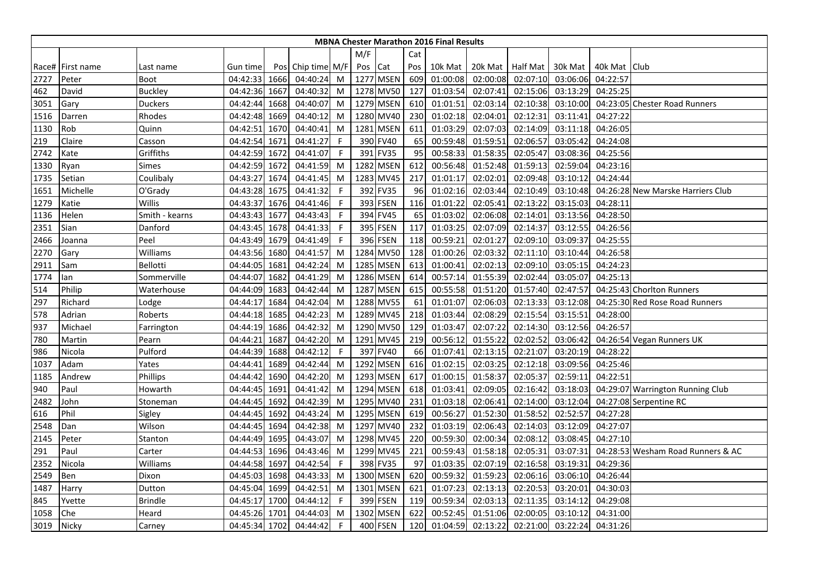|      |                  |                |               |      |                   |             |         |           |     | <b>MBNA Chester Marathon 2016 Final Results</b> |                  |          |          |                |                                   |
|------|------------------|----------------|---------------|------|-------------------|-------------|---------|-----------|-----|-------------------------------------------------|------------------|----------|----------|----------------|-----------------------------------|
|      |                  |                |               |      |                   |             | M/F     |           | Cat |                                                 |                  |          |          |                |                                   |
|      | Race# First name | Last name      | Gun time      |      | Pos Chip time M/F |             | Pos Cat |           | Pos | 10k Mat                                         | 20k Mat Half Mat |          | 30k Mat  | 40k Mat   Club |                                   |
| 2727 | Peter            | Boot           | 04:42:33 1666 |      | 04:40:24          | M           |         | 1277 MSEN | 609 | 01:00:08                                        | 02:00:08         | 02:07:10 | 03:06:06 | 04:22:57       |                                   |
| 462  | David            | <b>Buckley</b> | 04:42:36 1667 |      | 04:40:32          | M           |         | 1278 MV50 | 127 | 01:03:54                                        | 02:07:41         | 02:15:06 | 03:13:29 | 04:25:25       |                                   |
| 3051 | Gary             | <b>Duckers</b> | 04:42:44      | 1668 | 04:40:07          | M           |         | 1279 MSEN | 610 | 01:01:51                                        | 02:03:14         | 02:10:38 | 03:10:00 |                | 04:23:05 Chester Road Runners     |
| 1516 | Darren           | Rhodes         | 04:42:48 1669 |      | 04:40:12          | M           |         | 1280 MV40 | 230 | 01:02:18                                        | 02:04:01         | 02:12:31 | 03:11:41 | 04:27:22       |                                   |
| 1130 | Rob              | Quinn          | 04:42:51      | 1670 | 04:40:41          | M           |         | 1281 MSEN | 611 | 01:03:29                                        | 02:07:03         | 02:14:09 | 03:11:18 | 04:26:05       |                                   |
| 219  | Claire           | Casson         | 04:42:54 1671 |      | 04:41:27          | $\mathsf F$ |         | 390 FV40  | 65  | 00:59:48                                        | 01:59:51         | 02:06:57 | 03:05:42 | 04:24:08       |                                   |
| 2742 | Kate             | Griffiths      | 04:42:59 1672 |      | 04:41:07          | F           |         | 391 FV35  | 95  | 00:58:33                                        | 01:58:35         | 02:05:47 | 03:08:36 | 04:25:56       |                                   |
| 1330 | Ryan             | Simes          | 04:42:59 1672 |      | 04:41:59          | M           |         | 1282 MSEN | 612 | 00:56:48                                        | 01:52:48         | 01:59:13 | 02:59:04 | 04:23:16       |                                   |
| 1735 | Setian           | Coulibaly      | 04:43:27 1674 |      | 04:41:45          | M           |         | 1283 MV45 | 217 | 01:01:17                                        | 02:02:01         | 02:09:48 | 03:10:12 | 04:24:44       |                                   |
| 1651 | Michelle         | O'Grady        | 04:43:28      | 1675 | 04:41:32          | F           |         | 392 FV35  | 96  | 01:02:16                                        | 02:03:44         | 02:10:49 | 03:10:48 |                | 04:26:28 New Marske Harriers Club |
| 1279 | Katie            | Willis         | 04:43:37      | 1676 | 04:41:46          | F           |         | 393 FSEN  | 116 | 01:01:22                                        | 02:05:41         | 02:13:22 | 03:15:03 | 04:28:11       |                                   |
| 1136 | Helen            | Smith - kearns | 04:43:43      | 1677 | 04:43:43          | -F          |         | 394 FV45  | 65  | 01:03:02                                        | 02:06:08         | 02:14:01 | 03:13:56 | 04:28:50       |                                   |
| 2351 | Sian             | Danford        | 04:43:45 1678 |      | 04:41:33          | -F          |         | 395 FSEN  | 117 | 01:03:25                                        | 02:07:09         | 02:14:37 | 03:12:55 | 04:26:56       |                                   |
| 2466 | Joanna           | Peel           | 04:43:49 1679 |      | 04:41:49          | -F          |         | 396 FSEN  | 118 | 00:59:21                                        | 02:01:27         | 02:09:10 | 03:09:37 | 04:25:55       |                                   |
| 2270 | Gary             | Williams       | 04:43:56 1680 |      | 04:41:57          | M           |         | 1284 MV50 | 128 | 01:00:26                                        | 02:03:32         | 02:11:10 | 03:10:44 | 04:26:58       |                                   |
| 2911 | Sam              | Bellotti       | 04:44:05 1681 |      | 04:42:24          | M           |         | 1285 MSEN | 613 | 01:00:41                                        | 02:02:13         | 02:09:10 | 03:05:15 | 04:24:23       |                                   |
| 1774 | lan              | Sommerville    | 04:44:07      | 1682 | 04:41:29          | M           |         | 1286 MSEN | 614 | 00:57:14                                        | 01:55:39         | 02:02:44 | 03:05:07 | 04:25:13       |                                   |
| 514  | Philip           | Waterhouse     | 04:44:09      | 1683 | 04:42:44          | M           |         | 1287 MSEN | 615 | 00:55:58                                        | 01:51:20         | 01:57:40 | 02:47:57 |                | 04:25:43 Chorlton Runners         |
| 297  | Richard          | Lodge          | 04:44:17      | 1684 | 04:42:04          | M           |         | 1288 MV55 | 61  | 01:01:07                                        | 02:06:03         | 02:13:33 | 03:12:08 |                | 04:25:30 Red Rose Road Runners    |
| 578  | Adrian           | Roberts        | 04:44:18 1685 |      | 04:42:23          | M           |         | 1289 MV45 | 218 | 01:03:44                                        | 02:08:29         | 02:15:54 | 03:15:51 | 04:28:00       |                                   |
| 937  | Michael          | Farrington     | 04:44:19      | 1686 | 04:42:32          | M           |         | 1290 MV50 | 129 | 01:03:47                                        | 02:07:22         | 02:14:30 | 03:12:56 | 04:26:57       |                                   |
| 780  | Martin           | Pearn          | 04:44:21      | 1687 | 04:42:20          | M           |         | 1291 MV45 | 219 | 00:56:12                                        | 01:55:22         | 02:02:52 | 03:06:42 |                | 04:26:54 Vegan Runners UK         |
| 986  | Nicola           | Pulford        | 04:44:39 1688 |      | 04:42:12          | F           |         | 397 FV40  | 66  | 01:07:41                                        | 02:13:15         | 02:21:07 | 03:20:19 | 04:28:22       |                                   |
| 1037 | Adam             | Yates          | 04:44:41      | 1689 | 04:42:44          | M           |         | 1292 MSEN | 616 | 01:02:15                                        | 02:03:25         | 02:12:18 | 03:09:56 | 04:25:46       |                                   |
| 1185 | Andrew           | Phillips       | 04:44:42      | 1690 | 04:42:20          | M           |         | 1293 MSEN | 617 | 01:00:15                                        | 01:58:37         | 02:05:37 | 02:59:11 | 04:22:51       |                                   |
| 940  | Paul             | Howarth        | 04:44:45      | 1691 | 04:41:42          | M           |         | 1294 MSEN | 618 | 01:03:41                                        | 02:09:05         | 02:16:42 | 03:18:03 |                | 04:29:07 Warrington Running Club  |
| 2482 | John             | Stoneman       | 04:44:45 1692 |      | 04:42:39          | M           |         | 1295 MV40 | 231 | 01:03:18                                        | 02:06:41         | 02:14:00 | 03:12:04 |                | 04:27:08 Serpentine RC            |
| 616  | Phil             | Sigley         | 04:44:45      | 1692 | 04:43:24          | M           |         | 1295 MSEN | 619 | 00:56:27                                        | 01:52:30         | 01:58:52 | 02:52:57 | 04:27:28       |                                   |
| 2548 | Dan              | Wilson         | 04:44:45 1694 |      | 04:42:38          | M           |         | 1297 MV40 | 232 | 01:03:19                                        | 02:06:43         | 02:14:03 | 03:12:09 | 04:27:07       |                                   |
| 2145 | Peter            | Stanton        | 04:44:49 1695 |      | 04:43:07          | M           |         | 1298 MV45 | 220 | 00:59:30                                        | 02:00:34         | 02:08:12 | 03:08:45 | 04:27:10       |                                   |
| 291  | Paul             | Carter         | 04:44:53 1696 |      | 04:43:46          | M           |         | 1299 MV45 | 221 | 00:59:43                                        | 01:58:18         | 02:05:31 | 03:07:31 |                | 04:28:53 Wesham Road Runners & AC |
| 2352 | Nicola           | Williams       | 04:44:58      | 1697 | 04:42:54          | F           |         | 398 FV35  | 97  | 01:03:35                                        | 02:07:19         | 02:16:58 | 03:19:31 | 04:29:36       |                                   |
| 2549 | Ben              | Dixon          | 04:45:03 1698 |      | 04:43:33          | M           |         | 1300 MSEN | 620 | 00:59:32                                        | 01:59:23         | 02:06:16 | 03:06:10 | 04:26:44       |                                   |
| 1487 | Harry            | Dutton         | 04:45:04 1699 |      | 04:42:51          | M           |         | 1301 MSEN | 621 | 01:07:23                                        | 02:13:13         | 02:20:53 | 03:20:01 | 04:30:03       |                                   |
| 845  | Yvette           | <b>Brindle</b> | 04:45:17 1700 |      | 04:44:12          | -F          |         | 399 FSEN  | 119 | 00:59:34                                        | 02:03:13         | 02:11:35 | 03:14:12 | 04:29:08       |                                   |
| 1058 | Che              | Heard          | 04:45:26      | 1701 | 04:44:03          | M           |         | 1302 MSEN | 622 | 00:52:45                                        | 01:51:06         | 02:00:05 | 03:10:12 | 04:31:00       |                                   |
| 3019 | Nicky            | Carney         | 04:45:34 1702 |      | 04:44:42          | F           |         | 400 FSEN  | 120 | 01:04:59                                        | 02:13:22         | 02:21:00 | 03:22:24 | 04:31:26       |                                   |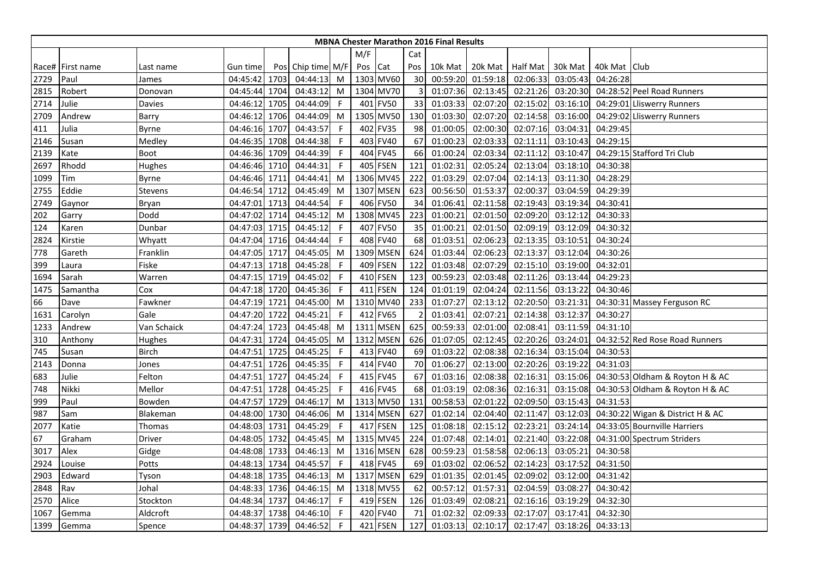|      |                  |                |               |      |                   |              |         |             |     | <b>MBNA Chester Marathon 2016 Final Results</b> |                  |          |          |                |                                  |
|------|------------------|----------------|---------------|------|-------------------|--------------|---------|-------------|-----|-------------------------------------------------|------------------|----------|----------|----------------|----------------------------------|
|      |                  |                |               |      |                   |              | M/F     |             | Cat |                                                 |                  |          |          |                |                                  |
|      | Race# First name | Last name      | Gun time      |      | Pos Chip time M/F |              | Pos Cat |             | Pos | 10k Mat                                         | 20k Mat Half Mat |          | 30k Mat  | 40k Mat   Club |                                  |
| 2729 | Paul             | James          | 04:45:42      | 1703 | 04:44:13          | M            |         | 1303 MV60   | 30  | 00:59:20                                        | 01:59:18         | 02:06:33 | 03:05:43 | 04:26:28       |                                  |
| 2815 | Robert           | Donovan        | 04:45:44      | 1704 | 04:43:12          | M            |         | 1304 MV70   | 3   | 01:07:36                                        | 02:13:45         | 02:21:26 | 03:20:30 |                | 04:28:52 Peel Road Runners       |
| 2714 | Julie            | Davies         | 04:46:12      | 1705 | 04:44:09          | F            | 401     | <b>FV50</b> | 33  | 01:03:33                                        | 02:07:20         | 02:15:02 | 03:16:10 |                | 04:29:01 Lliswerry Runners       |
| 2709 | Andrew           | Barry          | 04:46:12      | 1706 | 04:44:09          | M            |         | 1305 MV50   | 130 | 01:03:30                                        | 02:07:20         | 02:14:58 | 03:16:00 |                | 04:29:02 Lliswerry Runners       |
| 411  | Julia            | <b>Byrne</b>   | 04:46:16      | 1707 | 04:43:57          | -F           |         | 402 FV35    | 98  | 01:00:05                                        | 02:00:30         | 02:07:16 | 03:04:31 | 04:29:45       |                                  |
| 2146 | Susan            | Medley         | 04:46:35      | 1708 | 04:44:38          | F.           |         | 403 FV40    | 67  | 01:00:23                                        | 02:03:33         | 02:11:11 | 03:10:43 | 04:29:15       |                                  |
| 2139 | Kate             | Boot           | 04:46:36      | 1709 | 04:44:39          | -F           |         | 404 FV45    | 66  | 01:00:24                                        | 02:03:34         | 02:11:12 | 03:10:47 |                | 04:29:15 Stafford Tri Club       |
| 2697 | Rhodd            | Hughes         | 04:46:46      | 1710 | 04:44:31          | F            |         | 405 FSEN    | 121 | 01:02:31                                        | 02:05:24         | 02:13:04 | 03:18:10 | 04:30:38       |                                  |
| 1099 | Tim              | Byrne          | 04:46:46 1711 |      | 04:44:41          | M            |         | 1306 MV45   | 222 | 01:03:29                                        | 02:07:04         | 02:14:13 | 03:11:30 | 04:28:29       |                                  |
| 2755 | Eddie            | <b>Stevens</b> | 04:46:54      | 1712 | 04:45:49          | M            | 1307    | <b>MSEN</b> | 623 | 00:56:50                                        | 01:53:37         | 02:00:37 | 03:04:59 | 04:29:39       |                                  |
| 2749 | Gaynor           | Bryan          | 04:47:01      | 1713 | 04:44:54          | F            | 406     | <b>FV50</b> | 34  | 01:06:41                                        | 02:11:58         | 02:19:43 | 03:19:34 | 04:30:41       |                                  |
| 202  | Garry            | Dodd           | 04:47:02 1714 |      | 04:45:12          | M            |         | 1308 MV45   | 223 | 01:00:21                                        | 02:01:50         | 02:09:20 | 03:12:12 | 04:30:33       |                                  |
| 124  | Karen            | Dunbar         | 04:47:03 1715 |      | 04:45:12          | -F           |         | 407 FV50    | 35  | 01:00:21                                        | 02:01:50         | 02:09:19 | 03:12:09 | 04:30:32       |                                  |
| 2824 | Kirstie          | Whyatt         | 04:47:04 1716 |      | 04:44:44          | -F           |         | 408 FV40    | 68  | 01:03:51                                        | 02:06:23         | 02:13:35 | 03:10:51 | 04:30:24       |                                  |
| 778  | Gareth           | Franklin       | 04:47:05      | 1717 | 04:45:05          | M            |         | 1309 MSEN   | 624 | 01:03:44                                        | 02:06:23         | 02:13:37 | 03:12:04 | 04:30:26       |                                  |
| 399  | Laura            | Fiske          | 04:47:13 1718 |      | 04:45:28          | -F           |         | 409 FSEN    | 122 | 01:03:48                                        | 02:07:29         | 02:15:10 | 03:19:00 | 04:32:01       |                                  |
| 1694 | Sarah            | Warren         | 04:47:15      | 1719 | 04:45:02          | F            |         | 410 FSEN    | 123 | 00:59:23                                        | 02:03:48         | 02:11:26 | 03:13:44 | 04:29:23       |                                  |
| 1475 | Samantha         | Cox            | 04:47:18      | 1720 | 04:45:36          | $\mathsf{F}$ |         | 411 FSEN    | 124 | 01:01:19                                        | 02:04:24         | 02:11:56 | 03:13:22 | 04:30:46       |                                  |
| 66   | Dave             | Fawkner        | 04:47:19      | 1721 | 04:45:00          | M            |         | 1310 MV40   | 233 | 01:07:27                                        | 02:13:12         | 02:20:50 | 03:21:31 |                | 04:30:31 Massey Ferguson RC      |
| 1631 | Carolyn          | Gale           | 04:47:20 1722 |      | 04:45:21          | -F           |         | 412 FV65    |     | 01:03:41                                        | 02:07:21         | 02:14:38 | 03:12:37 | 04:30:27       |                                  |
| 1233 | Andrew           | Van Schaick    | 04:47:24      | 1723 | 04:45:48          | M            |         | 1311 MSEN   | 625 | 00:59:33                                        | 02:01:00         | 02:08:41 | 03:11:59 | 04:31:10       |                                  |
| 310  | Anthony          | Hughes         | 04:47:31      | 1724 | 04:45:05          | M            |         | 1312 MSEN   | 626 | 01:07:05                                        | 02:12:45         | 02:20:26 | 03:24:01 |                | 04:32:52 Red Rose Road Runners   |
| 745  | Susan            | <b>Birch</b>   | 04:47:51 1725 |      | 04:45:25          | F            |         | 413 FV40    | 69  | 01:03:22                                        | 02:08:38         | 02:16:34 | 03:15:04 | 04:30:53       |                                  |
| 2143 | Donna            | Jones          | 04:47:51      | 1726 | 04:45:35          | -F           |         | 414 FV40    | 70  | 01:06:27                                        | 02:13:00         | 02:20:26 | 03:19:22 | 04:31:03       |                                  |
| 683  | Julie            | Felton         | 04:47:51      | 1727 | 04:45:24          | F            |         | 415 FV45    | 67  | 01:03:16                                        | 02:08:38         | 02:16:31 | 03:15:06 |                | 04:30:53 Oldham & Royton H & AC  |
| 748  | Nikki            | Mellor         | 04:47:51      | 1728 | 04:45:25          | F            |         | 416 FV45    | 68  | 01:03:19                                        | 02:08:36         | 02:16:31 | 03:15:08 |                | 04:30:53 Oldham & Royton H & AC  |
| 999  | Paul             | Bowden         | 04:47:57 1729 |      | 04:46:17          | M            |         | 1313 MV50   | 131 | 00:58:53                                        | 02:01:22         | 02:09:50 | 03:15:43 | 04:31:53       |                                  |
| 987  | Sam              | Blakeman       | 04:48:00 1730 |      | 04:46:06          | M            |         | 1314 MSEN   | 627 | 01:02:14                                        | 02:04:40         | 02:11:47 | 03:12:03 |                | 04:30:22 Wigan & District H & AC |
| 2077 | Katie            | Thomas         | 04:48:03      | 1731 | 04:45:29          | -F           |         | 417 FSEN    | 125 | 01:08:18                                        | 02:15:12         | 02:23:21 | 03:24:14 |                | 04:33:05 Bournville Harriers     |
| 67   | Graham           | <b>Driver</b>  | 04:48:05      | 1732 | 04:45:45          | M            |         | 1315 MV45   | 224 | 01:07:48                                        | 02:14:01         | 02:21:40 | 03:22:08 |                | 04:31:00 Spectrum Striders       |
| 3017 | Alex             | Gidge          | 04:48:08 1733 |      | 04:46:13          | M            |         | 1316 MSEN   | 628 | 00:59:23                                        | 01:58:58         | 02:06:13 | 03:05:21 | 04:30:58       |                                  |
| 2924 | Louise           | Potts          | 04:48:13      | 1734 | 04:45:57          | F            |         | 418 FV45    | 69  | 01:03:02                                        | 02:06:52         | 02:14:23 | 03:17:52 | 04:31:50       |                                  |
| 2903 | Edward           | Tyson          | 04:48:18      | 1735 | 04:46:13          | M            |         | 1317 MSEN   | 629 | 01:01:35                                        | 02:01:45         | 02:09:02 | 03:12:00 | 04:31:42       |                                  |
| 2848 | Rav              | Johal          | 04:48:33      | 1736 | 04:46:15          | M            |         | 1318 MV55   | 62  | 00:57:12                                        | 01:57:31         | 02:04:59 | 03:08:27 | 04:30:42       |                                  |
| 2570 | Alice            | Stockton       | 04:48:34 1737 |      | 04:46:17          | -F           |         | 419 FSEN    | 126 | 01:03:49                                        | 02:08:21         | 02:16:16 | 03:19:29 | 04:32:30       |                                  |
| 1067 | Gemma            | Aldcroft       | 04:48:37      | 1738 | 04:46:10          | -F           |         | 420 FV40    | 71  | 01:02:32                                        | 02:09:33         | 02:17:07 | 03:17:41 | 04:32:30       |                                  |
| 1399 | Gemma            | Spence         | 04:48:37 1739 |      | 04:46:52          | F            |         | 421 FSEN    | 127 | 01:03:13                                        | 02:10:17         | 02:17:47 | 03:18:26 | 04:33:13       |                                  |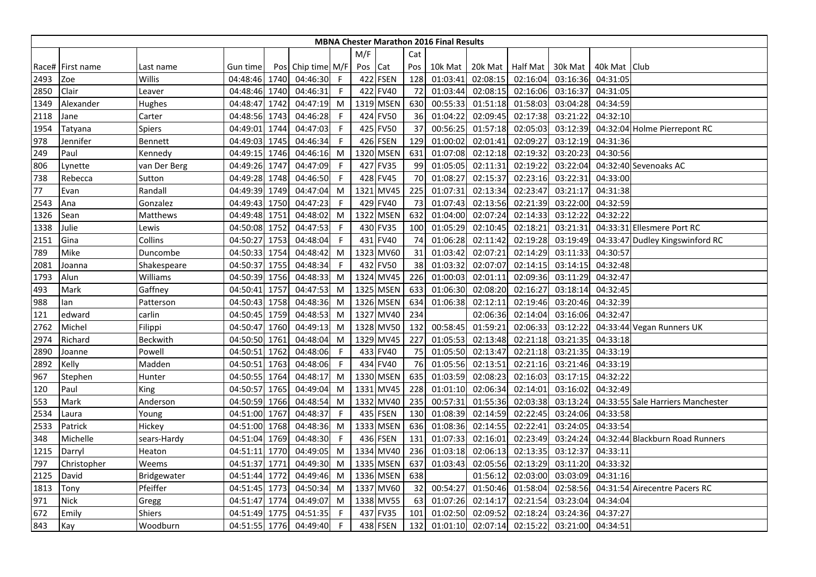|      |                  |                |               |      |                   |              |         |             |     | <b>MBNA Chester Marathon 2016 Final Results</b> |          |                 |          |                |                                   |
|------|------------------|----------------|---------------|------|-------------------|--------------|---------|-------------|-----|-------------------------------------------------|----------|-----------------|----------|----------------|-----------------------------------|
|      |                  |                |               |      |                   |              | M/F     |             | Cat |                                                 |          |                 |          |                |                                   |
|      | Race# First name | Last name      | Gun time      |      | Pos Chip time M/F |              | Pos Cat |             | Pos | 10k Mat                                         | 20k Mat  | <b>Half Mat</b> | 30k Mat  | 40k Mat   Club |                                   |
| 2493 | Zoe              | Willis         | 04:48:46 1740 |      | 04:46:30          | $\mathsf{F}$ |         | 422 FSEN    | 128 | 01:03:41                                        | 02:08:15 | 02:16:04        | 03:16:36 | 04:31:05       |                                   |
| 2850 | Clair            | Leaver         | 04:48:46      | 1740 | 04:46:31          | F            |         | 422 FV40    | 72  | 01:03:44                                        | 02:08:15 | 02:16:06        | 03:16:37 | 04:31:05       |                                   |
| 1349 | Alexander        | Hughes         | 04:48:47      | 1742 | 04:47:19          | M            |         | 1319 MSEN   | 630 | 00:55:33                                        | 01:51:18 | 01:58:03        | 03:04:28 | 04:34:59       |                                   |
| 2118 | Jane             | Carter         | 04:48:56      | 1743 | 04:46:28          | F            |         | 424 FV50    | 36  | 01:04:22                                        | 02:09:45 | 02:17:38        | 03:21:22 | 04:32:10       |                                   |
| 1954 | Tatyana          | Spiers         | 04:49:01      | 1744 | 04:47:03          | -F           |         | 425 FV50    | 37  | 00:56:25                                        | 01:57:18 | 02:05:03        | 03:12:39 |                | 04:32:04 Holme Pierrepont RC      |
| 978  | Jennifer         | <b>Bennett</b> | 04:49:03      | 1745 | 04:46:34          | F.           |         | 426 FSEN    | 129 | 01:00:02                                        | 02:01:41 | 02:09:27        | 03:12:19 | 04:31:36       |                                   |
| 249  | Paul             | Kennedy        | 04:49:15      | 1746 | 04:46:16          | M            |         | 1320 MSEN   | 631 | 01:07:08                                        | 02:12:18 | 02:19:32        | 03:20:23 | 04:30:56       |                                   |
| 806  | Lynette          | van Der Berg   | 04:49:26      | 1747 | 04:47:09          | F            |         | 427 FV35    | 99  | 01:05:05                                        | 02:11:31 | 02:19:22        | 03:22:04 |                | 04:32:40 Sevenoaks AC             |
| 738  | Rebecca          | Sutton         | 04:49:28 1748 |      | 04:46:50          | -F           |         | 428 FV45    | 70  | 01:08:27                                        | 02:15:37 | 02:23:16        | 03:22:31 | 04:33:00       |                                   |
| 77   | Evan             | Randall        | 04:49:39      | 1749 | 04:47:04          | M            | 1321    | <b>MV45</b> | 225 | 01:07:31                                        | 02:13:34 | 02:23:47        | 03:21:17 | 04:31:38       |                                   |
| 2543 | Ana              | Gonzalez       | 04:49:43      | 1750 | 04:47:23          | F            | 429     | <b>FV40</b> | 73  | 01:07:43                                        | 02:13:56 | 02:21:39        | 03:22:00 | 04:32:59       |                                   |
| 1326 | Sean             | Matthews       | 04:49:48      | 1751 | 04:48:02          | M            |         | 1322 MSEN   | 632 | 01:04:00                                        | 02:07:24 | 02:14:33        | 03:12:22 | 04:32:22       |                                   |
| 1338 | Julie            | Lewis          | 04:50:08 1752 |      | 04:47:53          | -F           |         | 430 FV35    | 100 | 01:05:29                                        | 02:10:45 | 02:18:21        | 03:21:31 |                | 04:33:31 Ellesmere Port RC        |
| 2151 | Gina             | Collins        | 04:50:27      | 1753 | 04:48:04          | $\mathsf{F}$ |         | 431 FV40    | 74  | 01:06:28                                        | 02:11:42 | 02:19:28        | 03:19:49 |                | 04:33:47 Dudley Kingswinford RC   |
| 789  | Mike             | Duncombe       | 04:50:33      | 1754 | 04:48:42          | M            |         | 1323 MV60   | 31  | 01:03:42                                        | 02:07:21 | 02:14:29        | 03:11:33 | 04:30:57       |                                   |
| 2081 | Joanna           | Shakespeare    | 04:50:37      | 1755 | 04:48:34          | F            |         | 432 FV50    | 38  | 01:03:32                                        | 02:07:07 | 02:14:15        | 03:14:15 | 04:32:48       |                                   |
| 1793 | Alun             | Williams       | 04:50:39      | 1756 | 04:48:33          | M            |         | 1324 MV45   | 226 | 01:00:03                                        | 02:01:11 | 02:09:36        | 03:11:29 | 04:32:47       |                                   |
| 493  | Mark             | Gaffney        | 04:50:41      | 1757 | 04:47:53          | M            |         | 1325 MSEN   | 633 | 01:06:30                                        | 02:08:20 | 02:16:27        | 03:18:14 | 04:32:45       |                                   |
| 988  | lan              | Patterson      | 04:50:43      | 1758 | 04:48:36          | M            |         | 1326 MSEN   | 634 | 01:06:38                                        | 02:12:11 | 02:19:46        | 03:20:46 | 04:32:39       |                                   |
| 121  | edward           | carlin         | 04:50:45      | 1759 | 04:48:53          | M            |         | 1327 MV40   | 234 |                                                 | 02:06:36 | 02:14:04        | 03:16:06 | 04:32:47       |                                   |
| 2762 | Michel           | Filippi        | 04:50:47      | 1760 | 04:49:13          | M            |         | 1328 MV50   | 132 | 00:58:45                                        | 01:59:21 | 02:06:33        | 03:12:22 |                | 04:33:44 Vegan Runners UK         |
| 2974 | Richard          | Beckwith       | 04:50:50      | 1761 | 04:48:04          | M            |         | 1329 MV45   | 227 | 01:05:53                                        | 02:13:48 | 02:21:18        | 03:21:35 | 04:33:18       |                                   |
| 2890 | Joanne           | Powell         | 04:50:51 1762 |      | 04:48:06          | -F           |         | 433 FV40    | 75  | 01:05:50                                        | 02:13:47 | 02:21:18        | 03:21:35 | 04:33:19       |                                   |
| 2892 | Kelly            | Madden         | 04:50:51      | 1763 | 04:48:06          | -F           |         | 434 FV40    | 76  | 01:05:56                                        | 02:13:51 | 02:21:16        | 03:21:46 | 04:33:19       |                                   |
| 967  | Stephen          | Hunter         | 04:50:55      | 1764 | 04:48:17          | M            |         | 1330 MSEN   | 635 | 01:03:59                                        | 02:08:23 | 02:16:03        | 03:17:15 | 04:32:22       |                                   |
| 120  | Paul             | King           | 04:50:57      | 1765 | 04:49:04          | M            |         | 1331 MV45   | 228 | 01:01:10                                        | 02:06:34 | 02:14:01        | 03:16:02 | 04:32:49       |                                   |
| 553  | Mark             | Anderson       | 04:50:59 1766 |      | 04:48:54          | M            |         | 1332 MV40   | 235 | 00:57:31                                        | 01:55:36 | 02:03:38        | 03:13:24 |                | 04:33:55 Sale Harriers Manchester |
| 2534 | Laura            | Young          | 04:51:00      | 1767 | 04:48:37          | F            |         | 435 FSEN    | 130 | 01:08:39                                        | 02:14:59 | 02:22:45        | 03:24:06 | 04:33:58       |                                   |
| 2533 | Patrick          | Hickey         | 04:51:00 1768 |      | 04:48:36          | M            |         | 1333 MSEN   | 636 | 01:08:36                                        | 02:14:55 | 02:22:41        | 03:24:05 | 04:33:54       |                                   |
| 348  | Michelle         | sears-Hardy    | 04:51:04 1769 |      | 04:48:30          | F            |         | 436 FSEN    | 131 | 01:07:33                                        | 02:16:01 | 02:23:49        | 03:24:24 |                | 04:32:44 Blackburn Road Runners   |
| 1215 | Darryl           | Heaton         | 04:51:11 1770 |      | 04:49:05          | M            |         | 1334 MV40   | 236 | 01:03:18                                        | 02:06:13 | 02:13:35        | 03:12:37 | 04:33:11       |                                   |
| 797  | Christopher      | Weems          | 04:51:37      | 1771 | 04:49:30          | M            |         | 1335 MSEN   | 637 | 01:03:43                                        | 02:05:56 | 02:13:29        | 03:11:20 | 04:33:32       |                                   |
| 2125 | David            | Bridgewater    | 04:51:44      | 1772 | 04:49:46          | M            |         | 1336 MSEN   | 638 |                                                 | 01:56:12 | 02:03:00        | 03:03:09 | 04:31:16       |                                   |
| 1813 | Tony             | Pfeiffer       | 04:51:45      | 1773 | 04:50:34          | M            |         | 1337 MV60   | 32  | 00:54:27                                        | 01:50:46 | 01:58:04        | 02:58:56 |                | 04:31:54 Airecentre Pacers RC     |
| 971  | Nick             | Gregg          | 04:51:47 1774 |      | 04:49:07          | M            |         | 1338 MV55   | 63  | 01:07:26                                        | 02:14:17 | 02:21:54        | 03:23:04 | 04:34:04       |                                   |
| 672  | Emily            | <b>Shiers</b>  | 04:51:49      | 1775 | 04:51:35          | F            |         | 437 FV35    | 101 | 01:02:50                                        | 02:09:52 | 02:18:24        | 03:24:36 | 04:37:27       |                                   |
| 843  | Kay              | Woodburn       | 04:51:55      | 1776 | 04:49:40          | F            |         | 438 FSEN    | 132 | 01:01:10                                        | 02:07:14 | 02:15:22        | 03:21:00 | 04:34:51       |                                   |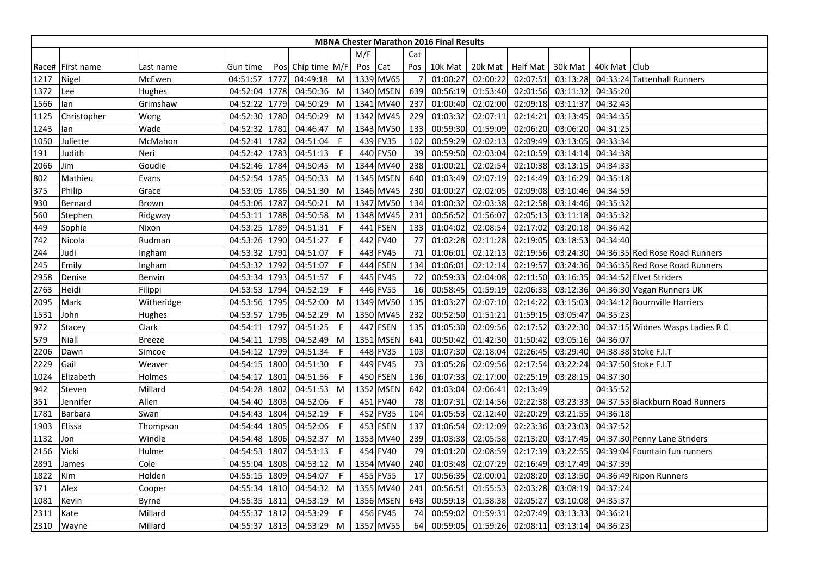|      | <b>MBNA Chester Marathon 2016 Final Results</b><br>M/F<br>Cat |               |               |      |                   |              |         |             |                |          |          |                  |          |                |                                  |
|------|---------------------------------------------------------------|---------------|---------------|------|-------------------|--------------|---------|-------------|----------------|----------|----------|------------------|----------|----------------|----------------------------------|
|      |                                                               |               |               |      |                   |              |         |             |                |          |          |                  |          |                |                                  |
|      | Race# First name                                              | Last name     | Gun time      |      | Pos Chip time M/F |              | Pos Cat |             | Pos            | 10k Mat  |          | 20k Mat Half Mat | 30k Mat  | 40k Mat   Club |                                  |
| 1217 | Nigel                                                         | McEwen        | 04:51:57 1777 |      | 04:49:18          | M            |         | 1339 MV65   | $\overline{7}$ | 01:00:27 | 02:00:22 | 02:07:51         | 03:13:28 |                | 04:33:24 Tattenhall Runners      |
| 1372 | Lee                                                           | Hughes        | 04:52:04 1778 |      | 04:50:36          | M            |         | 1340 MSEN   | 639            | 00:56:19 | 01:53:40 | 02:01:56         | 03:11:32 | 04:35:20       |                                  |
| 1566 | lan                                                           | Grimshaw      | 04:52:22      | 1779 | 04:50:29          | M            | 1341    | <b>MV40</b> | 237            | 01:00:40 | 02:02:00 | 02:09:18         | 03:11:37 | 04:32:43       |                                  |
| 1125 | Christopher                                                   | Wong          | 04:52:30      | 1780 | 04:50:29          | M            |         | 1342 MV45   | 229            | 01:03:32 | 02:07:11 | 02:14:21         | 03:13:45 | 04:34:35       |                                  |
| 1243 | lan                                                           | Wade          | 04:52:32      | 1781 | 04:46:47          | M            |         | 1343 MV50   | 133            | 00:59:30 | 01:59:09 | 02:06:20         | 03:06:20 | 04:31:25       |                                  |
| 1050 | Juliette                                                      | McMahon       | 04:52:41      | 1782 | 04:51:04          | -F           |         | 439 FV35    | 102            | 00:59:29 | 02:02:13 | 02:09:49         | 03:13:05 | 04:33:34       |                                  |
| 191  | Judith                                                        | Neri          | 04:52:42      | 1783 | 04:51:13          | F            |         | 440 FV50    | 39             | 00:59:50 | 02:03:04 | 02:10:59         | 03:14:14 | 04:34:38       |                                  |
| 2066 | Jim                                                           | Goudie        | 04:52:46      | 1784 | 04:50:45          | M            |         | 1344 MV40   | 238            | 01:00:21 | 02:02:54 | 02:10:38         | 03:13:15 | 04:34:33       |                                  |
| 802  | Mathieu                                                       | Evans         | 04:52:54 1785 |      | 04:50:33          | M            |         | 1345 MSEN   | 640            | 01:03:49 | 02:07:19 | 02:14:49         | 03:16:29 | 04:35:18       |                                  |
| 375  | Philip                                                        | Grace         | 04:53:05      | 1786 | 04:51:30          | M            |         | 1346 MV45   | 230            | 01:00:27 | 02:02:05 | 02:09:08         | 03:10:46 | 04:34:59       |                                  |
| 930  | Bernard                                                       | Brown         | 04:53:06      | 1787 | 04:50:21          | M            |         | 1347 MV50   | 134            | 01:00:32 | 02:03:38 | 02:12:58         | 03:14:46 | 04:35:32       |                                  |
| 560  | Stephen                                                       | Ridgway       | 04:53:11      | 1788 | 04:50:58          | M            |         | 1348 MV45   | 231            | 00:56:52 | 01:56:07 | 02:05:13         | 03:11:18 | 04:35:32       |                                  |
| 449  | Sophie                                                        | Nixon         | 04:53:25      | 1789 | 04:51:31          | -F           |         | 441 FSEN    | 133            | 01:04:02 | 02:08:54 | 02:17:02         | 03:20:18 | 04:36:42       |                                  |
| 742  | Nicola                                                        | Rudman        | 04:53:26      | 1790 | 04:51:27          | $\mathsf{F}$ |         | 442 FV40    | 77             | 01:02:28 | 02:11:28 | 02:19:05         | 03:18:53 | 04:34:40       |                                  |
| 244  | Judi                                                          | Ingham        | 04:53:32      | 1791 | 04:51:07          | F            |         | 443 FV45    | 71             | 01:06:01 | 02:12:13 | 02:19:56         | 03:24:30 |                | 04:36:35 Red Rose Road Runners   |
| 245  | Emily                                                         | Ingham        | 04:53:32 1792 |      | 04:51:07          | -F           |         | 444 FSEN    | 134            | 01:06:01 | 02:12:14 | 02:19:57         | 03:24:36 |                | 04:36:35 Red Rose Road Runners   |
| 2958 | Denise                                                        | Benvin        | 04:53:34      | 1793 | 04:51:57          | F            |         | 445 FV45    | 72             | 00:59:33 | 02:04:08 | 02:11:50         | 03:16:35 |                | 04:34:52 Elvet Striders          |
| 2763 | Heidi                                                         | Filippi       | 04:53:53      | 1794 | 04:52:19          | F            |         | 446 FV55    | 16             | 00:58:45 | 01:59:19 | 02:06:33         | 03:12:36 |                | 04:36:30 Vegan Runners UK        |
| 2095 | Mark                                                          | Witheridge    | 04:53:56      | 1795 | 04:52:00          | M            |         | 1349 MV50   | 135            | 01:03:27 | 02:07:10 | 02:14:22         | 03:15:03 |                | 04:34:12 Bournville Harriers     |
| 1531 | John                                                          | Hughes        | 04:53:57 1796 |      | 04:52:29          | M            |         | 1350 MV45   | 232            | 00:52:50 | 01:51:21 | 01:59:15         | 03:05:47 | 04:35:23       |                                  |
| 972  | Stacey                                                        | Clark         | 04:54:11      | 1797 | 04:51:25          | -F           |         | 447 FSEN    | 135            | 01:05:30 | 02:09:56 | 02:17:52         | 03:22:30 |                | 04:37:15 Widnes Wasps Ladies R C |
| 579  | Niall                                                         | <b>Breeze</b> | 04:54:11      | 1798 | 04:52:49          | M            |         | 1351 MSEN   | 641            | 00:50:42 | 01:42:30 | 01:50:42         | 03:05:16 | 04:36:07       |                                  |
| 2206 | Dawn                                                          | Simcoe        | 04:54:12      | 1799 | 04:51:34          | -F           |         | 448 FV35    | 103            | 01:07:30 | 02:18:04 | 02:26:45         | 03:29:40 |                | 04:38:38 Stoke F.I.T             |
| 2229 | Gail                                                          | Weaver        | 04:54:15      | 1800 | 04:51:30          | -F           |         | 449 FV45    | 73             | 01:05:26 | 02:09:56 | 02:17:54         | 03:22:24 |                | 04:37:50 Stoke F.I.T             |
| 1024 | Elizabeth                                                     | Holmes        | 04:54:17      | 1801 | 04:51:56          | -F           |         | 450 FSEN    | 136            | 01:07:33 | 02:17:00 | 02:25:19         | 03:28:15 | 04:37:30       |                                  |
| 942  | Steven                                                        | Millard       | 04:54:28      | 1802 | 04:51:53          | M            |         | 1352 MSEN   | 642            | 01:03:04 | 02:06:41 | 02:13:49         |          | 04:35:52       |                                  |
| 351  | Jennifer                                                      | Allen         | 04:54:40      | 1803 | 04:52:06          | -F           |         | 451 FV40    | 78             | 01:07:31 | 02:14:56 | 02:22:38         | 03:23:33 |                | 04:37:53 Blackburn Road Runners  |
| 1781 | <b>Barbara</b>                                                | Swan          | 04:54:43      | 1804 | 04:52:19          | F            |         | 452 FV35    | 104            | 01:05:53 | 02:12:40 | 02:20:29         | 03:21:55 | 04:36:18       |                                  |
| 1903 | Elissa                                                        | Thompson      | 04:54:44      | 1805 | 04:52:06          | F            |         | 453 FSEN    | 137            | 01:06:54 | 02:12:09 | 02:23:36         | 03:23:03 | 04:37:52       |                                  |
| 1132 | Jon                                                           | Windle        | 04:54:48 1806 |      | 04:52:37          | M            |         | 1353 MV40   | 239            | 01:03:38 | 02:05:58 | 02:13:20         | 03:17:45 |                | 04:37:30 Penny Lane Striders     |
| 2156 | Vicki                                                         | Hulme         | 04:54:53 1807 |      | 04:53:13          | -F           |         | 454 FV40    | 79             | 01:01:20 | 02:08:59 | 02:17:39         | 03:22:55 |                | 04:39:04 Fountain fun runners    |
| 2891 | James                                                         | Cole          | 04:55:04      | 1808 | 04:53:12          | M            |         | 1354 MV40   | 240            | 01:03:48 | 02:07:29 | 02:16:49         | 03:17:49 | 04:37:39       |                                  |
| 1822 | Kim                                                           | Holden        | 04:55:15      | 1809 | 04:54:07          | F            |         | 455 FV55    | 17             | 00:56:35 | 02:00:01 | 02:08:20         | 03:13:50 |                | 04:36:49 Ripon Runners           |
| 371  | Alex                                                          | Cooper        | 04:55:34      | 1810 | 04:54:32          | M            |         | 1355 MV40   | 241            | 00:56:51 | 01:55:53 | 02:03:28         | 03:08:19 | 04:37:24       |                                  |
| 1081 | Kevin                                                         | Byrne         | 04:55:35 1811 |      | 04:53:19          | M            |         | 1356 MSEN   | 643            | 00:59:13 | 01:58:38 | 02:05:27         | 03:10:08 | 04:35:37       |                                  |
| 2311 | Kate                                                          | Millard       | 04:55:37      | 1812 | 04:53:29          | -F           |         | 456 FV45    | 74             | 00:59:02 | 01:59:31 | 02:07:49         | 03:13:33 | 04:36:21       |                                  |
| 2310 | Wayne                                                         | Millard       | 04:55:37      | 1813 | 04:53:29          | M            |         | 1357 MV55   | 64             | 00:59:05 | 01:59:26 | 02:08:11         | 03:13:14 | 04:36:23       |                                  |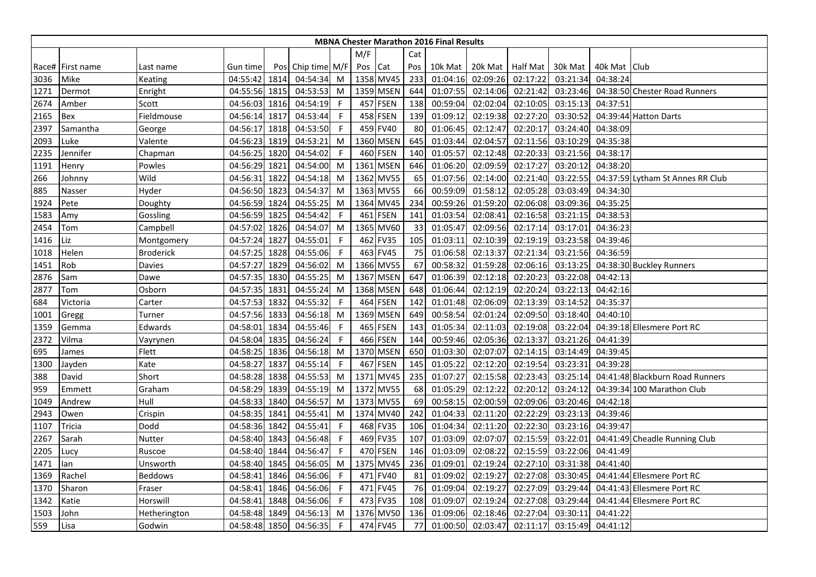|      | <b>MBNA Chester Marathon 2016 Final Results</b><br>M/F<br>Cat |                  |               |      |                   |              |     |                 |     |          |                  |          |          |              |                                  |
|------|---------------------------------------------------------------|------------------|---------------|------|-------------------|--------------|-----|-----------------|-----|----------|------------------|----------|----------|--------------|----------------------------------|
|      |                                                               |                  |               |      |                   |              |     |                 |     |          |                  |          |          |              |                                  |
|      | Race# First name                                              | Last name        | Gun time      |      | Pos Chip time M/F |              | Pos | Cat             | Pos | 10k Mat  | 20k Mat Half Mat |          | 30k Mat  | 40k Mat Club |                                  |
| 3036 | Mike                                                          | Keating          | 04:55:42      | 1814 | 04:54:34          | M            |     | 1358 MV45       | 233 | 01:04:16 | 02:09:26         | 02:17:22 | 03:21:34 | 04:38:24     |                                  |
| 1271 | Dermot                                                        | Enright          | 04:55:56      | 1815 | 04:53:53          | M            |     | 1359 MSEN       | 644 | 01:07:55 | 02:14:06         | 02:21:42 | 03:23:46 |              | 04:38:50 Chester Road Runners    |
| 2674 | Amber                                                         | Scott            | 04:56:03      | 1816 | 04:54:19          | $\mathsf{F}$ |     | 457 FSEN        | 138 | 00:59:04 | 02:02:04         | 02:10:05 | 03:15:13 | 04:37:51     |                                  |
| 2165 | Bex                                                           | Fieldmouse       | 04:56:14      | 1817 | 04:53:44          | F            |     | 458 FSEN        | 139 | 01:09:12 | 02:19:38         | 02:27:20 | 03:30:52 |              | 04:39:44 Hatton Darts            |
| 2397 | Samantha                                                      | George           | 04:56:17 1818 |      | 04:53:50          | -F           |     | 459 FV40        | 80  | 01:06:45 | 02:12:47         | 02:20:17 | 03:24:40 | 04:38:09     |                                  |
| 2093 | Luke                                                          | Valente          | 04:56:23      | 1819 | 04:53:21          | M            |     | 1360 MSEN       | 645 | 01:03:44 | 02:04:57         | 02:11:56 | 03:10:29 | 04:35:38     |                                  |
| 2235 | Jennifer                                                      | Chapman          | 04:56:25      | 1820 | 04:54:02          | F            |     | <b>460 FSEN</b> | 140 | 01:05:57 | 02:12:48         | 02:20:33 | 03:21:56 | 04:38:17     |                                  |
| 1191 | Henry                                                         | Powles           | 04:56:29      | 1821 | 04:54:00          | M            |     | 1361 MSEN       | 646 | 01:06:20 | 02:09:59         | 02:17:27 | 03:20:12 | 04:38:20     |                                  |
| 266  | Johnny                                                        | Wild             | 04:56:31      | 1822 | 04:54:18          | M            |     | 1362 MV55       | 65  | 01:07:56 | 02:14:00         | 02:21:40 | 03:22:55 |              | 04:37:59 Lytham St Annes RR Club |
| 885  | Nasser                                                        | Hyder            | 04:56:50      | 1823 | 04:54:37          | M            |     | 1363 MV55       | 66  | 00:59:09 | 01:58:12         | 02:05:28 | 03:03:49 | 04:34:30     |                                  |
| 1924 | Pete                                                          | Doughty          | 04:56:59      | 1824 | 04:55:25          | M            |     | 1364 MV45       | 234 | 00:59:26 | 01:59:20         | 02:06:08 | 03:09:36 | 04:35:25     |                                  |
| 1583 | Amy                                                           | Gossling         | 04:56:59      | 1825 | 04:54:42          | F            |     | 461 FSEN        | 141 | 01:03:54 | 02:08:41         | 02:16:58 | 03:21:15 | 04:38:53     |                                  |
| 2454 | Tom                                                           | Campbell         | 04:57:02 1826 |      | 04:54:07          | M            |     | 1365 MV60       | 33  | 01:05:47 | 02:09:56         | 02:17:14 | 03:17:01 | 04:36:23     |                                  |
| 1416 | Liz                                                           | Montgomery       | 04:57:24      | 1827 | 04:55:01          | F            |     | 462 FV35        | 105 | 01:03:11 | 02:10:39         | 02:19:19 | 03:23:58 | 04:39:46     |                                  |
| 1018 | Helen                                                         | <b>Broderick</b> | 04:57:25      | 1828 | 04:55:06          | F            |     | 463 FV45        | 75  | 01:06:58 | 02:13:37         | 02:21:34 | 03:21:56 | 04:36:59     |                                  |
| 1451 | Rob                                                           | Davies           | 04:57:27 1829 |      | 04:56:02          | M            |     | 1366 MV55       | 67  | 00:58:32 | 01:59:28         | 02:06:16 | 03:13:25 |              | 04:38:30 Buckley Runners         |
| 2876 | Sam                                                           | Dawe             | 04:57:35      | 1830 | 04:55:25          | M            |     | 1367 MSEN       | 647 | 01:06:39 | 02:12:18         | 02:20:23 | 03:22:08 | 04:42:13     |                                  |
| 2877 | Tom                                                           | Osborn           | 04:57:35      | 1831 | 04:55:24          | M            |     | 1368 MSEN       | 648 | 01:06:44 | 02:12:19         | 02:20:24 | 03:22:13 | 04:42:16     |                                  |
| 684  | Victoria                                                      | Carter           | 04:57:53      | 1832 | 04:55:32          | F            |     | 464 FSEN        | 142 | 01:01:48 | 02:06:09         | 02:13:39 | 03:14:52 | 04:35:37     |                                  |
| 1001 | Gregg                                                         | Turner           | 04:57:56 1833 |      | 04:56:18          | M            |     | 1369 MSEN       | 649 | 00:58:54 | 02:01:24         | 02:09:50 | 03:18:40 | 04:40:10     |                                  |
| 1359 | Gemma                                                         | Edwards          | 04:58:01      | 1834 | 04:55:46          | F            |     | 465 FSEN        | 143 | 01:05:34 | 02:11:03         | 02:19:08 | 03:22:04 |              | 04:39:18 Ellesmere Port RC       |
| 2372 | Vilma                                                         | Vayrynen         | 04:58:04      | 1835 | 04:56:24          | F            |     | 466 FSEN        | 144 | 00:59:46 | 02:05:36         | 02:13:37 | 03:21:26 | 04:41:39     |                                  |
| 695  | James                                                         | Flett            | 04:58:25      | 1836 | 04:56:18          | M            |     | 1370 MSEN       | 650 | 01:03:30 | 02:07:07         | 02:14:15 | 03:14:49 | 04:39:45     |                                  |
| 1300 | Jayden                                                        | Kate             | 04:58:27      | 1837 | 04:55:14          | -F           |     | 467 FSEN        | 145 | 01:05:22 | 02:12:20         | 02:19:54 | 03:23:31 | 04:39:28     |                                  |
| 388  | David                                                         | Short            | 04:58:28      | 1838 | 04:55:53          | M            |     | 1371 MV45       | 235 | 01:07:27 | 02:15:58         | 02:23:43 | 03:25:14 |              | 04:41:48 Blackburn Road Runners  |
| 959  | Emmett                                                        | Graham           | 04:58:29      | 1839 | 04:55:19          | M            |     | 1372 MV55       | 68  | 01:05:29 | 02:12:22         | 02:20:12 | 03:24:12 |              | 04:39:34 100 Marathon Club       |
| 1049 | Andrew                                                        | Hull             | 04:58:33 1840 |      | 04:56:57          | M            |     | 1373 MV55       | 69  | 00:58:15 | 02:00:59         | 02:09:06 | 03:20:46 | 04:42:18     |                                  |
| 2943 | Owen                                                          | Crispin          | 04:58:35      | 1841 | 04:55:41          | M            |     | 1374 MV40       | 242 | 01:04:33 | 02:11:20         | 02:22:29 | 03:23:13 | 04:39:46     |                                  |
| 1107 | Tricia                                                        | Dodd             | 04:58:36 1842 |      | 04:55:41          | F            |     | 468 FV35        | 106 | 01:04:34 | 02:11:20         | 02:22:30 | 03:23:16 | 04:39:47     |                                  |
| 2267 | Sarah                                                         | Nutter           | 04:58:40      | 1843 | 04:56:48          | F            |     | 469 FV35        | 107 | 01:03:09 | 02:07:07         | 02:15:59 | 03:22:01 |              | 04:41:49 Cheadle Running Club    |
| 2205 | Lucy                                                          | Ruscoe           | 04:58:40      | 1844 | 04:56:47          | -F           |     | 470 FSEN        | 146 | 01:03:09 | 02:08:22         | 02:15:59 | 03:22:06 | 04:41:49     |                                  |
| 1471 | lan                                                           | Unsworth         | 04:58:40      | 1845 | 04:56:05          | M            |     | 1375 MV45       | 236 | 01:09:01 | 02:19:24         | 02:27:10 | 03:31:38 | 04:41:40     |                                  |
| 1369 | Rachel                                                        | <b>Beddows</b>   | 04:58:41      | 1846 | 04:56:06          | F            | 471 | <b>FV40</b>     | 81  | 01:09:02 | 02:19:27         | 02:27:08 | 03:30:45 |              | 04:41:44 Ellesmere Port RC       |
| 1370 | Sharon                                                        | Fraser           | 04:58:41      | 1846 | 04:56:06          | F            |     | 471 FV45        | 76  | 01:09:04 | 02:19:27         | 02:27:09 | 03:29:44 |              | 04:41:43 Ellesmere Port RC       |
| 1342 | Katie                                                         | Horswill         | 04:58:41      | 1848 | 04:56:06          | -F           |     | 473 FV35        | 108 | 01:09:07 | 02:19:24         | 02:27:08 | 03:29:44 |              | 04:41:44 Ellesmere Port RC       |
| 1503 | John                                                          | Hetherington     | 04:58:48      | 1849 | 04:56:13          | M            |     | 1376 MV50       | 136 | 01:09:06 | 02:18:46         | 02:27:04 | 03:30:11 | 04:41:22     |                                  |
| 559  | Lisa                                                          | Godwin           | 04:58:48      | 1850 | 04:56:35          | F            |     | 474 FV45        | 77  | 01:00:50 | 02:03:47         | 02:11:17 | 03:15:49 | 04:41:12     |                                  |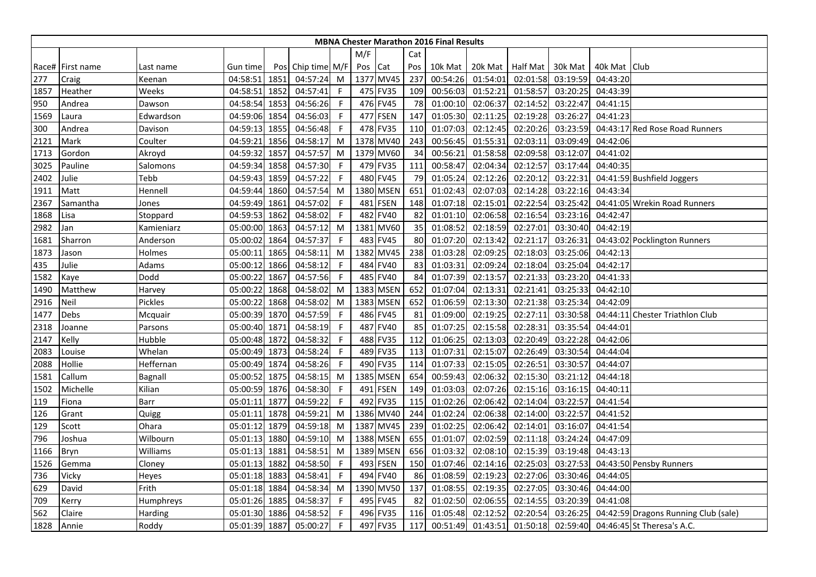|      | <b>MBNA Chester Marathon 2016 Final Results</b><br>M/F<br>Cat |            |               |      |                   |              |     |             |     |          |                    |          |          |                |                                      |
|------|---------------------------------------------------------------|------------|---------------|------|-------------------|--------------|-----|-------------|-----|----------|--------------------|----------|----------|----------------|--------------------------------------|
|      |                                                               |            |               |      |                   |              |     |             |     |          |                    |          |          |                |                                      |
|      | Race# First name                                              | Last name  | Gun time      |      | Pos Chip time M/F |              | Pos | Cat         | Pos | 10k Mat  | 20k Mat   Half Mat |          | 30k Mat  | 40k Mat   Club |                                      |
| 277  | Craig                                                         | Keenan     | 04:58:51      | 1851 | 04:57:24          | M            |     | 1377 MV45   | 237 | 00:54:26 | 01:54:01           | 02:01:58 | 03:19:59 | 04:43:20       |                                      |
| 1857 | Heather                                                       | Weeks      | 04:58:51      | 1852 | 04:57:41          | $\mathsf{F}$ |     | 475 FV35    | 109 | 00:56:03 | 01:52:21           | 01:58:57 | 03:20:25 | 04:43:39       |                                      |
| 950  | Andrea                                                        | Dawson     | 04:58:54 1853 |      | 04:56:26          | F            |     | 476 FV45    | 78  | 01:00:10 | 02:06:37           | 02:14:52 | 03:22:47 | 04:41:15       |                                      |
| 1569 | Laura                                                         | Edwardson  | 04:59:06 1854 |      | 04:56:03          | -F           |     | 477 FSEN    | 147 | 01:05:30 | 02:11:25           | 02:19:28 | 03:26:27 | 04:41:23       |                                      |
| 300  | Andrea                                                        | Davison    | 04:59:13 1855 |      | 04:56:48          | $\mathsf F$  |     | 478 FV35    | 110 | 01:07:03 | 02:12:45           | 02:20:26 | 03:23:59 |                | 04:43:17 Red Rose Road Runners       |
| 2121 | Mark                                                          | Coulter    | 04:59:21      | 1856 | 04:58:17          | M            |     | 1378 MV40   | 243 | 00:56:45 | 01:55:31           | 02:03:11 | 03:09:49 | 04:42:06       |                                      |
| 1713 | Gordon                                                        | Akroyd     | 04:59:32      | 1857 | 04:57:57          | M            |     | 1379 MV60   | 34  | 00:56:21 | 01:58:58           | 02:09:58 | 03:12:07 | 04:41:02       |                                      |
| 3025 | Pauline                                                       | Salomons   | 04:59:34 1858 |      | 04:57:30          | -F           |     | 479 FV35    | 111 | 00:58:47 | 02:04:34           | 02:12:57 | 03:17:44 | 04:40:35       |                                      |
| 2402 | Julie                                                         | Tebb       | 04:59:43 1859 |      | 04:57:22          | F.           | 480 | <b>FV45</b> | 79  | 01:05:24 | 02:12:26           | 02:20:12 | 03:22:31 |                | 04:41:59 Bushfield Joggers           |
| 1911 | Matt                                                          | Hennell    | 04:59:44 1860 |      | 04:57:54          | M            |     | 1380 MSEN   | 651 | 01:02:43 | 02:07:03           | 02:14:28 | 03:22:16 | 04:43:34       |                                      |
| 2367 | Samantha                                                      | Jones      | 04:59:49 1861 |      | 04:57:02          | F            | 481 | <b>FSEN</b> | 148 | 01:07:18 | 02:15:01           | 02:22:54 | 03:25:42 |                | 04:41:05 Wrekin Road Runners         |
| 1868 | Lisa                                                          | Stoppard   | 04:59:53 1862 |      | 04:58:02          | -F           | 482 | <b>FV40</b> | 82  | 01:01:10 | 02:06:58           | 02:16:54 | 03:23:16 | 04:42:47       |                                      |
| 2982 | Jan                                                           | Kamieniarz | 05:00:00 1863 |      | 04:57:12          | M            |     | 1381 MV60   | 35  | 01:08:52 | 02:18:59           | 02:27:01 | 03:30:40 | 04:42:19       |                                      |
| 1681 | Sharron                                                       | Anderson   | 05:00:02 1864 |      | 04:57:37          | $\mathsf{F}$ |     | 483 FV45    | 80  | 01:07:20 | 02:13:42           | 02:21:17 | 03:26:31 |                | 04:43:02 Pocklington Runners         |
| 1873 | Jason                                                         | Holmes     | 05:00:11      | 1865 | 04:58:11          | M            |     | 1382 MV45   | 238 | 01:03:28 | 02:09:25           | 02:18:03 | 03:25:06 | 04:42:13       |                                      |
| 435  | Julie                                                         | Adams      | 05:00:12 1866 |      | 04:58:12          | F            | 484 | <b>FV40</b> | 83  | 01:03:31 | 02:09:24           | 02:18:04 | 03:25:04 | 04:42:17       |                                      |
| 1582 | Kaye                                                          | Dodd       | 05:00:22      | 1867 | 04:57:56          | $\mathsf{F}$ | 485 | <b>FV40</b> | 84  | 01:07:39 | 02:13:57           | 02:21:33 | 03:23:20 | 04:41:33       |                                      |
| 1490 | Matthew                                                       | Harvey     | 05:00:22      | 1868 | 04:58:02          | M            |     | 1383 MSEN   | 652 | 01:07:04 | 02:13:31           | 02:21:41 | 03:25:33 | 04:42:10       |                                      |
| 2916 | Neil                                                          | Pickles    | 05:00:22 1868 |      | 04:58:02          | M            |     | 1383 MSEN   | 652 | 01:06:59 | 02:13:30           | 02:21:38 | 03:25:34 | 04:42:09       |                                      |
| 1477 | Debs                                                          | Mcquair    | 05:00:39 1870 |      | 04:57:59          | $\mathsf F$  |     | 486 FV45    | 81  | 01:09:00 | 02:19:25           | 02:27:11 | 03:30:58 |                | 04:44:11 Chester Triathlon Club      |
| 2318 | Joanne                                                        | Parsons    | 05:00:40 1871 |      | 04:58:19          | F            |     | 487 FV40    | 85  | 01:07:25 | 02:15:58           | 02:28:31 | 03:35:54 | 04:44:01       |                                      |
| 2147 | Kelly                                                         | Hubble     | 05:00:48 1872 |      | 04:58:32          | F            |     | 488 FV35    | 112 | 01:06:25 | 02:13:03           | 02:20:49 | 03:22:28 | 04:42:06       |                                      |
| 2083 | Louise                                                        | Whelan     | 05:00:49 1873 |      | 04:58:24          | $\mathsf F$  |     | 489 FV35    | 113 | 01:07:31 | 02:15:07           | 02:26:49 | 03:30:54 | 04:44:04       |                                      |
| 2088 | Hollie                                                        | Heffernan  | 05:00:49      | 1874 | 04:58:26          | F            |     | 490 FV35    | 114 | 01:07:33 | 02:15:05           | 02:26:51 | 03:30:57 | 04:44:07       |                                      |
| 1581 | Callum                                                        | Bagnall    | 05:00:52 1875 |      | 04:58:15          | M            |     | 1385 MSEN   | 654 | 00:59:43 | 02:06:32           | 02:15:30 | 03:21:12 | 04:44:18       |                                      |
| 1502 | Michelle                                                      | Kilian     | 05:00:59 1876 |      | 04:58:30          | F            | 491 | <b>FSEN</b> | 149 | 01:03:03 | 02:07:26           | 02:15:16 | 03:16:15 | 04:40:11       |                                      |
| 119  | Fiona                                                         | Barr       | 05:01:11      | 1877 | 04:59:22          | -F           |     | 492 FV35    | 115 | 01:02:26 | 02:06:42           | 02:14:04 | 03:22:57 | 04:41:54       |                                      |
| 126  | Grant                                                         | Quigg      | 05:01:11      | 1878 | 04:59:21          | M            |     | 1386 MV40   | 244 | 01:02:24 | 02:06:38           | 02:14:00 | 03:22:57 | 04:41:52       |                                      |
| 129  | Scott                                                         | Ohara      | 05:01:12      | 1879 | 04:59:18          | M            |     | 1387 MV45   | 239 | 01:02:25 | 02:06:42           | 02:14:01 | 03:16:07 | 04:41:54       |                                      |
| 796  | Joshua                                                        | Wilbourn   | 05:01:13 1880 |      | 04:59:10          | M            |     | 1388 MSEN   | 655 | 01:01:07 | 02:02:59           | 02:11:18 | 03:24:24 | 04:47:09       |                                      |
| 1166 | Bryn                                                          | Williams   | 05:01:13 1881 |      | 04:58:51          | M            |     | 1389 MSEN   | 656 | 01:03:32 | 02:08:10           | 02:15:39 | 03:19:48 | 04:43:13       |                                      |
| 1526 | Gemma                                                         | Cloney     | 05:01:13      | 1882 | 04:58:50          | F            | 493 | <b>FSEN</b> | 150 | 01:07:46 | 02:14:16           | 02:25:03 | 03:27:53 |                | 04:43:50 Pensby Runners              |
| 736  | Vicky                                                         | Heyes      | 05:01:18 1883 |      | 04:58:41          | F            | 494 | <b>FV40</b> | 86  | 01:08:59 | 02:19:23           | 02:27:06 | 03:30:46 | 04:44:05       |                                      |
| 629  | David                                                         | Frith      | 05:01:18 1884 |      | 04:58:34          | M            |     | 1390 MV50   | 137 | 01:08:55 | 02:19:35           | 02:27:05 | 03:30:46 | 04:44:00       |                                      |
| 709  | Kerry                                                         | Humphreys  | 05:01:26 1885 |      | 04:58:37          | -F           |     | 495 FV45    | 82  | 01:02:50 | 02:06:55           | 02:14:55 | 03:20:39 | 04:41:08       |                                      |
| 562  | Claire                                                        | Harding    | 05:01:30      | 1886 | 04:58:52          | $\mathsf F$  |     | 496 FV35    | 116 | 01:05:48 | 02:12:52           | 02:20:54 | 03:26:25 |                | 04:42:59 Dragons Running Club (sale) |
| 1828 | Annie                                                         | Roddy      | 05:01:39 1887 |      | 05:00:27          | F.           |     | 497 FV35    | 117 | 00:51:49 | 01:43:51           | 01:50:18 |          |                | 02:59:40 04:46:45 St Theresa's A.C.  |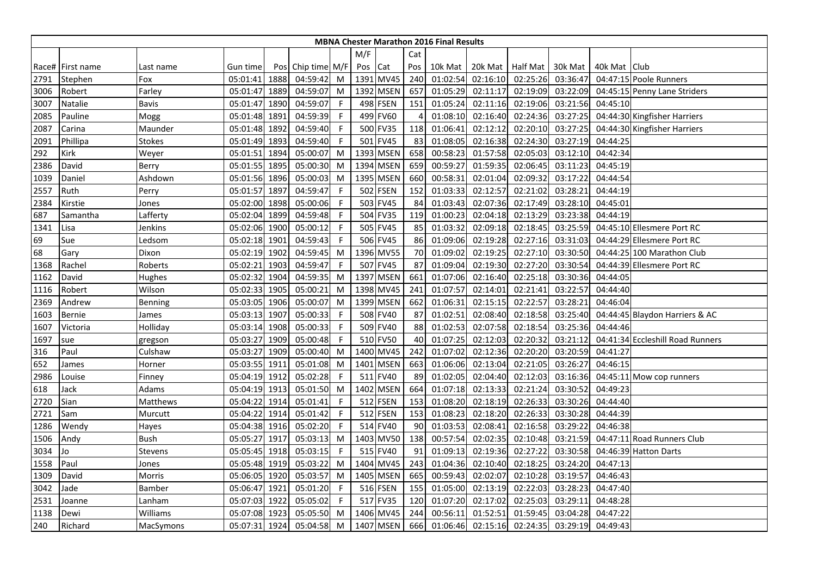|      | <b>MBNA Chester Marathon 2016 Final Results</b><br>M/F<br>Cat |               |               |      |                   |              |      |             |                |          |                  |          |          |              |                                  |
|------|---------------------------------------------------------------|---------------|---------------|------|-------------------|--------------|------|-------------|----------------|----------|------------------|----------|----------|--------------|----------------------------------|
|      |                                                               |               |               |      |                   |              |      |             |                |          |                  |          |          |              |                                  |
|      | Race# First name                                              | Last name     | Gun time      |      | Pos Chip time M/F |              | Pos  | Cat         | Pos            | 10k Mat  | 20k Mat Half Mat |          | 30k Mat  | 40k Mat Club |                                  |
| 2791 | Stephen                                                       | Fox           | 05:01:41      | 1888 | 04:59:42          | M            |      | 1391 MV45   | 240            | 01:02:54 | 02:16:10         | 02:25:26 | 03:36:47 |              | 04:47:15 Poole Runners           |
| 3006 | Robert                                                        | Farley        | 05:01:47      | 1889 | 04:59:07          | M            |      | 1392 MSEN   | 657            | 01:05:29 | 02:11:17         | 02:19:09 | 03:22:09 |              | 04:45:15 Penny Lane Striders     |
| 3007 | Natalie                                                       | Bavis         | 05:01:47      | 1890 | 04:59:07          | F            |      | 498 FSEN    | 151            | 01:05:24 | 02:11:16         | 02:19:06 | 03:21:56 | 04:45:10     |                                  |
| 2085 | Pauline                                                       | Mogg          | 05:01:48      | 1891 | 04:59:39          | F            |      | 499 FV60    | $\overline{A}$ | 01:08:10 | 02:16:40         | 02:24:36 | 03:27:25 |              | 04:44:30 Kingfisher Harriers     |
| 2087 | Carina                                                        | Maunder       | 05:01:48      | 1892 | 04:59:40          | -F           |      | 500 FV35    | 118            | 01:06:41 | 02:12:12         | 02:20:10 | 03:27:25 |              | 04:44:30 Kingfisher Harriers     |
| 2091 | Phillipa                                                      | Stokes        | 05:01:49      | 1893 | 04:59:40          | F            |      | 501 FV45    | 83             | 01:08:05 | 02:16:38         | 02:24:30 | 03:27:19 | 04:44:25     |                                  |
| 292  | Kirk                                                          | Weyer         | 05:01:51      | 1894 | 05:00:07          | M            |      | 1393 MSEN   | 658            | 00:58:23 | 01:57:58         | 02:05:03 | 03:12:10 | 04:42:34     |                                  |
| 2386 | David                                                         | Berry         | 05:01:55      | 1895 | 05:00:30          | M            |      | 1394 MSEN   | 659            | 00:59:27 | 01:59:35         | 02:06:45 | 03:11:23 | 04:45:19     |                                  |
| 1039 | Daniel                                                        | Ashdown       | 05:01:56 1896 |      | 05:00:03          | M            |      | 1395 MSEN   | 660            | 00:58:31 | 02:01:04         | 02:09:32 | 03:17:22 | 04:44:54     |                                  |
| 2557 | Ruth                                                          | Perry         | 05:01:57      | 1897 | 04:59:47          | F            |      | 502 FSEN    | 152            | 01:03:33 | 02:12:57         | 02:21:02 | 03:28:21 | 04:44:19     |                                  |
| 2384 | Kirstie                                                       | Jones         | 05:02:00      | 1898 | 05:00:06          | F            |      | 503 FV45    | 84             | 01:03:43 | 02:07:36         | 02:17:49 | 03:28:10 | 04:45:01     |                                  |
| 687  | Samantha                                                      | Lafferty      | 05:02:04      | 1899 | 04:59:48          | F            |      | 504 FV35    | 119            | 01:00:23 | 02:04:18         | 02:13:29 | 03:23:38 | 04:44:19     |                                  |
| 1341 | Lisa                                                          | Jenkins       | 05:02:06 1900 |      | 05:00:12          | F            |      | 505 FV45    | 85             | 01:03:32 | 02:09:18         | 02:18:45 | 03:25:59 |              | 04:45:10 Ellesmere Port RC       |
| 69   | Sue                                                           | Ledsom        | 05:02:18      | 1901 | 04:59:43          | F            |      | 506 FV45    | 86             | 01:09:06 | 02:19:28         | 02:27:16 | 03:31:03 |              | 04:44:29 Ellesmere Port RC       |
| 68   | Gary                                                          | Dixon         | 05:02:19 1902 |      | 04:59:45          | M            |      | 1396 MV55   | 70             | 01:09:02 | 02:19:25         | 02:27:10 | 03:30:50 |              | 04:44:25 100 Marathon Club       |
| 1368 | Rachel                                                        | Roberts       | 05:02:21      | 1903 | 04:59:47          | $\mathsf{F}$ |      | 507 FV45    | 87             | 01:09:04 | 02:19:30         | 02:27:20 | 03:30:54 |              | 04:44:39 Ellesmere Port RC       |
| 1162 | David                                                         | Hughes        | 05:02:32      | 1904 | 04:59:35          | M            |      | 1397 MSEN   | 661            | 01:07:06 | 02:16:40         | 02:25:18 | 03:30:36 | 04:44:05     |                                  |
| 1116 | Robert                                                        | Wilson        | 05:02:33      | 1905 | 05:00:21          | M            |      | 1398 MV45   | 241            | 01:07:57 | 02:14:01         | 02:21:41 | 03:22:57 | 04:44:40     |                                  |
| 2369 | Andrew                                                        | Benning       | 05:03:05      | 1906 | 05:00:07          | M            |      | 1399 MSEN   | 662            | 01:06:31 | 02:15:15         | 02:22:57 | 03:28:21 | 04:46:04     |                                  |
| 1603 | Bernie                                                        | James         | 05:03:13 1907 |      | 05:00:33          | F            |      | 508 FV40    | 87             | 01:02:51 | 02:08:40         | 02:18:58 | 03:25:40 |              | 04:44:45 Blaydon Harriers & AC   |
| 1607 | Victoria                                                      | Holliday      | 05:03:14      | 1908 | 05:00:33          | F            |      | 509 FV40    | 88             | 01:02:53 | 02:07:58         | 02:18:54 | 03:25:36 | 04:44:46     |                                  |
| 1697 | sue                                                           | gregson       | 05:03:27      | 1909 | 05:00:48          | F            |      | 510 FV50    | 40             | 01:07:25 | 02:12:03         | 02:20:32 | 03:21:12 |              | 04:41:34 Eccleshill Road Runners |
| 316  | Paul                                                          | Culshaw       | 05:03:27 1909 |      | 05:00:40          | M            |      | 1400 MV45   | 242            | 01:07:02 | 02:12:36         | 02:20:20 | 03:20:59 | 04:41:27     |                                  |
| 652  | James                                                         | Horner        | 05:03:55      | 1911 | 05:01:08          | M            | 1401 | <b>MSEN</b> | 663            | 01:06:06 | 02:13:04         | 02:21:05 | 03:26:27 | 04:46:15     |                                  |
| 2986 | Louise                                                        | Finney        | 05:04:19      | 1912 | 05:02:28          | F            | 511  | <b>FV40</b> | 89             | 01:02:05 | 02:04:40         | 02:12:03 | 03:16:36 |              | 04:45:11 Mow cop runners         |
| 618  | Jack                                                          | Adams         | 05:04:19      | 1913 | 05:01:50          | M            |      | 1402 MSEN   | 664            | 01:07:18 | 02:13:33         | 02:21:24 | 03:30:52 | 04:49:23     |                                  |
| 2720 | Sian                                                          | Matthews      | 05:04:22 1914 |      | 05:01:41          | F            |      | 512 FSEN    | 153            | 01:08:20 | 02:18:19         | 02:26:33 | 03:30:26 | 04:44:40     |                                  |
| 2721 | Sam                                                           | Murcutt       | 05:04:22 1914 |      | 05:01:42          | F            |      | 512 FSEN    | 153            | 01:08:23 | 02:18:20         | 02:26:33 | 03:30:28 | 04:44:39     |                                  |
| 1286 | Wendy                                                         | Hayes         | 05:04:38 1916 |      | 05:02:20          | F            |      | 514 FV40    | 90             | 01:03:53 | 02:08:41         | 02:16:58 | 03:29:22 | 04:46:38     |                                  |
| 1506 | Andy                                                          | Bush          | 05:05:27 1917 |      | 05:03:13          | M            |      | 1403 MV50   | 138            | 00:57:54 | 02:02:35         | 02:10:48 | 03:21:59 |              | 04:47:11 Road Runners Club       |
| 3034 | Jo                                                            | Stevens       | 05:05:45 1918 |      | 05:03:15          | -F           |      | 515 FV40    | 91             | 01:09:13 | 02:19:36         | 02:27:22 | 03:30:58 |              | 04:46:39 Hatton Darts            |
| 1558 | Paul                                                          | Jones         | 05:05:48      | 1919 | 05:03:22          | M            |      | 1404 MV45   | 243            | 01:04:36 | 02:10:40         | 02:18:25 | 03:24:20 | 04:47:13     |                                  |
| 1309 | David                                                         | Morris        | 05:06:05      | 1920 | 05:03:57          | M            |      | 1405 MSEN   | 665            | 00:59:43 | 02:02:07         | 02:10:28 | 03:19:57 | 04:46:43     |                                  |
| 3042 | Jade                                                          | <b>Bamber</b> | 05:06:47 1921 |      | 05:01:20          | -F           |      | 516 FSEN    | 155            | 01:05:00 | 02:13:19         | 02:22:03 | 03:28:23 | 04:47:40     |                                  |
| 2531 | Ioanne                                                        | Lanham        | 05:07:03 1922 |      | 05:05:02          | F            |      | 517 FV35    | 120            | 01:07:20 | 02:17:02         | 02:25:03 | 03:29:11 | 04:48:28     |                                  |
| 1138 | Dewi                                                          | Williams      | 05:07:08 1923 |      | 05:05:50          | M            |      | 1406 MV45   | 244            | 00:56:11 | 01:52:51         | 01:59:45 | 03:04:28 | 04:47:22     |                                  |
| 240  | Richard                                                       | MacSymons     | 05:07:31 1924 |      | 05:04:58          | M            |      | 1407 MSEN   | 666            | 01:06:46 | 02:15:16         | 02:24:35 | 03:29:19 | 04:49:43     |                                  |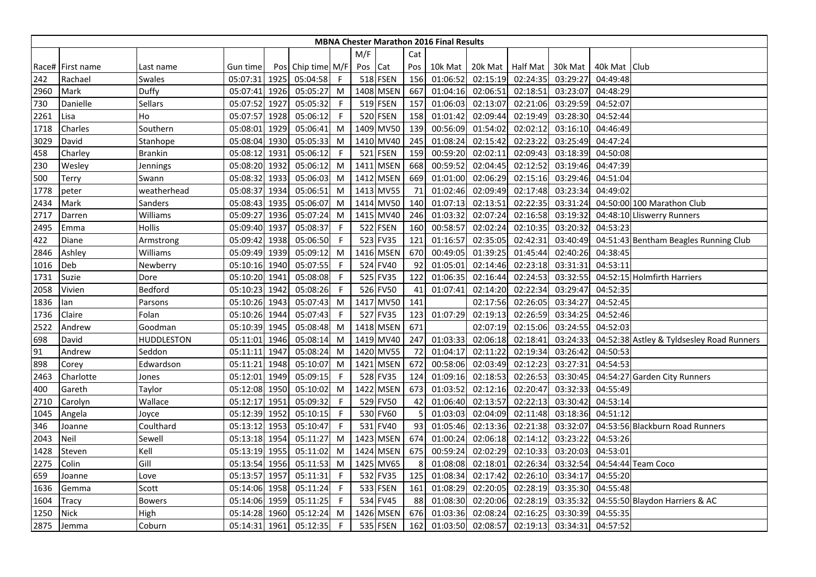|      | <b>MBNA Chester Marathon 2016 Final Results</b><br>M/F<br>Cat |                |               |      |                   |              |         |           |     |          |                  |          |          |                |                                           |
|------|---------------------------------------------------------------|----------------|---------------|------|-------------------|--------------|---------|-----------|-----|----------|------------------|----------|----------|----------------|-------------------------------------------|
|      |                                                               |                |               |      |                   |              |         |           |     |          |                  |          |          |                |                                           |
|      | Race# First name                                              | Last name      | Gun time      |      | Pos Chip time M/F |              | Pos Cat |           | Pos | 10k Mat  | 20k Mat Half Mat |          | 30k Mat  | 40k Mat   Club |                                           |
| 242  | Rachael                                                       | Swales         | 05:07:31 1925 |      | 05:04:58          | $\mathsf{F}$ |         | 518 FSEN  | 156 | 01:06:52 | 02:15:19         | 02:24:35 | 03:29:27 | 04:49:48       |                                           |
| 2960 | Mark                                                          | Duffy          | 05:07:41      | 1926 | 05:05:27          | M            |         | 1408 MSEN | 667 | 01:04:16 | 02:06:51         | 02:18:51 | 03:23:07 | 04:48:29       |                                           |
| 730  | Danielle                                                      | Sellars        | 05:07:52      | 1927 | 05:05:32          | F            |         | 519 FSEN  | 157 | 01:06:03 | 02:13:07         | 02:21:06 | 03:29:59 | 04:52:07       |                                           |
| 2261 | Lisa                                                          | Ho             | 05:07:57      | 1928 | 05:06:12          | F            |         | 520 FSEN  | 158 | 01:01:42 | 02:09:44         | 02:19:49 | 03:28:30 | 04:52:44       |                                           |
| 1718 | Charles                                                       | Southern       | 05:08:01      | 1929 | 05:06:41          | M            |         | 1409 MV50 | 139 | 00:56:09 | 01:54:02         | 02:02:12 | 03:16:10 | 04:46:49       |                                           |
| 3029 | David                                                         | Stanhope       | 05:08:04      | 1930 | 05:05:33          | M            |         | 1410 MV40 | 245 | 01:08:24 | 02:15:42         | 02:23:22 | 03:25:49 | 04:47:24       |                                           |
| 458  | Charley                                                       | <b>Brankin</b> | 05:08:12      | 1931 | 05:06:12          | F            |         | 521 FSEN  | 159 | 00:59:20 | 02:02:11         | 02:09:43 | 03:18:39 | 04:50:08       |                                           |
| 230  | Wesley                                                        | Jennings       | 05:08:20      | 1932 | 05:06:12          | M            |         | 1411 MSEN | 668 | 00:59:52 | 02:04:45         | 02:12:52 | 03:19:46 | 04:47:39       |                                           |
| 500  | Terry                                                         | Swann          | 05:08:32      | 1933 | 05:06:03          | M            |         | 1412 MSEN | 669 | 01:01:00 | 02:06:29         | 02:15:16 | 03:29:46 | 04:51:04       |                                           |
| 1778 | peter                                                         | weatherhead    | 05:08:37      | 1934 | 05:06:51          | M            |         | 1413 MV55 | 71  | 01:02:46 | 02:09:49         | 02:17:48 | 03:23:34 | 04:49:02       |                                           |
| 2434 | Mark                                                          | Sanders        | 05:08:43      | 1935 | 05:06:07          | M            |         | 1414 MV50 | 140 | 01:07:13 | 02:13:51         | 02:22:35 | 03:31:24 |                | 04:50:00 100 Marathon Club                |
| 2717 | Darren                                                        | Williams       | 05:09:27      | 1936 | 05:07:24          | M            |         | 1415 MV40 | 246 | 01:03:32 | 02:07:24         | 02:16:58 | 03:19:32 |                | 04:48:10 Lliswerry Runners                |
| 2495 | Emma                                                          | Hollis         | 05:09:40      | 1937 | 05:08:37          | F            |         | 522 FSEN  | 160 | 00:58:57 | 02:02:24         | 02:10:35 | 03:20:32 | 04:53:23       |                                           |
| 422  | Diane                                                         | Armstrong      | 05:09:42      | 1938 | 05:06:50          | -F           |         | 523 FV35  | 121 | 01:16:57 | 02:35:05         | 02:42:31 | 03:40:49 |                | 04:51:43 Bentham Beagles Running Club     |
| 2846 | Ashley                                                        | Williams       | 05:09:49      | 1939 | 05:09:12          | M            |         | 1416 MSEN | 670 | 00:49:05 | 01:39:25         | 01:45:44 | 02:40:26 | 04:38:45       |                                           |
| 1016 | Deb                                                           | Newberry       | 05:10:16 1940 |      | 05:07:55          | -F           |         | 524 FV40  | 92  | 01:05:01 | 02:14:46         | 02:23:18 | 03:31:31 | 04:53:11       |                                           |
| 1731 | Suzie                                                         | Dore           | 05:10:20      | 1941 | 05:08:08          | F            |         | 525 FV35  | 122 | 01:06:35 | 02:16:44         | 02:24:53 | 03:32:55 |                | 04:52:15 Holmfirth Harriers               |
| 2058 | Vivien                                                        | Bedford        | 05:10:23      | 1942 | 05:08:26          | F            |         | 526 FV50  | 41  | 01:07:41 | 02:14:20         | 02:22:34 | 03:29:47 | 04:52:35       |                                           |
| 1836 | lan                                                           | Parsons        | 05:10:26 1943 |      | 05:07:43          | M            |         | 1417 MV50 | 141 |          | 02:17:56         | 02:26:05 | 03:34:27 | 04:52:45       |                                           |
| 1736 | Claire                                                        | Folan          | 05:10:26 1944 |      | 05:07:43          | -F           |         | 527 FV35  | 123 | 01:07:29 | 02:19:13         | 02:26:59 | 03:34:25 | 04:52:46       |                                           |
| 2522 | Andrew                                                        | Goodman        | 05:10:39 1945 |      | 05:08:48          | M            |         | 1418 MSEN | 671 |          | 02:07:19         | 02:15:06 | 03:24:55 | 04:52:03       |                                           |
| 698  | David                                                         | HUDDLESTON     | 05:11:01 1946 |      | 05:08:14          | M            |         | 1419 MV40 | 247 | 01:03:33 | 02:06:18         | 02:18:41 | 03:24:33 |                | 04:52:38 Astley & Tyldsesley Road Runners |
| 91   | Andrew                                                        | Seddon         | 05:11:11      | 1947 | 05:08:24          | M            |         | 1420 MV55 | 72  | 01:04:17 | 02:11:22         | 02:19:34 | 03:26:42 | 04:50:53       |                                           |
| 898  | Corey                                                         | Edwardson      | 05:11:21      | 1948 | 05:10:07          | M            |         | 1421 MSEN | 672 | 00:58:06 | 02:03:49         | 02:12:23 | 03:27:31 | 04:54:53       |                                           |
| 2463 | Charlotte                                                     | Jones          | 05:12:01      | 1949 | 05:09:15          | -F           |         | 528 FV35  | 124 | 01:09:16 | 02:18:53         | 02:26:53 | 03:30:45 |                | 04:54:27 Garden City Runners              |
| 400  | Gareth                                                        | Taylor         | 05:12:08 1950 |      | 05:10:02          | M            |         | 1422 MSEN | 673 | 01:03:52 | 02:12:16         | 02:20:47 | 03:32:33 | 04:55:49       |                                           |
| 2710 | Carolyn                                                       | Wallace        | 05:12:17 1951 |      | 05:09:32          | -F           |         | 529 FV50  | 42  | 01:06:40 | 02:13:57         | 02:22:13 | 03:30:42 | 04:53:14       |                                           |
| 1045 | Angela                                                        | Joyce          | 05:12:39 1952 |      | 05:10:15          | -F           |         | 530 FV60  | 5   | 01:03:03 | 02:04:09         | 02:11:48 | 03:18:36 | 04:51:12       |                                           |
| 346  | Joanne                                                        | Coulthard      | 05:13:12      | 1953 | 05:10:47          | F            |         | 531 FV40  | 93  | 01:05:46 | 02:13:36         | 02:21:38 | 03:32:07 |                | 04:53:56 Blackburn Road Runners           |
| 2043 | Neil                                                          | Sewell         | 05:13:18 1954 |      | 05:11:27          | M            |         | 1423 MSEN | 674 | 01:00:24 | 02:06:18         | 02:14:12 | 03:23:22 | 04:53:26       |                                           |
| 1428 | Steven                                                        | Kell           | 05:13:19 1955 |      | 05:11:02          | M            |         | 1424 MSEN | 675 | 00:59:24 | 02:02:29         | 02:10:33 | 03:20:03 | 04:53:01       |                                           |
| 2275 | Colin                                                         | Gill           | 05:13:54      | 1956 | 05:11:53          | M            |         | 1425 MV65 | 8   | 01:08:08 | 02:18:01         | 02:26:34 | 03:32:54 |                | 04:54:44 Team Coco                        |
| 659  | Joanne                                                        | Love           | 05:13:57 1957 |      | 05:11:31          | F            |         | 532 FV35  | 125 | 01:08:34 | 02:17:42         | 02:26:10 | 03:34:17 | 04:55:20       |                                           |
| 1636 | Gemma                                                         | Scott          | 05:14:06 1958 |      | 05:11:24          | F            |         | 533 FSEN  | 161 | 01:08:29 | 02:20:05         | 02:28:19 | 03:35:30 | 04:55:48       |                                           |
| 1604 | <b>Tracy</b>                                                  | <b>Bowers</b>  | 05:14:06 1959 |      | 05:11:25          | -F           |         | 534 FV45  | 88  | 01:08:30 | 02:20:06         | 02:28:19 | 03:35:32 |                | 04:55:50 Blaydon Harriers & AC            |
| 1250 | <b>Nick</b>                                                   | High           | 05:14:28      | 1960 | 05:12:24          | M            |         | 1426 MSEN | 676 | 01:03:36 | 02:08:24         | 02:16:25 | 03:30:39 | 04:55:35       |                                           |
| 2875 | Jemma                                                         | Coburn         | 05:14:31 1961 |      | 05:12:35          | F            |         | 535 FSEN  | 162 | 01:03:50 | 02:08:57         | 02:19:13 | 03:34:31 | 04:57:52       |                                           |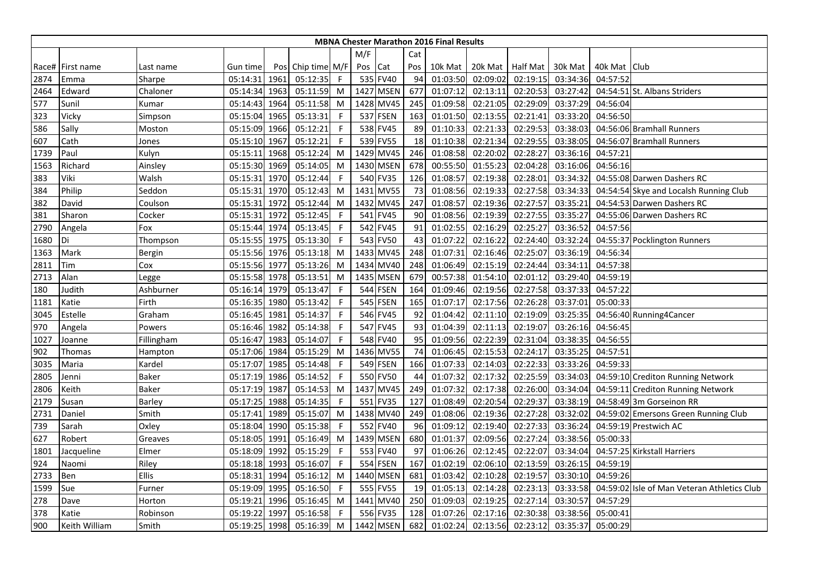|      | <b>MBNA Chester Marathon 2016 Final Results</b><br>M/F<br>Cat |               |               |      |                   |              |         |                 |     |          |          |                 |          |                |                                             |
|------|---------------------------------------------------------------|---------------|---------------|------|-------------------|--------------|---------|-----------------|-----|----------|----------|-----------------|----------|----------------|---------------------------------------------|
|      |                                                               |               |               |      |                   |              |         |                 |     |          |          |                 |          |                |                                             |
|      | Race# First name                                              | Last name     | Gun time      |      | Pos Chip time M/F |              | Pos Cat |                 | Pos | 10k Mat  | 20k Mat  | <b>Half Mat</b> | 30k Mat  | 40k Mat   Club |                                             |
| 2874 | Emma                                                          | Sharpe        | 05:14:31 1961 |      | 05:12:35          | $\mathsf F$  |         | 535 FV40        | 94  | 01:03:50 | 02:09:02 | 02:19:15        | 03:34:36 | 04:57:52       |                                             |
| 2464 | Edward                                                        | Chaloner      | 05:14:34      | 1963 | 05:11:59          | M            |         | 1427 MSEN       | 677 | 01:07:12 | 02:13:11 | 02:20:53        | 03:27:42 |                | 04:54:51 St. Albans Striders                |
| 577  | Sunil                                                         | Kumar         | 05:14:43      | 1964 | 05:11:58          | M            |         | 1428 MV45       | 245 | 01:09:58 | 02:21:05 | 02:29:09        | 03:37:29 | 04:56:04       |                                             |
| 323  | Vicky                                                         | Simpson       | 05:15:04      | 1965 | 05:13:31          | F            |         | 537 FSEN        | 163 | 01:01:50 | 02:13:55 | 02:21:41        | 03:33:20 | 04:56:50       |                                             |
| 586  | Sally                                                         | Moston        | 05:15:09      | 1966 | 05:12:21          | $\mathsf{F}$ |         | 538 FV45        | 89  | 01:10:33 | 02:21:33 | 02:29:53        | 03:38:03 |                | 04:56:06 Bramhall Runners                   |
| 607  | Cath                                                          | Jones         | 05:15:10      | 1967 | 05:12:21          | F            |         | 539 FV55        | 18  | 01:10:38 | 02:21:34 | 02:29:55        | 03:38:05 |                | 04:56:07 Bramhall Runners                   |
| 1739 | Paul                                                          | Kulyn         | 05:15:11      | 1968 | 05:12:24          | M            |         | 1429 MV45       | 246 | 01:08:58 | 02:20:02 | 02:28:27        | 03:36:16 | 04:57:21       |                                             |
| 1563 | Richard                                                       | Ainsley       | 05:15:30      | 1969 | 05:14:05          | M            |         | 1430 MSEN       | 678 | 00:55:50 | 01:55:23 | 02:04:28        | 03:16:06 | 04:56:16       |                                             |
| 383  | Viki                                                          | Walsh         | 05:15:31      | 1970 | 05:12:44          | -F           |         | 540 FV35        | 126 | 01:08:57 | 02:19:38 | 02:28:01        | 03:34:32 |                | 04:55:08 Darwen Dashers RC                  |
| 384  | Philip                                                        | Seddon        | 05:15:31      | 1970 | 05:12:43          | M            | 1431    | <b>MV55</b>     | 73  | 01:08:56 | 02:19:33 | 02:27:58        | 03:34:33 |                | 04:54:54 Skye and Localsh Running Club      |
| 382  | David                                                         | Coulson       | 05:15:31      | 1972 | 05:12:44          | M            |         | 1432 MV45       | 247 | 01:08:57 | 02:19:36 | 02:27:57        | 03:35:21 |                | 04:54:53 Darwen Dashers RC                  |
| 381  | Sharon                                                        | Cocker        | 05:15:31 1972 |      | 05:12:45          | $\mathsf{F}$ |         | 541 FV45        | 90  | 01:08:56 | 02:19:39 | 02:27:55        | 03:35:27 |                | 04:55:06 Darwen Dashers RC                  |
| 2790 | Angela                                                        | Fox           | 05:15:44 1974 |      | 05:13:45          | -F           |         | 542 FV45        | 91  | 01:02:55 | 02:16:29 | 02:25:27        | 03:36:52 | 04:57:56       |                                             |
| 1680 | Di                                                            | Thompson      | 05:15:55      | 1975 | 05:13:30          | -F           |         | 543 FV50        | 43  | 01:07:22 | 02:16:22 | 02:24:40        | 03:32:24 |                | 04:55:37 Pocklington Runners                |
| 1363 | Mark                                                          | <b>Bergin</b> | 05:15:56 1976 |      | 05:13:18          | M            |         | 1433 MV45       | 248 | 01:07:31 | 02:16:46 | 02:25:07        | 03:36:19 | 04:56:34       |                                             |
| 2811 | Tim                                                           | Cox           | 05:15:56 1977 |      | 05:13:26          | M            |         | 1434 MV40       | 248 | 01:06:49 | 02:15:19 | 02:24:44        | 03:34:11 | 04:57:38       |                                             |
| 2713 | Alan                                                          | Legge         | 05:15:58 1978 |      | 05:13:51          | M            |         | 1435 MSEN       | 679 | 00:57:38 | 01:54:10 | 02:01:12        | 03:29:40 | 04:59:19       |                                             |
| 180  | Judith                                                        | Ashburner     | 05:16:14      | 1979 | 05:13:47          | $\mathsf{F}$ |         | <b>544 FSEN</b> | 164 | 01:09:46 | 02:19:56 | 02:27:58        | 03:37:33 | 04:57:22       |                                             |
| 1181 | Katie                                                         | Firth         | 05:16:35      | 1980 | 05:13:42          | F            |         | 545 FSEN        | 165 | 01:07:17 | 02:17:56 | 02:26:28        | 03:37:01 | 05:00:33       |                                             |
| 3045 | Estelle                                                       | Graham        | 05:16:45      | 1981 | 05:14:37          | -F           |         | 546 FV45        | 92  | 01:04:42 | 02:11:10 | 02:19:09        | 03:25:35 |                | 04:56:40 Running4Cancer                     |
| 970  | Angela                                                        | Powers        | 05:16:46      | 1982 | 05:14:38          | F            |         | 547 FV45        | 93  | 01:04:39 | 02:11:13 | 02:19:07        | 03:26:16 | 04:56:45       |                                             |
| 1027 | Joanne                                                        | Fillingham    | 05:16:47      | 1983 | 05:14:07          | $\mathsf{F}$ |         | 548 FV40        | 95  | 01:09:56 | 02:22:39 | 02:31:04        | 03:38:35 | 04:56:55       |                                             |
| 902  | Thomas                                                        | Hampton       | 05:17:06      | 1984 | 05:15:29          | M            |         | 1436 MV55       | 74  | 01:06:45 | 02:15:53 | 02:24:17        | 03:35:25 | 04:57:51       |                                             |
| 3035 | Maria                                                         | Kardel        | 05:17:07 1985 |      | 05:14:48          | -F           |         | 549 FSEN        | 166 | 01:07:33 | 02:14:03 | 02:22:33        | 03:33:26 | 04:59:33       |                                             |
| 2805 | Jenni                                                         | Baker         | 05:17:19      | 1986 | 05:14:52          | $\mathsf{F}$ |         | 550 FV50        | 44  | 01:07:32 | 02:17:32 | 02:25:59        | 03:34:03 |                | 04:59:10 Crediton Running Network           |
| 2806 | Keith                                                         | <b>Baker</b>  | 05:17:19      | 1987 | 05:14:53          | M            |         | 1437 MV45       | 249 | 01:07:32 | 02:17:38 | 02:26:00        | 03:34:04 |                | 04:59:11 Crediton Running Network           |
| 2179 | Susan                                                         | Barley        | 05:17:25      | 1988 | 05:14:35          | -F           |         | 551 FV35        | 127 | 01:08:49 | 02:20:54 | 02:29:37        | 03:38:19 |                | 04:58:49 3m Gorseinon RR                    |
| 2731 | Daniel                                                        | Smith         | 05:17:41      | 1989 | 05:15:07          | M            |         | 1438 MV40       | 249 | 01:08:06 | 02:19:36 | 02:27:28        | 03:32:02 |                | 04:59:02 Emersons Green Running Club        |
| 739  | Sarah                                                         | Oxley         | 05:18:04      | 1990 | 05:15:38          | -F           |         | 552 FV40        | 96  | 01:09:12 | 02:19:40 | 02:27:33        | 03:36:24 |                | 04:59:19 Prestwich AC                       |
| 627  | Robert                                                        | Greaves       | 05:18:05      | 1991 | 05:16:49          | M            |         | 1439 MSEN       | 680 | 01:01:37 | 02:09:56 | 02:27:24        | 03:38:56 | 05:00:33       |                                             |
| 1801 | Jacqueline                                                    | Elmer         | 05:18:09      | 1992 | 05:15:29          | -F           |         | 553 FV40        | 97  | 01:06:26 | 02:12:45 | 02:22:07        | 03:34:04 |                | 04:57:25 Kirkstall Harriers                 |
| 924  | Naomi                                                         | Riley         | 05:18:18      | 1993 | 05:16:07          | F            |         | 554 FSEN        | 167 | 01:02:19 | 02:06:10 | 02:13:59        | 03:26:15 | 04:59:19       |                                             |
| 2733 | Ben                                                           | <b>Ellis</b>  | 05:18:31      | 1994 | 05:16:12          | M            |         | 1440 MSEN       | 681 | 01:03:42 | 02:10:28 | 02:19:57        | 03:30:10 | 04:59:26       |                                             |
| 1599 | Sue                                                           | Furner        | 05:19:09      | 1995 | 05:16:50          | -F           |         | 555 FV55        | 19  | 01:05:13 | 02:14:28 | 02:23:13        | 03:33:58 |                | 04:59:02 Isle of Man Veteran Athletics Club |
| 278  | Dave                                                          | Horton        | 05:19:21      | 1996 | 05:16:45          | M            |         | 1441 MV40       | 250 | 01:09:03 | 02:19:25 | 02:27:14        | 03:30:57 | 04:57:29       |                                             |
| 378  | Katie                                                         | Robinson      | 05:19:22      | 1997 | 05:16:58          | -F           |         | 556 FV35        | 128 | 01:07:26 | 02:17:16 | 02:30:38        | 03:38:56 | 05:00:41       |                                             |
| 900  | <b>Keith William</b>                                          | Smith         | 05:19:25 1998 |      | 05:16:39          | M            |         | 1442 MSEN       | 682 | 01:02:24 | 02:13:56 | 02:23:12        | 03:35:37 | 05:00:29       |                                             |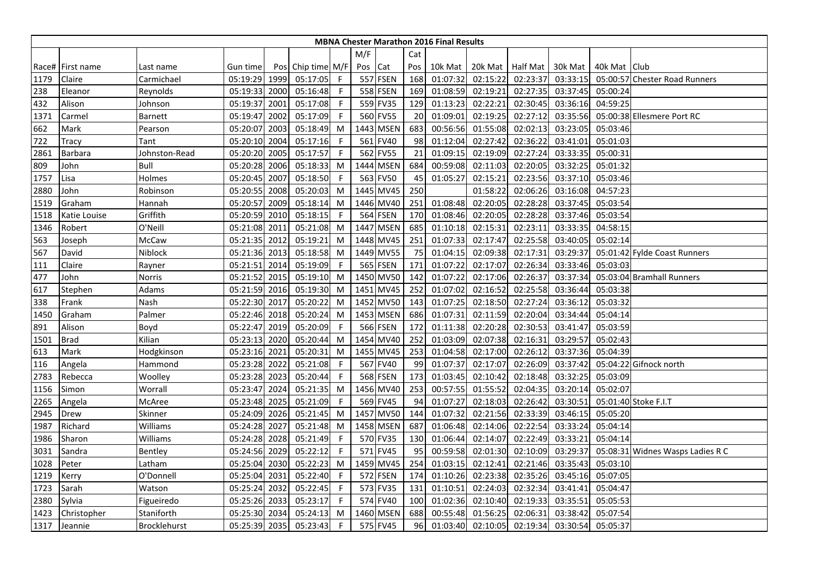|      | <b>MBNA Chester Marathon 2016 Final Results</b><br>M/F<br>Cat |                     |               |      |                   |              |         |                 |     |          |                   |          |          |              |                                  |
|------|---------------------------------------------------------------|---------------------|---------------|------|-------------------|--------------|---------|-----------------|-----|----------|-------------------|----------|----------|--------------|----------------------------------|
|      |                                                               |                     |               |      |                   |              |         |                 |     |          |                   |          |          |              |                                  |
|      | Race# First name                                              | Last name           | Gun time      |      | Pos Chip time M/F |              | Pos Cat |                 | Pos | 10k Mat  | 20k Mat Half Mat  |          | 30k Mat  | 40k Mat Club |                                  |
| 1179 | Claire                                                        | Carmichael          | 05:19:29 1999 |      | 05:17:05          | F.           |         | 557 FSEN        | 168 | 01:07:32 | 02:15:22          | 02:23:37 | 03:33:15 |              | 05:00:57 Chester Road Runners    |
| 238  | Eleanor                                                       | Reynolds            | 05:19:33      | 2000 | 05:16:48          | -F           |         | 558 FSEN        | 169 | 01:08:59 | 02:19:21          | 02:27:35 | 03:37:45 | 05:00:24     |                                  |
| 432  | Alison                                                        | Johnson             | 05:19:37      | 2001 | 05:17:08          | -F           |         | 559 FV35        | 129 | 01:13:23 | 02:22:21          | 02:30:45 | 03:36:16 | 04:59:25     |                                  |
| 1371 | Carmel                                                        | Barnett             | 05:19:47      | 2002 | 05:17:09          | F            |         | 560 FV55        | 20  | 01:09:01 | 02:19:25          | 02:27:12 | 03:35:56 |              | 05:00:38 Ellesmere Port RC       |
| 662  | Mark                                                          | Pearson             | 05:20:07      | 2003 | 05:18:49          | M            |         | 1443 MSEN       | 683 | 00:56:56 | 01:55:08          | 02:02:13 | 03:23:05 | 05:03:46     |                                  |
| 722  | Tracy                                                         | Tant                | 05:20:10      | 2004 | 05:17:16          | -F           |         | 561 FV40        | 98  | 01:12:04 | 02:27:42          | 02:36:22 | 03:41:01 | 05:01:03     |                                  |
| 2861 | <b>Barbara</b>                                                | Johnston-Read       | 05:20:20      | 2005 | 05:17:57          | F            |         | 562 FV55        | 21  | 01:09:15 | 02:19:09          | 02:27:24 | 03:33:35 | 05:00:31     |                                  |
| 809  | John                                                          | Bull                | 05:20:28      | 2006 | 05:18:33          | M            |         | 1444 MSEN       | 684 | 00:59:08 | 02:11:03          | 02:20:05 | 03:32:25 | 05:01:32     |                                  |
| 1757 | Lisa                                                          | Holmes              | 05:20:45      | 2007 | 05:18:50          | -F           |         | 563 FV50        | 45  | 01:05:27 | 02:15:21          | 02:23:56 | 03:37:10 | 05:03:46     |                                  |
| 2880 | John                                                          | Robinson            | 05:20:55      | 2008 | 05:20:03          | M            |         | 1445 MV45       | 250 |          | 01:58:22          | 02:06:26 | 03:16:08 | 04:57:23     |                                  |
| 1519 | Graham                                                        | Hannah              | 05:20:57      | 2009 | 05:18:14          | M            |         | 1446 MV40       | 251 | 01:08:48 | 02:20:05          | 02:28:28 | 03:37:45 | 05:03:54     |                                  |
| 1518 | Katie Louise                                                  | Griffith            | 05:20:59      | 2010 | 05:18:15          | F            |         | <b>564 FSEN</b> | 170 | 01:08:46 | 02:20:05          | 02:28:28 | 03:37:46 | 05:03:54     |                                  |
| 1346 | Robert                                                        | O'Neill             | 05:21:08 2011 |      | 05:21:08          | M            |         | 1447 MSEN       | 685 | 01:10:18 | 02:15:31          | 02:23:11 | 03:33:35 | 04:58:15     |                                  |
| 563  | Joseph                                                        | McCaw               | 05:21:35 2012 |      | 05:19:21          | M            |         | 1448 MV45       | 251 | 01:07:33 | 02:17:47          | 02:25:58 | 03:40:05 | 05:02:14     |                                  |
| 567  | David                                                         | Niblock             | 05:21:36 2013 |      | 05:18:58          | M            |         | 1449 MV55       | 75  | 01:04:15 | 02:09:38          | 02:17:31 | 03:29:37 |              | 05:01:42 Fylde Coast Runners     |
| 111  | Claire                                                        | Rayner              | 05:21:51 2014 |      | 05:19:09          | -F           |         | 565 FSEN        | 171 | 01:07:22 | 02:17:07          | 02:26:34 | 03:33:46 | 05:03:03     |                                  |
| 477  | John                                                          | Norris              | 05:21:52      | 2015 | 05:19:10          | M            |         | 1450 MV50       | 142 | 01:07:22 | 02:17:06          | 02:26:37 | 03:37:34 |              | 05:03:04 Bramhall Runners        |
| 617  | Stephen                                                       | Adams               | 05:21:59      | 2016 | 05:19:30          | M            |         | 1451 MV45       | 252 | 01:07:02 | 02:16:52          | 02:25:58 | 03:36:44 | 05:03:38     |                                  |
| 338  | Frank                                                         | Nash                | 05:22:30 2017 |      | 05:20:22          | M            |         | 1452 MV50       | 143 | 01:07:25 | 02:18:50          | 02:27:24 | 03:36:12 | 05:03:32     |                                  |
| 1450 | Graham                                                        | Palmer              | 05:22:46 2018 |      | 05:20:24          | M            |         | 1453 MSEN       | 686 | 01:07:31 | 02:11:59          | 02:20:04 | 03:34:44 | 05:04:14     |                                  |
| 891  | Alison                                                        | Boyd                | 05:22:47      | 2019 | 05:20:09          | F            |         | 566 FSEN        | 172 | 01:11:38 | 02:20:28          | 02:30:53 | 03:41:47 | 05:03:59     |                                  |
| 1501 | <b>Brad</b>                                                   | Kilian              | 05:23:13      | 2020 | 05:20:44          | M            |         | 1454 MV40       | 252 | 01:03:09 | 02:07:38          | 02:16:31 | 03:29:57 | 05:02:43     |                                  |
| 613  | Mark                                                          | Hodgkinson          | 05:23:16      | 2021 | 05:20:31          | M            |         | 1455 MV45       | 253 | 01:04:58 | 02:17:00          | 02:26:12 | 03:37:36 | 05:04:39     |                                  |
| 116  | Angela                                                        | Hammond             | 05:23:28 2022 |      | 05:21:08          | -F           |         | 567 FV40        | 99  | 01:07:37 | 02:17:07          | 02:26:09 | 03:37:42 |              | 05:04:22 Gifnock north           |
| 2783 | Rebecca                                                       | Woolley             | 05:23:28      | 2023 | 05:20:44          | F            |         | <b>568 FSEN</b> | 173 | 01:03:45 | 02:10:42          | 02:18:48 | 03:32:25 | 05:03:09     |                                  |
| 1156 | Simon                                                         | Worrall             | 05:23:47 2024 |      | 05:21:35          | M            |         | 1456 MV40       | 253 | 00:57:55 | 01:55:52          | 02:04:35 | 03:20:14 | 05:02:07     |                                  |
| 2265 | Angela                                                        | McAree              | 05:23:48 2025 |      | 05:21:09          | -F           |         | 569 FV45        | 94  | 01:07:27 | 02:18:03          | 02:26:42 | 03:30:51 |              | 05:01:40 Stoke F.I.T             |
| 2945 | Drew                                                          | Skinner             | 05:24:09 2026 |      | 05:21:45          | M            |         | 1457 MV50       | 144 | 01:07:32 | 02:21:56          | 02:33:39 | 03:46:15 | 05:05:20     |                                  |
| 1987 | Richard                                                       | Williams            | 05:24:28 2027 |      | 05:21:48          | M            |         | 1458 MSEN       | 687 | 01:06:48 | 02:14:06          | 02:22:54 | 03:33:24 | 05:04:14     |                                  |
| 1986 | Sharon                                                        | Williams            | 05:24:28 2028 |      | 05:21:49          | F            |         | 570 FV35        | 130 | 01:06:44 | 02:14:07          | 02:22:49 | 03:33:21 | 05:04:14     |                                  |
| 3031 | Sandra                                                        | Bentley             | 05:24:56 2029 |      | 05:22:12          | $\mathsf{F}$ |         | 571 FV45        | 95  | 00:59:58 | 02:01:30          | 02:10:09 | 03:29:37 |              | 05:08:31 Widnes Wasps Ladies R C |
| 1028 | Peter                                                         | Latham              | 05:25:04      | 2030 | 05:22:23          | M            |         | 1459 MV45       | 254 | 01:03:15 | 02:12:41          | 02:21:46 | 03:35:43 | 05:03:10     |                                  |
| 1219 | Kerry                                                         | O'Donnell           | 05:25:04 2031 |      | 05:22:40          | F            |         | 572 FSEN        | 174 | 01:10:26 | 02:23:38          | 02:35:26 | 03:45:16 | 05:07:05     |                                  |
| 1723 | Sarah                                                         | Watson              | 05:25:24      | 2032 | 05:22:45          | F            |         | 573 FV35        | 131 | 01:10:51 | 02:24:03          | 02:32:34 | 03:41:41 | 05:04:47     |                                  |
| 2380 | Sylvia                                                        | Figueiredo          | 05:25:26 2033 |      | 05:23:17          | -F           |         | 574 FV40        | 100 | 01:02:36 | 02:10:40          | 02:19:33 | 03:35:51 | 05:05:53     |                                  |
| 1423 | Christopher                                                   | Staniforth          | 05:25:30      | 2034 | 05:24:13          | M            |         | 1460 MSEN       | 688 | 00:55:48 | 01:56:25          | 02:06:31 | 03:38:42 | 05:07:54     |                                  |
| 1317 | Jeannie                                                       | <b>Brocklehurst</b> | 05:25:39 2035 |      | 05:23:43          | F.           |         | 575 FV45        | 96  |          | 01:03:40 02:10:05 | 02:19:34 | 03:30:54 | 05:05:37     |                                  |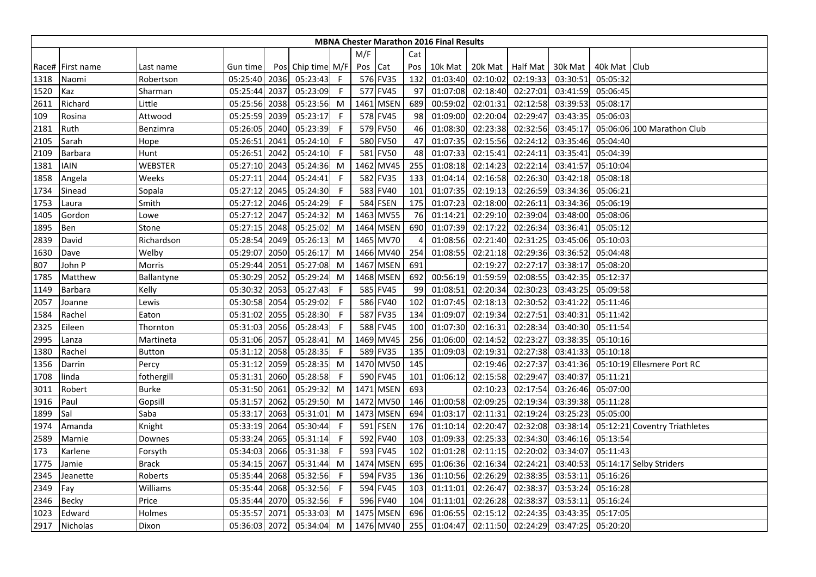|      | <b>MBNA Chester Marathon 2016 Final Results</b><br>M/F<br>Cat |               |               |      |                   |     |         |             |                |          |                  |          |          |              |                               |
|------|---------------------------------------------------------------|---------------|---------------|------|-------------------|-----|---------|-------------|----------------|----------|------------------|----------|----------|--------------|-------------------------------|
|      |                                                               |               |               |      |                   |     |         |             |                |          |                  |          |          |              |                               |
|      | Race# First name                                              | Last name     | Gun time      |      | Pos Chip time M/F |     | Pos Cat |             | Pos            | 10k Mat  | 20k Mat Half Mat |          | 30k Mat  | 40k Mat Club |                               |
| 1318 | Naomi                                                         | Robertson     | 05:25:40 2036 |      | 05:23:43          | - F |         | 576 FV35    | 132            | 01:03:40 | 02:10:02         | 02:19:33 | 03:30:51 | 05:05:32     |                               |
| 1520 | Kaz                                                           | Sharman       | 05:25:44 2037 |      | 05:23:09          | -F  |         | 577 FV45    | 97             | 01:07:08 | 02:18:40         | 02:27:01 | 03:41:59 | 05:06:45     |                               |
| 2611 | Richard                                                       | Little        | 05:25:56      | 2038 | 05:23:56          | M   |         | 1461 MSEN   | 689            | 00:59:02 | 02:01:31         | 02:12:58 | 03:39:53 | 05:08:17     |                               |
| 109  | Rosina                                                        | Attwood       | 05:25:59      | 2039 | 05:23:17          | F   |         | 578 FV45    | 98             | 01:09:00 | 02:20:04         | 02:29:47 | 03:43:35 | 05:06:03     |                               |
| 2181 | Ruth                                                          | Benzimra      | 05:26:05      | 2040 | 05:23:39          | -F  |         | 579 FV50    | 46             | 01:08:30 | 02:23:38         | 02:32:56 | 03:45:17 |              | 05:06:06 100 Marathon Club    |
| 2105 | Sarah                                                         | Hope          | 05:26:51      | 2041 | 05:24:10          | F   |         | 580 FV50    | 47             | 01:07:35 | 02:15:56         | 02:24:12 | 03:35:46 | 05:04:40     |                               |
| 2109 | <b>Barbara</b>                                                | Hunt          | 05:26:51      | 2042 | 05:24:10          | F   |         | 581 FV50    | 48             | 01:07:33 | 02:15:41         | 02:24:11 | 03:35:41 | 05:04:39     |                               |
| 1381 | <b>IAIN</b>                                                   | WEBSTER       | 05:27:10      | 2043 | 05:24:36          | M   |         | 1462 MV45   | 255            | 01:08:18 | 02:14:23         | 02:22:14 | 03:41:57 | 05:10:04     |                               |
| 1858 | Angela                                                        | Weeks         | 05:27:11      | 2044 | 05:24:41          | -F  |         | 582 FV35    | 133            | 01:04:14 | 02:16:58         | 02:26:30 | 03:42:18 | 05:08:18     |                               |
| 1734 | Sinead                                                        | Sopala        | 05:27:12      | 2045 | 05:24:30          | F   |         | 583 FV40    | 101            | 01:07:35 | 02:19:13         | 02:26:59 | 03:34:36 | 05:06:21     |                               |
| 1753 | Laura                                                         | Smith         | 05:27:12      | 2046 | 05:24:29          | F   |         | 584 FSEN    | 175            | 01:07:23 | 02:18:00         | 02:26:11 | 03:34:36 | 05:06:19     |                               |
| 1405 | Gordon                                                        | Lowe          | 05:27:12      | 2047 | 05:24:32          | M   |         | 1463 MV55   | 76             | 01:14:21 | 02:29:10         | 02:39:04 | 03:48:00 | 05:08:06     |                               |
| 1895 | Ben                                                           | Stone         | 05:27:15      | 2048 | 05:25:02          | M   |         | 1464 MSEN   | 690            | 01:07:39 | 02:17:22         | 02:26:34 | 03:36:41 | 05:05:12     |                               |
| 2839 | David                                                         | Richardson    | 05:28:54      | 2049 | 05:26:13          | M   |         | 1465 MV70   | $\overline{4}$ | 01:08:56 | 02:21:40         | 02:31:25 | 03:45:06 | 05:10:03     |                               |
| 1630 | Dave                                                          | Welby         | 05:29:07      | 2050 | 05:26:17          | M   |         | 1466 MV40   | 254            | 01:08:55 | 02:21:18         | 02:29:36 | 03:36:52 | 05:04:48     |                               |
| 807  | John P                                                        | Morris        | 05:29:44 2051 |      | 05:27:08          | M   |         | 1467 MSEN   | 691            |          | 02:19:27         | 02:27:17 | 03:38:17 | 05:08:20     |                               |
| 1785 | Matthew                                                       | Ballantyne    | 05:30:29      | 2052 | 05:29:24          | M   |         | 1468 MSEN   | 692            | 00:56:19 | 01:59:59         | 02:08:55 | 03:42:35 | 05:12:37     |                               |
| 1149 | <b>Barbara</b>                                                | Kelly         | 05:30:32      | 2053 | 05:27:43          | F   | 585     | <b>FV45</b> | 99             | 01:08:51 | 02:20:34         | 02:30:23 | 03:43:25 | 05:09:58     |                               |
| 2057 | Joanne                                                        | Lewis         | 05:30:58 2054 |      | 05:29:02          | F   |         | 586 FV40    | 102            | 01:07:45 | 02:18:13         | 02:30:52 | 03:41:22 | 05:11:46     |                               |
| 1584 | Rachel                                                        | Eaton         | 05:31:02      | 2055 | 05:28:30          | F   |         | 587 FV35    | 134            | 01:09:07 | 02:19:34         | 02:27:51 | 03:40:31 | 05:11:42     |                               |
| 2325 | Eileen                                                        | Thornton      | 05:31:03      | 2056 | 05:28:43          | -F  |         | 588 FV45    | 100            | 01:07:30 | 02:16:31         | 02:28:34 | 03:40:30 | 05:11:54     |                               |
| 2995 | Lanza                                                         | Martineta     | 05:31:06 2057 |      | 05:28:41          | M   |         | 1469 MV45   | 256            | 01:06:00 | 02:14:52         | 02:23:27 | 03:38:35 | 05:10:16     |                               |
| 1380 | Rachel                                                        | <b>Button</b> | 05:31:12      | 2058 | 05:28:35          | -F  |         | 589 FV35    | 135            | 01:09:03 | 02:19:31         | 02:27:38 | 03:41:33 | 05:10:18     |                               |
| 1356 | Darrin                                                        | Percy         | 05:31:12      | 2059 | 05:28:35          | M   |         | 1470 MV50   | 145            |          | 02:19:46         | 02:27:37 | 03:41:36 |              | 05:10:19 Ellesmere Port RC    |
| 1708 | linda                                                         | fothergill    | 05:31:31      | 2060 | 05:28:58          | F   |         | 590 FV45    | 101            | 01:06:12 | 02:15:58         | 02:29:47 | 03:40:37 | 05:11:21     |                               |
| 3011 | Robert                                                        | Burke         | 05:31:50      | 2061 | 05:29:32          | M   |         | 1471 MSEN   | 693            |          | 02:10:23         | 02:17:54 | 03:26:46 | 05:07:00     |                               |
| 1916 | Paul                                                          | Gopsill       | 05:31:57 2062 |      | 05:29:50          | M   |         | 1472 MV50   | 146            | 01:00:58 | 02:09:25         | 02:19:34 | 03:39:38 | 05:11:28     |                               |
| 1899 | Sal                                                           | Saba          | 05:33:17      | 2063 | 05:31:01          | M   |         | 1473 MSEN   | 694            | 01:03:17 | 02:11:31         | 02:19:24 | 03:25:23 | 05:05:00     |                               |
| 1974 | Amanda                                                        | Knight        | 05:33:19      | 2064 | 05:30:44          | F   |         | 591 FSEN    | 176            | 01:10:14 | 02:20:47         | 02:32:08 | 03:38:14 |              | 05:12:21 Coventry Triathletes |
| 2589 | Marnie                                                        | Downes        | 05:33:24 2065 |      | 05:31:14          | F   |         | 592 FV40    | 103            | 01:09:33 | 02:25:33         | 02:34:30 | 03:46:16 | 05:13:54     |                               |
| 173  | Karlene                                                       | Forsyth       | 05:34:03      | 2066 | 05:31:38          | -F  |         | 593 FV45    | 102            | 01:01:28 | 02:11:15         | 02:20:02 | 03:34:07 | 05:11:43     |                               |
| 1775 | Jamie                                                         | <b>Brack</b>  | 05:34:15      | 2067 | 05:31:44          | M   |         | 1474 MSEN   | 695            | 01:06:36 | 02:16:34         | 02:24:21 | 03:40:53 |              | 05:14:17 Selby Striders       |
| 2345 | Jeanette                                                      | Roberts       | 05:35:44      | 2068 | 05:32:56          | F   |         | 594 FV35    | 136            | 01:10:56 | 02:26:29         | 02:38:35 | 03:53:11 | 05:16:26     |                               |
| 2349 | Fay                                                           | Williams      | 05:35:44 2068 |      | 05:32:56          | -F  |         | 594 FV45    | 103            | 01:11:01 | 02:26:47         | 02:38:37 | 03:53:24 | 05:16:28     |                               |
| 2346 | <b>Becky</b>                                                  | Price         | 05:35:44 2070 |      | 05:32:56          | -F  |         | 596 FV40    | 104            | 01:11:01 | 02:26:28         | 02:38:37 | 03:53:11 | 05:16:24     |                               |
| 1023 | Edward                                                        | Holmes        | 05:35:57      | 2071 | 05:33:03          | M   |         | 1475 MSEN   | 696            | 01:06:55 | 02:15:12         | 02:24:35 | 03:43:35 | 05:17:05     |                               |
| 2917 | Nicholas                                                      | Dixon         | 05:36:03 2072 |      | 05:34:04          | M   |         | 1476 MV40   | 255            | 01:04:47 | 02:11:50         | 02:24:29 | 03:47:25 | 05:20:20     |                               |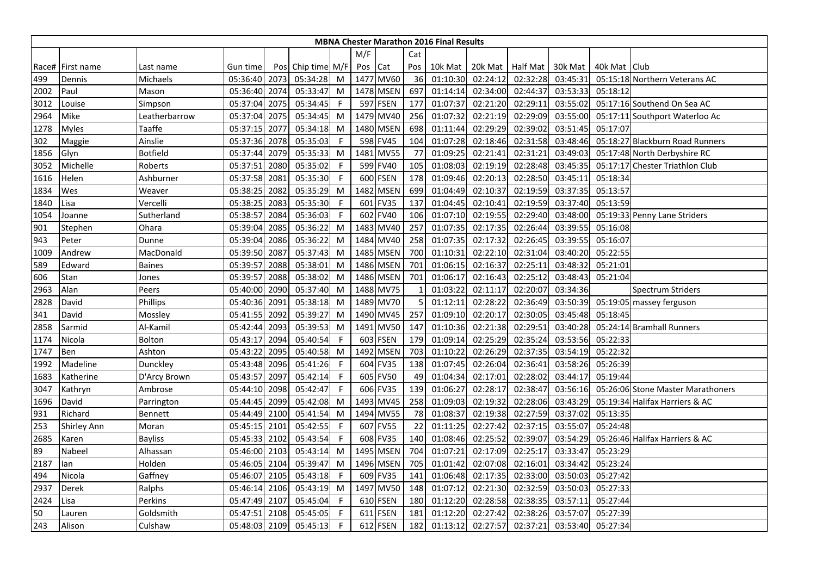|      | <b>MBNA Chester Marathon 2016 Final Results</b><br>M/F<br>Cat |                 |               |      |                   |              |         |             |     |          |                  |          |          |                |                                   |
|------|---------------------------------------------------------------|-----------------|---------------|------|-------------------|--------------|---------|-------------|-----|----------|------------------|----------|----------|----------------|-----------------------------------|
|      |                                                               |                 |               |      |                   |              |         |             |     |          |                  |          |          |                |                                   |
|      | Race#   First name                                            | Last name       | Gun time      |      | Pos Chip time M/F |              | Pos Cat |             | Pos | 10k Mat  | 20k Mat Half Mat |          | 30k Mat  | 40k Mat   Club |                                   |
| 499  | Dennis                                                        | Michaels        | 05:36:40      | 2073 | 05:34:28          | M            |         | 1477 MV60   | 36  | 01:10:30 | 02:24:12         | 02:32:28 | 03:45:31 |                | 05:15:18 Northern Veterans AC     |
| 2002 | Paul                                                          | Mason           | 05:36:40      | 2074 | 05:33:47          | M            |         | 1478 MSEN   | 697 | 01:14:14 | 02:34:00         | 02:44:37 | 03:53:33 | 05:18:12       |                                   |
| 3012 | Louise                                                        | Simpson         | 05:37:04      | 2075 | 05:34:45          | $\mathsf{F}$ |         | 597 FSEN    | 177 | 01:07:37 | 02:21:20         | 02:29:11 | 03:55:02 |                | 05:17:16 Southend On Sea AC       |
| 2964 | Mike                                                          | Leatherbarrow   | 05:37:04      | 2075 | 05:34:45          | M            |         | 1479 MV40   | 256 | 01:07:32 | 02:21:19         | 02:29:09 | 03:55:00 |                | 05:17:11 Southport Waterloo Ac    |
| 1278 | <b>Myles</b>                                                  | Taaffe          | 05:37:15      | 2077 | 05:34:18          | M            |         | 1480 MSEN   | 698 | 01:11:44 | 02:29:29         | 02:39:02 | 03:51:45 | 05:17:07       |                                   |
| 302  | Maggie                                                        | Ainslie         | 05:37:36      | 2078 | 05:35:03          | -F           |         | 598 FV45    | 104 | 01:07:28 | 02:18:46         | 02:31:58 | 03:48:46 |                | 05:18:27 Blackburn Road Runners   |
| 1856 | Glyn                                                          | <b>Botfield</b> | 05:37:44      | 2079 | 05:35:33          | M            |         | 1481 MV55   | 77  | 01:09:25 | 02:21:41         | 02:31:21 | 03:49:03 |                | 05:17:48 North Derbyshire RC      |
| 3052 | Michelle                                                      | Roberts         | 05:37:51      | 2080 | 05:35:02          | F            |         | 599 FV40    | 105 | 01:08:03 | 02:19:19         | 02:28:48 | 03:45:35 |                | 05:17:17 Chester Triathlon Club   |
| 1616 | Helen                                                         | Ashburner       | 05:37:58      | 2081 | 05:35:30          | -F           |         | 600 FSEN    | 178 | 01:09:46 | 02:20:13         | 02:28:50 | 03:45:11 | 05:18:34       |                                   |
| 1834 | Wes                                                           | Weaver          | 05:38:25      | 2082 | 05:35:29          | M            |         | 1482 MSEN   | 699 | 01:04:49 | 02:10:37         | 02:19:59 | 03:37:35 | 05:13:57       |                                   |
| 1840 | Lisa                                                          | Vercelli        | 05:38:25      | 2083 | 05:35:30          | -F           | 601     | <b>FV35</b> | 137 | 01:04:45 | 02:10:41         | 02:19:59 | 03:37:40 | 05:13:59       |                                   |
| 1054 | Joanne                                                        | Sutherland      | 05:38:57      | 2084 | 05:36:03          | F            |         | 602 FV40    | 106 | 01:07:10 | 02:19:55         | 02:29:40 | 03:48:00 |                | 05:19:33 Penny Lane Striders      |
| 901  | Stephen                                                       | Ohara           | 05:39:04      | 2085 | 05:36:22          | M            |         | 1483 MV40   | 257 | 01:07:35 | 02:17:35         | 02:26:44 | 03:39:55 | 05:16:08       |                                   |
| 943  | Peter                                                         | Dunne           | 05:39:04      | 2086 | 05:36:22          | M            |         | 1484 MV40   | 258 | 01:07:35 | 02:17:32         | 02:26:45 | 03:39:55 | 05:16:07       |                                   |
| 1009 | Andrew                                                        | MacDonald       | 05:39:50      | 2087 | 05:37:43          | M            |         | 1485 MSEN   | 700 | 01:10:31 | 02:22:10         | 02:31:04 | 03:40:20 | 05:22:55       |                                   |
| 589  | Edward                                                        | <b>Baines</b>   | 05:39:57 2088 |      | 05:38:01          | M            |         | 1486 MSEN   | 701 | 01:06:15 | 02:16:37         | 02:25:11 | 03:48:32 | 05:21:01       |                                   |
| 606  | Stan                                                          | Jones           | 05:39:57      | 2088 | 05:38:02          | M            |         | 1486 MSEN   | 701 | 01:06:17 | 02:16:43         | 02:25:12 | 03:48:43 | 05:21:04       |                                   |
| 2963 | Alan                                                          | Peers           | 05:40:00      | 2090 | 05:37:40          | M            |         | 1488 MV75   |     | 01:03:22 | 02:11:17         | 02:20:07 | 03:34:36 |                | <b>Spectrum Striders</b>          |
| 2828 | David                                                         | Phillips        | 05:40:36      | 2091 | 05:38:18          | M            |         | 1489 MV70   | 5   | 01:12:11 | 02:28:22         | 02:36:49 | 03:50:39 |                | 05:19:05 massey ferguson          |
| 341  | David                                                         | Mossley         | 05:41:55      | 2092 | 05:39:27          | M            |         | 1490 MV45   | 257 | 01:09:10 | 02:20:17         | 02:30:05 | 03:45:48 | 05:18:45       |                                   |
| 2858 | Sarmid                                                        | Al-Kamil        | 05:42:44      | 2093 | 05:39:53          | M            |         | 1491 MV50   | 147 | 01:10:36 | 02:21:38         | 02:29:51 | 03:40:28 |                | 05:24:14 Bramhall Runners         |
| 1174 | Nicola                                                        | Bolton          | 05:43:17      | 2094 | 05:40:54          | F            |         | 603 FSEN    | 179 | 01:09:14 | 02:25:29         | 02:35:24 | 03:53:56 | 05:22:33       |                                   |
| 1747 | Ben                                                           | Ashton          | 05:43:22      | 2095 | 05:40:58          | M            |         | 1492 MSEN   | 703 | 01:10:22 | 02:26:29         | 02:37:35 | 03:54:19 | 05:22:32       |                                   |
| 1992 | Madeline                                                      | Dunckley        | 05:43:48      | 2096 | 05:41:26          | -F           |         | 604 FV35    | 138 | 01:07:45 | 02:26:04         | 02:36:41 | 03:58:26 | 05:26:39       |                                   |
| 1683 | Katherine                                                     | D'Arcy Brown    | 05:43:57      | 2097 | 05:42:14          | F            |         | 605 FV50    | 49  | 01:04:34 | 02:17:01         | 02:28:02 | 03:44:17 | 05:19:44       |                                   |
| 3047 | Kathryn                                                       | Ambrose         | 05:44:10      | 2098 | 05:42:47          | -F           |         | 606 FV35    | 139 | 01:06:27 | 02:28:17         | 02:38:47 | 03:56:16 |                | 05:26:06 Stone Master Marathoners |
| 1696 | David                                                         | Parrington      | 05:44:45      | 2099 | 05:42:08          | M            |         | 1493 MV45   | 258 | 01:09:03 | 02:19:32         | 02:28:06 | 03:43:29 |                | 05:19:34 Halifax Harriers & AC    |
| 931  | Richard                                                       | Bennett         | 05:44:49      | 2100 | 05:41:54          | M            |         | 1494 MV55   | 78  | 01:08:37 | 02:19:38         | 02:27:59 | 03:37:02 | 05:13:35       |                                   |
| 253  | <b>Shirley Ann</b>                                            | Moran           | 05:45:15      | 2101 | 05:42:55          | F            |         | 607 FV55    | 22  | 01:11:25 | 02:27:42         | 02:37:15 | 03:55:07 | 05:24:48       |                                   |
| 2685 | Karen                                                         | <b>Bayliss</b>  | 05:45:33 2102 |      | 05:43:54          | $\mathsf F$  |         | 608 FV35    | 140 | 01:08:46 | 02:25:52         | 02:39:07 | 03:54:29 |                | 05:26:46 Halifax Harriers & AC    |
| 89   | Nabeel                                                        | Alhassan        | 05:46:00 2103 |      | 05:43:14          | M            |         | 1495 MSEN   | 704 | 01:07:21 | 02:17:09         | 02:25:17 | 03:33:47 | 05:23:29       |                                   |
| 2187 | lan                                                           | Holden          | 05:46:05      | 2104 | 05:39:47          | M            |         | 1496 MSEN   | 705 | 01:01:42 | 02:07:08         | 02:16:01 | 03:34:42 | 05:23:24       |                                   |
| 494  | Nicola                                                        | Gaffney         | 05:46:07      | 2105 | 05:43:18          | -F           |         | 609 FV35    | 141 | 01:06:48 | 02:17:35         | 02:33:00 | 03:50:03 | 05:27:42       |                                   |
| 2937 | Derek                                                         | Ralphs          | 05:46:14      | 2106 | 05:43:19          | M            |         | 1497 MV50   | 148 | 01:07:12 | 02:21:30         | 02:32:59 | 03:50:03 | 05:27:33       |                                   |
| 2424 | Lisa                                                          | Perkins         | 05:47:49      | 2107 | 05:45:04          | -F           |         | 610 FSEN    | 180 | 01:12:20 | 02:28:58         | 02:38:35 | 03:57:11 | 05:27:44       |                                   |
| 50   | Lauren                                                        | Goldsmith       | 05:47:51      | 2108 | 05:45:05          | -F           |         | 611 FSEN    | 181 | 01:12:20 | 02:27:42         | 02:38:26 | 03:57:07 | 05:27:39       |                                   |
| 243  | Alison                                                        | Culshaw         | 05:48:03 2109 |      | 05:45:13          | F            |         | 612 FSEN    | 182 | 01:13:12 | 02:27:57         | 02:37:21 | 03:53:40 | 05:27:34       |                                   |